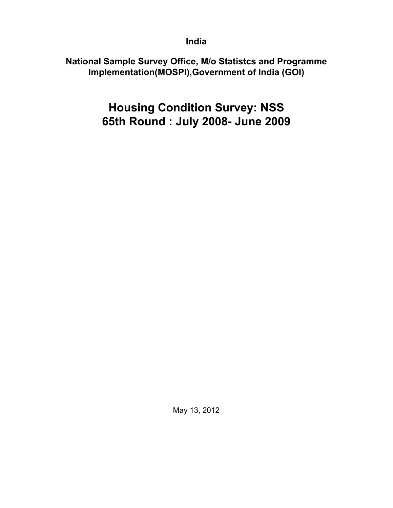**India**

**National Sample Survey Office, M/o Statistcs and Programme Implementation(MOSPI),Government of India (GOI)**

> **Housing Condition Survey: NSS 65th Round : July 2008- June 2009**

> > May 13, 2012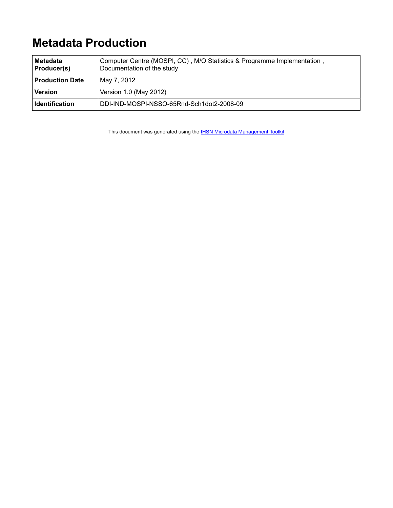# **Metadata Production**

| ∣Metadata<br><b>Producer(s)</b> | Computer Centre (MOSPI, CC), M/O Statistics & Programme Implementation,<br>Documentation of the study |
|---------------------------------|-------------------------------------------------------------------------------------------------------|
| <b>Production Date</b>          | May 7, 2012                                                                                           |
| Version                         | Version 1.0 (May 2012)                                                                                |
| <b>Identification</b>           | DDI-IND-MOSPI-NSSO-65Rnd-Sch1dot2-2008-09                                                             |

This document was generated using the **[IHSN Microdata Management Toolkit](http://www.surveynetwork.org/toolkit)**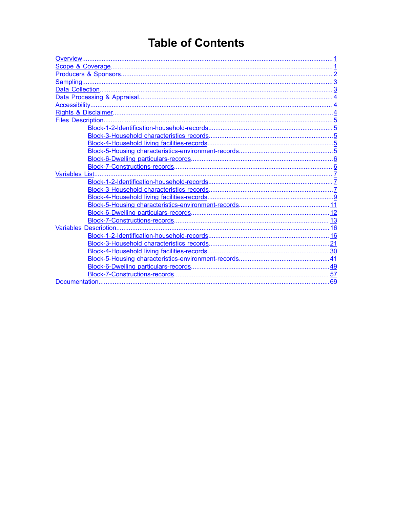# **Table of Contents**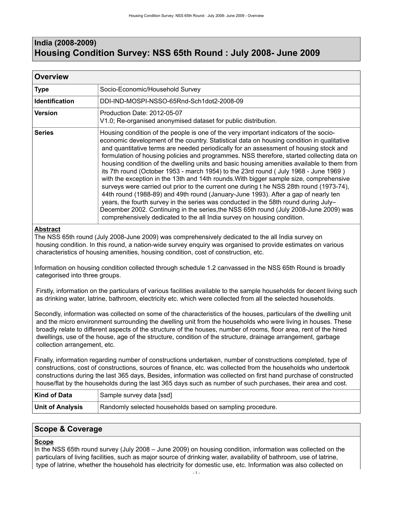## <span id="page-4-0"></span>**India (2008-2009) Housing Condition Survey: NSS 65th Round : July 2008- June 2009**

| <b>Overview</b>       |                                                                                                                                                                                                                                                                                                                                                                                                                                                                                                                                                                                                                                                                                                                                                                                                                                                                                                                                                                                                                                                                                                     |
|-----------------------|-----------------------------------------------------------------------------------------------------------------------------------------------------------------------------------------------------------------------------------------------------------------------------------------------------------------------------------------------------------------------------------------------------------------------------------------------------------------------------------------------------------------------------------------------------------------------------------------------------------------------------------------------------------------------------------------------------------------------------------------------------------------------------------------------------------------------------------------------------------------------------------------------------------------------------------------------------------------------------------------------------------------------------------------------------------------------------------------------------|
| <b>Type</b>           | Socio-Economic/Household Survey                                                                                                                                                                                                                                                                                                                                                                                                                                                                                                                                                                                                                                                                                                                                                                                                                                                                                                                                                                                                                                                                     |
| <b>Identification</b> | DDI-IND-MOSPI-NSSO-65Rnd-Sch1dot2-2008-09                                                                                                                                                                                                                                                                                                                                                                                                                                                                                                                                                                                                                                                                                                                                                                                                                                                                                                                                                                                                                                                           |
| Version               | Production Date: 2012-05-07<br>V1.0; Re-organised anonymised dataset for public distribution.                                                                                                                                                                                                                                                                                                                                                                                                                                                                                                                                                                                                                                                                                                                                                                                                                                                                                                                                                                                                       |
| <b>Series</b>         | Housing condition of the people is one of the very important indicators of the socio-<br>economic development of the country. Statistical data on housing condition in qualitative<br>and quantitative terms are needed periodically for an assessment of housing stock and<br>formulation of housing policies and programmes. NSS therefore, started collecting data on<br>housing condition of the dwelling units and basic housing amenities available to them from<br>its 7th round (October 1953 - march 1954) to the 23rd round (July 1968 - June 1969)<br>with the exception in the 13th and 14th rounds. With bigger sample size, comprehensive<br>surveys were carried out prior to the current one during t he NSS 28th round (1973-74),<br>44th round (1988-89) and 49th round (January-June 1993). After a gap of nearly ten<br>years, the fourth survey in the series was conducted in the 58th round during July-<br>December 2002. Continuing in the series, the NSS 65th round (July 2008-June 2009) was<br>comprehensively dedicated to the all India survey on housing condition. |

### **Abstract**

The NSS 65th round (July 2008-June 2009) was comprehensively dedicated to the all India survey on housing condition. In this round, a nation-wide survey enquiry was organised to provide estimates on various characteristics of housing amenities, housing condition, cost of construction, etc.

Information on housing condition collected through schedule 1.2 canvassed in the NSS 65th Round is broadly categorised into three groups.

 Firstly, information on the particulars of various facilities available to the sample households for decent living such as drinking water, latrine, bathroom, electricity etc. which were collected from all the selected households.

Secondly, information was collected on some of the characteristics of the houses, particulars of the dwelling unit and the micro environment surrounding the dwelling unit from the households who were living in houses. These broadly relate to different aspects of the structure of the houses, number of rooms, floor area, rent of the hired dwellings, use of the house, age of the structure, condition of the structure, drainage arrangement, garbage collection arrangement, etc.

Finally, information regarding number of constructions undertaken, number of constructions completed, type of constructions, cost of constructions, sources of finance, etc. was collected from the households who undertook constructions during the last 365 days, Besides, information was collected on first hand purchase of constructed house/flat by the households during the last 365 days such as number of such purchases, their area and cost.

| Kind of Data            | Sample survey data [ssd]                                  |
|-------------------------|-----------------------------------------------------------|
| <b>Unit of Analysis</b> | Randomly selected households based on sampling procedure. |

## <span id="page-4-1"></span>**Scope & Coverage**

#### **Scope**

In the NSS 65th round survey (July 2008 – June 2009) on housing condition, information was collected on the particulars of living facilities, such as major source of drinking water, availability of bathroom, use of latrine, type of latrine, whether the household has electricity for domestic use, etc. Information was also collected on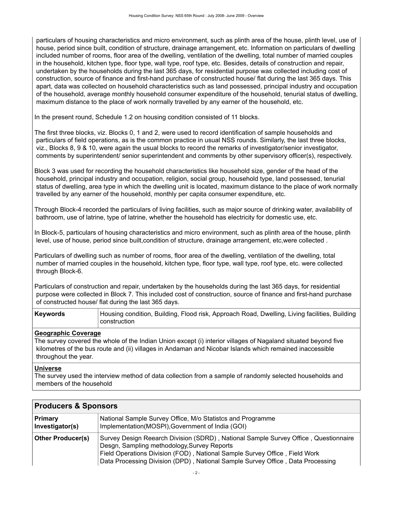particulars of housing characteristics and micro environment, such as plinth area of the house, plinth level, use of house, period since built, condition of structure, drainage arrangement, etc. Information on particulars of dwelling included number of rooms, floor area of the dwelling, ventilation of the dwelling, total number of married couples in the household, kitchen type, floor type, wall type, roof type, etc. Besides, details of construction and repair, undertaken by the households during the last 365 days, for residential purpose was collected including cost of construction, source of finance and first-hand purchase of constructed house/ flat during the last 365 days. This apart, data was collected on household characteristics such as land possessed, principal industry and occupation of the household, average monthly household consumer expenditure of the household, tenurial status of dwelling, maximum distance to the place of work normally travelled by any earner of the household, etc.

In the present round, Schedule 1.2 on housing condition consisted of 11 blocks.

The first three blocks, viz. Blocks 0, 1 and 2, were used to record identification of sample households and particulars of field operations, as is the common practice in usual NSS rounds. Similarly, the last three blocks, viz., Blocks 8, 9 & 10, were again the usual blocks to record the remarks of investigator/senior investigator, comments by superintendent/ senior superintendent and comments by other supervisory officer(s), respectively.

Block 3 was used for recording the household characteristics like household size, gender of the head of the household, principal industry and occupation, religion, social group, household type, land possessed, tenurial status of dwelling, area type in which the dwelling unit is located, maximum distance to the place of work normally travelled by any earner of the household, monthly per capita consumer expenditure, etc.

Through Block-4 recorded the particulars of living facilities, such as major source of drinking water, availability of bathroom, use of latrine, type of latrine, whether the household has electricity for domestic use, etc.

In Block-5, particulars of housing characteristics and micro environment, such as plinth area of the house, plinth level, use of house, period since built,condition of structure, drainage arrangement, etc,were collected .

Particulars of dwelling such as number of rooms, floor area of the dwelling, ventilation of the dwelling, total number of married couples in the household, kitchen type, floor type, wall type, roof type, etc. were collected through Block-6.

Particulars of construction and repair, undertaken by the households during the last 365 days, for residential purpose were collected in Block 7. This included cost of construction, source of finance and first-hand purchase of constructed house/ flat during the last 365 days.

| <b>Keywords</b> | Housing condition, Building, Flood risk, Approach Road, Dwelling, Living facilities, Building |
|-----------------|-----------------------------------------------------------------------------------------------|
|                 | construction                                                                                  |

## **Geographic Coverage**

The survey covered the whole of the Indian Union except (i) interior villages of Nagaland situated beyond five kilometres of the bus route and (ii) villages in Andaman and Nicobar Islands which remained inaccessible throughout the year.

#### **Universe**

The survey used the interview method of data collection from a sample of randomly selected households and members of the household

| $\blacksquare$ r ruuuuti s $\alpha$ opulisuis |                                                                                                                                                                                                                                                                                                    |
|-----------------------------------------------|----------------------------------------------------------------------------------------------------------------------------------------------------------------------------------------------------------------------------------------------------------------------------------------------------|
| Primary<br>Investigator(s)                    | National Sample Survey Office, M/o Statistcs and Programme<br>Implementation(MOSPI), Government of India (GOI)                                                                                                                                                                                     |
| <b>Other Producer(s)</b>                      | Survey Design Reearch Division (SDRD), National Sample Survey Office, Questionnaire<br>Desgn, Sampling methodology, Survey Reports<br>Field Operations Division (FOD), National Sample Survey Office, Field Work<br>Data Processing Division (DPD), National Sample Survey Office, Data Processing |

## <span id="page-5-0"></span>**Producers & Sponsors**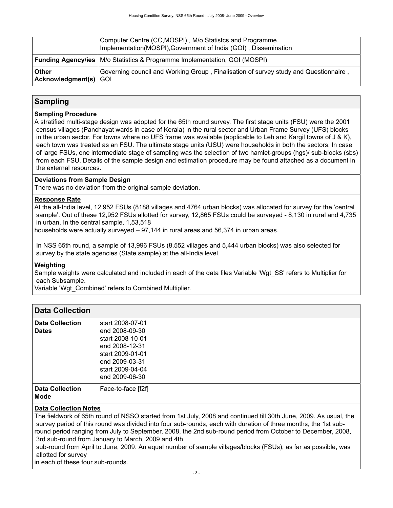|                                  | Computer Centre (CC, MOSPI), M/o Statistcs and Programme<br>Implementation(MOSPI), Government of India (GOI), Dissemination |
|----------------------------------|-----------------------------------------------------------------------------------------------------------------------------|
|                                  | <b>Funding Agency/ies</b> M/o Statistics & Programme Implementation, GOI (MOSPI)                                            |
| ∣ Other<br>Acknowledgment(s) GOI | Governing council and Working Group, Finalisation of survey study and Questionnaire,                                        |

## <span id="page-6-0"></span>**Sampling**

### **Sampling Procedure**

A stratified multi-stage design was adopted for the 65th round survey. The first stage units (FSU) were the 2001 census villages (Panchayat wards in case of Kerala) in the rural sector and Urban Frame Survey (UFS) blocks in the urban sector. For towns where no UFS frame was available (applicable to Leh and Kargil towns of J & K), each town was treated as an FSU. The ultimate stage units (USU) were households in both the sectors. In case of large FSUs, one intermediate stage of sampling was the selection of two hamlet-groups (hgs)/ sub-blocks (sbs) from each FSU. Details of the sample design and estimation procedure may be found attached as a document in the external resources.

### **Deviations from Sample Design**

There was no deviation from the original sample deviation.

### **Response Rate**

At the all-India level, 12,952 FSUs (8188 villages and 4764 urban blocks) was allocated for survey for the 'central sample'. Out of these 12,952 FSUs allotted for survey, 12,865 FSUs could be surveyed - 8,130 in rural and 4,735 in urban. In the central sample, 1,53,518

households were actually surveyed – 97,144 in rural areas and 56,374 in urban areas.

 In NSS 65th round, a sample of 13,996 FSUs (8,552 villages and 5,444 urban blocks) was also selected for survey by the state agencies (State sample) at the all-India level.

#### **Weighting**

Sample weights were calculated and included in each of the data files Variable 'Wgt\_SS' refers to Multiplier for each Subsample.

Variable 'Wgt\_Combined' refers to Combined Multiplier.

## <span id="page-6-1"></span>**Data Collection**

| <b>Data Collection</b>                | start 2008-07-01   |
|---------------------------------------|--------------------|
| <b>Dates</b>                          | end 2008-09-30     |
|                                       | start 2008-10-01   |
|                                       | end 2008-12-31     |
|                                       | start 2009-01-01   |
|                                       | end 2009-03-31     |
|                                       | start 2009-04-04   |
|                                       | end 2009-06-30     |
| <b>Data Collection</b><br><b>Mode</b> | Face-to-face [f2f] |

#### **Data Collection Notes**

The fieldwork of 65th round of NSSO started from 1st July, 2008 and continued till 30th June, 2009. As usual, the survey period of this round was divided into four sub-rounds, each with duration of three months, the 1st subround period ranging from July to September, 2008, the 2nd sub-round period from October to December, 2008, 3rd sub-round from January to March, 2009 and 4th

 sub-round from April to June, 2009. An equal number of sample villages/blocks (FSUs), as far as possible, was allotted for survey

in each of these four sub-rounds.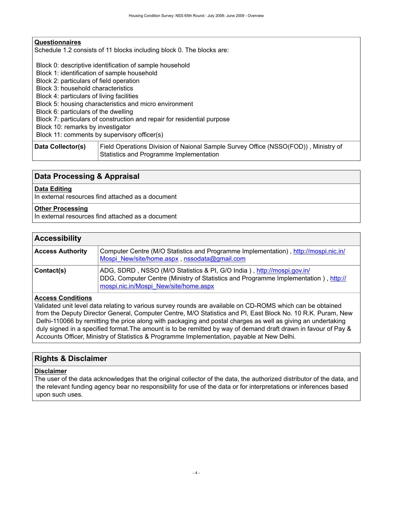### **Questionnaires**

Schedule 1.2 consists of 11 blocks including block 0. The blocks are:

Block 0: descriptive identification of sample household

Block 1: identification of sample household

Block 2: particulars of field operation

Block 3: household characteristics

Block 4: particulars of living facilities

Block 5: housing characteristics and micro environment

Block 6: particulars of the dwelling

Block 7: particulars of construction and repair for residential purpose

Block 10: remarks by investigator

Block 11: comments by supervisory officer(s)

**Data Collector(s)** Field Operations Division of Naional Sample Survey Office (NSSO(FOD)) , Ministry of Statistics and Programme Implementation

## <span id="page-7-0"></span>**Data Processing & Appraisal**

#### **Data Editing**

In external resources find attached as a document

## **Other Processing**

In external resources find attached as a document

## <span id="page-7-1"></span>**Accessibility**

| <b>Access Authority</b> | Computer Centre (M/O Statistics and Programme Implementation), http://mospi.nic.in/<br>Mospi New/site/home.aspx, nssodata@gmail.com                                                                    |
|-------------------------|--------------------------------------------------------------------------------------------------------------------------------------------------------------------------------------------------------|
| Contact(s)              | ADG, SDRD, NSSO (M/O Statistics & PI, G/O India), http://mospi.gov.in/<br>DDG, Computer Centre (Ministry of Statistics and Programme Implementation), http://<br>mospi.nic.in/Mospi_New/site/home.aspx |

#### **Access Conditions**

Validated unit level data relating to various survey rounds are available on CD-ROMS which can be obtained from the Deputy Director General, Computer Centre, M/O Statistics and PI, East Block No. 10 R.K. Puram, New Delhi-110066 by remitting the price along with packaging and postal charges as well as giving an undertaking duly signed in a specified format.The amount is to be remitted by way of demand draft drawn in favour of Pay & Accounts Officer, Ministry of Statistics & Programme Implementation, payable at New Delhi.

#### <span id="page-7-2"></span>**Rights & Disclaimer**

#### **Disclaimer**

The user of the data acknowledges that the original collector of the data, the authorized distributor of the data, and the relevant funding agency bear no responsibility for use of the data or for interpretations or inferences based upon such uses.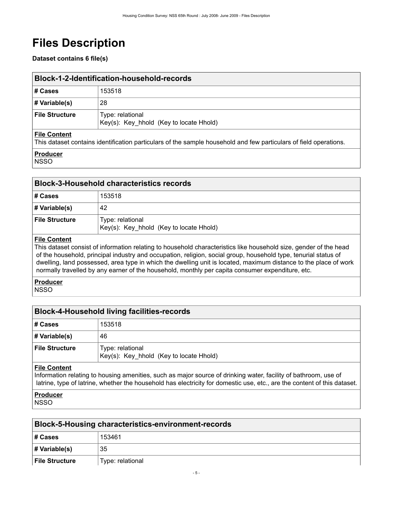# <span id="page-8-0"></span>**Files Description**

## **Dataset contains 6 file(s)**

<span id="page-8-1"></span>

| Block-1-2-Identification-household-records |                                                             |
|--------------------------------------------|-------------------------------------------------------------|
| # Cases                                    | 153518                                                      |
| $\#$ Variable(s)                           | 28                                                          |
| <b>File Structure</b>                      | Type: relational<br>Key(s): Key_hhold (Key to locate Hhold) |
| <b>File Content</b>                        |                                                             |

This dataset contains identification particulars of the sample household and few particulars of field operations.

## **Producer**

NSSO

<span id="page-8-2"></span>

| <b>Block-3-Household characteristics records</b> |                                                             |
|--------------------------------------------------|-------------------------------------------------------------|
| # Cases                                          | 153518                                                      |
| $\#$ Variable(s)                                 | 42                                                          |
| <b>File Structure</b>                            | Type: relational<br>Key(s): Key_hhold (Key to locate Hhold) |
| <b>Eilo Contont</b>                              |                                                             |

### **File Content**

This dataset consist of information relating to household characteristics like household size, gender of the head of the household, principal industry and occupation, religion, social group, household type, tenurial status of dwelling, land possessed, area type in which the dwelling unit is located, maximum distance to the place of work normally travelled by any earner of the household, monthly per capita consumer expenditure, etc.

#### **Producer NSSO**

<span id="page-8-3"></span>

| <b>Block-4-Household living facilities-records</b> |                                                             |
|----------------------------------------------------|-------------------------------------------------------------|
| # Cases                                            | 153518                                                      |
| # Variable(s)                                      | 46                                                          |
| <b>File Structure</b>                              | Type: relational<br>Key(s): Key hhold (Key to locate Hhold) |
|                                                    |                                                             |

#### **File Content**

Information relating to housing amenities, such as major source of drinking water, facility of bathroom, use of latrine, type of latrine, whether the household has electricity for domestic use, etc., are the content of this dataset.

## **Producer**

**NSSO** 

<span id="page-8-4"></span>

| <b>Block-5-Housing characteristics-environment-records</b> |                  |  |  |  |  |
|------------------------------------------------------------|------------------|--|--|--|--|
| # Cases                                                    | 153461           |  |  |  |  |
| # Variable(s)                                              | 35               |  |  |  |  |
| <b>File Structure</b>                                      | Type: relational |  |  |  |  |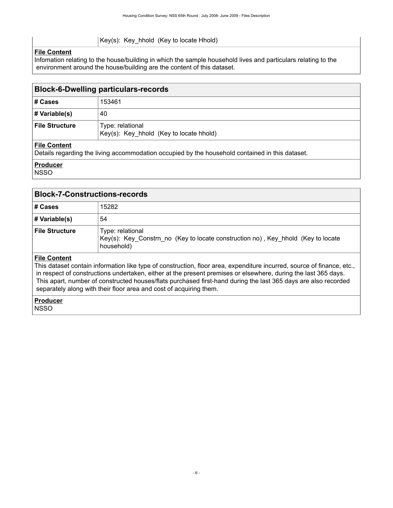#### Key(s): Key\_hhold (Key to locate Hhold)

### **File Content**

Infomation relating to the house/building in which the sample household lives and particulars relating to the environment around the house/building are the content of this dataset.

### <span id="page-9-0"></span>**Block-6-Dwelling particulars-records**

| ∣# Cases         | 153461                                                      |
|------------------|-------------------------------------------------------------|
| # Variable(s)    | 40                                                          |
| ∣ File Structure | Type: relational<br>Key(s): Key_hhold (Key to locate hhold) |

### **File Content**

Details regarding the living accommodation occupied by the household contained in this dataset.

#### **Producer**

**NSSO** 

<span id="page-9-1"></span>

| <b>Block-7-Constructions-records</b> |                                                                                                                    |  |  |  |  |  |
|--------------------------------------|--------------------------------------------------------------------------------------------------------------------|--|--|--|--|--|
| # Cases                              | 15282                                                                                                              |  |  |  |  |  |
| # Variable(s)                        | 54                                                                                                                 |  |  |  |  |  |
| <b>File Structure</b>                | Type: relational<br>Key(s): Key_Constrn_no (Key to locate construction no), Key_hhold (Key to locate<br>household) |  |  |  |  |  |
|                                      |                                                                                                                    |  |  |  |  |  |

#### **File Content**

This dataset contain information like type of construction, floor area, expenditure incurred, source of finance, etc., in respect of constructions undertaken, either at the present premises or elsewhere, during the last 365 days. This apart, number of constructed houses/flats purchased first-hand during the last 365 days are also recorded separately along with their floor area and cost of acquiring them.

**Producer** NSSO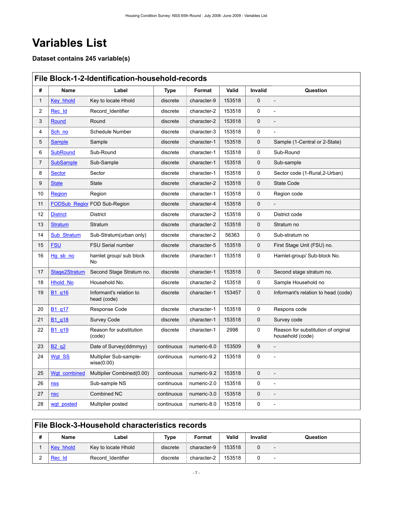# <span id="page-10-0"></span>**Variables List**

**Dataset contains 245 variable(s)**

<span id="page-10-1"></span>

|              | File Block-1-2-Identification-household-records |                                        |             |             |        |             |                                                         |  |  |  |  |
|--------------|-------------------------------------------------|----------------------------------------|-------------|-------------|--------|-------------|---------------------------------------------------------|--|--|--|--|
| #            | Name                                            | Label                                  | <b>Type</b> | Format      | Valid  | Invalid     | Question                                                |  |  |  |  |
| $\mathbf{1}$ | Key hhold                                       | Key to locate Hhold                    | discrete    | character-9 | 153518 | $\Omega$    |                                                         |  |  |  |  |
| 2            | Rec_Id                                          | Record Identifier                      | discrete    | character-2 | 153518 | $\Omega$    | $\overline{a}$                                          |  |  |  |  |
| 3            | Round                                           | Round                                  | discrete    | character-2 | 153518 | 0           |                                                         |  |  |  |  |
| 4            | Sch no                                          | Schedule Number                        | discrete    | character-3 | 153518 | $\Omega$    |                                                         |  |  |  |  |
| 5            | <b>Sample</b>                                   | Sample                                 | discrete    | character-1 | 153518 | 0           | Sample (1-Central or 2-State)                           |  |  |  |  |
| 6            | <b>SubRound</b>                                 | Sub-Round                              | discrete    | character-1 | 153518 | 0           | Sub-Round                                               |  |  |  |  |
| 7            | <b>SubSample</b>                                | Sub-Sample                             | discrete    | character-1 | 153518 | 0           | Sub-sample                                              |  |  |  |  |
| 8            | Sector                                          | Sector                                 | discrete    | character-1 | 153518 | 0           | Sector code (1-Rural,2-Urban)                           |  |  |  |  |
| 9            | <b>State</b>                                    | State                                  | discrete    | character-2 | 153518 | 0           | <b>State Code</b>                                       |  |  |  |  |
| 10           | <b>Region</b>                                   | Region                                 | discrete    | character-1 | 153518 | 0           | Region code                                             |  |  |  |  |
| 11           |                                                 | <b>FODSub Region FOD Sub-Region</b>    | discrete    | character-4 | 153518 | $\mathbf 0$ |                                                         |  |  |  |  |
| 12           | <b>District</b>                                 | <b>District</b>                        | discrete    | character-2 | 153518 | 0           | District code                                           |  |  |  |  |
| 13           | <b>Stratum</b>                                  | Stratum                                | discrete    | character-2 | 153518 | $\mathbf 0$ | Stratum no                                              |  |  |  |  |
| 14           | <b>Sub Stratum</b>                              | Sub-Stratum(urban only)                | discrete    | character-2 | 56363  | 0           | Sub-stratum no                                          |  |  |  |  |
| 15           | <b>FSU</b>                                      | <b>FSU Serial number</b>               | discrete    | character-5 | 153518 | 0           | First Stage Unit (FSU) no.                              |  |  |  |  |
| 16           | Hg sb no                                        | hamlet group/ sub block<br>No          | discrete    | character-1 | 153518 | 0           | Hamlet-group/ Sub-block No.                             |  |  |  |  |
| 17           | Stage2Stratum                                   | Second Stage Stratum no.               | discrete    | character-1 | 153518 | 0           | Second stage stratum no.                                |  |  |  |  |
| 18           | <b>Hhold No</b>                                 | Household No.                          | discrete    | character-2 | 153518 | 0           | Sample Household no                                     |  |  |  |  |
| 19           | B <sub>1</sub> q <sub>16</sub>                  | Informant's relation to<br>head (code) | discrete    | character-1 | 153457 | 0           | Informant's relation to head (code)                     |  |  |  |  |
| 20           | B1 q17                                          | Response Code                          | discrete    | character-1 | 153518 | 0           | Respons code                                            |  |  |  |  |
| 21           | B <sub>1</sub> q <sub>18</sub>                  | Survey Code                            | discrete    | character-1 | 153518 | $\mathbf 0$ | Survey code                                             |  |  |  |  |
| 22           | B <sub>1</sub> q <sub>19</sub>                  | Reason for substitution<br>(code)      | discrete    | character-1 | 2998   | 0           | Reason for substitution of original<br>household (code) |  |  |  |  |
| 23           | B <sub>2</sub> q <sub>2</sub>                   | Date of Survey(ddmmyy)                 | continuous  | numeric-6.0 | 153509 | 9           |                                                         |  |  |  |  |
| 24           | Wgt SS                                          | Multiplier Sub-sample-<br>wise(0.00)   | continuous  | numeric-9.2 | 153518 | 0           |                                                         |  |  |  |  |
| 25           | Wgt combined                                    | Multiplier Combined(0.00)              | continuous  | numeric-9.2 | 153518 | 0           | $\overline{a}$                                          |  |  |  |  |
| 26           | nss                                             | Sub-sample NS                          | continuous  | numeric-2.0 | 153518 | 0           | $\overline{a}$                                          |  |  |  |  |
| 27           | <b>nsc</b>                                      | Combined NC                            | continuous  | numeric-3.0 | 153518 | 0           |                                                         |  |  |  |  |
| 28           | wgt posted                                      | Multiplier posted                      | continuous  | numeric-8.0 | 153518 | 0           | $\overline{a}$                                          |  |  |  |  |

## <span id="page-10-2"></span>**File Block-3-Household characteristics records**

| # | Name      | Label               | Type     | Format      | Valid  | <b>Invalid</b> | Question |
|---|-----------|---------------------|----------|-------------|--------|----------------|----------|
|   | Key hhold | Key to locate Hhold | discrete | character-9 | 153518 |                |          |
|   | Rec Id    | Record Identifier   | discrete | character-2 | 153518 |                |          |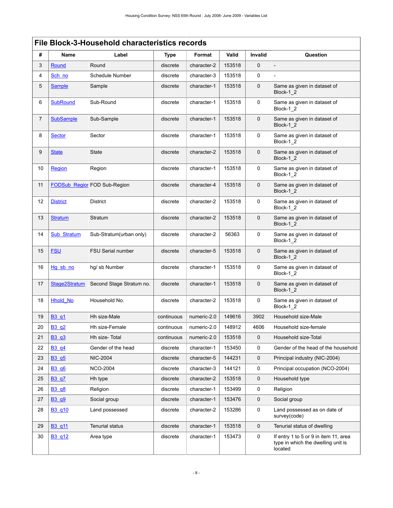|    | <b>File Block-3-Household characteristics records</b> |                              |             |             |        |                |                                                                                        |  |  |  |  |
|----|-------------------------------------------------------|------------------------------|-------------|-------------|--------|----------------|----------------------------------------------------------------------------------------|--|--|--|--|
| #  | Name                                                  | Label                        | <b>Type</b> | Format      | Valid  | <b>Invalid</b> | Question                                                                               |  |  |  |  |
| 3  | Round                                                 | Round                        | discrete    | character-2 | 153518 | $\mathbf 0$    |                                                                                        |  |  |  |  |
| 4  | Sch no                                                | Schedule Number              | discrete    | character-3 | 153518 | $\Omega$       |                                                                                        |  |  |  |  |
| 5  | <b>Sample</b>                                         | Sample                       | discrete    | character-1 | 153518 | $\mathbf 0$    | Same as given in dataset of<br>Block-1 2                                               |  |  |  |  |
| 6  | <b>SubRound</b>                                       | Sub-Round                    | discrete    | character-1 | 153518 | 0              | Same as given in dataset of<br>Block-1_2                                               |  |  |  |  |
| 7  | <b>SubSample</b>                                      | Sub-Sample                   | discrete    | character-1 | 153518 | $\mathbf 0$    | Same as given in dataset of<br>Block-1 2                                               |  |  |  |  |
| 8  | <b>Sector</b>                                         | Sector                       | discrete    | character-1 | 153518 | 0              | Same as given in dataset of<br>Block-1 2                                               |  |  |  |  |
| 9  | <b>State</b>                                          | <b>State</b>                 | discrete    | character-2 | 153518 | $\mathbf 0$    | Same as given in dataset of<br>Block-1_2                                               |  |  |  |  |
| 10 | Region                                                | Region                       | discrete    | character-1 | 153518 | 0              | Same as given in dataset of<br>Block-1 2                                               |  |  |  |  |
| 11 |                                                       | FODSub Region FOD Sub-Region | discrete    | character-4 | 153518 | $\mathbf 0$    | Same as given in dataset of<br>Block-1_2                                               |  |  |  |  |
| 12 | <b>District</b>                                       | <b>District</b>              | discrete    | character-2 | 153518 | 0              | Same as given in dataset of<br>Block-1 2                                               |  |  |  |  |
| 13 | <b>Stratum</b>                                        | Stratum                      | discrete    | character-2 | 153518 | $\mathbf 0$    | Same as given in dataset of<br>Block-1_2                                               |  |  |  |  |
| 14 | <b>Sub Stratum</b>                                    | Sub-Stratum(urban only)      | discrete    | character-2 | 56363  | 0              | Same as given in dataset of<br>Block-1_2                                               |  |  |  |  |
| 15 | <b>FSU</b>                                            | <b>FSU Serial number</b>     | discrete    | character-5 | 153518 | $\mathbf 0$    | Same as given in dataset of<br>Block-1 2                                               |  |  |  |  |
| 16 | Hg sb no                                              | hg/sb Number                 | discrete    | character-1 | 153518 | $\mathbf 0$    | Same as given in dataset of<br>Block-1 2                                               |  |  |  |  |
| 17 | Stage2Stratum                                         | Second Stage Stratum no.     | discrete    | character-1 | 153518 | $\mathbf 0$    | Same as given in dataset of<br>Block-1_2                                               |  |  |  |  |
| 18 | <b>Hhold No</b>                                       | Household No.                | discrete    | character-2 | 153518 | 0              | Same as given in dataset of<br>Block-1_2                                               |  |  |  |  |
| 19 | B3_q1                                                 | Hh size-Male                 | continuous  | numeric-2.0 | 149616 | 3902           | Household size-Male                                                                    |  |  |  |  |
| 20 | B3 q2                                                 | Hh size-Female               | continuous  | numeric-2.0 | 148912 | 4606           | Household size-female                                                                  |  |  |  |  |
| 21 | B3 q3                                                 | Hh size-Total                | continuous  | numeric-2.0 | 153518 | $\mathbf 0$    | Household size-Total                                                                   |  |  |  |  |
| 22 | B3_q4                                                 | Gender of the head           | discrete    | character-1 | 153450 | 0              | Gender of the head of the household                                                    |  |  |  |  |
| 23 | B3 q5                                                 | <b>NIC-2004</b>              | discrete    | character-5 | 144231 | 0              | Principal industry (NIC-2004)                                                          |  |  |  |  |
| 24 | B3 q6                                                 | <b>NCO-2004</b>              | discrete    | character-3 | 144121 | 0              | Principal occupation (NCO-2004)                                                        |  |  |  |  |
| 25 | <b>B3</b> q7                                          | Hh type                      | discrete    | character-2 | 153518 | $\mathbf 0$    | Household type                                                                         |  |  |  |  |
| 26 | <b>B3 q8</b>                                          | Religion                     | discrete    | character-1 | 153499 | 0              | Religion                                                                               |  |  |  |  |
| 27 | <b>B3 q9</b>                                          | Social group                 | discrete    | character-1 | 153476 | 0              | Social group                                                                           |  |  |  |  |
| 28 | B3 q10                                                | Land possessed               | discrete    | character-2 | 153286 | 0              | Land possessed as on date of<br>survey(code)                                           |  |  |  |  |
| 29 | B3_q11                                                | <b>Tenurial status</b>       | discrete    | character-1 | 153518 | $\mathbf 0$    | Tenurial status of dwelling                                                            |  |  |  |  |
| 30 | B3_q12                                                | Area type                    | discrete    | character-1 | 153473 | 0              | If entry 1 to 5 or 9 in item 11, area<br>type in which the dwelling unit is<br>located |  |  |  |  |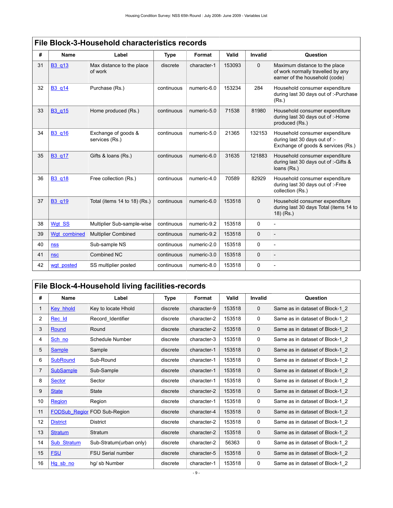|    | ב ווס שוטטא-ט-ווטעפטווטוע טוומומטנטווואס ופטטוע |                                       |             |             |        |                |                                                                                                       |  |  |  |  |
|----|-------------------------------------------------|---------------------------------------|-------------|-------------|--------|----------------|-------------------------------------------------------------------------------------------------------|--|--|--|--|
| #  | <b>Name</b>                                     | Label                                 | <b>Type</b> | Format      | Valid  | <b>Invalid</b> | Question                                                                                              |  |  |  |  |
| 31 | B3 q13                                          | Max distance to the place<br>of work  | discrete    | character-1 | 153093 | $\mathbf 0$    | Maximum distance to the place<br>of work normally travelled by any<br>earner of the household (code)  |  |  |  |  |
| 32 | B3 q14                                          | Purchase (Rs.)                        | continuous  | numeric-6.0 | 153234 | 284            | Household consumer expenditure<br>during last 30 days out of :- Purchase<br>(Rs.)                     |  |  |  |  |
| 33 | B3 g15                                          | Home produced (Rs.)                   | continuous  | numeric-5.0 | 71538  | 81980          | Household consumer expenditure<br>during last 30 days out of :-Home<br>produced (Rs.)                 |  |  |  |  |
| 34 | <b>B3</b> q16                                   | Exchange of goods &<br>services (Rs.) | continuous  | numeric-5.0 | 21365  | 132153         | Household consumer expenditure<br>during last 30 days out of :-<br>Exchange of goods & services (Rs.) |  |  |  |  |
| 35 | B3_q17                                          | Gifts & Ioans (Rs.)                   | continuous  | numeric-6.0 | 31635  | 121883         | Household consumer expenditure<br>during last 30 days out of :- Gifts &<br>loans (Rs.)                |  |  |  |  |
| 36 | <b>B3</b> q18                                   | Free collection (Rs.)                 | continuous  | numeric-4.0 | 70589  | 82929          | Household consumer expenditure<br>during last 30 days out of :-Free<br>collection (Rs.)               |  |  |  |  |
| 37 | <b>B3</b> q19                                   | Total (items 14 to 18) (Rs.)          | continuous  | numeric-6.0 | 153518 | $\mathbf 0$    | Household consumer expenditure<br>during last 30 days Total (items 14 to<br>$(18)$ (Rs.)              |  |  |  |  |
| 38 | Wgt SS                                          | Multiplier Sub-sample-wise            | continuous  | numeric-9.2 | 153518 | $\Omega$       | $\overline{a}$                                                                                        |  |  |  |  |
| 39 | Wqt combined                                    | <b>Multiplier Combined</b>            | continuous  | numeric-9.2 | 153518 | $\mathbf 0$    |                                                                                                       |  |  |  |  |
| 40 | <b>nss</b>                                      | Sub-sample NS                         | continuous  | numeric-2.0 | 153518 | 0              | $\overline{a}$                                                                                        |  |  |  |  |
| 41 | <b>nsc</b>                                      | Combined NC                           | continuous  | numeric-3.0 | 153518 | $\mathbf 0$    |                                                                                                       |  |  |  |  |
| 42 | wgt posted                                      | SS multiplier posted                  | continuous  | numeric-8.0 | 153518 | 0              |                                                                                                       |  |  |  |  |

## <span id="page-12-0"></span>**File Block-4-Household living facilities-records**

| #  | Name                 | Label                    | <b>Type</b> | Format      | Valid  | <b>Invalid</b> | Question                        |
|----|----------------------|--------------------------|-------------|-------------|--------|----------------|---------------------------------|
|    |                      |                          |             |             |        |                |                                 |
| 1  | <b>Key hhold</b>     | Key to locate Hhold      | discrete    | character-9 | 153518 | 0              | Same as in dataset of Block-1 2 |
| 2  | Rec_Id               | Record_Identifier        | discrete    | character-2 | 153518 | 0              | Same as in dataset of Block-1 2 |
| 3  | Round                | Round                    | discrete    | character-2 | 153518 | $\mathbf 0$    | Same as in dataset of Block-1 2 |
| 4  | Sch no               | Schedule Number          | discrete    | character-3 | 153518 | 0              | Same as in dataset of Block-1 2 |
| 5  | <b>Sample</b>        | Sample                   | discrete    | character-1 | 153518 | 0              | Same as in dataset of Block-1 2 |
| 6  | <b>SubRound</b>      | Sub-Round                | discrete    | character-1 | 153518 | 0              | Same as in dataset of Block-1 2 |
| 7  | <b>SubSample</b>     | Sub-Sample               | discrete    | character-1 | 153518 | $\mathbf 0$    | Same as in dataset of Block-1 2 |
| 8  | <b>Sector</b>        | Sector                   | discrete    | character-1 | 153518 | 0              | Same as in dataset of Block-1 2 |
| 9  | <b>State</b>         | <b>State</b>             | discrete    | character-2 | 153518 | $\mathbf 0$    | Same as in dataset of Block-1 2 |
| 10 | Region               | Region                   | discrete    | character-1 | 153518 | 0              | Same as in dataset of Block-1 2 |
| 11 | <b>FODSub Region</b> | FOD Sub-Region           | discrete    | character-4 | 153518 | $\mathbf 0$    | Same as in dataset of Block-1_2 |
| 12 | <b>District</b>      | <b>District</b>          | discrete    | character-2 | 153518 | 0              | Same as in dataset of Block-1 2 |
| 13 | <b>Stratum</b>       | Stratum                  | discrete    | character-2 | 153518 | $\mathbf 0$    | Same as in dataset of Block-1 2 |
| 14 | Sub Stratum          | Sub-Stratum(urban only)  | discrete    | character-2 | 56363  | 0              | Same as in dataset of Block-1 2 |
| 15 | <b>FSU</b>           | <b>FSU Serial number</b> | discrete    | character-5 | 153518 | $\mathbf 0$    | Same as in dataset of Block-1 2 |
| 16 | Hg sb no             | hg/sb Number             | discrete    | character-1 | 153518 | 0              | Same as in dataset of Block-1 2 |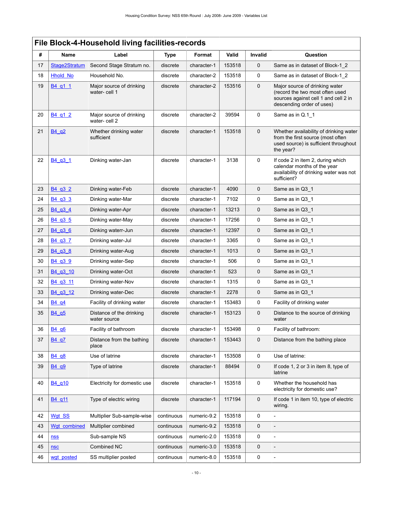|    |                                  | File Block-4-Household living facilities-records |             |             |        |             |                                                                                                                                        |
|----|----------------------------------|--------------------------------------------------|-------------|-------------|--------|-------------|----------------------------------------------------------------------------------------------------------------------------------------|
| #  | Name                             | Label                                            | <b>Type</b> | Format      | Valid  | Invalid     | Question                                                                                                                               |
| 17 | Stage2Stratum                    | Second Stage Stratum no.                         | discrete    | character-1 | 153518 | $\mathbf 0$ | Same as in dataset of Block-1 2                                                                                                        |
| 18 | <b>Hhold No</b>                  | Household No.                                    | discrete    | character-2 | 153518 | 0           | Same as in dataset of Block-1 2                                                                                                        |
| 19 | B <sub>4</sub> q <sub>1</sub> 1  | Major source of drinking<br>water- cell 1        | discrete    | character-2 | 153516 | $\mathbf 0$ | Major source of drinking water<br>(record the two most often used<br>sources against cell 1 and cell 2 in<br>descending order of uses) |
| 20 | B4 q1 2                          | Major source of drinking<br>water-cell 2         | discrete    | character-2 | 39594  | $\mathbf 0$ | Same as in Q.1_1                                                                                                                       |
| 21 | B4 g2                            | Whether drinking water<br>sufficient             | discrete    | character-1 | 153518 | $\mathbf 0$ | Whether availability of drinking water<br>from the first source (most often<br>used source) is sufficient throughout<br>the year?      |
| 22 | B <sub>4</sub> q <sub>3</sub> 1  | Dinking water-Jan                                | discrete    | character-1 | 3138   | $\mathbf 0$ | If code 2 in item 2, during which<br>calendar months of the year<br>availability of drinking water was not<br>sufficient?              |
| 23 | B <sub>4</sub> q <sub>3</sub> 2  | Dinking water-Feb                                | discrete    | character-1 | 4090   | $\mathbf 0$ | Same as in Q3_1                                                                                                                        |
| 24 | B <sub>4</sub> q <sub>3</sub> 3  | Dinking water-Mar                                | discrete    | character-1 | 7102   | 0           | Same as in Q3_1                                                                                                                        |
| 25 | B4_q3_4                          | Dinking water-Apr                                | discrete    | character-1 | 13213  | 0           | Same as in Q3 1                                                                                                                        |
| 26 | B4_q3_5                          | Dinking water-May                                | discrete    | character-1 | 17256  | $\mathbf 0$ | Same as in Q3 1                                                                                                                        |
| 27 | B4_q3_6                          | Dinking waterr-Jun                               | discrete    | character-1 | 12397  | $\mathbf 0$ | Same as in Q3 1                                                                                                                        |
| 28 | B <sub>4</sub> q <sub>3</sub> 7  | Drinking water-Jul                               | discrete    | character-1 | 3365   | 0           | Same as in Q3 1                                                                                                                        |
| 29 | B4_q3_8                          | Drinking water-Aug                               | discrete    | character-1 | 1013   | $\mathbf 0$ | Same as in Q3 1                                                                                                                        |
| 30 | B <sub>4</sub> q <sub>3</sub> 9  | Drinking water-Sep                               | discrete    | character-1 | 506    | 0           | Same as in Q3 1                                                                                                                        |
| 31 | B4 q3 10                         | Drinking water-Oct                               | discrete    | character-1 | 523    | $\mathbf 0$ | Same as in Q3 1                                                                                                                        |
| 32 | B <sub>4</sub> q <sub>3</sub> 11 | Drinking water-Nov                               | discrete    | character-1 | 1315   | 0           | Same as in Q3_1                                                                                                                        |
| 33 | B4 q3 12                         | Drinking water-Dec                               | discrete    | character-1 | 2278   | $\mathbf 0$ | Same as in Q3_1                                                                                                                        |
| 34 | B <sub>4</sub> q <sub>4</sub>    | Facility of drinking water                       | discrete    | character-1 | 153483 | 0           | Facility of drinking water                                                                                                             |
| 35 | B <sub>4</sub> q <sub>5</sub>    | Distance of the drinking<br>water source         | discrete    | character-1 | 153123 | $\mathbf 0$ | Distance to the source of drinking<br>water                                                                                            |
| 36 | B <sub>4</sub> q <sub>6</sub>    | Facility of bathroom                             | discrete    | character-1 | 153498 | 0           | Facility of bathroom:                                                                                                                  |
| 37 | B4 q7                            | Distance from the bathing<br>place               | discrete    | character-1 | 153443 | $\mathbf 0$ | Distance from the bathing place                                                                                                        |
| 38 | B4 q8                            | Use of latrine                                   | discrete    | character-1 | 153508 | 0           | Use of latrine:                                                                                                                        |
| 39 | B4q9                             | Type of latrine                                  | discrete    | character-1 | 88494  | $\mathbf 0$ | If code 1, 2 or 3 in item 8, type of<br>latrine                                                                                        |
| 40 | B4 g10                           | Electricity for domestic use                     | discrete    | character-1 | 153518 | 0           | Whether the household has<br>electricity for domestic use?                                                                             |
| 41 | B4 q11                           | Type of electric wiring                          | discrete    | character-1 | 117194 | $\mathbf 0$ | If code 1 in item 10, type of electric<br>wiring.                                                                                      |
| 42 | Wgt_SS                           | Multiplier Sub-sample-wise                       | continuous  | numeric-9.2 | 153518 | 0           |                                                                                                                                        |
| 43 | Wgt combined                     | Multiplier combined                              | continuous  | numeric-9.2 | 153518 | $\mathbf 0$ |                                                                                                                                        |
| 44 | <b>nss</b>                       | Sub-sample NS                                    | continuous  | numeric-2.0 | 153518 | 0           | $\overline{a}$                                                                                                                         |
| 45 | <b>nsc</b>                       | Combined NC                                      | continuous  | numeric-3.0 | 153518 | 0           |                                                                                                                                        |
| 46 | wgt_posted                       | SS multiplier posted                             | continuous  | numeric-8.0 | 153518 | $\mathbf 0$ | $\overline{\phantom{a}}$                                                                                                               |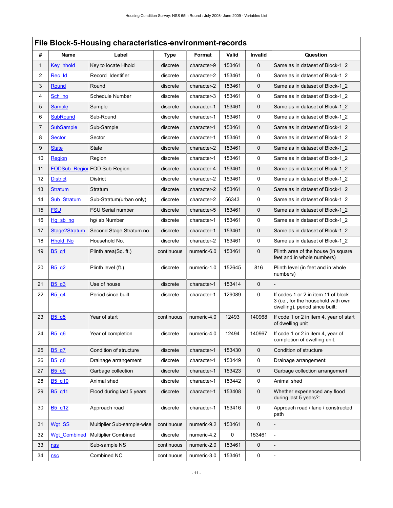# <span id="page-14-0"></span>**File Block-5-Housing characteristics-environment-records**

| #              | Name                           | Label                               | <b>Type</b> | Format      | Valid  | Invalid             | Question                                                                                                     |
|----------------|--------------------------------|-------------------------------------|-------------|-------------|--------|---------------------|--------------------------------------------------------------------------------------------------------------|
| 1              | Key hhold                      | Key to locate Hhold                 | discrete    | character-9 | 153461 | $\mathbf 0$         | Same as in dataset of Block-1 2                                                                              |
| $\overline{2}$ | Rec Id                         | Record_Identifier                   | discrete    | character-2 | 153461 | 0                   | Same as in dataset of Block-1 2                                                                              |
| 3              | Round                          | Round                               | discrete    | character-2 | 153461 | 0                   | Same as in dataset of Block-1 2                                                                              |
| 4              | Sch no                         | Schedule Number                     | discrete    | character-3 | 153461 | $\mathbf 0$         | Same as in dataset of Block-1 2                                                                              |
| 5              | <b>Sample</b>                  | Sample                              | discrete    | character-1 | 153461 | 0                   | Same as in dataset of Block-1 2                                                                              |
| 6              | <b>SubRound</b>                | Sub-Round                           | discrete    | character-1 | 153461 | 0                   | Same as in dataset of Block-1 2                                                                              |
| $\overline{7}$ | <b>SubSample</b>               | Sub-Sample                          | discrete    | character-1 | 153461 | $\mathbf 0$         | Same as in dataset of Block-1 2                                                                              |
| 8              | <b>Sector</b>                  | Sector                              | discrete    | character-1 | 153461 | 0                   | Same as in dataset of Block-1 2                                                                              |
| 9              | <b>State</b>                   | <b>State</b>                        | discrete    | character-2 | 153461 | $\mathbf 0$         | Same as in dataset of Block-1 2                                                                              |
| 10             | Region                         | Region                              | discrete    | character-1 | 153461 | 0                   | Same as in dataset of Block-1 2                                                                              |
| 11             |                                | <b>FODSub Region FOD Sub-Region</b> | discrete    | character-4 | 153461 | $\mathbf 0$         | Same as in dataset of Block-1 2                                                                              |
| 12             | <b>District</b>                | <b>District</b>                     | discrete    | character-2 | 153461 | 0                   | Same as in dataset of Block-1 2                                                                              |
| 13             | <b>Stratum</b>                 | Stratum                             | discrete    | character-2 | 153461 | 0                   | Same as in dataset of Block-1 2                                                                              |
| 14             | Sub Stratum                    | Sub-Stratum(urban only)             | discrete    | character-2 | 56343  | 0                   | Same as in dataset of Block-1 2                                                                              |
| 15             | <b>FSU</b>                     | <b>FSU Serial number</b>            | discrete    | character-5 | 153461 | $\mathbf 0$         | Same as in dataset of Block-1 2                                                                              |
| 16             | $Hg$ sb no                     | hg/sb Number                        | discrete    | character-1 | 153461 | 0                   | Same as in dataset of Block-1 2                                                                              |
| 17             | Stage2Stratum                  | Second Stage Stratum no.            | discrete    | character-1 | 153461 | $\mathbf 0$         | Same as in dataset of Block-1 2                                                                              |
| 18             | <b>Hhold No</b>                | Household No.                       | discrete    | character-2 | 153461 | $\mathbf 0$         | Same as in dataset of Block-1_2                                                                              |
| 19             | B <sub>5</sub> q <sub>1</sub>  | Plinth area( $Sq$ , ft.)            | continuous  | numeric-6.0 | 153461 | 0                   | Plinth area of the house (in square<br>feet and in whole numbers)                                            |
| 20             | B <sub>5</sub> q <sub>2</sub>  | Plinth level (ft.)                  | discrete    | numeric-1.0 | 152645 | 816                 | Plinth level (in feet and in whole<br>numbers)                                                               |
| 21             | B <sub>5</sub> q <sub>3</sub>  | Use of house                        | discrete    | character-1 | 153414 | $\mathbf 0$         |                                                                                                              |
| 22             | B <sub>5</sub> q <sub>4</sub>  | Period since built                  | discrete    | character-1 | 129089 | $\mathbf 0$         | If codes 1 or 2 in item 11 of block<br>3 (i.e., for the household with own<br>dwelling), period since built: |
| 23             | B5 q5                          | Year of start                       | continuous  | numeric-4.0 | 12493  | 140968              | If code 1 or 2 in item 4, year of start<br>of dwelling unit                                                  |
| 24             | B5_q6                          | Year of completion                  | discrete    | numeric-4.0 | 12494  | 140967              | If code 1 or 2 in item 4, year of<br>completion of dwelling unit.                                            |
| 25             | B5 q7                          | Condition of structure              | discrete    | character-1 | 153430 | $\mathsf{O}\xspace$ | Condition of structure                                                                                       |
| 26             | B <sub>5</sub> q <sub>8</sub>  | Drainage arrangement                | discrete    | character-1 | 153449 | $\mathbf 0$         | Drainage arrangement:                                                                                        |
| 27             | B <sub>5</sub> q <sub>9</sub>  | Garbage collection                  | discrete    | character-1 | 153423 | 0                   | Garbage collection arrangement                                                                               |
| 28             | B <sub>5</sub> q <sub>10</sub> | Animal shed                         | discrete    | character-1 | 153442 | $\mathbf 0$         | Animal shed                                                                                                  |
| 29             | B <sub>5</sub> q <sub>11</sub> | Flood during last 5 years           | discrete    | character-1 | 153408 | $\mathbf 0$         | Whether experienced any flood<br>during last 5 years?:                                                       |
| 30             | B <sub>5_q12</sub>             | Approach road                       | discrete    | character-1 | 153416 | $\mathsf{O}\xspace$ | Approach road / lane / constructed<br>path                                                                   |
| 31             | Wgt SS                         | Multiplier Sub-sample-wise          | continuous  | numeric-9.2 | 153461 | $\mathbf 0$         |                                                                                                              |
| 32             | <b>Wgt Combined</b>            | <b>Multiplier Combined</b>          | discrete    | numeric-4.2 | 0      | 153461              |                                                                                                              |
| 33             | <b>nss</b>                     | Sub-sample NS                       | continuous  | numeric-2.0 | 153461 | $\pmb{0}$           |                                                                                                              |
| 34             | nsc                            | Combined NC                         | continuous  | numeric-3.0 | 153461 | 0                   | $\qquad \qquad \blacksquare$                                                                                 |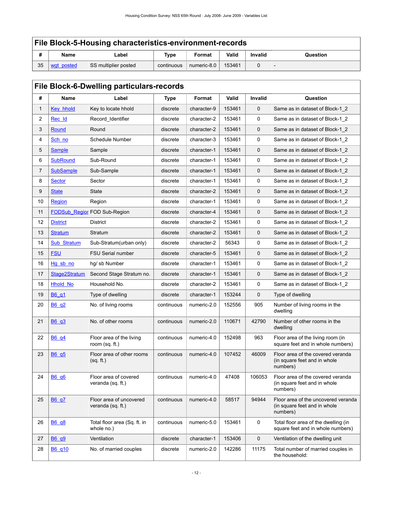## **File Block-5-Housing characteristics-environment-records**

| 11 | Name                     | Label                | <b>Type</b> | Format      | Valid  | <b>Invalid</b> | Question |
|----|--------------------------|----------------------|-------------|-------------|--------|----------------|----------|
| 35 | posted<br>M <sup>c</sup> | SS multiplier posted | continuous  | numeric-8.0 | 153461 |                |          |

## <span id="page-15-0"></span>**File Block-6-Dwelling particulars-records**

| #              | Name                 | Label                                        | <b>Type</b> | Format      | Valid  | Invalid     | Question                                                                        |
|----------------|----------------------|----------------------------------------------|-------------|-------------|--------|-------------|---------------------------------------------------------------------------------|
| 1              | Key hhold            | Key to locate hhold                          | discrete    | character-9 | 153461 | $\mathbf 0$ | Same as in dataset of Block-1 2                                                 |
| $\overline{2}$ | Rec Id               | Record_Identifier                            | discrete    | character-2 | 153461 | 0           | Same as in dataset of Block-1 2                                                 |
| 3              | Round                | Round                                        | discrete    | character-2 | 153461 | 0           | Same as in dataset of Block-1 2                                                 |
| 4              | Sch no               | Schedule Number                              | discrete    | character-3 | 153461 | 0           | Same as in dataset of Block-1 2                                                 |
| 5              | <b>Sample</b>        | Sample                                       | discrete    | character-1 | 153461 | 0           | Same as in dataset of Block-1_2                                                 |
| 6              | <b>SubRound</b>      | Sub-Round                                    | discrete    | character-1 | 153461 | 0           | Same as in dataset of Block-1 2                                                 |
| $\overline{7}$ | <b>SubSample</b>     | Sub-Sample                                   | discrete    | character-1 | 153461 | 0           | Same as in dataset of Block-1 2                                                 |
| 8              | <b>Sector</b>        | Sector                                       | discrete    | character-1 | 153461 | 0           | Same as in dataset of Block-1_2                                                 |
| 9              | <b>State</b>         | State                                        | discrete    | character-2 | 153461 | 0           | Same as in dataset of Block-1 2                                                 |
| 10             | <b>Region</b>        | Region                                       | discrete    | character-1 | 153461 | 0           | Same as in dataset of Block-1 2                                                 |
| 11             | <b>FODSub Region</b> | FOD Sub-Region                               | discrete    | character-4 | 153461 | 0           | Same as in dataset of Block-1 2                                                 |
| 12             | <b>District</b>      | District                                     | discrete    | character-2 | 153461 | 0           | Same as in dataset of Block-1 2                                                 |
| 13             | <b>Stratum</b>       | Stratum                                      | discrete    | character-2 | 153461 | 0           | Same as in dataset of Block-1 2                                                 |
| 14             | Sub Stratum          | Sub-Stratum(urban only)                      | discrete    | character-2 | 56343  | 0           | Same as in dataset of Block-1 2                                                 |
| 15             | <b>FSU</b>           | <b>FSU Serial number</b>                     | discrete    | character-5 | 153461 | 0           | Same as in dataset of Block-1 2                                                 |
| 16             | Hg sb no             | hq/ sb Number                                | discrete    | character-1 | 153461 | 0           | Same as in dataset of Block-1 2                                                 |
| 17             | Stage2Stratum        | Second Stage Stratum no.                     | discrete    | character-1 | 153461 | 0           | Same as in dataset of Block-1 2                                                 |
| 18             | <b>Hhold No</b>      | Household No.                                | discrete    | character-2 | 153461 | 0           | Same as in dataset of Block-1_2                                                 |
| 19             | B6 q1                | Type of dwelling                             | discrete    | character-1 | 153244 | 0           | Type of dwelling                                                                |
| 20             | B6_q2                | No. of living rooms                          | continuous  | numeric-2.0 | 152556 | 905         | Number of living rooms in the<br>dwelling                                       |
| 21             | B6_q3                | No. of other rooms                           | continuous  | numeric-2.0 | 110671 | 42790       | Number of other rooms in the<br>dwelling                                        |
| 22             | B6 q4                | Floor area of the living<br>room $(sq. ft.)$ | continuous  | numeric-4.0 | 152498 | 963         | Floor area of the living room (in<br>square feet and in whole numbers)          |
| 23             | B6 q5                | Floor area of other rooms<br>(sq. ft.)       | continuous  | numeric-4.0 | 107452 | 46009       | Floor area of the covered veranda<br>(in square feet and in whole<br>numbers)   |
| 24             | B6_q6                | Floor area of covered<br>veranda (sq. ft.)   | continuous  | numeric-4.0 | 47408  | 106053      | Floor area of the covered veranda<br>(in square feet and in whole<br>numbers)   |
| 25             | <b>B6 q7</b>         | Floor area of uncovered<br>veranda (sq. ft.) | continuous  | numeric-4.0 | 58517  | 94944       | Floor area of the uncovered veranda<br>(in square feet and in whole<br>numbers) |
| 26             | B6_q8                | Total floor area (Sq. ft. in<br>whole no.)   | continuous  | numeric-5.0 | 153461 | 0           | Total floor area of the dwelling (in<br>square feet and in whole numbers)       |
| 27             | <b>B6 q9</b>         | Ventilation                                  | discrete    | character-1 | 153406 | 0           | Ventilation of the dwelling unit                                                |
| 28             | <b>B6</b> q10        | No. of married couples                       | discrete    | numeric-2.0 | 142286 | 11175       | Total number of married couples in<br>the household:                            |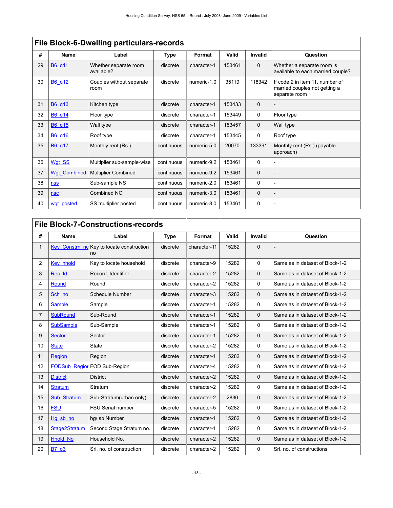|    | <b>THE DIVERTURY MEMORY PULLICATER TECCHIO</b> |                                     |            |             |        |             |                                                                                   |  |  |  |
|----|------------------------------------------------|-------------------------------------|------------|-------------|--------|-------------|-----------------------------------------------------------------------------------|--|--|--|
| #  | Name                                           | Label                               | Type       | Format      | Valid  | Invalid     | Question                                                                          |  |  |  |
| 29 | B6 q11                                         | Whether separate room<br>available? | discrete   | character-1 | 153461 | $\mathbf 0$ | Whether a separate room is<br>available to each married couple?                   |  |  |  |
| 30 | B6 q12                                         | Couples without separate<br>room    | discrete   | numeric-1.0 | 35119  | 118342      | If code 2 in item 11, number of<br>married couples not getting a<br>separate room |  |  |  |
| 31 | B6 q13                                         | Kitchen type                        | discrete   | character-1 | 153433 | $\mathbf 0$ |                                                                                   |  |  |  |
| 32 | B6_q14                                         | Floor type                          | discrete   | character-1 | 153449 | 0           | Floor type                                                                        |  |  |  |
| 33 | B6 q15                                         | Wall type                           | discrete   | character-1 | 153457 | $\mathbf 0$ | Wall type                                                                         |  |  |  |
| 34 | B6_q16                                         | Roof type                           | discrete   | character-1 | 153445 | 0           | Roof type                                                                         |  |  |  |
| 35 | B6 q17                                         | Monthly rent (Rs.)                  | continuous | numeric-5.0 | 20070  | 133391      | Monthly rent (Rs.) (payable<br>approach)                                          |  |  |  |
| 36 | Wgt SS                                         | Multiplier sub-sample-wise          | continuous | numeric-9.2 | 153461 | 0           |                                                                                   |  |  |  |
| 37 | <b>Wgt Combined</b>                            | <b>Multiplier Combined</b>          | continuous | numeric-9.2 | 153461 | $\mathbf 0$ | $\overline{a}$                                                                    |  |  |  |
| 38 | <b>nss</b>                                     | Sub-sample NS                       | continuous | numeric-2.0 | 153461 | 0           |                                                                                   |  |  |  |
| 39 | <b>nsc</b>                                     | Combined NC                         | continuous | numeric-3.0 | 153461 | $\mathbf 0$ | $\overline{a}$                                                                    |  |  |  |
| 40 | wgt posted                                     | SS multiplier posted                | continuous | numeric-8.0 | 153461 | 0           | $\qquad \qquad$                                                                   |  |  |  |

## **File Block-6-Dwelling particulars-records**

## <span id="page-16-0"></span>**File Block-7-Constructions-records**

| #              | <b>Name</b>      | Label                               | <b>Type</b> | Format       | Valid | <b>Invalid</b> | Question                        |
|----------------|------------------|-------------------------------------|-------------|--------------|-------|----------------|---------------------------------|
| 1              | Key_Constrn_nd   | Key to locate construction<br>no    | discrete    | character-11 | 15282 | $\mathbf 0$    |                                 |
| 2              | Key hhold        | Key to locate household             | discrete    | character-9  | 15282 | $\Omega$       | Same as in dataset of Block-1-2 |
| 3              | Rec Id           | Record Identifier                   | discrete    | character-2  | 15282 | $\Omega$       | Same as in dataset of Block-1-2 |
| 4              | Round            | Round                               | discrete    | character-2  | 15282 | $\Omega$       | Same as in dataset of Block-1-2 |
| 5              | Sch no           | Schedule Number                     | discrete    | character-3  | 15282 | $\mathbf{0}$   | Same as in dataset of Block-1-2 |
| 6              | <b>Sample</b>    | Sample                              | discrete    | character-1  | 15282 | $\Omega$       | Same as in dataset of Block-1-2 |
| $\overline{7}$ | <b>SubRound</b>  | Sub-Round                           | discrete    | character-1  | 15282 | $\mathbf 0$    | Same as in dataset of Block-1-2 |
| 8              | <b>SubSample</b> | Sub-Sample                          | discrete    | character-1  | 15282 | $\mathbf 0$    | Same as in dataset of Block-1-2 |
| 9              | <b>Sector</b>    | Sector                              | discrete    | character-1  | 15282 | $\Omega$       | Same as in dataset of Block-1-2 |
| 10             | <b>State</b>     | <b>State</b>                        | discrete    | character-2  | 15282 | $\Omega$       | Same as in dataset of Block-1-2 |
| 11             | Region           | Region                              | discrete    | character-1  | 15282 | $\Omega$       | Same as in dataset of Block-1-2 |
| 12             |                  | <b>FODSub Region FOD Sub-Region</b> | discrete    | character-4  | 15282 | $\mathbf 0$    | Same as in dataset of Block-1-2 |
| 13             | <b>District</b>  | <b>District</b>                     | discrete    | character-2  | 15282 | $\Omega$       | Same as in dataset of Block-1-2 |
| 14             | <b>Stratum</b>   | Stratum                             | discrete    | character-2  | 15282 | $\Omega$       | Same as in dataset of Block-1-2 |
| 15             | Sub Stratum      | Sub-Stratum(urban only)             | discrete    | character-2  | 2830  | $\mathbf 0$    | Same as in dataset of Block-1-2 |
| 16             | <b>FSU</b>       | FSU Serial number                   | discrete    | character-5  | 15282 | 0              | Same as in dataset of Block-1-2 |
| 17             | Hg sb no         | hg/ sb Number                       | discrete    | character-1  | 15282 | $\mathbf{0}$   | Same as in dataset of Block-1-2 |
| 18             | Stage2Stratum    | Second Stage Stratum no.            | discrete    | character-1  | 15282 | 0              | Same as in dataset of Block-1-2 |
| 19             | <b>Hhold No</b>  | Household No.                       | discrete    | character-2  | 15282 | $\Omega$       | Same as in dataset of Block-1-2 |
| 20             | B7 q3            | Srl. no. of construction            | discrete    | character-2  | 15282 | $\mathbf 0$    | Srl. no. of constructions       |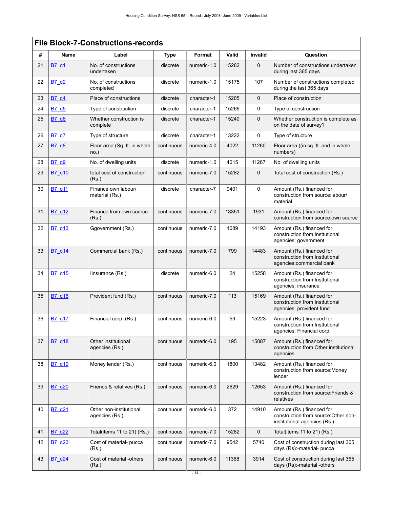|    | <b>File Block-7-Constructions-records</b> |                                           |             |             |       |             |                                                                                                   |  |  |  |
|----|-------------------------------------------|-------------------------------------------|-------------|-------------|-------|-------------|---------------------------------------------------------------------------------------------------|--|--|--|
| #  | Name                                      | Label                                     | <b>Type</b> | Format      | Valid | Invalid     | Question                                                                                          |  |  |  |
| 21 | <b>B7</b> q1                              | No. of constructions<br>undertaken        | discrete    | numeric-1.0 | 15282 | $\mathbf 0$ | Number of constructions undertaken<br>during last 365 days                                        |  |  |  |
| 22 | <b>B7 q2</b>                              | No. of constructions<br>completed         | discrete    | numeric-1.0 | 15175 | 107         | Number of constructions completed<br>during the last 365 days                                     |  |  |  |
| 23 | B7 q4                                     | Place of constructions                    | discrete    | character-1 | 15205 | 0           | Place of construction                                                                             |  |  |  |
| 24 | B7 q5                                     | Type of construction                      | discrete    | character-1 | 15266 | 0           | Type of construction                                                                              |  |  |  |
| 25 | B7_q6                                     | Whether construction is<br>complete       | discrete    | character-1 | 15240 | $\mathbf 0$ | Whether construction is complete as<br>on the date of survey?                                     |  |  |  |
| 26 | <b>B7_q7</b>                              | Type of structure                         | discrete    | character-1 | 13222 | 0           | Type of structure                                                                                 |  |  |  |
| 27 | <b>B7 q8</b>                              | Floor area (Sq. ft. in whole<br>no.)      | continuous  | numeric-4.0 | 4022  | 11260       | Floor area ((in sq. ft. and in whole<br>numbers)                                                  |  |  |  |
| 28 | B7_q9                                     | No. of dwelling units                     | discrete    | numeric-1.0 | 4015  | 11267       | No. of dwelling units                                                                             |  |  |  |
| 29 | B7_q10                                    | total cost of construction<br>(Rs.)       | continuous  | numeric-7.0 | 15282 | $\mathbf 0$ | Total cost of construction (Rs.)                                                                  |  |  |  |
| 30 | B7_q11                                    | Finance own labour/<br>material (Rs.)     | discrete    | character-7 | 9401  | $\mathbf 0$ | Amount (Rs.) financed for<br>construction from source:labour/<br>material                         |  |  |  |
| 31 | B7 q12                                    | Finance from own source<br>(Rs.)          | continuous  | numeric-7.0 | 13351 | 1931        | Amount (Rs.) financed for<br>construction from source:own source                                  |  |  |  |
| 32 | B7 g13                                    | Ggovernment (Rs.)                         | continuous  | numeric-7.0 | 1089  | 14193       | Amount (Rs.) financed for<br>construction from Insttutional<br>agencies: government               |  |  |  |
| 33 | B7 q14                                    | Commercial bank (Rs.)                     | continuous  | numeric-7.0 | 799   | 14483       | Amount (Rs.) financed for<br>construction from Insttutional<br>agencies:commercial bank           |  |  |  |
| 34 | B7_q15                                    | linsurance (Rs.)                          | discrete    | numeric-6.0 | 24    | 15258       | Amount (Rs.) financed for<br>construction from Insttutional<br>agencies: insurance                |  |  |  |
| 35 | B7 q16                                    | Provident fund (Rs.)                      | continuous  | numeric-7.0 | 113   | 15169       | Amount (Rs.) financed for<br>construction from Insttutional<br>agencies: provident fund           |  |  |  |
| 36 | B7_q17                                    | Financial corp. (Rs.)                     | continuous  | numeric-6.0 | 59    | 15223       | Amount (Rs.) financed for<br>construction from Insttutional<br>agencies: Financial corp.          |  |  |  |
| 37 | B7_q18                                    | Other institutional<br>agencies (Rs.)     | continuous  | numeric-6.0 | 195   | 15087       | Amount (Rs.) financed for<br>construction from Other institutional<br>agencies                    |  |  |  |
| 38 | B7 q19                                    | Money lender (Rs.)                        | continuous  | numeric-6.0 | 1800  | 13482       | Amount (Rs.) financed for<br>construction from source: Money<br>lender                            |  |  |  |
| 39 | B7 q20                                    | Friends & relatives (Rs.)                 | continuous  | numeric-6.0 | 2629  | 12653       | Amount (Rs.) financed for<br>construction from source: Friends &<br>relatives                     |  |  |  |
| 40 | B7 g21                                    | Other non-institutional<br>agencies (Rs.) | continuous  | numeric-6.0 | 372   | 14910       | Amount (Rs.) financed for<br>construction from source: Other non-<br>institutional agencies (Rs.) |  |  |  |
| 41 | B7 q22                                    | Total(items 11 to 21) (Rs.)               | continuous  | numeric-7.0 | 15282 | $\mathbf 0$ | Total(items 11 to 21) $(Rs.)$                                                                     |  |  |  |
| 42 | B7 q23                                    | Cost of material- pucca<br>(Rs.)          | continuous  | numeric-7.0 | 9542  | 5740        | Cost of construction during last 365<br>days (Rs):-material- pucca                                |  |  |  |
| 43 | B7_q24                                    | Cost of material -others<br>(Rs.)         | continuous  | numeric-6.0 | 11368 | 3914        | Cost of construction during last 365<br>days (Rs):-material -others                               |  |  |  |
|    |                                           |                                           |             | $-14-$      |       |             |                                                                                                   |  |  |  |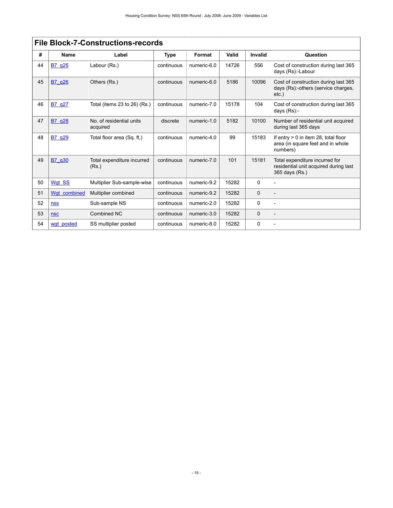|    | <b>File Block-7-Constructions-records</b> |                                      |             |             |       |             |                                                                                           |  |  |
|----|-------------------------------------------|--------------------------------------|-------------|-------------|-------|-------------|-------------------------------------------------------------------------------------------|--|--|
| #  | <b>Name</b>                               | Label                                | <b>Type</b> | Format      | Valid | Invalid     | Question                                                                                  |  |  |
| 44 | B7 q25                                    | Labour (Rs.)                         | continuous  | numeric-6.0 | 14726 | 556         | Cost of construction during last 365<br>days (Rs):-Labour                                 |  |  |
| 45 | B7 q26                                    | Others (Rs.)                         | continuous  | numeric-6.0 | 5186  | 10096       | Cost of construction during last 365<br>days (Rs):-others (service charges,<br>$etc.$ )   |  |  |
| 46 | B7 g27                                    | Total (items 23 to 26) (Rs.)         | continuous  | numeric-7.0 | 15178 | 104         | Cost of construction during last 365<br>days $(Rs)$ :-                                    |  |  |
| 47 | B7_q28                                    | No. of residential units<br>acquired | discrete    | numeric-1.0 | 5182  | 10100       | Number of residential unit acquired<br>during last 365 days                               |  |  |
| 48 | B7 q29                                    | Total floor area (Sq. ft.)           | continuous  | numeric-4.0 | 99    | 15183       | If entry $> 0$ in item 28, total floor<br>area (in square feet and in whole<br>numbers)   |  |  |
| 49 | B7 q30                                    | Total expenditure incurred<br>(Rs.)  | continuous  | numeric-7.0 | 101   | 15181       | Total expenditure incurred for<br>residential unit acquired during last<br>365 days (Rs.) |  |  |
| 50 | Wgt SS                                    | Multiplier Sub-sample-wise           | continuous  | numeric-9.2 | 15282 | 0           |                                                                                           |  |  |
| 51 | Wqt combined                              | Multiplier combined                  | continuous  | numeric-9.2 | 15282 | $\Omega$    |                                                                                           |  |  |
| 52 | <b>nss</b>                                | Sub-sample NS                        | continuous  | numeric-2.0 | 15282 | $\Omega$    |                                                                                           |  |  |
| 53 | <b>nsc</b>                                | Combined NC                          | continuous  | numeric-3.0 | 15282 | $\mathbf 0$ | $\overline{\phantom{0}}$                                                                  |  |  |
| 54 | wgt posted                                | SS multiplier posted                 | continuous  | numeric-8.0 | 15282 | 0           |                                                                                           |  |  |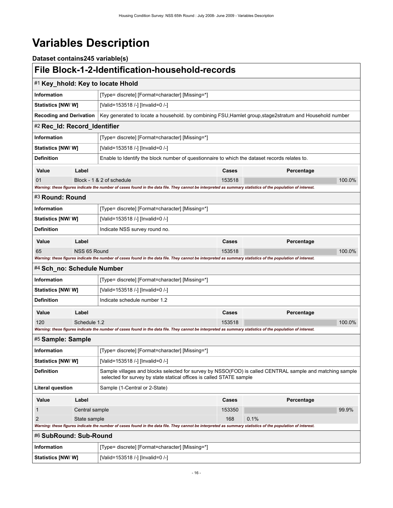# <span id="page-19-0"></span>**Variables Description**

<span id="page-19-7"></span><span id="page-19-6"></span><span id="page-19-5"></span><span id="page-19-4"></span><span id="page-19-3"></span><span id="page-19-2"></span><span id="page-19-1"></span>

| Dataset contains245 variable(s) |                |                                                                                                                                                                                  |        |            |        |  |  |
|---------------------------------|----------------|----------------------------------------------------------------------------------------------------------------------------------------------------------------------------------|--------|------------|--------|--|--|
|                                 |                | File Block-1-2-Identification-household-records                                                                                                                                  |        |            |        |  |  |
|                                 |                | #1 Key_hhold: Key to locate Hhold                                                                                                                                                |        |            |        |  |  |
| <b>Information</b>              |                | [Type= discrete] [Format=character] [Missing=*]                                                                                                                                  |        |            |        |  |  |
| Statistics [NW/W]               |                | [Valid=153518 /-] [Invalid=0 /-]                                                                                                                                                 |        |            |        |  |  |
| <b>Recoding and Derivation</b>  |                | Key generated to locate a household. by combining FSU, Hamlet group, stage2stratum and Household number                                                                          |        |            |        |  |  |
| #2 Rec_Id: Record_Identifier    |                |                                                                                                                                                                                  |        |            |        |  |  |
| <b>Information</b>              |                | [Type= discrete] [Format=character] [Missing=*]                                                                                                                                  |        |            |        |  |  |
| Statistics [NW/W]               |                | [Valid=153518 /-] [Invalid=0 /-]                                                                                                                                                 |        |            |        |  |  |
| <b>Definition</b>               |                | Enable to Identify the block number of questionnaire to which the dataset records relates to.                                                                                    |        |            |        |  |  |
| Value                           | Label          |                                                                                                                                                                                  | Cases  | Percentage |        |  |  |
| 01                              |                | Block - 1 & 2 of schedule                                                                                                                                                        | 153518 |            | 100.0% |  |  |
|                                 |                | Warning: these figures indicate the number of cases found in the data file. They cannot be interpreted as summary statistics of the population of interest.                      |        |            |        |  |  |
| #3 Round: Round                 |                |                                                                                                                                                                                  |        |            |        |  |  |
| <b>Information</b>              |                | [Type= discrete] [Format=character] [Missing=*]                                                                                                                                  |        |            |        |  |  |
| Statistics [NW/W]               |                | [Valid=153518 /-] [Invalid=0 /-]                                                                                                                                                 |        |            |        |  |  |
| <b>Definition</b>               |                | Indicate NSS survey round no.                                                                                                                                                    |        |            |        |  |  |
| Value                           | Label          |                                                                                                                                                                                  | Cases  | Percentage |        |  |  |
| 65                              | NSS 65 Round   |                                                                                                                                                                                  | 153518 |            | 100.0% |  |  |
| #4 Sch_no: Schedule Number      |                | Warning: these figures indicate the number of cases found in the data file. They cannot be interpreted as summary statistics of the population of interest.                      |        |            |        |  |  |
| Information                     |                | [Type= discrete] [Format=character] [Missing=*]                                                                                                                                  |        |            |        |  |  |
|                                 |                |                                                                                                                                                                                  |        |            |        |  |  |
| Statistics [NW/W]               |                | [Valid=153518 /-] [Invalid=0 /-]                                                                                                                                                 |        |            |        |  |  |
| <b>Definition</b>               |                | Indicate schedule number 1.2                                                                                                                                                     |        |            |        |  |  |
| Value                           | Label          |                                                                                                                                                                                  | Cases  | Percentage |        |  |  |
| 120                             | Schedule 1.2   | Warning: these figures indicate the number of cases found in the data file. They cannot be interpreted as summary statistics of the population of interest.                      | 153518 |            | 100.0% |  |  |
| #5 Sample: Sample               |                |                                                                                                                                                                                  |        |            |        |  |  |
|                                 |                |                                                                                                                                                                                  |        |            |        |  |  |
| Information                     |                | [Type= discrete] [Format=character] [Missing=*]                                                                                                                                  |        |            |        |  |  |
| <b>Statistics [NW/W]</b>        |                | [Valid=153518 /-] [Invalid=0 /-]                                                                                                                                                 |        |            |        |  |  |
| <b>Definition</b>               |                | Sample villages and blocks selected for survey by NSSO(FOD) is called CENTRAL sample and matching sample<br>selected for survey by state statical offices is called STATE sample |        |            |        |  |  |
| Literal question                |                | Sample (1-Central or 2-State)                                                                                                                                                    |        |            |        |  |  |
| Value                           | Label          |                                                                                                                                                                                  | Cases  | Percentage |        |  |  |
| 1                               | Central sample |                                                                                                                                                                                  | 153350 |            | 99.9%  |  |  |
| 2                               | State sample   |                                                                                                                                                                                  | 168    | 0.1%       |        |  |  |
|                                 |                | Warning: these figures indicate the number of cases found in the data file. They cannot be interpreted as summary statistics of the population of interest.                      |        |            |        |  |  |
| #6 SubRound: Sub-Round          |                |                                                                                                                                                                                  |        |            |        |  |  |
| <b>Information</b>              |                | [Type= discrete] [Format=character] [Missing=*]                                                                                                                                  |        |            |        |  |  |
| Statistics [NW/W]               |                | [Valid=153518 /-] [Invalid=0 /-]                                                                                                                                                 |        |            |        |  |  |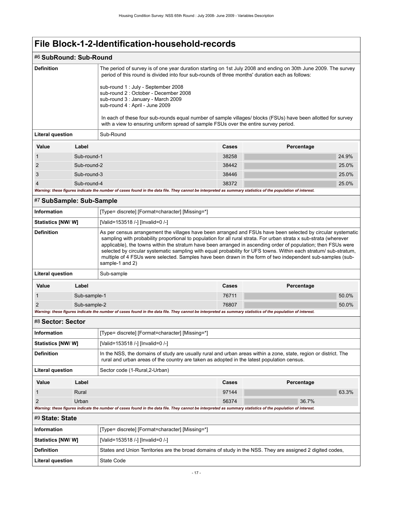## #6 **SubRound: Sub-Round**

<span id="page-20-2"></span><span id="page-20-1"></span><span id="page-20-0"></span>

| <b>Definition</b>         |              | The period of survey is of one year duration starting on 1st July 2008 and ending on 30th June 2009. The survey<br>period of this round is divided into four sub-rounds of three months' duration each as follows:<br>sub-round 1 : July - September 2008<br>sub-round 2 : October - December 2008<br>sub-round 3 : January - March 2009<br>sub-round 4 : April - June 2009                                                                                                                                                                                                                              |       |            |       |  |  |
|---------------------------|--------------|----------------------------------------------------------------------------------------------------------------------------------------------------------------------------------------------------------------------------------------------------------------------------------------------------------------------------------------------------------------------------------------------------------------------------------------------------------------------------------------------------------------------------------------------------------------------------------------------------------|-------|------------|-------|--|--|
|                           |              | In each of these four sub-rounds equal number of sample villages/ blocks (FSUs) have been allotted for survey<br>with a view to ensuring uniform spread of sample FSUs over the entire survey period.                                                                                                                                                                                                                                                                                                                                                                                                    |       |            |       |  |  |
| <b>Literal question</b>   |              | Sub-Round                                                                                                                                                                                                                                                                                                                                                                                                                                                                                                                                                                                                |       |            |       |  |  |
| Value                     | Label        |                                                                                                                                                                                                                                                                                                                                                                                                                                                                                                                                                                                                          | Cases | Percentage |       |  |  |
| 1                         | Sub-round-1  |                                                                                                                                                                                                                                                                                                                                                                                                                                                                                                                                                                                                          | 38258 |            | 24.9% |  |  |
| 2                         | Sub-round-2  |                                                                                                                                                                                                                                                                                                                                                                                                                                                                                                                                                                                                          | 38442 |            | 25.0% |  |  |
| 3                         | Sub-round-3  |                                                                                                                                                                                                                                                                                                                                                                                                                                                                                                                                                                                                          | 38446 |            | 25.0% |  |  |
| $\overline{4}$            | Sub-round-4  |                                                                                                                                                                                                                                                                                                                                                                                                                                                                                                                                                                                                          | 38372 |            | 25.0% |  |  |
|                           |              | Warning: these figures indicate the number of cases found in the data file. They cannot be interpreted as summary statistics of the population of interest.                                                                                                                                                                                                                                                                                                                                                                                                                                              |       |            |       |  |  |
| #7 SubSample: Sub-Sample  |              |                                                                                                                                                                                                                                                                                                                                                                                                                                                                                                                                                                                                          |       |            |       |  |  |
| <b>Information</b>        |              | [Type= discrete] [Format=character] [Missing=*]                                                                                                                                                                                                                                                                                                                                                                                                                                                                                                                                                          |       |            |       |  |  |
| Statistics [NW/W]         |              | [Valid=153518 /-] [Invalid=0 /-]                                                                                                                                                                                                                                                                                                                                                                                                                                                                                                                                                                         |       |            |       |  |  |
| <b>Definition</b>         |              | As per census arrangement the villages have been arranged and FSUs have been selected by circular systematic<br>sampling with probability proportional to population for all rural strata. For urban strata x sub-strata (wherever<br>applicable), the towns within the stratum have been arranged in ascending order of population; then FSUs were<br>selected by circular systematic sampling with equal probability for UFS towns. Within each stratum/ sub-stratum,<br>multiple of 4 FSUs were selected. Samples have been drawn in the form of two independent sub-samples (sub-<br>sample-1 and 2) |       |            |       |  |  |
| <b>Literal question</b>   |              | Sub-sample                                                                                                                                                                                                                                                                                                                                                                                                                                                                                                                                                                                               |       |            |       |  |  |
| Value                     | Label        |                                                                                                                                                                                                                                                                                                                                                                                                                                                                                                                                                                                                          | Cases | Percentage |       |  |  |
| 1                         | Sub-sample-1 |                                                                                                                                                                                                                                                                                                                                                                                                                                                                                                                                                                                                          | 76711 |            | 50.0% |  |  |
| $\overline{2}$            | Sub-sample-2 |                                                                                                                                                                                                                                                                                                                                                                                                                                                                                                                                                                                                          | 76807 |            | 50.0% |  |  |
|                           |              | Warning: these figures indicate the number of cases found in the data file. They cannot be interpreted as summary statistics of the population of interest.                                                                                                                                                                                                                                                                                                                                                                                                                                              |       |            |       |  |  |
| #8 Sector: Sector         |              |                                                                                                                                                                                                                                                                                                                                                                                                                                                                                                                                                                                                          |       |            |       |  |  |
| <b>Information</b>        |              | [Type= discrete] [Format=character] [Missing=*]                                                                                                                                                                                                                                                                                                                                                                                                                                                                                                                                                          |       |            |       |  |  |
| Statistics [NW/W]         |              | [Valid=153518 /-] [Invalid=0 /-]                                                                                                                                                                                                                                                                                                                                                                                                                                                                                                                                                                         |       |            |       |  |  |
| <b>Definition</b>         |              | In the NSS, the domains of study are usually rural and urban areas within a zone, state, region or district. The<br>rural and urban areas of the country are taken as adopted in the latest population census.                                                                                                                                                                                                                                                                                                                                                                                           |       |            |       |  |  |
| <b>Literal question</b>   |              | Sector code (1-Rural, 2-Urban)                                                                                                                                                                                                                                                                                                                                                                                                                                                                                                                                                                           |       |            |       |  |  |
| Value                     | Label        |                                                                                                                                                                                                                                                                                                                                                                                                                                                                                                                                                                                                          | Cases | Percentage |       |  |  |
| 1                         | Rural        |                                                                                                                                                                                                                                                                                                                                                                                                                                                                                                                                                                                                          | 97144 |            | 63.3% |  |  |
| $\overline{2}$            | Urban        |                                                                                                                                                                                                                                                                                                                                                                                                                                                                                                                                                                                                          | 56374 | 36.7%      |       |  |  |
|                           |              | Warning: these figures indicate the number of cases found in the data file. They cannot be interpreted as summary statistics of the population of interest.                                                                                                                                                                                                                                                                                                                                                                                                                                              |       |            |       |  |  |
| #9 State: State           |              |                                                                                                                                                                                                                                                                                                                                                                                                                                                                                                                                                                                                          |       |            |       |  |  |
| Information               |              | [Type= discrete] [Format=character] [Missing=*]                                                                                                                                                                                                                                                                                                                                                                                                                                                                                                                                                          |       |            |       |  |  |
| <b>Statistics [NW/ W]</b> |              | [Valid=153518 /-] [Invalid=0 /-]                                                                                                                                                                                                                                                                                                                                                                                                                                                                                                                                                                         |       |            |       |  |  |
| <b>Definition</b>         |              | States and Union Territories are the broad domains of study in the NSS. They are assigned 2 digited codes,                                                                                                                                                                                                                                                                                                                                                                                                                                                                                               |       |            |       |  |  |
| <b>Literal question</b>   |              | State Code                                                                                                                                                                                                                                                                                                                                                                                                                                                                                                                                                                                               |       |            |       |  |  |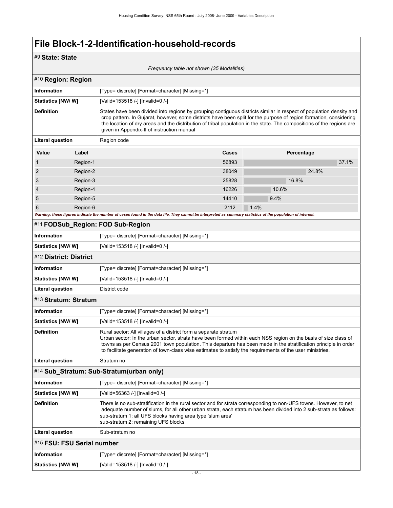## #9 **State: State**

<span id="page-21-5"></span><span id="page-21-4"></span><span id="page-21-3"></span><span id="page-21-2"></span><span id="page-21-1"></span><span id="page-21-0"></span>

| Frequency table not shown (35 Modalities) |          |                                                                                                                                                                                                                                                                                                                                                                                                                     |       |                                                                                                                                                                                                                                                                                                                                                                    |  |  |  |
|-------------------------------------------|----------|---------------------------------------------------------------------------------------------------------------------------------------------------------------------------------------------------------------------------------------------------------------------------------------------------------------------------------------------------------------------------------------------------------------------|-------|--------------------------------------------------------------------------------------------------------------------------------------------------------------------------------------------------------------------------------------------------------------------------------------------------------------------------------------------------------------------|--|--|--|
| #10 Region: Region                        |          |                                                                                                                                                                                                                                                                                                                                                                                                                     |       |                                                                                                                                                                                                                                                                                                                                                                    |  |  |  |
| <b>Information</b>                        |          | [Type= discrete] [Format=character] [Missing=*]                                                                                                                                                                                                                                                                                                                                                                     |       |                                                                                                                                                                                                                                                                                                                                                                    |  |  |  |
| <b>Statistics [NW/ W]</b>                 |          | [Valid=153518 /-] [Invalid=0 /-]                                                                                                                                                                                                                                                                                                                                                                                    |       |                                                                                                                                                                                                                                                                                                                                                                    |  |  |  |
| <b>Definition</b>                         |          | given in Appendix-II of instruction manual                                                                                                                                                                                                                                                                                                                                                                          |       | States have been divided into regions by grouping contiguous districts similar in respect of population density and<br>crop pattern. In Gujarat, however, some districts have been split for the purpose of region formation, considering<br>the location of dry areas and the distribution of tribal population in the state. The compositions of the regions are |  |  |  |
| <b>Literal question</b>                   |          | Region code                                                                                                                                                                                                                                                                                                                                                                                                         |       |                                                                                                                                                                                                                                                                                                                                                                    |  |  |  |
| Value                                     | Label    |                                                                                                                                                                                                                                                                                                                                                                                                                     | Cases | Percentage                                                                                                                                                                                                                                                                                                                                                         |  |  |  |
| 1                                         | Region-1 |                                                                                                                                                                                                                                                                                                                                                                                                                     | 56893 | 37.1%                                                                                                                                                                                                                                                                                                                                                              |  |  |  |
| $\overline{2}$                            | Region-2 |                                                                                                                                                                                                                                                                                                                                                                                                                     | 38049 | 24.8%                                                                                                                                                                                                                                                                                                                                                              |  |  |  |
| 3                                         | Region-3 |                                                                                                                                                                                                                                                                                                                                                                                                                     | 25828 | 16.8%                                                                                                                                                                                                                                                                                                                                                              |  |  |  |
| 4                                         | Region-4 |                                                                                                                                                                                                                                                                                                                                                                                                                     | 16226 | 10.6%                                                                                                                                                                                                                                                                                                                                                              |  |  |  |
| 5                                         | Region-5 |                                                                                                                                                                                                                                                                                                                                                                                                                     | 14410 | 9.4%                                                                                                                                                                                                                                                                                                                                                               |  |  |  |
| 6                                         | Region-6 |                                                                                                                                                                                                                                                                                                                                                                                                                     | 2112  | 1.4%                                                                                                                                                                                                                                                                                                                                                               |  |  |  |
|                                           |          | Warning: these figures indicate the number of cases found in the data file. They cannot be interpreted as summary statistics of the population of interest.                                                                                                                                                                                                                                                         |       |                                                                                                                                                                                                                                                                                                                                                                    |  |  |  |
|                                           |          | #11 FODSub_Region: FOD Sub-Region                                                                                                                                                                                                                                                                                                                                                                                   |       |                                                                                                                                                                                                                                                                                                                                                                    |  |  |  |
| <b>Information</b>                        |          | [Type= discrete] [Format=character] [Missing=*]                                                                                                                                                                                                                                                                                                                                                                     |       |                                                                                                                                                                                                                                                                                                                                                                    |  |  |  |
| <b>Statistics [NW/W]</b>                  |          | [Valid=153518 /-] [Invalid=0 /-]                                                                                                                                                                                                                                                                                                                                                                                    |       |                                                                                                                                                                                                                                                                                                                                                                    |  |  |  |
| #12 District: District                    |          |                                                                                                                                                                                                                                                                                                                                                                                                                     |       |                                                                                                                                                                                                                                                                                                                                                                    |  |  |  |
| <b>Information</b>                        |          | [Type= discrete] [Format=character] [Missing=*]                                                                                                                                                                                                                                                                                                                                                                     |       |                                                                                                                                                                                                                                                                                                                                                                    |  |  |  |
| <b>Statistics [NW/ W]</b>                 |          | [Valid=153518 /-] [Invalid=0 /-]                                                                                                                                                                                                                                                                                                                                                                                    |       |                                                                                                                                                                                                                                                                                                                                                                    |  |  |  |
| <b>Literal question</b>                   |          | District code                                                                                                                                                                                                                                                                                                                                                                                                       |       |                                                                                                                                                                                                                                                                                                                                                                    |  |  |  |
| #13 Stratum: Stratum                      |          |                                                                                                                                                                                                                                                                                                                                                                                                                     |       |                                                                                                                                                                                                                                                                                                                                                                    |  |  |  |
| <b>Information</b>                        |          | [Type= discrete] [Format=character] [Missing=*]                                                                                                                                                                                                                                                                                                                                                                     |       |                                                                                                                                                                                                                                                                                                                                                                    |  |  |  |
| Statistics [NW/ W]                        |          | [Valid=153518 /-] [Invalid=0 /-]                                                                                                                                                                                                                                                                                                                                                                                    |       |                                                                                                                                                                                                                                                                                                                                                                    |  |  |  |
| <b>Definition</b>                         |          | Rural sector: All villages of a district form a separate stratum<br>Urban sector: In the urban sector, strata have been formed within each NSS region on the basis of size class of<br>towns as per Census 2001 town population. This departure has been made in the stratification principle in order<br>to facilitate generation of town-class wise estimates to satisfy the requirements of the user ministries. |       |                                                                                                                                                                                                                                                                                                                                                                    |  |  |  |
| Literal question                          |          | Stratum no                                                                                                                                                                                                                                                                                                                                                                                                          |       |                                                                                                                                                                                                                                                                                                                                                                    |  |  |  |
|                                           |          | #14 Sub_Stratum: Sub-Stratum(urban only)                                                                                                                                                                                                                                                                                                                                                                            |       |                                                                                                                                                                                                                                                                                                                                                                    |  |  |  |
| <b>Information</b>                        |          | [Type= discrete] [Format=character] [Missing=*]                                                                                                                                                                                                                                                                                                                                                                     |       |                                                                                                                                                                                                                                                                                                                                                                    |  |  |  |
| Statistics [NW/ W]                        |          | [Valid=56363 /-] [Invalid=0 /-]                                                                                                                                                                                                                                                                                                                                                                                     |       |                                                                                                                                                                                                                                                                                                                                                                    |  |  |  |
| <b>Definition</b>                         |          | There is no sub-stratification in the rural sector and for strata corresponding to non-UFS towns. However, to net<br>adequate number of slums, for all other urban strata, each stratum has been divided into 2 sub-strata as follows:<br>sub-stratum 1: all UFS blocks having area type 'slum area'<br>sub-stratum 2: remaining UFS blocks                                                                         |       |                                                                                                                                                                                                                                                                                                                                                                    |  |  |  |
| <b>Literal question</b>                   |          | Sub-stratum no                                                                                                                                                                                                                                                                                                                                                                                                      |       |                                                                                                                                                                                                                                                                                                                                                                    |  |  |  |
| #15 FSU: FSU Serial number                |          |                                                                                                                                                                                                                                                                                                                                                                                                                     |       |                                                                                                                                                                                                                                                                                                                                                                    |  |  |  |
| <b>Information</b>                        |          | [Type= discrete] [Format=character] [Missing=*]                                                                                                                                                                                                                                                                                                                                                                     |       |                                                                                                                                                                                                                                                                                                                                                                    |  |  |  |
| <b>Statistics [NW/W]</b>                  |          | [Valid=153518 /-] [Invalid=0 /-]                                                                                                                                                                                                                                                                                                                                                                                    |       |                                                                                                                                                                                                                                                                                                                                                                    |  |  |  |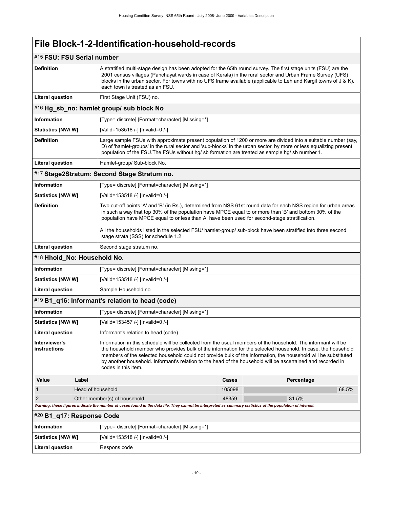## <span id="page-22-4"></span><span id="page-22-3"></span><span id="page-22-2"></span><span id="page-22-1"></span><span id="page-22-0"></span>#15 **FSU: FSU Serial number Definition** A stratified multi-stage design has been adopted for the 65th round survey. The first stage units (FSU) are the 2001 census villages (Panchayat wards in case of Kerala) in the rural sector and Urban Frame Survey (UFS) blocks in the urban sector. For towns with no UFS frame available (applicable to Leh and Kargil towns of J & K), each town is treated as an FSU. Literal question **First Stage Unit (FSU) no.** #16 **Hg\_sb\_no: hamlet group/ sub block No Information** [Type= discrete] [Format=character] [Missing=\*] **Statistics [NW/ W]** [Valid=153518 /-] [Invalid=0 /-] **Definition** Large sample FSUs with approximate present population of 1200 or more are divided into a suitable number (say, D) of 'hamlet-groups' in the rural sector and 'sub-blocks' in the urban sector, by more or less equalizing present population of the FSU.The FSUs without hg/ sb formation are treated as sample hg/ sb number 1. Literal question **Hamlet-group/ Sub-block No.** #17 **Stage2Stratum: Second Stage Stratum no. Information information [Type= discrete]** [Format=character] [Missing=\*] **Statistics [NW/ W]** [Valid=153518 /-] [Invalid=0 /-] **Definition** Two cut-off points 'A' and 'B' (in Rs.), determined from NSS 61st round data for each NSS region for urban areas in such a way that top 30% of the population have MPCE equal to or more than 'B' and bottom 30% of the population have MPCE equal to or less than A, have been used for second-stage stratification. All the households listed in the selected FSU/ hamlet-group/ sub-block have been stratified into three second stage strata (SSS) for schedule 1.2 **Literal question** | Second stage stratum no. #18 **Hhold\_No: Household No. Information information [Type= discrete] [Format=character] [Missing=\*] Statistics [NW/ W]** [Valid=153518 /-] [Invalid=0 /-] Literal question <br>
Sample Household no #19 **B1\_q16: Informant's relation to head (code) Information information [Type= discrete] [Format=character] [Missing=\*] Statistics [NW/ W]** [Valid=153457 /-] [Invalid=0 /-] Literal question **Informant's relation to head (code) Interviewer's instructions** Information in this schedule will be collected from the usual members of the household. The informant will be the household member who provides bulk of the information for the selected household. In case, the household members of the selected household could not provide bulk of the information, the household will be substituted by another household. Informant's relation to the head of the household will be ascertained and recorded in codes in this item. **Value Label Cases Percentage** 1 **Head of household** 105098 **68.5%** 68.5% 2 Other member(s) of household 48359 31.5% *Warning: these figures indicate the number of cases found in the data file. They cannot be interpreted as summary statistics of the population of interest.* #20 **B1\_q17: Response Code Information** [Type= discrete] [Format=character] [Missing=\*] **Statistics [NW/ W]** [Valid=153518 /-] [Invalid=0 /-] Literal question **Respons code**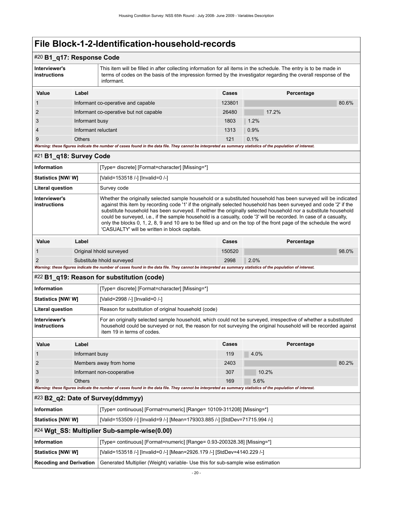## #20 **B1\_q17: Response Code**

| Interviewer's<br>instructions | This item will be filled in after collecting information for all items in the schedule. The entry is to be made in<br>terms of codes on the basis of the impression formed by the investigator regarding the overall response of the |
|-------------------------------|--------------------------------------------------------------------------------------------------------------------------------------------------------------------------------------------------------------------------------------|
|                               | informant.                                                                                                                                                                                                                           |

| Value          | Label                                                                                                                                                       | Cases  | Percentage |
|----------------|-------------------------------------------------------------------------------------------------------------------------------------------------------------|--------|------------|
|                | Informant co-operative and capable                                                                                                                          | 123801 | 80.6%      |
| 2              | Informant co-operative but not capable                                                                                                                      | 26480  | 17.2%      |
| 3              | Informant busy                                                                                                                                              | 1803   | 1.2%       |
| $\overline{4}$ | Informant reluctant                                                                                                                                         | 1313   | 0.9%       |
| 9              | <b>Others</b>                                                                                                                                               | 121    | 0.1%       |
|                | Warning: these figures indicate the number of cases found in the data file. They cannot be interpreted as summary statistics of the population of interest. |        |            |

#### <span id="page-23-0"></span>#21 **B1\_q18: Survey Code**

| Information                   |       | [Type= discrete] [Format=character] [Missing=*]                                                                                                                                                                                                                                                                                                                                                                                                                                                                                                                                                                                                      |        |            |  |  |
|-------------------------------|-------|------------------------------------------------------------------------------------------------------------------------------------------------------------------------------------------------------------------------------------------------------------------------------------------------------------------------------------------------------------------------------------------------------------------------------------------------------------------------------------------------------------------------------------------------------------------------------------------------------------------------------------------------------|--------|------------|--|--|
| <b>Statistics [NW/ W]</b>     |       | [Valid=153518 /-] [Invalid=0 /-]                                                                                                                                                                                                                                                                                                                                                                                                                                                                                                                                                                                                                     |        |            |  |  |
| <b>Literal question</b>       |       | Survey code                                                                                                                                                                                                                                                                                                                                                                                                                                                                                                                                                                                                                                          |        |            |  |  |
| Interviewer's<br>instructions |       | Whether the originally selected sample household or a substituted household has been surveyed will be indicated<br>against this item by recording code '1' if the originally selected household has been surveyed and code '2' if the<br>substitute household has been surveyed. If neither the originally selected household nor a substitute household<br>could be surveyed, i.e., if the sample household is a casualty, code '3' will be recorded. In case of a casualty,<br>only the blocks 0, 1, 2, 8, 9 and 10 are to be filled up and on the top of the front page of the schedule the word<br>'CASUALTY' will be written in block capitals. |        |            |  |  |
| Value                         | Label |                                                                                                                                                                                                                                                                                                                                                                                                                                                                                                                                                                                                                                                      | Cases  | Percentage |  |  |
|                               |       | Original hhold surveyed                                                                                                                                                                                                                                                                                                                                                                                                                                                                                                                                                                                                                              | 150520 | 98.0%      |  |  |

## <span id="page-23-1"></span>#22 **B1\_q19: Reason for substitution (code)**

| <b>Information</b>            | [Type= discrete] [Format=character] [Missing=*]                                                                                                                                                                                                                   |
|-------------------------------|-------------------------------------------------------------------------------------------------------------------------------------------------------------------------------------------------------------------------------------------------------------------|
| <b>Statistics [NW/ W]</b>     | [Valid=2998 /-] [Invalid=0 /-]                                                                                                                                                                                                                                    |
| <b>Literal question</b>       | Reason for substitution of original household (code)                                                                                                                                                                                                              |
| Interviewer's<br>instructions | For an originally selected sample household, which could not be surveyed, irrespective of whether a substituted<br>household could be surveyed or not, the reason for not surveying the original household will be recorded against<br>item 19 in terms of codes. |

| Value | Label                                                                                                                                                       | Cases | Percentage |       |  |  |  |  |
|-------|-------------------------------------------------------------------------------------------------------------------------------------------------------------|-------|------------|-------|--|--|--|--|
|       | Informant busy                                                                                                                                              | 119   | 4.0%       |       |  |  |  |  |
|       | Members away from home                                                                                                                                      | 2403  |            | 80.2% |  |  |  |  |
|       | Informant non-cooperative                                                                                                                                   | 307   | 10.2%      |       |  |  |  |  |
|       | <b>Others</b>                                                                                                                                               | 169   | 5.6%       |       |  |  |  |  |
|       | Warning: these figures indicate the number of cases found in the data file. They cannot be interpreted as summary statistics of the population of interest. |       |            |       |  |  |  |  |

## <span id="page-23-2"></span>#23 **B2\_q2: Date of Survey(ddmmyy)**

2 Substitute hhold surveyed 2998 2.0%

*Warning: these figures indicate the number of cases found in the data file. They cannot be interpreted as summary statistics of the population of interest.*

| $\sim$ DZ_g2. Date of Survey (Guining y)                                                            |                                                                       |  |
|-----------------------------------------------------------------------------------------------------|-----------------------------------------------------------------------|--|
| ∣ Information                                                                                       | [Type= continuous] [Format=numeric] [Range= 10109-311208] [Missing=*] |  |
| [Valid=153509 /-] [Invalid=9 /-] [Mean=179303.885 /-] [StdDev=71715.994 /-]<br>  Statistics [NW/ W] |                                                                       |  |
| $\#24$ Wgt_SS: Multiplier Sub-sample-wise(0.00)                                                     |                                                                       |  |

<span id="page-23-3"></span>

| <b>Information</b>       | Type= continuous] [Format=numeric] [Range= 0.93-200328.38] [Missing=*]                                    |
|--------------------------|-----------------------------------------------------------------------------------------------------------|
| <b>Statistics [NW/W]</b> | [Valid=153518 /-] [Invalid=0 /-] [Mean=2926.179 /-] [StdDev=4140.229 /-]                                  |
|                          | Recoding and Derivation   Generated Multiplier (Weight) variable- Use this for sub-sample wise estimation |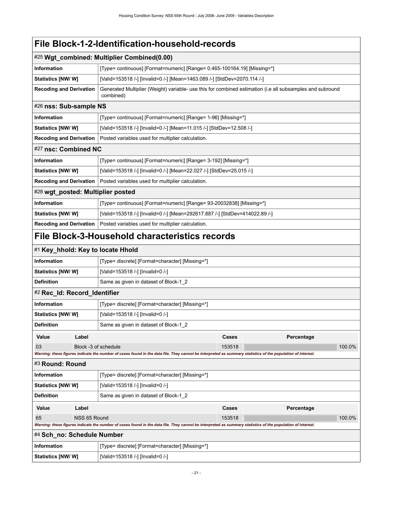<span id="page-24-4"></span><span id="page-24-3"></span><span id="page-24-2"></span><span id="page-24-1"></span><span id="page-24-0"></span>

| UN I E IUUIILIIUULIUII IIUUJUIIUIU                                                                                                                          |                                                                       |                                                                                                                                                             |                                                                      |            |        |
|-------------------------------------------------------------------------------------------------------------------------------------------------------------|-----------------------------------------------------------------------|-------------------------------------------------------------------------------------------------------------------------------------------------------------|----------------------------------------------------------------------|------------|--------|
| #25 Wgt_combined: Multiplier Combined(0.00)                                                                                                                 |                                                                       |                                                                                                                                                             |                                                                      |            |        |
| <b>Information</b>                                                                                                                                          |                                                                       | [Type= continuous] [Format=numeric] [Range= 0.465-100164.19] [Missing=*]                                                                                    |                                                                      |            |        |
| Statistics [NW/ W]                                                                                                                                          |                                                                       | [Valid=153518 /-] [Invalid=0 /-] [Mean=1463.089 /-] [StdDev=2070.114 /-]                                                                                    |                                                                      |            |        |
| <b>Recoding and Derivation</b>                                                                                                                              |                                                                       | Generated Multiplier (Weight) variable- use this for combined estimation (i.e all subsamples and subround<br>combined)                                      |                                                                      |            |        |
| #26 nss: Sub-sample NS                                                                                                                                      |                                                                       |                                                                                                                                                             |                                                                      |            |        |
| Information                                                                                                                                                 |                                                                       | [Type= continuous] [Format=numeric] [Range= 1-96] [Missing=*]                                                                                               |                                                                      |            |        |
| Statistics [NW/W]                                                                                                                                           |                                                                       |                                                                                                                                                             | [Valid=153518 /-] [Invalid=0 /-] [Mean=11.015 /-] [StdDev=12.508 /-] |            |        |
| <b>Recoding and Derivation</b>                                                                                                                              |                                                                       | Posted variables used for multiplier calculation.                                                                                                           |                                                                      |            |        |
| #27 nsc: Combined NC                                                                                                                                        |                                                                       |                                                                                                                                                             |                                                                      |            |        |
| Information                                                                                                                                                 |                                                                       | [Type= continuous] [Format=numeric] [Range= 3-192] [Missing=*]                                                                                              |                                                                      |            |        |
| Statistics [NW/W]                                                                                                                                           |                                                                       | [Valid=153518 /-] [Invalid=0 /-] [Mean=22.027 /-] [StdDev=25.015 /-]                                                                                        |                                                                      |            |        |
| <b>Recoding and Derivation</b>                                                                                                                              |                                                                       | Posted variables used for multiplier calculation.                                                                                                           |                                                                      |            |        |
| #28 wgt_posted: Multiplier posted                                                                                                                           |                                                                       |                                                                                                                                                             |                                                                      |            |        |
| Information                                                                                                                                                 |                                                                       | [Type= continuous] [Format=numeric] [Range= 93-20032838] [Missing=*]                                                                                        |                                                                      |            |        |
| Statistics [NW/ W]                                                                                                                                          |                                                                       | [Valid=153518 /-] [Invalid=0 /-] [Mean=292617.887 /-] [StdDev=414022.89 /-]                                                                                 |                                                                      |            |        |
| <b>Recoding and Derivation</b>                                                                                                                              |                                                                       | Posted variables used for multiplier calculation.                                                                                                           |                                                                      |            |        |
|                                                                                                                                                             |                                                                       | File Block-3-Household characteristics records                                                                                                              |                                                                      |            |        |
|                                                                                                                                                             |                                                                       | #1 Key_hhold: Key to locate Hhold                                                                                                                           |                                                                      |            |        |
| Information                                                                                                                                                 |                                                                       | [Type= discrete] [Format=character] [Missing=*]                                                                                                             |                                                                      |            |        |
| <b>Statistics [NW/ W]</b>                                                                                                                                   |                                                                       | [Valid=153518 /-] [Invalid=0 /-]                                                                                                                            |                                                                      |            |        |
| <b>Definition</b>                                                                                                                                           |                                                                       | Same as given in dataset of Block-1_2                                                                                                                       |                                                                      |            |        |
| #2 Rec_Id: Record_Identifier                                                                                                                                |                                                                       |                                                                                                                                                             |                                                                      |            |        |
| <b>Information</b>                                                                                                                                          |                                                                       | [Type= discrete] [Format=character] [Missing=*]                                                                                                             |                                                                      |            |        |
| Statistics [NW/ W]                                                                                                                                          |                                                                       | [Valid=153518 /-] [Invalid=0 /-]                                                                                                                            |                                                                      |            |        |
| <b>Definition</b>                                                                                                                                           |                                                                       | Same as given in dataset of Block-1_2                                                                                                                       |                                                                      |            |        |
| Value                                                                                                                                                       | Label                                                                 |                                                                                                                                                             | Cases                                                                | Percentage |        |
| 03                                                                                                                                                          | Block -3 of schedule                                                  |                                                                                                                                                             | 153518                                                               |            | 100.0% |
| Warning: these figures indicate the number of cases found in the data file. They cannot be interpreted as summary statistics of the population of interest. |                                                                       |                                                                                                                                                             |                                                                      |            |        |
| #3 Round: Round                                                                                                                                             |                                                                       |                                                                                                                                                             |                                                                      |            |        |
|                                                                                                                                                             | <b>Information</b><br>[Type= discrete] [Format=character] [Missing=*] |                                                                                                                                                             |                                                                      |            |        |
|                                                                                                                                                             | <b>Statistics [NW/W]</b><br>[Valid=153518 /-] [Invalid=0 /-]          |                                                                                                                                                             |                                                                      |            |        |
| <b>Definition</b>                                                                                                                                           |                                                                       | Same as given in dataset of Block-1 2                                                                                                                       |                                                                      |            |        |
| Value                                                                                                                                                       | Label                                                                 |                                                                                                                                                             | Cases                                                                | Percentage |        |
| 65                                                                                                                                                          | NSS 65 Round                                                          | Warning: these figures indicate the number of cases found in the data file. They cannot be interpreted as summary statistics of the population of interest. | 153518                                                               |            | 100.0% |
| #4 Sch_no: Schedule Number                                                                                                                                  |                                                                       |                                                                                                                                                             |                                                                      |            |        |

<span id="page-24-8"></span><span id="page-24-7"></span><span id="page-24-6"></span><span id="page-24-5"></span>

| Information       | [Type= discrete] [Format=character] [Missing=*] |  |
|-------------------|-------------------------------------------------|--|
| Statistics [NW/W] | [Valid=153518 /-] [Invalid=0 /-]                |  |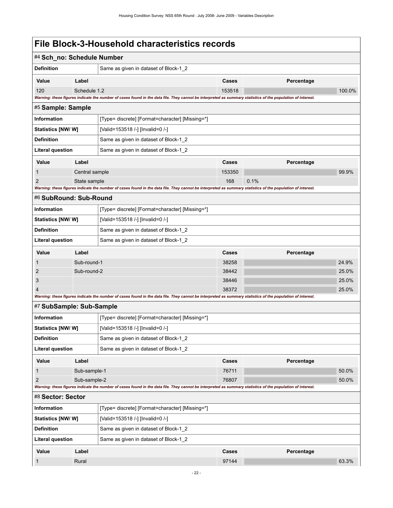<span id="page-25-3"></span><span id="page-25-2"></span><span id="page-25-1"></span><span id="page-25-0"></span>

| #4 Sch_no: Schedule Number     |                |                                                                                                                                                             |                |            |                |  |  |
|--------------------------------|----------------|-------------------------------------------------------------------------------------------------------------------------------------------------------------|----------------|------------|----------------|--|--|
| <b>Definition</b>              |                | Same as given in dataset of Block-1 2                                                                                                                       |                |            |                |  |  |
| Value                          | Label          |                                                                                                                                                             | Cases          | Percentage |                |  |  |
| 120                            | Schedule 1.2   |                                                                                                                                                             | 153518         |            | 100.0%         |  |  |
|                                |                | Warning: these figures indicate the number of cases found in the data file. They cannot be interpreted as summary statistics of the population of interest. |                |            |                |  |  |
| #5 Sample: Sample              |                |                                                                                                                                                             |                |            |                |  |  |
| <b>Information</b>             |                | [Type= discrete] [Format=character] [Missing=*]                                                                                                             |                |            |                |  |  |
| Statistics [NW/ W]             |                | [Valid=153518 /-] [Invalid=0 /-]                                                                                                                            |                |            |                |  |  |
| <b>Definition</b>              |                | Same as given in dataset of Block-1 2                                                                                                                       |                |            |                |  |  |
| <b>Literal question</b>        |                | Same as given in dataset of Block-1_2                                                                                                                       |                |            |                |  |  |
| Value                          | Label          |                                                                                                                                                             | Cases          | Percentage |                |  |  |
| 1                              | Central sample |                                                                                                                                                             | 153350         |            | 99.9%          |  |  |
| 2                              | State sample   |                                                                                                                                                             | 168            | 0.1%       |                |  |  |
| #6 SubRound: Sub-Round         |                | Warning: these figures indicate the number of cases found in the data file. They cannot be interpreted as summary statistics of the population of interest. |                |            |                |  |  |
|                                |                |                                                                                                                                                             |                |            |                |  |  |
| <b>Information</b>             |                | [Type= discrete] [Format=character] [Missing=*]                                                                                                             |                |            |                |  |  |
| <b>Statistics [NW/ W]</b>      |                | [Valid=153518 /-] [Invalid=0 /-]                                                                                                                            |                |            |                |  |  |
| <b>Definition</b>              |                | Same as given in dataset of Block-1_2                                                                                                                       |                |            |                |  |  |
| <b>Literal question</b>        |                | Same as given in dataset of Block-1_2                                                                                                                       |                |            |                |  |  |
| Value                          | Label          |                                                                                                                                                             | Cases          | Percentage |                |  |  |
|                                | Sub-round-1    |                                                                                                                                                             | 38258          |            | 24.9%          |  |  |
| $\overline{2}$                 | Sub-round-2    |                                                                                                                                                             | 38442          |            | 25.0%          |  |  |
| 3<br>4                         |                |                                                                                                                                                             | 38446<br>38372 |            | 25.0%<br>25.0% |  |  |
|                                |                | Warning: these figures indicate the number of cases found in the data file. They cannot be interpreted as summary statistics of the population of interest. |                |            |                |  |  |
| #7 SubSample: Sub-Sample       |                |                                                                                                                                                             |                |            |                |  |  |
| <b>Information</b>             |                | [Type= discrete] [Format=character] [Missing=*]                                                                                                             |                |            |                |  |  |
| <b>Statistics [NW/W]</b>       |                | [Valid=153518 /-] [Invalid=0 /-]                                                                                                                            |                |            |                |  |  |
| <b>Definition</b>              |                | Same as given in dataset of Block-1_2                                                                                                                       |                |            |                |  |  |
| <b>Literal question</b>        |                | Same as given in dataset of Block-1_2                                                                                                                       |                |            |                |  |  |
| Value                          | Label          |                                                                                                                                                             | Cases          | Percentage |                |  |  |
| $\mathbf{1}$                   | Sub-sample-1   |                                                                                                                                                             | 76711          |            | 50.0%          |  |  |
| $\overline{2}$<br>Sub-sample-2 |                |                                                                                                                                                             | 76807          |            | 50.0%          |  |  |
|                                |                | Warning: these figures indicate the number of cases found in the data file. They cannot be interpreted as summary statistics of the population of interest. |                |            |                |  |  |
| #8 Sector: Sector              |                |                                                                                                                                                             |                |            |                |  |  |
| <b>Information</b>             |                | [Type= discrete] [Format=character] [Missing=*]                                                                                                             |                |            |                |  |  |
| <b>Statistics [NW/ W]</b>      |                | [Valid=153518 /-] [Invalid=0 /-]                                                                                                                            |                |            |                |  |  |
| <b>Definition</b>              |                | Same as given in dataset of Block-1 2                                                                                                                       |                |            |                |  |  |
| <b>Literal question</b>        |                | Same as given in dataset of Block-1 2                                                                                                                       |                |            |                |  |  |
| Value                          | Label          |                                                                                                                                                             | Cases          | Percentage |                |  |  |
| -1                             | Rural          |                                                                                                                                                             | 97144          |            | 63.3%          |  |  |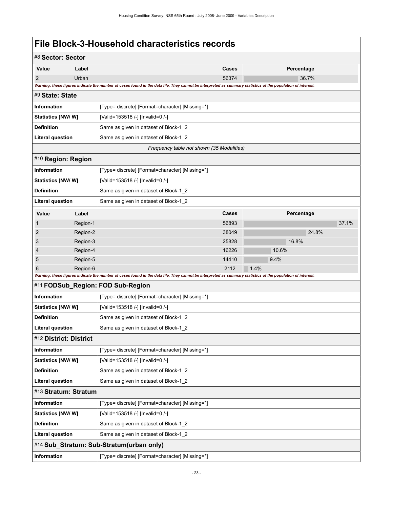<span id="page-26-5"></span><span id="page-26-4"></span><span id="page-26-3"></span><span id="page-26-2"></span><span id="page-26-1"></span><span id="page-26-0"></span>

| #8 Sector: Sector         |                                                                                                                                                                      |                                                                                                                                                             |                                       |       |            |       |  |
|---------------------------|----------------------------------------------------------------------------------------------------------------------------------------------------------------------|-------------------------------------------------------------------------------------------------------------------------------------------------------------|---------------------------------------|-------|------------|-------|--|
| Value                     | Label                                                                                                                                                                |                                                                                                                                                             |                                       |       | Percentage |       |  |
| $\overline{2}$            | Urban<br>Warning: these figures indicate the number of cases found in the data file. They cannot be interpreted as summary statistics of the population of interest. |                                                                                                                                                             |                                       |       | 36.7%      |       |  |
| #9 State: State           |                                                                                                                                                                      |                                                                                                                                                             |                                       |       |            |       |  |
| <b>Information</b>        |                                                                                                                                                                      | [Type= discrete] [Format=character] [Missing=*]                                                                                                             |                                       |       |            |       |  |
| Statistics [NW/W]         |                                                                                                                                                                      | [Valid=153518 /-] [Invalid=0 /-]                                                                                                                            |                                       |       |            |       |  |
| <b>Definition</b>         |                                                                                                                                                                      | Same as given in dataset of Block-1_2                                                                                                                       |                                       |       |            |       |  |
| <b>Literal question</b>   |                                                                                                                                                                      | Same as given in dataset of Block-1_2                                                                                                                       |                                       |       |            |       |  |
|                           |                                                                                                                                                                      | Frequency table not shown (35 Modalities)                                                                                                                   |                                       |       |            |       |  |
| #10 Region: Region        |                                                                                                                                                                      |                                                                                                                                                             |                                       |       |            |       |  |
| <b>Information</b>        |                                                                                                                                                                      | [Type= discrete] [Format=character] [Missing=*]                                                                                                             |                                       |       |            |       |  |
| Statistics [NW/W]         |                                                                                                                                                                      | [Valid=153518 /-] [Invalid=0 /-]                                                                                                                            |                                       |       |            |       |  |
| <b>Definition</b>         |                                                                                                                                                                      | Same as given in dataset of Block-1_2                                                                                                                       |                                       |       |            |       |  |
| <b>Literal question</b>   |                                                                                                                                                                      | Same as given in dataset of Block-1_2                                                                                                                       |                                       |       |            |       |  |
| Value                     | Label                                                                                                                                                                |                                                                                                                                                             | Cases                                 |       | Percentage |       |  |
| 1                         | Region-1                                                                                                                                                             |                                                                                                                                                             | 56893                                 |       |            | 37.1% |  |
| 2                         | Region-2                                                                                                                                                             |                                                                                                                                                             | 38049                                 |       | 24.8%      |       |  |
| 3                         | Region-3                                                                                                                                                             |                                                                                                                                                             | 25828                                 |       | 16.8%      |       |  |
| 4                         | Region-4                                                                                                                                                             |                                                                                                                                                             | 16226                                 | 10.6% |            |       |  |
| 5                         | Region-5                                                                                                                                                             |                                                                                                                                                             | 14410                                 | 9.4%  |            |       |  |
| 6                         | Region-6                                                                                                                                                             |                                                                                                                                                             | 2112                                  | 1.4%  |            |       |  |
|                           |                                                                                                                                                                      | Warning: these figures indicate the number of cases found in the data file. They cannot be interpreted as summary statistics of the population of interest. |                                       |       |            |       |  |
|                           |                                                                                                                                                                      | #11 FODSub_Region: FOD Sub-Region                                                                                                                           |                                       |       |            |       |  |
| Information               |                                                                                                                                                                      | [Type= discrete] [Format=character] [Missing=*]                                                                                                             |                                       |       |            |       |  |
| <b>Statistics [NW/ W]</b> |                                                                                                                                                                      | [Valid=153518 /-] [Invalid=0 /-]                                                                                                                            |                                       |       |            |       |  |
| <b>Definition</b>         |                                                                                                                                                                      |                                                                                                                                                             | Same as given in dataset of Block-1_2 |       |            |       |  |
| <b>Literal question</b>   |                                                                                                                                                                      | Same as given in dataset of Block-1_2                                                                                                                       |                                       |       |            |       |  |
| #12 District: District    |                                                                                                                                                                      |                                                                                                                                                             |                                       |       |            |       |  |
| Information               |                                                                                                                                                                      | [Type= discrete] [Format=character] [Missing=*]                                                                                                             |                                       |       |            |       |  |
| Statistics [NW/ W]        |                                                                                                                                                                      | [Valid=153518 /-] [Invalid=0 /-]                                                                                                                            |                                       |       |            |       |  |
| <b>Definition</b>         |                                                                                                                                                                      | Same as given in dataset of Block-1_2                                                                                                                       |                                       |       |            |       |  |
| <b>Literal question</b>   |                                                                                                                                                                      | Same as given in dataset of Block-1_2                                                                                                                       |                                       |       |            |       |  |
| #13 Stratum: Stratum      |                                                                                                                                                                      |                                                                                                                                                             |                                       |       |            |       |  |
| Information               |                                                                                                                                                                      | [Type= discrete] [Format=character] [Missing=*]                                                                                                             |                                       |       |            |       |  |
| Statistics [NW/W]         |                                                                                                                                                                      | [Valid=153518 /-] [Invalid=0 /-]                                                                                                                            |                                       |       |            |       |  |
| <b>Definition</b>         |                                                                                                                                                                      | Same as given in dataset of Block-1_2                                                                                                                       |                                       |       |            |       |  |
| <b>Literal question</b>   |                                                                                                                                                                      | Same as given in dataset of Block-1_2                                                                                                                       |                                       |       |            |       |  |
|                           |                                                                                                                                                                      | #14 Sub_Stratum: Sub-Stratum(urban only)                                                                                                                    |                                       |       |            |       |  |
| Information               |                                                                                                                                                                      | [Type= discrete] [Format=character] [Missing=*]                                                                                                             |                                       |       |            |       |  |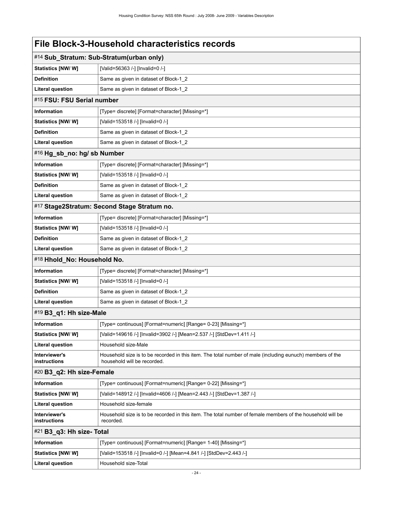<span id="page-27-6"></span><span id="page-27-5"></span><span id="page-27-4"></span><span id="page-27-3"></span><span id="page-27-2"></span><span id="page-27-1"></span><span id="page-27-0"></span>

| File Block-3-Household characteristics records |                                                                                                                                          |  |
|------------------------------------------------|------------------------------------------------------------------------------------------------------------------------------------------|--|
|                                                | #14 Sub_Stratum: Sub-Stratum(urban only)                                                                                                 |  |
| Statistics [NW/W]                              | [Valid=56363 /-] [Invalid=0 /-]                                                                                                          |  |
| <b>Definition</b>                              | Same as given in dataset of Block-1_2                                                                                                    |  |
| <b>Literal question</b>                        | Same as given in dataset of Block-1_2                                                                                                    |  |
| #15 FSU: FSU Serial number                     |                                                                                                                                          |  |
| <b>Information</b>                             | [Type= discrete] [Format=character] [Missing=*]                                                                                          |  |
| Statistics [NW/W]                              | [Valid=153518 /-] [Invalid=0 /-]                                                                                                         |  |
| <b>Definition</b>                              | Same as given in dataset of Block-1_2                                                                                                    |  |
| <b>Literal question</b>                        | Same as given in dataset of Block-1_2                                                                                                    |  |
| #16 Hg_sb_no: hg/ sb Number                    |                                                                                                                                          |  |
| <b>Information</b>                             | [Type= discrete] [Format=character] [Missing=*]                                                                                          |  |
| Statistics [NW/W]                              | [Valid=153518 /-] [Invalid=0 /-]                                                                                                         |  |
| <b>Definition</b>                              | Same as given in dataset of Block-1 2                                                                                                    |  |
| <b>Literal question</b>                        | Same as given in dataset of Block-1_2                                                                                                    |  |
|                                                | #17 Stage2Stratum: Second Stage Stratum no.                                                                                              |  |
| <b>Information</b>                             | [Type= discrete] [Format=character] [Missing=*]                                                                                          |  |
| Statistics [NW/W]                              | [Valid=153518 /-] [Invalid=0 /-]                                                                                                         |  |
| <b>Definition</b>                              | Same as given in dataset of Block-1_2                                                                                                    |  |
| <b>Literal question</b>                        | Same as given in dataset of Block-1_2                                                                                                    |  |
| #18 Hhold_No: Household No.                    |                                                                                                                                          |  |
| <b>Information</b>                             | [Type= discrete] [Format=character] [Missing=*]                                                                                          |  |
| Statistics [NW/W]                              | [Valid=153518 /-] [Invalid=0 /-]                                                                                                         |  |
| <b>Definition</b>                              | Same as given in dataset of Block-1 2                                                                                                    |  |
| <b>Literal question</b>                        | Same as given in dataset of Block-1_2                                                                                                    |  |
| #19 B3_q1: Hh size-Male                        |                                                                                                                                          |  |
| Information                                    | [Type= continuous] [Format=numeric] [Range= 0-23] [Missing=*]                                                                            |  |
| Statistics [NW/ W]                             | [Valid=149616 /-] [Invalid=3902 /-] [Mean=2.537 /-] [StdDev=1.411 /-]                                                                    |  |
| <b>Literal question</b>                        | Household size-Male                                                                                                                      |  |
| Interviewer's<br>instructions                  | Household size is to be recorded in this item. The total number of male (including eunuch) members of the<br>household will be recorded. |  |
| #20 B3_q2: Hh size-Female                      |                                                                                                                                          |  |
| <b>Information</b>                             | [Type= continuous] [Format=numeric] [Range= 0-22] [Missing=*]                                                                            |  |
| Statistics [NW/W]                              | [Valid=148912 /-] [Invalid=4606 /-] [Mean=2.443 /-] [StdDev=1.387 /-]                                                                    |  |
| <b>Literal question</b>                        | Household size-female                                                                                                                    |  |
| Interviewer's<br>instructions                  | Household size is to be recorded in this item. The total number of female members of the household will be<br>recorded.                  |  |
| #21 B3_q3: Hh size- Total                      |                                                                                                                                          |  |
| <b>Information</b>                             | [Type= continuous] [Format=numeric] [Range= 1-40] [Missing=*]                                                                            |  |
| Statistics [NW/ W]                             | [Valid=153518 /-] [Invalid=0 /-] [Mean=4.841 /-] [StdDev=2.443 /-]                                                                       |  |
| <b>Literal question</b>                        | Household size-Total                                                                                                                     |  |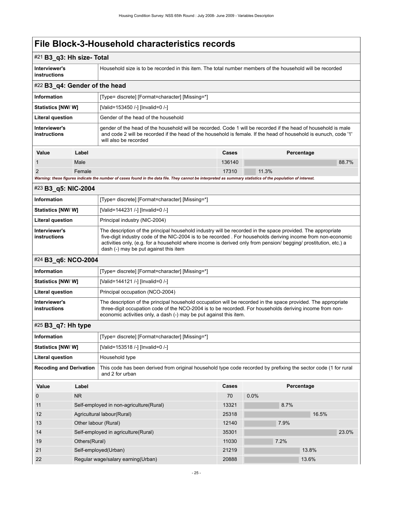## #21 **B3\_q3: Hh size- Total**

**Interviewer's instructions** Household size is to be recorded in this item. The total number members of the household will be recorded

<span id="page-28-0"></span>

| #22 B3_q4: Gender of the head                                                                                                                               |        |                                                                                                                                                                                                                                                             |        |            |  |
|-------------------------------------------------------------------------------------------------------------------------------------------------------------|--------|-------------------------------------------------------------------------------------------------------------------------------------------------------------------------------------------------------------------------------------------------------------|--------|------------|--|
| <b>Information</b>                                                                                                                                          |        | [Type= discrete] [Format=character] [Missing=*]                                                                                                                                                                                                             |        |            |  |
| Statistics [NW/W]                                                                                                                                           |        | [Valid=153450 /-] [Invalid=0 /-]                                                                                                                                                                                                                            |        |            |  |
| <b>Literal question</b>                                                                                                                                     |        | Gender of the head of the household                                                                                                                                                                                                                         |        |            |  |
| Interviewer's<br>instructions                                                                                                                               |        | gender of the head of the household will be recorded. Code 1 will be recorded if the head of household is male<br>and code 2 will be recorded if the head of the household is female. If the head of household is eunuch, code '1'<br>will also be recorded |        |            |  |
| Value                                                                                                                                                       | Label  |                                                                                                                                                                                                                                                             | Cases  | Percentage |  |
|                                                                                                                                                             | Male   |                                                                                                                                                                                                                                                             | 136140 | 88.7%      |  |
| 2                                                                                                                                                           | Female |                                                                                                                                                                                                                                                             | 17310  | 11.3%      |  |
| Warning: these figures indicate the number of cases found in the data file. They cannot be interpreted as summary statistics of the population of interest. |        |                                                                                                                                                                                                                                                             |        |            |  |

## <span id="page-28-1"></span>#23 **B3\_q5: NIC-2004**

| <b>Information</b>            | [Type= discrete] [Format=character] [Missing=*]                                                                                                                                                                                                                                                                                                                                          |
|-------------------------------|------------------------------------------------------------------------------------------------------------------------------------------------------------------------------------------------------------------------------------------------------------------------------------------------------------------------------------------------------------------------------------------|
| <b>Statistics [NW/ W]</b>     | [Valid=144231 /-] [Invalid=0 /-]                                                                                                                                                                                                                                                                                                                                                         |
| <b>Literal question</b>       | Principal industry (NIC-2004)                                                                                                                                                                                                                                                                                                                                                            |
| Interviewer's<br>instructions | The description of the principal household industry will be recorded in the space provided. The appropriate<br>five-digit industry code of the NIC-2004 is to be recorded. For households deriving income from non-economic<br>activities only, (e.g. for a household where income is derived only from pension/ begging/ prostitution, etc.) a<br>dash (-) may be put against this item |

## <span id="page-28-2"></span>#24 **B3\_q6: NCO-2004**

| Information                   | [Type= discrete] [Format=character] [Missing=*]                                                                                                                                                                                                                                                |
|-------------------------------|------------------------------------------------------------------------------------------------------------------------------------------------------------------------------------------------------------------------------------------------------------------------------------------------|
| <b>Statistics [NW/ W]</b>     | [Valid=144121 /-] [Invalid=0 /-]                                                                                                                                                                                                                                                               |
| Literal question              | Principal occupation (NCO-2004)                                                                                                                                                                                                                                                                |
| Interviewer's<br>instructions | The description of the principal household occupation will be recorded in the space provided. The appropriate<br>three-digit occupation code of the NCO-2004 is to be recorded. For households deriving income from non-<br>economic activities only, a dash (-) may be put against this item. |

## <span id="page-28-3"></span>#25 **B3\_q7: Hh type**

| - 1                            | .                    |                                                                                                                                    |              |            |       |  |
|--------------------------------|----------------------|------------------------------------------------------------------------------------------------------------------------------------|--------------|------------|-------|--|
| <b>Information</b>             |                      | [Type= discrete] [Format=character] [Missing=*]                                                                                    |              |            |       |  |
| Statistics [NW/W]              |                      | [Valid=153518 /-] [Invalid=0 /-]                                                                                                   |              |            |       |  |
| Literal question               |                      | Household type                                                                                                                     |              |            |       |  |
| <b>Recoding and Derivation</b> |                      | This code has been derived from original household type code recorded by prefixing the sector code (1 for rural<br>and 2 for urban |              |            |       |  |
| Value                          | Label                |                                                                                                                                    | <b>Cases</b> | Percentage |       |  |
| $\mathbf 0$                    | N <sub>R</sub>       |                                                                                                                                    | 70           | 0.0%       |       |  |
| 11                             |                      | Self-employed in non-agriculture(Rural)                                                                                            | 13321        | 8.7%       |       |  |
| 12                             |                      | Agricultural labour(Rural)                                                                                                         | 25318        |            | 16.5% |  |
| 13                             | Other labour (Rural) |                                                                                                                                    | 12140        | 7.9%       |       |  |
| 14                             |                      | Self-employed in agriculture (Rural)                                                                                               | 35301        |            | 23.0% |  |
| 19                             | Others (Rural)       |                                                                                                                                    | 11030        | 7.2%       |       |  |
| 21                             |                      | Self-employed(Urban)                                                                                                               | 21219        |            | 13.8% |  |
| 22                             |                      | Regular wage/salary earning (Urban)                                                                                                | 20888        |            | 13.6% |  |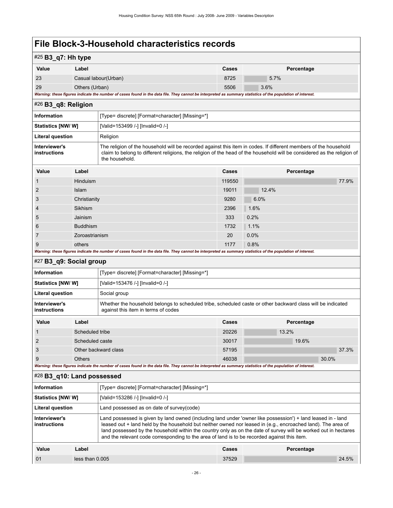## #25 **B3\_q7: Hh type**

| Value                                | Label                                                                                                                                                   | <b>Cases</b> | Percentage |  |  |
|--------------------------------------|---------------------------------------------------------------------------------------------------------------------------------------------------------|--------------|------------|--|--|
| 23                                   | Casual labour(Urban)                                                                                                                                    | 8725         | 5.7%       |  |  |
| 29<br>5506<br>3.6%<br>Others (Urban) |                                                                                                                                                         |              |            |  |  |
|                                      | Magginer these former indicate the number of seen found in the date file. Their counst he integrated as cummon statistics of the namulation of integrat |              |            |  |  |

*Warning: these figures indicate the number of cases found in the data file. They cannot be interpreted as summary statistics of the population of interest.*

<span id="page-29-0"></span>

| $\#26$ B3 q8: Religion        |                                                                                                                                                                                                                                                               |
|-------------------------------|---------------------------------------------------------------------------------------------------------------------------------------------------------------------------------------------------------------------------------------------------------------|
| <b>Information</b>            | [Type= discrete] [Format=character] [Missing=*]                                                                                                                                                                                                               |
| <b>Statistics [NW/ W]</b>     | [Valid=153499 /-] [Invalid=0 /-]                                                                                                                                                                                                                              |
| <b>Literal question</b>       | Religion                                                                                                                                                                                                                                                      |
| Interviewer's<br>instructions | The religion of the household will be recorded against this item in codes. If different members of the household<br>claim to belong to different religions, the religion of the head of the household will be considered as the religion of<br>the household. |

| Value                                                                                                                                                       | Label           | <b>Cases</b> | Percentage |  |
|-------------------------------------------------------------------------------------------------------------------------------------------------------------|-----------------|--------------|------------|--|
|                                                                                                                                                             | <b>Hinduism</b> | 119550       | 77.9%      |  |
| 2                                                                                                                                                           | Islam           | 19011        | 12.4%      |  |
| 3                                                                                                                                                           | Christianity    | 9280         | 6.0%       |  |
| $\overline{4}$                                                                                                                                              | Sikhism         | 2396         | 1.6%       |  |
| 5                                                                                                                                                           | Jainism         | 333          | 0.2%       |  |
| 6                                                                                                                                                           | <b>Buddhism</b> | 1732         | 1.1%       |  |
|                                                                                                                                                             | Zoroastrianism  | 20           | 0.0%       |  |
| 9                                                                                                                                                           | others          | 1177         | 0.8%       |  |
| Warning: these figures indicate the number of cases found in the data file. They cannot be interpreted as summary statistics of the population of interest. |                 |              |            |  |

#### <span id="page-29-1"></span>#27 **B3\_q9: Social group**

| <b>Information</b>                                                                                                                                                                  |       | [Type= discrete] [Format=character] [Missing=*] |       |            |
|-------------------------------------------------------------------------------------------------------------------------------------------------------------------------------------|-------|-------------------------------------------------|-------|------------|
| <b>Statistics [NW/ W]</b>                                                                                                                                                           |       | [Valid=153476 /-] [Invalid=0 /-]                |       |            |
| <b>Literal question</b>                                                                                                                                                             |       | Social group                                    |       |            |
| Whether the household belongs to scheduled tribe, scheduled caste or other backward class will be indicated<br>Interviewer's<br>against this item in terms of codes<br>instructions |       |                                                 |       |            |
| Value                                                                                                                                                                               | Label |                                                 | Cases | Percentage |

|   | Scheduled tribe      | 20226 | 13.2% |
|---|----------------------|-------|-------|
|   | Scheduled caste      | 30017 | 19.6% |
|   | Other backward class | 57195 | 37.3% |
| 9 | Others               | 46038 | 30.0% |

*Warning: these figures indicate the number of cases found in the data file. They cannot be interpreted as summary statistics of the population of interest.*

## <span id="page-29-2"></span>#28 **B3\_q10: Land possessed**

| Information                   |                 | [Type= discrete] [Format=character] [Missing=*]                                                                                                                                                                                                                                                                                                                                                                                                 |       |            |
|-------------------------------|-----------------|-------------------------------------------------------------------------------------------------------------------------------------------------------------------------------------------------------------------------------------------------------------------------------------------------------------------------------------------------------------------------------------------------------------------------------------------------|-------|------------|
| <b>Statistics [NW/ W]</b>     |                 | [Valid=153286 /-] [Invalid=0 /-]                                                                                                                                                                                                                                                                                                                                                                                                                |       |            |
| Literal question              |                 | Land possessed as on date of survey(code)                                                                                                                                                                                                                                                                                                                                                                                                       |       |            |
| Interviewer's<br>instructions |                 | Land possessed is given by land owned (including land under 'owner like possession') + land leased in - land<br>leased out + land held by the household but neither owned nor leased in (e.g., encroached land). The area of<br>land possessed by the household within the country only as on the date of survey will be worked out in hectares<br>and the relevant code corresponding to the area of land is to be recorded against this item. |       |            |
| Value                         | Label           |                                                                                                                                                                                                                                                                                                                                                                                                                                                 | Cases | Percentage |
| 01                            | less than 0.005 |                                                                                                                                                                                                                                                                                                                                                                                                                                                 | 37529 | 24.5%      |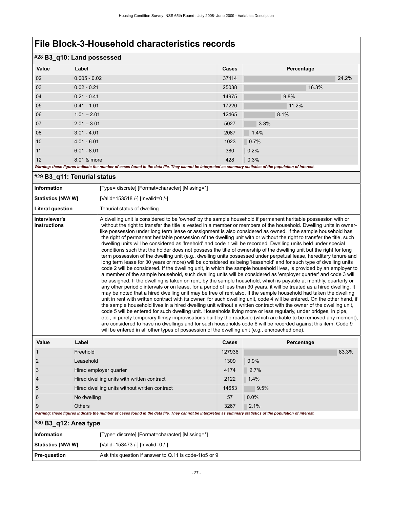| #28 B3_q10: Land possessed |                                                                                                                                                             |       |            |  |
|----------------------------|-------------------------------------------------------------------------------------------------------------------------------------------------------------|-------|------------|--|
| Value                      | Label                                                                                                                                                       | Cases | Percentage |  |
| 02                         | $0.005 - 0.02$                                                                                                                                              | 37114 | 24.2%      |  |
| 03                         | $0.02 - 0.21$                                                                                                                                               | 25038 | 16.3%      |  |
| 04                         | $0.21 - 0.41$                                                                                                                                               | 14975 | 9.8%       |  |
| 05                         | $0.41 - 1.01$                                                                                                                                               | 17220 | 11.2%      |  |
| 06                         | $1.01 - 2.01$                                                                                                                                               | 12465 | 8.1%       |  |
| 07                         | $2.01 - 3.01$                                                                                                                                               | 5027  | 3.3%       |  |
| 08                         | $3.01 - 4.01$                                                                                                                                               | 2087  | 1.4%       |  |
| 10                         | $4.01 - 6.01$                                                                                                                                               | 1023  | 0.7%       |  |
| 11                         | $6.01 - 8.01$                                                                                                                                               | 380   | 0.2%       |  |
| 12                         | 8.01 & more                                                                                                                                                 | 428   | 0.3%       |  |
|                            | Warning: these figures indicate the number of cases found in the data file. They cannot be interpreted as summary statistics of the population of interest. |       |            |  |

## <span id="page-30-0"></span>#29 **B3\_q11: Tenurial status**

| $11 - 1 - 1$<br>$1 - 1 - 1$          |                                                                                                                                                                                                                                                                                                                                                                                                                                                                                                                                                                                                                                                                                                                                                                                                                                                                                                                                                                                                                                                                                                                                                                                                                                                                                                                                                                                                                                                                                                                                                                                                                                                                                                                                                                                                                                                                                                                                                                                                                                                                                                                                                                                                                                                                                                |
|--------------------------------------|------------------------------------------------------------------------------------------------------------------------------------------------------------------------------------------------------------------------------------------------------------------------------------------------------------------------------------------------------------------------------------------------------------------------------------------------------------------------------------------------------------------------------------------------------------------------------------------------------------------------------------------------------------------------------------------------------------------------------------------------------------------------------------------------------------------------------------------------------------------------------------------------------------------------------------------------------------------------------------------------------------------------------------------------------------------------------------------------------------------------------------------------------------------------------------------------------------------------------------------------------------------------------------------------------------------------------------------------------------------------------------------------------------------------------------------------------------------------------------------------------------------------------------------------------------------------------------------------------------------------------------------------------------------------------------------------------------------------------------------------------------------------------------------------------------------------------------------------------------------------------------------------------------------------------------------------------------------------------------------------------------------------------------------------------------------------------------------------------------------------------------------------------------------------------------------------------------------------------------------------------------------------------------------------|
| Interviewer's<br><b>instructions</b> | A dwelling unit is considered to be 'owned' by the sample household if permanent heritable possession with or<br>without the right to transfer the title is vested in a member or members of the household. Dwelling units in owner-<br>like possession under long term lease or assignment is also considered as owned. If the sample household has<br>the right of permanent heritable possession of the dwelling unit with or without the right to transfer the title, such<br>dwelling units will be considered as 'freehold' and code 1 will be recorded. Dwelling units held under special<br>conditions such that the holder does not possess the title of ownership of the dwelling unit but the right for long<br>term possession of the dwelling unit (e.g., dwelling units possessed under perpetual lease, hereditary tenure and<br>long term lease for 30 years or more) will be considered as being 'leasehold' and for such type of dwelling units<br>code 2 will be considered. If the dwelling unit, in which the sample household lives, is provided by an employer to<br>a member of the sample household, such dwelling units will be considered as 'employer quarter' and code 3 will<br>be assigned. If the dwelling is taken on rent, by the sample household, which is payable at monthly, quarterly or<br>any other periodic intervals or on lease, for a period of less than 30 years, it will be treated as a hired dwelling. It<br>may be noted that a hired dwelling unit may be free of rent also. If the sample household had taken the dwelling<br>unit in rent with written contract with its owner, for such dwelling unit, code 4 will be entered. On the other hand, if<br>the sample household lives in a hired dwelling unit without a written contract with the owner of the dwelling unit,<br>code 5 will be entered for such dwelling unit. Households living more or less regularly, under bridges, in pipe,<br>etc., in purely temporary flimsy improvisations built by the roadside (which are liable to be removed any moment),<br>are considered to have no dwellings and for such households code 6 will be recorded against this item. Code 9<br>will be entered in all other types of possession of the dwelling unit (e.g., encroached one). |
| Literal question                     | Tenurial status of dwelling                                                                                                                                                                                                                                                                                                                                                                                                                                                                                                                                                                                                                                                                                                                                                                                                                                                                                                                                                                                                                                                                                                                                                                                                                                                                                                                                                                                                                                                                                                                                                                                                                                                                                                                                                                                                                                                                                                                                                                                                                                                                                                                                                                                                                                                                    |
| Statistics [NW/ W]                   | [Valid=153518 /-] [Invalid=0 /-]                                                                                                                                                                                                                                                                                                                                                                                                                                                                                                                                                                                                                                                                                                                                                                                                                                                                                                                                                                                                                                                                                                                                                                                                                                                                                                                                                                                                                                                                                                                                                                                                                                                                                                                                                                                                                                                                                                                                                                                                                                                                                                                                                                                                                                                               |
| <b>Information</b>                   | [Type= discrete] [Format=character] [Missing=*]                                                                                                                                                                                                                                                                                                                                                                                                                                                                                                                                                                                                                                                                                                                                                                                                                                                                                                                                                                                                                                                                                                                                                                                                                                                                                                                                                                                                                                                                                                                                                                                                                                                                                                                                                                                                                                                                                                                                                                                                                                                                                                                                                                                                                                                |
|                                      |                                                                                                                                                                                                                                                                                                                                                                                                                                                                                                                                                                                                                                                                                                                                                                                                                                                                                                                                                                                                                                                                                                                                                                                                                                                                                                                                                                                                                                                                                                                                                                                                                                                                                                                                                                                                                                                                                                                                                                                                                                                                                                                                                                                                                                                                                                |

| Value                                                                                                                                                       | Label                                         | Cases  | Percentage |  |  |
|-------------------------------------------------------------------------------------------------------------------------------------------------------------|-----------------------------------------------|--------|------------|--|--|
|                                                                                                                                                             | Freehold                                      | 127936 | 83.3%      |  |  |
| 2                                                                                                                                                           | Leasehold                                     | 1309   | 0.9%       |  |  |
| 3                                                                                                                                                           | Hired employer quarter                        | 4174   | 2.7%       |  |  |
| $\overline{4}$                                                                                                                                              | Hired dwelling units with written contract    | 2122   | 1.4%       |  |  |
| 5                                                                                                                                                           | Hired dwelling units without written contract | 14653  | 9.5%       |  |  |
| 6                                                                                                                                                           | No dwelling                                   | 57     | 0.0%       |  |  |
| 9                                                                                                                                                           | <b>Others</b>                                 | 3267   | 2.1%       |  |  |
| Warning: these figures indicate the number of cases found in the data file. They cannot be interpreted as summary statistics of the population of interest. |                                               |        |            |  |  |
| $#30$ B3_q12: Area type                                                                                                                                     |                                               |        |            |  |  |

<span id="page-30-1"></span>

| Information        | [Type= discrete] [Format=character] [Missing=*]         |
|--------------------|---------------------------------------------------------|
| Statistics [NW/ W] | [Valid=153473 /-] [Invalid=0 /-]                        |
| Pre-question       | Ask this question if answer to Q.11 is code-1 to 5 or 9 |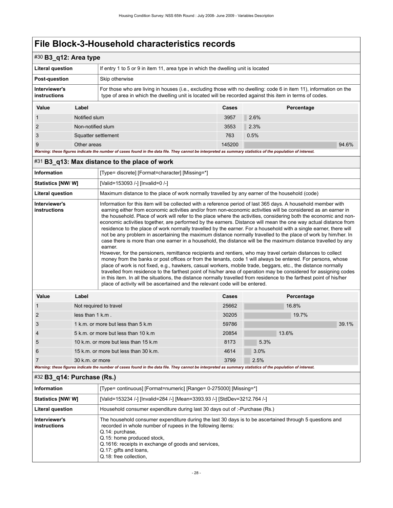3 Squatter settlement 763 0.5%

| $#30$ B3_q12: Area type       |                   |                                                                                                                                                                                                                                |                                                                                  |            |  |
|-------------------------------|-------------------|--------------------------------------------------------------------------------------------------------------------------------------------------------------------------------------------------------------------------------|----------------------------------------------------------------------------------|------------|--|
| <b>Literal question</b>       |                   |                                                                                                                                                                                                                                | If entry 1 to 5 or 9 in item 11, area type in which the dwelling unit is located |            |  |
| <b>Post-question</b>          |                   | Skip otherwise                                                                                                                                                                                                                 |                                                                                  |            |  |
| Interviewer's<br>instructions |                   | For those who are living in houses (i.e., excluding those with no dwelling: code 6 in item 11), information on the<br>type of area in which the dwelling unit is located will be recorded against this item in terms of codes. |                                                                                  |            |  |
| Value                         | Label             |                                                                                                                                                                                                                                | Cases                                                                            | Percentage |  |
|                               | Notified slum     |                                                                                                                                                                                                                                | 3957                                                                             | 2.6%       |  |
| $\overline{2}$                | Non-notified slum |                                                                                                                                                                                                                                | 3553                                                                             | 2.3%       |  |

9 Other areas 145200  $\,$  94.6%  $\,$ *Warning: these figures indicate the number of cases found in the data file. They cannot be interpreted as summary statistics of the population of interest.*

### <span id="page-31-0"></span>#31 **B3\_q13: Max distance to the place of work**

| <b>Information</b>            |       | [Type= discrete] [Format=character] [Missing=*]                                                                                                                                                                                                                                                                                                                                                                                                                                                                                                                                                                                                                                                                                                                                                                                                                                                                                                                                                                                                                                                                                                                                                                                                                                                                                                                                                                                                                                                                         |       |            |
|-------------------------------|-------|-------------------------------------------------------------------------------------------------------------------------------------------------------------------------------------------------------------------------------------------------------------------------------------------------------------------------------------------------------------------------------------------------------------------------------------------------------------------------------------------------------------------------------------------------------------------------------------------------------------------------------------------------------------------------------------------------------------------------------------------------------------------------------------------------------------------------------------------------------------------------------------------------------------------------------------------------------------------------------------------------------------------------------------------------------------------------------------------------------------------------------------------------------------------------------------------------------------------------------------------------------------------------------------------------------------------------------------------------------------------------------------------------------------------------------------------------------------------------------------------------------------------------|-------|------------|
| <b>Statistics [NW/W]</b>      |       | [Valid=153093 /-] [Invalid=0 /-]                                                                                                                                                                                                                                                                                                                                                                                                                                                                                                                                                                                                                                                                                                                                                                                                                                                                                                                                                                                                                                                                                                                                                                                                                                                                                                                                                                                                                                                                                        |       |            |
| <b>Literal question</b>       |       | Maximum distance to the place of work normally travelled by any earner of the household (code)                                                                                                                                                                                                                                                                                                                                                                                                                                                                                                                                                                                                                                                                                                                                                                                                                                                                                                                                                                                                                                                                                                                                                                                                                                                                                                                                                                                                                          |       |            |
| Interviewer's<br>instructions |       | Information for this item will be collected with a reference period of last 365 days. A household member with<br>earning either from economic activities and/or from non-economic activities will be considered as an earner in<br>the household. Place of work will refer to the place where the activities, considering both the economic and non-<br>economic activities together, are performed by the earners. Distance will mean the one way actual distance from<br>residence to the place of work normally travelled by the earner. For a household with a single earner, there will<br>not be any problem in ascertaining the maximum distance normally travelled to the place of work by him/her. In<br>case there is more than one earner in a household, the distance will be the maximum distance travelled by any<br>earner.<br>However, for the pensioners, remittance recipients and rentiers, who may travel certain distances to collect<br>money from the banks or post offices or from the tenants, code 1 will always be entered. For persons, whose<br>place of work is not fixed, e.g., hawkers, casual workers, mobile trade, beggars, etc., the distance normally<br>travelled from residence to the farthest point of his/her area of operation may be considered for assigning codes<br>in this item. In all the situations, the distance normally travelled from residence to the farthest point of his/her<br>place of activity will be ascertained and the relevant code will be entered. |       |            |
| Value                         | Label |                                                                                                                                                                                                                                                                                                                                                                                                                                                                                                                                                                                                                                                                                                                                                                                                                                                                                                                                                                                                                                                                                                                                                                                                                                                                                                                                                                                                                                                                                                                         | Cases | Percentage |

| <b>Value</b>   | Label                                                                                                                                                       | Cases | Percentage |       |
|----------------|-------------------------------------------------------------------------------------------------------------------------------------------------------------|-------|------------|-------|
|                | Not required to travel                                                                                                                                      | 25662 | 16.8%      |       |
| $\overline{2}$ | less than $1$ k.m.                                                                                                                                          | 30205 | 19.7%      |       |
| 3              | 1 k.m. or more but less than 5 k.m.                                                                                                                         | 59786 |            | 39.1% |
| $\overline{4}$ | 5 k.m. or more but less than 10 k.m.                                                                                                                        | 20854 | 13.6%      |       |
| 5              | 10 k.m. or more but less than 15 k.m.                                                                                                                       | 8173  | 5.3%       |       |
| 6              | 15 k.m. or more but less than 30 k.m.                                                                                                                       | 4614  | 3.0%       |       |
|                | 30 k.m. or more                                                                                                                                             | 3799  | 2.5%       |       |
|                | Warning: these figures indicate the number of cases found in the data file. They cannot be interpreted as summary statistics of the population of interest. |       |            |       |

## <span id="page-31-1"></span>#32 **B3\_q14: Purchase (Rs.)**

| <b>Information</b>            | [Type= continuous] [Format=numeric] [Range= 0-275000] [Missing=*]                                                                                                                                                                                                                                                                 |
|-------------------------------|-----------------------------------------------------------------------------------------------------------------------------------------------------------------------------------------------------------------------------------------------------------------------------------------------------------------------------------|
| <b>Statistics [NW/ W]</b>     | [Valid=153234 /-] [Invalid=284 /-] [Mean=3393.93 /-] [StdDev=3212.764 /-]                                                                                                                                                                                                                                                         |
| <b>Literal question</b>       | Household consumer expenditure during last 30 days out of :- Purchase (Rs.)                                                                                                                                                                                                                                                       |
| Interviewer's<br>instructions | The household consumer expenditure during the last 30 days is to be ascertained through 5 questions and<br>recorded in whole number of rupees in the following items:<br>Q.14: purchase,<br>Q.15: home produced stock,<br>Q.1616: receipts in exchange of goods and services.<br>Q.17: gifts and loans.<br>Q.18: free collection, |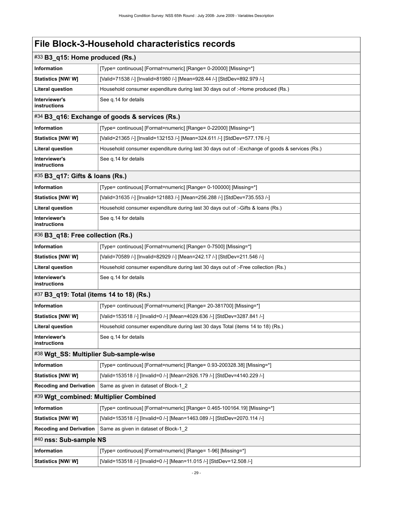<span id="page-32-7"></span><span id="page-32-6"></span><span id="page-32-5"></span><span id="page-32-4"></span><span id="page-32-3"></span><span id="page-32-2"></span><span id="page-32-1"></span><span id="page-32-0"></span>

| $\#33$ B3_q15: Home produced (Rs.)       |                                                                                                |  |  |  |  |
|------------------------------------------|------------------------------------------------------------------------------------------------|--|--|--|--|
| Information                              | [Type= continuous] [Format=numeric] [Range= 0-20000] [Missing=*]                               |  |  |  |  |
| Statistics [NW/W]                        | [Valid=71538 /-] [Invalid=81980 /-] [Mean=928.44 /-] [StdDev=892.979 /-]                       |  |  |  |  |
| <b>Literal question</b>                  | Household consumer expenditure during last 30 days out of :-Home produced (Rs.)                |  |  |  |  |
| Interviewer's<br>instructions            | See q.14 for details                                                                           |  |  |  |  |
|                                          | #34 B3_q16: Exchange of goods & services (Rs.)                                                 |  |  |  |  |
| <b>Information</b>                       | [Type= continuous] [Format=numeric] [Range= 0-22000] [Missing=*]                               |  |  |  |  |
| <b>Statistics [NW/W]</b>                 | [Valid=21365 /-] [Invalid=132153 /-] [Mean=324.611 /-] [StdDev=577.176 /-]                     |  |  |  |  |
| <b>Literal question</b>                  | Household consumer expenditure during last 30 days out of :-Exchange of goods & services (Rs.) |  |  |  |  |
| Interviewer's<br>instructions            | See q.14 for details                                                                           |  |  |  |  |
| #35 B3_q17: Gifts & loans (Rs.)          |                                                                                                |  |  |  |  |
| <b>Information</b>                       | [Type= continuous] [Format=numeric] [Range= 0-100000] [Missing=*]                              |  |  |  |  |
| Statistics [NW/W]                        | [Valid=31635 /-] [Invalid=121883 /-] [Mean=256.288 /-] [StdDev=735.553 /-]                     |  |  |  |  |
| <b>Literal question</b>                  | Household consumer expenditure during last 30 days out of :-Gifts & loans (Rs.)                |  |  |  |  |
| Interviewer's<br>instructions            | See q.14 for details                                                                           |  |  |  |  |
| #36 B3_q18: Free collection (Rs.)        |                                                                                                |  |  |  |  |
| Information                              | [Type= continuous] [Format=numeric] [Range= 0-7500] [Missing=*]                                |  |  |  |  |
| Statistics [NW/W]                        | [Valid=70589 /-] [Invalid=82929 /-] [Mean=242.17 /-] [StdDev=211.546 /-]                       |  |  |  |  |
| <b>Literal question</b>                  | Household consumer expenditure during last 30 days out of :-Free collection (Rs.)              |  |  |  |  |
| Interviewer's<br>instructions            | See q.14 for details                                                                           |  |  |  |  |
| #37 B3_q19: Total (items 14 to 18) (Rs.) |                                                                                                |  |  |  |  |
| Information                              | [Type= continuous] [Format=numeric] [Range= 20-381700] [Missing=*]                             |  |  |  |  |
| <b>Statistics [NW/W]</b>                 | [Valid=153518 /-] [Invalid=0 /-] [Mean=4029.636 /-] [StdDev=3287.841 /-]                       |  |  |  |  |
| <b>Literal question</b>                  | Household consumer expenditure during last 30 days Total (items 14 to 18) (Rs.)                |  |  |  |  |
| Interviewer's<br>instructions            | See q.14 for details                                                                           |  |  |  |  |
| #38 Wgt_SS: Multiplier Sub-sample-wise   |                                                                                                |  |  |  |  |
| Information                              | [Type= continuous] [Format=numeric] [Range= 0.93-200328.38] [Missing=*]                        |  |  |  |  |
| Statistics [NW/W]                        | [Valid=153518 /-] [Invalid=0 /-] [Mean=2926.179 /-] [StdDev=4140.229 /-]                       |  |  |  |  |
| <b>Recoding and Derivation</b>           | Same as given in dataset of Block-1_2                                                          |  |  |  |  |
| #39 Wgt_combined: Multiplier Combined    |                                                                                                |  |  |  |  |
| Information                              | [Type= continuous] [Format=numeric] [Range= 0.465-100164.19] [Missing=*]                       |  |  |  |  |
| Statistics [NW/W]                        | [Valid=153518 /-] [Invalid=0 /-] [Mean=1463.089 /-] [StdDev=2070.114 /-]                       |  |  |  |  |
| <b>Recoding and Derivation</b>           | Same as given in dataset of Block-1_2                                                          |  |  |  |  |
| #40 nss: Sub-sample NS                   |                                                                                                |  |  |  |  |
| Information                              | [Type= continuous] [Format=numeric] [Range= 1-96] [Missing=*]                                  |  |  |  |  |
| Statistics [NW/W]                        | [Valid=153518 /-] [Invalid=0 /-] [Mean=11.015 /-] [StdDev=12.508 /-]                           |  |  |  |  |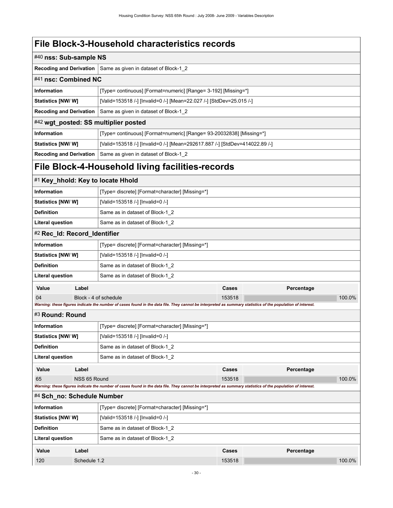<span id="page-33-6"></span><span id="page-33-5"></span><span id="page-33-4"></span><span id="page-33-3"></span><span id="page-33-2"></span><span id="page-33-1"></span><span id="page-33-0"></span>

| #40 nss: Sub-sample NS                                         |                                                            |                                                                                                                                                             |        |            |        |  |  |  |
|----------------------------------------------------------------|------------------------------------------------------------|-------------------------------------------------------------------------------------------------------------------------------------------------------------|--------|------------|--------|--|--|--|
| <b>Recoding and Derivation</b>                                 |                                                            | Same as given in dataset of Block-1_2                                                                                                                       |        |            |        |  |  |  |
| #41 nsc: Combined NC                                           |                                                            |                                                                                                                                                             |        |            |        |  |  |  |
| <b>Information</b>                                             |                                                            | [Type= continuous] [Format=numeric] [Range= 3-192] [Missing=*]                                                                                              |        |            |        |  |  |  |
| Statistics [NW/W]                                              |                                                            | [Valid=153518 /-] [Invalid=0 /-] [Mean=22.027 /-] [StdDev=25.015 /-]                                                                                        |        |            |        |  |  |  |
| <b>Recoding and Derivation</b>                                 |                                                            | Same as given in dataset of Block-1_2                                                                                                                       |        |            |        |  |  |  |
|                                                                |                                                            | #42 wgt_posted: SS multiplier posted                                                                                                                        |        |            |        |  |  |  |
| <b>Information</b>                                             |                                                            | [Type= continuous] [Format=numeric] [Range= 93-20032838] [Missing=*]                                                                                        |        |            |        |  |  |  |
| <b>Statistics [NW/W]</b>                                       |                                                            | [Valid=153518 /-] [Invalid=0 /-] [Mean=292617.887 /-] [StdDev=414022.89 /-]                                                                                 |        |            |        |  |  |  |
| <b>Recoding and Derivation</b>                                 |                                                            | Same as given in dataset of Block-1_2                                                                                                                       |        |            |        |  |  |  |
|                                                                |                                                            | File Block-4-Household living facilities-records                                                                                                            |        |            |        |  |  |  |
|                                                                |                                                            | #1 Key_hhold: Key to locate Hhold                                                                                                                           |        |            |        |  |  |  |
| Information                                                    |                                                            | [Type= discrete] [Format=character] [Missing=*]                                                                                                             |        |            |        |  |  |  |
| Statistics [NW/ W]                                             |                                                            | [Valid=153518 /-] [Invalid=0 /-]                                                                                                                            |        |            |        |  |  |  |
| <b>Definition</b>                                              | Same as in dataset of Block-1_2                            |                                                                                                                                                             |        |            |        |  |  |  |
|                                                                | <b>Literal question</b><br>Same as in dataset of Block-1 2 |                                                                                                                                                             |        |            |        |  |  |  |
| #2 Rec_Id: Record_Identifier                                   |                                                            |                                                                                                                                                             |        |            |        |  |  |  |
| Information<br>[Type= discrete] [Format=character] [Missing=*] |                                                            |                                                                                                                                                             |        |            |        |  |  |  |
| <b>Statistics [NW/W]</b>                                       |                                                            | [Valid=153518 /-] [Invalid=0 /-]                                                                                                                            |        |            |        |  |  |  |
| <b>Definition</b>                                              |                                                            | Same as in dataset of Block-1_2                                                                                                                             |        |            |        |  |  |  |
| <b>Literal question</b>                                        |                                                            | Same as in dataset of Block-1_2                                                                                                                             |        |            |        |  |  |  |
| Value                                                          | Label                                                      |                                                                                                                                                             | Cases  | Percentage |        |  |  |  |
| 04                                                             |                                                            | Block - 4 of schedule                                                                                                                                       | 153518 |            | 100.0% |  |  |  |
|                                                                |                                                            | Warning: these figures indicate the number of cases found in the data file. They cannot be interpreted as summary statistics of the population of interest. |        |            |        |  |  |  |
| #3 Round: Round                                                |                                                            |                                                                                                                                                             |        |            |        |  |  |  |
| <b>Information</b>                                             |                                                            | [Type= discrete] [Format=character] [Missing=*]                                                                                                             |        |            |        |  |  |  |
| Statistics [NW/W]                                              |                                                            | [Valid=153518 /-] [Invalid=0 /-]                                                                                                                            |        |            |        |  |  |  |
| <b>Definition</b>                                              |                                                            | Same as in dataset of Block-1 2                                                                                                                             |        |            |        |  |  |  |
| <b>Literal question</b>                                        |                                                            | Same as in dataset of Block-1 2                                                                                                                             |        |            |        |  |  |  |
| Value                                                          | Label                                                      |                                                                                                                                                             | Cases  | Percentage |        |  |  |  |
| 65                                                             | NSS 65 Round                                               | Warning: these figures indicate the number of cases found in the data file. They cannot be interpreted as summary statistics of the population of interest. | 153518 |            | 100.0% |  |  |  |
| #4 Sch_no: Schedule Number                                     |                                                            |                                                                                                                                                             |        |            |        |  |  |  |
| <b>Information</b>                                             |                                                            | [Type= discrete] [Format=character] [Missing=*]                                                                                                             |        |            |        |  |  |  |
| <b>Statistics [NW/ W]</b>                                      |                                                            | [Valid=153518 /-] [Invalid=0 /-]                                                                                                                            |        |            |        |  |  |  |
| <b>Definition</b>                                              |                                                            | Same as in dataset of Block-1 2                                                                                                                             |        |            |        |  |  |  |
| <b>Literal question</b>                                        |                                                            | Same as in dataset of Block-1 2                                                                                                                             |        |            |        |  |  |  |
| Value                                                          | Label                                                      |                                                                                                                                                             | Cases  | Percentage |        |  |  |  |
| 120                                                            | Schedule 1.2                                               |                                                                                                                                                             | 153518 |            | 100.0% |  |  |  |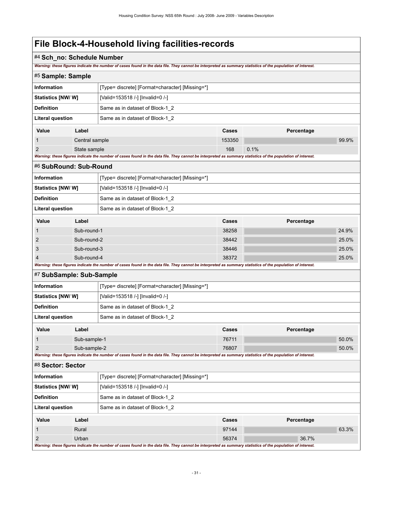# **File Block-4-Household living facilities-records**

## #4 **Sch\_no: Schedule Number**

*Warning: these figures indicate the number of cases found in the data file. They cannot be interpreted as summary statistics of the population of interest.*

<span id="page-34-3"></span><span id="page-34-2"></span><span id="page-34-1"></span><span id="page-34-0"></span>

|                                                            |                | maning. mese ngares maicate the namber or cases found in the data me. They cannot be mierpreted as summary statistics or the population or mierest.         |        |            |       |  |  |
|------------------------------------------------------------|----------------|-------------------------------------------------------------------------------------------------------------------------------------------------------------|--------|------------|-------|--|--|
| #5 Sample: Sample                                          |                |                                                                                                                                                             |        |            |       |  |  |
| Information                                                |                | [Type= discrete] [Format=character] [Missing=*]                                                                                                             |        |            |       |  |  |
| Statistics [NW/W]                                          |                | [Valid=153518 /-] [Invalid=0 /-]                                                                                                                            |        |            |       |  |  |
| <b>Definition</b><br>Same as in dataset of Block-1 2       |                |                                                                                                                                                             |        |            |       |  |  |
| <b>Literal question</b>                                    |                | Same as in dataset of Block-1_2                                                                                                                             |        |            |       |  |  |
| Value                                                      | Label          |                                                                                                                                                             | Cases  | Percentage |       |  |  |
| 1                                                          | Central sample |                                                                                                                                                             | 153350 |            | 99.9% |  |  |
| $\overline{2}$                                             | State sample   |                                                                                                                                                             | 168    | 0.1%       |       |  |  |
|                                                            |                | Warning: these figures indicate the number of cases found in the data file. They cannot be interpreted as summary statistics of the population of interest. |        |            |       |  |  |
| #6 SubRound: Sub-Round                                     |                |                                                                                                                                                             |        |            |       |  |  |
| <b>Information</b>                                         |                | [Type= discrete] [Format=character] [Missing=*]                                                                                                             |        |            |       |  |  |
| <b>Statistics [NW/ W]</b>                                  |                | [Valid=153518 /-] [Invalid=0 /-]                                                                                                                            |        |            |       |  |  |
| <b>Definition</b>                                          |                | Same as in dataset of Block-1 2                                                                                                                             |        |            |       |  |  |
| <b>Literal question</b><br>Same as in dataset of Block-1_2 |                |                                                                                                                                                             |        |            |       |  |  |
| Value                                                      | Label          |                                                                                                                                                             | Cases  | Percentage |       |  |  |
| 1                                                          | Sub-round-1    |                                                                                                                                                             | 38258  |            | 24.9% |  |  |
| 2                                                          | Sub-round-2    |                                                                                                                                                             | 38442  |            | 25.0% |  |  |
| 3                                                          | Sub-round-3    |                                                                                                                                                             | 38446  |            | 25.0% |  |  |
| 4                                                          | Sub-round-4    |                                                                                                                                                             | 38372  |            | 25.0% |  |  |
|                                                            |                | Warning: these figures indicate the number of cases found in the data file. They cannot be interpreted as summary statistics of the population of interest. |        |            |       |  |  |
| #7 SubSample: Sub-Sample                                   |                |                                                                                                                                                             |        |            |       |  |  |
| Information                                                |                | [Type= discrete] [Format=character] [Missing=*]                                                                                                             |        |            |       |  |  |
| Statistics [NW/W]                                          |                | [Valid=153518 /-] [Invalid=0 /-]                                                                                                                            |        |            |       |  |  |
| <b>Definition</b>                                          |                | Same as in dataset of Block-1_2                                                                                                                             |        |            |       |  |  |
| <b>Literal question</b>                                    |                | Same as in dataset of Block-1_2                                                                                                                             |        |            |       |  |  |
| Value                                                      | Label          |                                                                                                                                                             | Cases  | Percentage |       |  |  |
| 1                                                          | Sub-sample-1   |                                                                                                                                                             | 76711  |            | 50.0% |  |  |
| 2                                                          | Sub-sample-2   |                                                                                                                                                             | 76807  |            | 50.0% |  |  |
|                                                            |                | Warning: these figures indicate the number of cases found in the data file. They cannot be interpreted as summary statistics of the population of interest. |        |            |       |  |  |
| #8 Sector: Sector                                          |                |                                                                                                                                                             |        |            |       |  |  |
| Information                                                |                | [Type= discrete] [Format=character] [Missing=*]                                                                                                             |        |            |       |  |  |
| <b>Statistics [NW/ W]</b>                                  |                | [Valid=153518 /-] [Invalid=0 /-]                                                                                                                            |        |            |       |  |  |
| <b>Definition</b>                                          |                | Same as in dataset of Block-1_2                                                                                                                             |        |            |       |  |  |
| <b>Literal question</b>                                    |                | Same as in dataset of Block-1_2                                                                                                                             |        |            |       |  |  |
| Value                                                      | Label          |                                                                                                                                                             | Cases  | Percentage |       |  |  |
| 1                                                          | Rural          |                                                                                                                                                             | 97144  |            | 63.3% |  |  |
| 2                                                          | Urban          |                                                                                                                                                             | 56374  | 36.7%      |       |  |  |
|                                                            |                | Warning: these figures indicate the number of cases found in the data file. They cannot be interpreted as summary statistics of the population of interest. |        |            |       |  |  |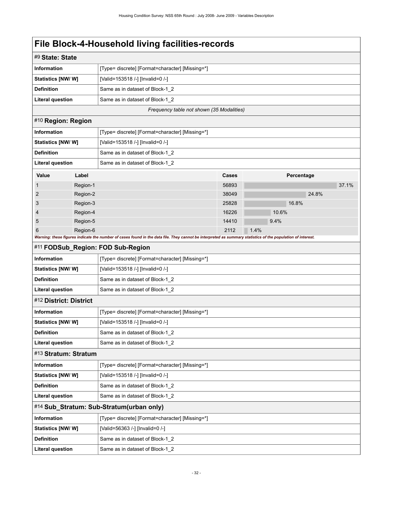# **File Block-4-Household living facilities-records**

<span id="page-35-5"></span><span id="page-35-4"></span><span id="page-35-3"></span><span id="page-35-2"></span><span id="page-35-1"></span><span id="page-35-0"></span>

| #9 State: State                          |          |                                                                                                                                                             |       |       |            |       |  |
|------------------------------------------|----------|-------------------------------------------------------------------------------------------------------------------------------------------------------------|-------|-------|------------|-------|--|
| <b>Information</b>                       |          | [Type= discrete] [Format=character] [Missing=*]                                                                                                             |       |       |            |       |  |
| Statistics [NW/W]                        |          | [Valid=153518 /-] [Invalid=0 /-]                                                                                                                            |       |       |            |       |  |
| <b>Definition</b>                        |          | Same as in dataset of Block-1_2                                                                                                                             |       |       |            |       |  |
| <b>Literal question</b>                  |          | Same as in dataset of Block-1_2                                                                                                                             |       |       |            |       |  |
|                                          |          | Frequency table not shown (35 Modalities)                                                                                                                   |       |       |            |       |  |
| #10 Region: Region                       |          |                                                                                                                                                             |       |       |            |       |  |
| Information                              |          | [Type= discrete] [Format=character] [Missing=*]                                                                                                             |       |       |            |       |  |
| Statistics [NW/W]                        |          | [Valid=153518 /-] [Invalid=0 /-]                                                                                                                            |       |       |            |       |  |
| <b>Definition</b>                        |          | Same as in dataset of Block-1_2                                                                                                                             |       |       |            |       |  |
| <b>Literal question</b>                  |          | Same as in dataset of Block-1_2                                                                                                                             |       |       |            |       |  |
| Value                                    | Label    |                                                                                                                                                             | Cases |       | Percentage |       |  |
|                                          | Region-1 |                                                                                                                                                             | 56893 |       |            | 37.1% |  |
| 2                                        | Region-2 |                                                                                                                                                             | 38049 |       | 24.8%      |       |  |
| 3                                        | Region-3 |                                                                                                                                                             | 25828 |       | 16.8%      |       |  |
| 4                                        | Region-4 |                                                                                                                                                             | 16226 | 10.6% |            |       |  |
| 5                                        | Region-5 |                                                                                                                                                             | 14410 | 9.4%  |            |       |  |
| 6                                        | Region-6 | Warning: these figures indicate the number of cases found in the data file. They cannot be interpreted as summary statistics of the population of interest. | 2112  | 1.4%  |            |       |  |
|                                          |          | #11 FODSub_Region: FOD Sub-Region                                                                                                                           |       |       |            |       |  |
| <b>Information</b>                       |          | [Type= discrete] [Format=character] [Missing=*]                                                                                                             |       |       |            |       |  |
| Statistics [NW/W]                        |          | [Valid=153518 /-] [Invalid=0 /-]                                                                                                                            |       |       |            |       |  |
| <b>Definition</b>                        |          | Same as in dataset of Block-1_2                                                                                                                             |       |       |            |       |  |
| <b>Literal question</b>                  |          | Same as in dataset of Block-1_2                                                                                                                             |       |       |            |       |  |
| #12 District: District                   |          |                                                                                                                                                             |       |       |            |       |  |
| <b>Information</b>                       |          | [Type= discrete] [Format=character] [Missing=*]                                                                                                             |       |       |            |       |  |
| Statistics [NW/W]                        |          | [Valid=153518 /-] [Invalid=0 /-]                                                                                                                            |       |       |            |       |  |
| <b>Definition</b>                        |          | Same as in dataset of Block-1 2                                                                                                                             |       |       |            |       |  |
| <b>Literal question</b>                  |          | Same as in dataset of Block-1_2                                                                                                                             |       |       |            |       |  |
| #13 Stratum: Stratum                     |          |                                                                                                                                                             |       |       |            |       |  |
| <b>Information</b>                       |          | [Type= discrete] [Format=character] [Missing=*]                                                                                                             |       |       |            |       |  |
| Statistics [NW/W]                        |          | [Valid=153518 /-] [Invalid=0 /-]                                                                                                                            |       |       |            |       |  |
| <b>Definition</b>                        |          | Same as in dataset of Block-1_2                                                                                                                             |       |       |            |       |  |
| <b>Literal question</b>                  |          | Same as in dataset of Block-1_2                                                                                                                             |       |       |            |       |  |
| #14 Sub_Stratum: Sub-Stratum(urban only) |          |                                                                                                                                                             |       |       |            |       |  |
| <b>Information</b>                       |          | [Type= discrete] [Format=character] [Missing=*]                                                                                                             |       |       |            |       |  |
| Statistics [NW/W]                        |          | [Valid=56363 /-] [Invalid=0 /-]                                                                                                                             |       |       |            |       |  |
| <b>Definition</b>                        |          | Same as in dataset of Block-1_2                                                                                                                             |       |       |            |       |  |
| <b>Literal question</b>                  |          | Same as in dataset of Block-1_2                                                                                                                             |       |       |            |       |  |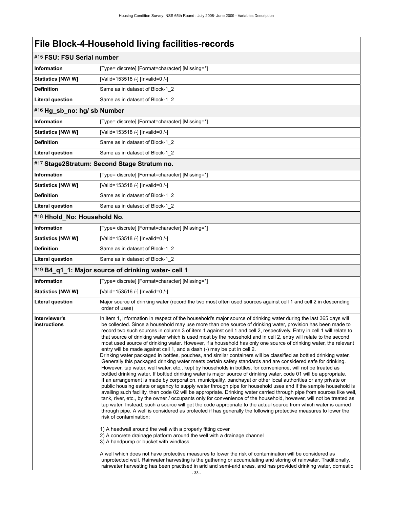| #15 FSU: FSU Serial number    |                                                                                                                                                                                                                                                                                                                                                                                                                                                                                                                                                                                                                                                                                                                                                                                                                                                                                                                                                                                                                                                                                                                                                                                                                                                                                                                                                                                                                                                                                                                                                                                                                                                                                                                                                                                                                                                                                                                                                                                                                                                                                                                                                                                                                                                                                                                                                                                                                                             |
|-------------------------------|---------------------------------------------------------------------------------------------------------------------------------------------------------------------------------------------------------------------------------------------------------------------------------------------------------------------------------------------------------------------------------------------------------------------------------------------------------------------------------------------------------------------------------------------------------------------------------------------------------------------------------------------------------------------------------------------------------------------------------------------------------------------------------------------------------------------------------------------------------------------------------------------------------------------------------------------------------------------------------------------------------------------------------------------------------------------------------------------------------------------------------------------------------------------------------------------------------------------------------------------------------------------------------------------------------------------------------------------------------------------------------------------------------------------------------------------------------------------------------------------------------------------------------------------------------------------------------------------------------------------------------------------------------------------------------------------------------------------------------------------------------------------------------------------------------------------------------------------------------------------------------------------------------------------------------------------------------------------------------------------------------------------------------------------------------------------------------------------------------------------------------------------------------------------------------------------------------------------------------------------------------------------------------------------------------------------------------------------------------------------------------------------------------------------------------------------|
| <b>Information</b>            | [Type= discrete] [Format=character] [Missing=*]                                                                                                                                                                                                                                                                                                                                                                                                                                                                                                                                                                                                                                                                                                                                                                                                                                                                                                                                                                                                                                                                                                                                                                                                                                                                                                                                                                                                                                                                                                                                                                                                                                                                                                                                                                                                                                                                                                                                                                                                                                                                                                                                                                                                                                                                                                                                                                                             |
| <b>Statistics [NW/ W]</b>     | [Valid=153518 /-] [Invalid=0 /-]                                                                                                                                                                                                                                                                                                                                                                                                                                                                                                                                                                                                                                                                                                                                                                                                                                                                                                                                                                                                                                                                                                                                                                                                                                                                                                                                                                                                                                                                                                                                                                                                                                                                                                                                                                                                                                                                                                                                                                                                                                                                                                                                                                                                                                                                                                                                                                                                            |
| <b>Definition</b>             | Same as in dataset of Block-1 2                                                                                                                                                                                                                                                                                                                                                                                                                                                                                                                                                                                                                                                                                                                                                                                                                                                                                                                                                                                                                                                                                                                                                                                                                                                                                                                                                                                                                                                                                                                                                                                                                                                                                                                                                                                                                                                                                                                                                                                                                                                                                                                                                                                                                                                                                                                                                                                                             |
| <b>Literal question</b>       | Same as in dataset of Block-1 2                                                                                                                                                                                                                                                                                                                                                                                                                                                                                                                                                                                                                                                                                                                                                                                                                                                                                                                                                                                                                                                                                                                                                                                                                                                                                                                                                                                                                                                                                                                                                                                                                                                                                                                                                                                                                                                                                                                                                                                                                                                                                                                                                                                                                                                                                                                                                                                                             |
| #16 Hg_sb_no: hg/ sb Number   |                                                                                                                                                                                                                                                                                                                                                                                                                                                                                                                                                                                                                                                                                                                                                                                                                                                                                                                                                                                                                                                                                                                                                                                                                                                                                                                                                                                                                                                                                                                                                                                                                                                                                                                                                                                                                                                                                                                                                                                                                                                                                                                                                                                                                                                                                                                                                                                                                                             |
| <b>Information</b>            | [Type= discrete] [Format=character] [Missing=*]                                                                                                                                                                                                                                                                                                                                                                                                                                                                                                                                                                                                                                                                                                                                                                                                                                                                                                                                                                                                                                                                                                                                                                                                                                                                                                                                                                                                                                                                                                                                                                                                                                                                                                                                                                                                                                                                                                                                                                                                                                                                                                                                                                                                                                                                                                                                                                                             |
| <b>Statistics [NW/ W]</b>     | [Valid=153518 /-] [Invalid=0 /-]                                                                                                                                                                                                                                                                                                                                                                                                                                                                                                                                                                                                                                                                                                                                                                                                                                                                                                                                                                                                                                                                                                                                                                                                                                                                                                                                                                                                                                                                                                                                                                                                                                                                                                                                                                                                                                                                                                                                                                                                                                                                                                                                                                                                                                                                                                                                                                                                            |
| <b>Definition</b>             | Same as in dataset of Block-1_2                                                                                                                                                                                                                                                                                                                                                                                                                                                                                                                                                                                                                                                                                                                                                                                                                                                                                                                                                                                                                                                                                                                                                                                                                                                                                                                                                                                                                                                                                                                                                                                                                                                                                                                                                                                                                                                                                                                                                                                                                                                                                                                                                                                                                                                                                                                                                                                                             |
| <b>Literal question</b>       | Same as in dataset of Block-1 2                                                                                                                                                                                                                                                                                                                                                                                                                                                                                                                                                                                                                                                                                                                                                                                                                                                                                                                                                                                                                                                                                                                                                                                                                                                                                                                                                                                                                                                                                                                                                                                                                                                                                                                                                                                                                                                                                                                                                                                                                                                                                                                                                                                                                                                                                                                                                                                                             |
|                               | #17 Stage2Stratum: Second Stage Stratum no.                                                                                                                                                                                                                                                                                                                                                                                                                                                                                                                                                                                                                                                                                                                                                                                                                                                                                                                                                                                                                                                                                                                                                                                                                                                                                                                                                                                                                                                                                                                                                                                                                                                                                                                                                                                                                                                                                                                                                                                                                                                                                                                                                                                                                                                                                                                                                                                                 |
| Information                   | [Type= discrete] [Format=character] [Missing=*]                                                                                                                                                                                                                                                                                                                                                                                                                                                                                                                                                                                                                                                                                                                                                                                                                                                                                                                                                                                                                                                                                                                                                                                                                                                                                                                                                                                                                                                                                                                                                                                                                                                                                                                                                                                                                                                                                                                                                                                                                                                                                                                                                                                                                                                                                                                                                                                             |
| <b>Statistics [NW/W]</b>      | [Valid=153518 /-] [Invalid=0 /-]                                                                                                                                                                                                                                                                                                                                                                                                                                                                                                                                                                                                                                                                                                                                                                                                                                                                                                                                                                                                                                                                                                                                                                                                                                                                                                                                                                                                                                                                                                                                                                                                                                                                                                                                                                                                                                                                                                                                                                                                                                                                                                                                                                                                                                                                                                                                                                                                            |
| <b>Definition</b>             | Same as in dataset of Block-1 2                                                                                                                                                                                                                                                                                                                                                                                                                                                                                                                                                                                                                                                                                                                                                                                                                                                                                                                                                                                                                                                                                                                                                                                                                                                                                                                                                                                                                                                                                                                                                                                                                                                                                                                                                                                                                                                                                                                                                                                                                                                                                                                                                                                                                                                                                                                                                                                                             |
| <b>Literal question</b>       | Same as in dataset of Block-1 2                                                                                                                                                                                                                                                                                                                                                                                                                                                                                                                                                                                                                                                                                                                                                                                                                                                                                                                                                                                                                                                                                                                                                                                                                                                                                                                                                                                                                                                                                                                                                                                                                                                                                                                                                                                                                                                                                                                                                                                                                                                                                                                                                                                                                                                                                                                                                                                                             |
| #18 Hhold_No: Household No.   |                                                                                                                                                                                                                                                                                                                                                                                                                                                                                                                                                                                                                                                                                                                                                                                                                                                                                                                                                                                                                                                                                                                                                                                                                                                                                                                                                                                                                                                                                                                                                                                                                                                                                                                                                                                                                                                                                                                                                                                                                                                                                                                                                                                                                                                                                                                                                                                                                                             |
| <b>Information</b>            | [Type= discrete] [Format=character] [Missing=*]                                                                                                                                                                                                                                                                                                                                                                                                                                                                                                                                                                                                                                                                                                                                                                                                                                                                                                                                                                                                                                                                                                                                                                                                                                                                                                                                                                                                                                                                                                                                                                                                                                                                                                                                                                                                                                                                                                                                                                                                                                                                                                                                                                                                                                                                                                                                                                                             |
| <b>Statistics [NW/W]</b>      | [Valid=153518 /-] [Invalid=0 /-]                                                                                                                                                                                                                                                                                                                                                                                                                                                                                                                                                                                                                                                                                                                                                                                                                                                                                                                                                                                                                                                                                                                                                                                                                                                                                                                                                                                                                                                                                                                                                                                                                                                                                                                                                                                                                                                                                                                                                                                                                                                                                                                                                                                                                                                                                                                                                                                                            |
| <b>Definition</b>             | Same as in dataset of Block-1 2                                                                                                                                                                                                                                                                                                                                                                                                                                                                                                                                                                                                                                                                                                                                                                                                                                                                                                                                                                                                                                                                                                                                                                                                                                                                                                                                                                                                                                                                                                                                                                                                                                                                                                                                                                                                                                                                                                                                                                                                                                                                                                                                                                                                                                                                                                                                                                                                             |
| <b>Literal question</b>       | Same as in dataset of Block-1_2                                                                                                                                                                                                                                                                                                                                                                                                                                                                                                                                                                                                                                                                                                                                                                                                                                                                                                                                                                                                                                                                                                                                                                                                                                                                                                                                                                                                                                                                                                                                                                                                                                                                                                                                                                                                                                                                                                                                                                                                                                                                                                                                                                                                                                                                                                                                                                                                             |
|                               | #19 B4_q1_1: Major source of drinking water- cell 1                                                                                                                                                                                                                                                                                                                                                                                                                                                                                                                                                                                                                                                                                                                                                                                                                                                                                                                                                                                                                                                                                                                                                                                                                                                                                                                                                                                                                                                                                                                                                                                                                                                                                                                                                                                                                                                                                                                                                                                                                                                                                                                                                                                                                                                                                                                                                                                         |
| <b>Information</b>            | [Type= discrete] [Format=character] [Missing=*]                                                                                                                                                                                                                                                                                                                                                                                                                                                                                                                                                                                                                                                                                                                                                                                                                                                                                                                                                                                                                                                                                                                                                                                                                                                                                                                                                                                                                                                                                                                                                                                                                                                                                                                                                                                                                                                                                                                                                                                                                                                                                                                                                                                                                                                                                                                                                                                             |
| <b>Statistics [NW/W]</b>      | [Valid=153516 /-] [Invalid=0 /-]                                                                                                                                                                                                                                                                                                                                                                                                                                                                                                                                                                                                                                                                                                                                                                                                                                                                                                                                                                                                                                                                                                                                                                                                                                                                                                                                                                                                                                                                                                                                                                                                                                                                                                                                                                                                                                                                                                                                                                                                                                                                                                                                                                                                                                                                                                                                                                                                            |
| <b>Literal question</b>       | Major source of drinking water (record the two most often used sources against cell 1 and cell 2 in descending<br>order of uses)                                                                                                                                                                                                                                                                                                                                                                                                                                                                                                                                                                                                                                                                                                                                                                                                                                                                                                                                                                                                                                                                                                                                                                                                                                                                                                                                                                                                                                                                                                                                                                                                                                                                                                                                                                                                                                                                                                                                                                                                                                                                                                                                                                                                                                                                                                            |
| Interviewer's<br>instructions | In item 1, information in respect of the household's major source of drinking water during the last 365 days will<br>be collected. Since a household may use more than one source of drinking water, provision has been made to<br>record two such sources in column 3 of item 1 against cell 1 and cell 2, respectively. Entry in cell 1 will relate to<br>that source of drinking water which is used most by the household and in cell 2, entry will relate to the second<br>most used source of drinking water. However, if a household has only one source of drinking water, the relevant<br>entry will be made against cell 1, and a dash (-) may be put in cell 2.<br>Drinking water packaged in bottles, pouches, and similar containers will be classified as bottled drinking water.<br>Generally this packaged drinking water meets certain safety standards and are considered safe for drinking.<br>However, tap water, well water, etc., kept by households in bottles, for convenience, will not be treated as<br>bottled drinking water. If bottled drinking water is major source of drinking water, code 01 will be appropriate.<br>If an arrangement is made by corporation, municipality, panchayat or other local authorities or any private or<br>public housing estate or agency to supply water through pipe for household uses and if the sample household is<br>availing such facility, then code 02 will be appropriate. Drinking water carried through pipe from sources like well,<br>tank, river, etc., by the owner / occupants only for convenience of the household, however, will not be treated as<br>tap water. Instead, such a source will get the code appropriate to the actual source from which water is carried<br>through pipe. A well is considered as protected if has generally the following protective measures to lower the<br>risk of contamination:<br>1) A headwall around the well with a properly fitting cover<br>2) A concrete drainage platform around the well with a drainage channel<br>3) A handpump or bucket with windlass<br>A well which does not have protective measures to lower the risk of contamination will be considered as<br>unprotected well. Rainwater harvesting is the gathering or accumulating and storing of rainwater. Traditionally,<br>rainwater harvesting has been practised in arid and semi-arid areas, and has provided drinking water, domestic |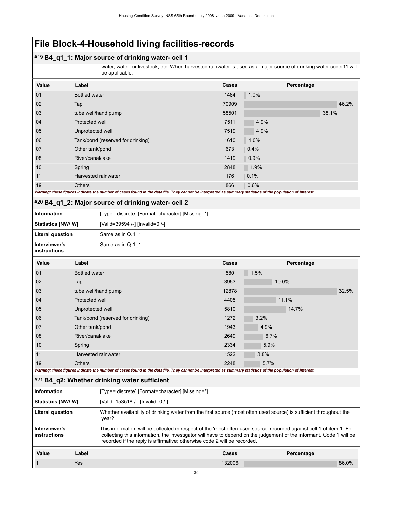## #19 **B4\_q1\_1: Major source of drinking water- cell 1**

water, water for livestock, etc. When harvested rainwater is used as a major source of drinking water code 11 will be applicable.

| Value                                                                                                                                                       | Label                             | Cases | Percentage |  |  |
|-------------------------------------------------------------------------------------------------------------------------------------------------------------|-----------------------------------|-------|------------|--|--|
| 01                                                                                                                                                          | Bottled water                     | 1484  | 1.0%       |  |  |
| 02                                                                                                                                                          | Tap                               | 70909 | 46.2%      |  |  |
| 03                                                                                                                                                          | tube well/hand pump               | 58501 | 38.1%      |  |  |
| 04                                                                                                                                                          | Protected well                    | 7511  | 4.9%       |  |  |
| 05                                                                                                                                                          | Unprotected well                  | 7519  | 4.9%       |  |  |
| 06                                                                                                                                                          | Tank/pond (reserved for drinking) | 1610  | 1.0%       |  |  |
| 07                                                                                                                                                          | Other tank/pond                   | 673   | 0.4%       |  |  |
| 08                                                                                                                                                          | River/canal/lake                  | 1419  | 0.9%       |  |  |
| 10                                                                                                                                                          | Spring                            | 2848  | 1.9%       |  |  |
| 11                                                                                                                                                          | Harvested rainwater               | 176   | 0.1%       |  |  |
| 19                                                                                                                                                          | <b>Others</b>                     | 866   | 0.6%       |  |  |
| Warning: these figures indicate the number of cases found in the data file. They cannot be interpreted as summary statistics of the population of interest. |                                   |       |            |  |  |

#### #20 **B4\_q1\_2: Major source of drinking water- cell 2**

| Information                   | [Type= discrete] [Format=character] [Missing=*] |
|-------------------------------|-------------------------------------------------|
| <b>Statistics [NW/ W]</b>     | [Valid=39594 /-] [Invalid=0 /-]                 |
| Literal question              | Same as in Q.1 1                                |
| Interviewer's<br>instructions | Same as in Q.1 1                                |

| <b>Value</b>                                                                                                                                                | Label                             | <b>Cases</b> | Percentage |  |  |
|-------------------------------------------------------------------------------------------------------------------------------------------------------------|-----------------------------------|--------------|------------|--|--|
| 01                                                                                                                                                          | Bottled water                     | 580          | 1.5%       |  |  |
| 02                                                                                                                                                          | Tap                               | 3953         | 10.0%      |  |  |
| 03                                                                                                                                                          | tube well/hand pump               | 12878        | 32.5%      |  |  |
| 04                                                                                                                                                          | Protected well                    | 4405         | 11.1%      |  |  |
| 05                                                                                                                                                          | Unprotected well                  | 5810         | 14.7%      |  |  |
| 06                                                                                                                                                          | Tank/pond (reserved for drinking) | 1272         | 3.2%       |  |  |
| 07                                                                                                                                                          | Other tank/pond                   | 1943         | 4.9%       |  |  |
| 08                                                                                                                                                          | River/canal/lake                  | 2649         | 6.7%       |  |  |
| 10                                                                                                                                                          | Spring                            | 2334         | 5.9%       |  |  |
| 11                                                                                                                                                          | Harvested rainwater               | 1522         | 3.8%       |  |  |
| 19                                                                                                                                                          | <b>Others</b>                     | 2248         | 5.7%       |  |  |
| Warning: these figures indicate the number of cases found in the data file. They cannot be interpreted as summary statistics of the population of interest. |                                   |              |            |  |  |

## #21 **B4\_q2: Whether drinking water sufficient**

| <b>Information</b>            |       | [Type= discrete] [Format=character] [Missing=*]                                                                                                                                                                                                                                                                         |        |            |       |
|-------------------------------|-------|-------------------------------------------------------------------------------------------------------------------------------------------------------------------------------------------------------------------------------------------------------------------------------------------------------------------------|--------|------------|-------|
| <b>Statistics [NW/ W]</b>     |       | [Valid=153518 /-] [Invalid=0 /-]                                                                                                                                                                                                                                                                                        |        |            |       |
| Literal question              |       | Whether availability of drinking water from the first source (most often used source) is sufficient throughout the<br>year?                                                                                                                                                                                             |        |            |       |
| Interviewer's<br>instructions |       | This information will be collected in respect of the 'most often used source' recorded against cell 1 of item 1. For<br>collecting this information, the investigator will have to depend on the judgement of the informant. Code 1 will be<br>recorded if the reply is affirmative; otherwise code 2 will be recorded. |        |            |       |
| Value                         | Label |                                                                                                                                                                                                                                                                                                                         | Cases  | Percentage |       |
|                               | Yes   |                                                                                                                                                                                                                                                                                                                         | 132006 |            | 86.0% |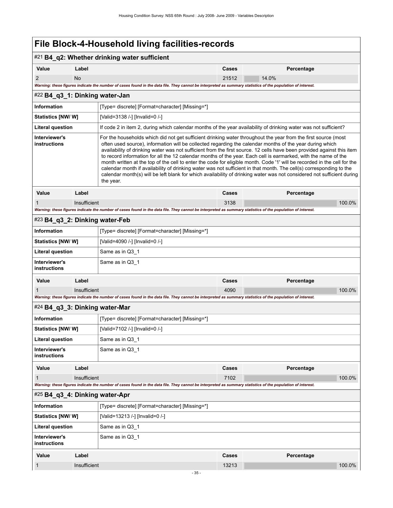|                                                                       |              | #21 B4_q2: Whether drinking water sufficient                                                                                                                                                                                                                                                                                                                                                                                                                                                                                                                                                                                                                                                                                                                                                                                                                     |                                                 |            |  |  |  |
|-----------------------------------------------------------------------|--------------|------------------------------------------------------------------------------------------------------------------------------------------------------------------------------------------------------------------------------------------------------------------------------------------------------------------------------------------------------------------------------------------------------------------------------------------------------------------------------------------------------------------------------------------------------------------------------------------------------------------------------------------------------------------------------------------------------------------------------------------------------------------------------------------------------------------------------------------------------------------|-------------------------------------------------|------------|--|--|--|
| Value                                                                 | Label        |                                                                                                                                                                                                                                                                                                                                                                                                                                                                                                                                                                                                                                                                                                                                                                                                                                                                  | Cases                                           | Percentage |  |  |  |
| $\overline{2}$                                                        | <b>No</b>    |                                                                                                                                                                                                                                                                                                                                                                                                                                                                                                                                                                                                                                                                                                                                                                                                                                                                  | 21512                                           | 14.0%      |  |  |  |
|                                                                       |              | Warning: these figures indicate the number of cases found in the data file. They cannot be interpreted as summary statistics of the population of interest.                                                                                                                                                                                                                                                                                                                                                                                                                                                                                                                                                                                                                                                                                                      |                                                 |            |  |  |  |
| #22 B4_q3_1: Dinking water-Jan                                        |              |                                                                                                                                                                                                                                                                                                                                                                                                                                                                                                                                                                                                                                                                                                                                                                                                                                                                  |                                                 |            |  |  |  |
| <b>Information</b>                                                    |              | [Type= discrete] [Format=character] [Missing=*]                                                                                                                                                                                                                                                                                                                                                                                                                                                                                                                                                                                                                                                                                                                                                                                                                  |                                                 |            |  |  |  |
| Statistics [NW/W]                                                     |              | [Valid=3138 /-] [Invalid=0 /-]                                                                                                                                                                                                                                                                                                                                                                                                                                                                                                                                                                                                                                                                                                                                                                                                                                   |                                                 |            |  |  |  |
| <b>Literal question</b>                                               |              | If code 2 in item 2, during which calendar months of the year availability of drinking water was not sufficient?                                                                                                                                                                                                                                                                                                                                                                                                                                                                                                                                                                                                                                                                                                                                                 |                                                 |            |  |  |  |
| Interviewer's<br>instructions                                         |              | For the households which did not get sufficient drinking water throughout the year from the first source (most<br>often used source), information will be collected regarding the calendar months of the year during which<br>availability of drinking water was not sufficient from the first source. 12 cells have been provided against this item<br>to record information for all the 12 calendar months of the year. Each cell is earmarked, with the name of the<br>month written at the top of the cell to enter the code for eligible month. Code '1' will be recorded in the cell for the<br>calendar month if availability of drinking water was not sufficient in that month. The cell(s) corresponding to the<br>calendar month(s) will be left blank for which availability of drinking water was not considered not sufficient during<br>the year. |                                                 |            |  |  |  |
| Value                                                                 | Label        |                                                                                                                                                                                                                                                                                                                                                                                                                                                                                                                                                                                                                                                                                                                                                                                                                                                                  | Cases                                           | Percentage |  |  |  |
| 1                                                                     | Insufficient |                                                                                                                                                                                                                                                                                                                                                                                                                                                                                                                                                                                                                                                                                                                                                                                                                                                                  | 3138                                            | 100.0%     |  |  |  |
|                                                                       |              | Warning: these figures indicate the number of cases found in the data file. They cannot be interpreted as summary statistics of the population of interest.                                                                                                                                                                                                                                                                                                                                                                                                                                                                                                                                                                                                                                                                                                      |                                                 |            |  |  |  |
| #23 B4_q3_2: Dinking water-Feb                                        |              |                                                                                                                                                                                                                                                                                                                                                                                                                                                                                                                                                                                                                                                                                                                                                                                                                                                                  |                                                 |            |  |  |  |
| <b>Information</b>                                                    |              |                                                                                                                                                                                                                                                                                                                                                                                                                                                                                                                                                                                                                                                                                                                                                                                                                                                                  | [Type= discrete] [Format=character] [Missing=*] |            |  |  |  |
| Statistics [NW/W]                                                     |              | [Valid=4090 /-] [Invalid=0 /-]                                                                                                                                                                                                                                                                                                                                                                                                                                                                                                                                                                                                                                                                                                                                                                                                                                   |                                                 |            |  |  |  |
| <b>Literal question</b>                                               |              | Same as in Q3_1                                                                                                                                                                                                                                                                                                                                                                                                                                                                                                                                                                                                                                                                                                                                                                                                                                                  |                                                 |            |  |  |  |
| Interviewer's<br>instructions                                         |              | Same as in Q3 1                                                                                                                                                                                                                                                                                                                                                                                                                                                                                                                                                                                                                                                                                                                                                                                                                                                  |                                                 |            |  |  |  |
| Value                                                                 | Label        |                                                                                                                                                                                                                                                                                                                                                                                                                                                                                                                                                                                                                                                                                                                                                                                                                                                                  | Cases                                           | Percentage |  |  |  |
|                                                                       | Insufficient |                                                                                                                                                                                                                                                                                                                                                                                                                                                                                                                                                                                                                                                                                                                                                                                                                                                                  | 4090                                            | 100.0%     |  |  |  |
|                                                                       |              | Warning: these figures indicate the number of cases found in the data file. They cannot be interpreted as summary statistics of the population of interest.                                                                                                                                                                                                                                                                                                                                                                                                                                                                                                                                                                                                                                                                                                      |                                                 |            |  |  |  |
| #24 B4_q3_3: Dinking water-Mar                                        |              |                                                                                                                                                                                                                                                                                                                                                                                                                                                                                                                                                                                                                                                                                                                                                                                                                                                                  |                                                 |            |  |  |  |
| Information                                                           |              | [Type= discrete] [Format=character] [Missing=*]                                                                                                                                                                                                                                                                                                                                                                                                                                                                                                                                                                                                                                                                                                                                                                                                                  |                                                 |            |  |  |  |
| <b>Statistics [NW/ W]</b>                                             |              |                                                                                                                                                                                                                                                                                                                                                                                                                                                                                                                                                                                                                                                                                                                                                                                                                                                                  | [Valid=7102 /-] [Invalid=0 /-]                  |            |  |  |  |
| <b>Literal question</b><br>Interviewer's                              |              |                                                                                                                                                                                                                                                                                                                                                                                                                                                                                                                                                                                                                                                                                                                                                                                                                                                                  | Same as in Q3_1                                 |            |  |  |  |
| instructions                                                          |              | Same as in Q3_1                                                                                                                                                                                                                                                                                                                                                                                                                                                                                                                                                                                                                                                                                                                                                                                                                                                  |                                                 |            |  |  |  |
| Value                                                                 | Label        |                                                                                                                                                                                                                                                                                                                                                                                                                                                                                                                                                                                                                                                                                                                                                                                                                                                                  | Cases                                           | Percentage |  |  |  |
| 1                                                                     | Insufficient | Warning: these figures indicate the number of cases found in the data file. They cannot be interpreted as summary statistics of the population of interest.                                                                                                                                                                                                                                                                                                                                                                                                                                                                                                                                                                                                                                                                                                      | 7102                                            | 100.0%     |  |  |  |
| #25 B4 q3 4: Dinking water-Apr                                        |              |                                                                                                                                                                                                                                                                                                                                                                                                                                                                                                                                                                                                                                                                                                                                                                                                                                                                  |                                                 |            |  |  |  |
| <b>Information</b><br>[Type= discrete] [Format=character] [Missing=*] |              |                                                                                                                                                                                                                                                                                                                                                                                                                                                                                                                                                                                                                                                                                                                                                                                                                                                                  |                                                 |            |  |  |  |
| Statistics [NW/W]                                                     |              | [Valid=13213 /-] [Invalid=0 /-]                                                                                                                                                                                                                                                                                                                                                                                                                                                                                                                                                                                                                                                                                                                                                                                                                                  |                                                 |            |  |  |  |
| <b>Literal question</b>                                               |              | Same as in Q3_1                                                                                                                                                                                                                                                                                                                                                                                                                                                                                                                                                                                                                                                                                                                                                                                                                                                  |                                                 |            |  |  |  |
| Interviewer's<br>instructions                                         |              | Same as in Q3_1                                                                                                                                                                                                                                                                                                                                                                                                                                                                                                                                                                                                                                                                                                                                                                                                                                                  |                                                 |            |  |  |  |
| Value                                                                 | Label        |                                                                                                                                                                                                                                                                                                                                                                                                                                                                                                                                                                                                                                                                                                                                                                                                                                                                  | Cases                                           | Percentage |  |  |  |
| 1                                                                     | Insufficient |                                                                                                                                                                                                                                                                                                                                                                                                                                                                                                                                                                                                                                                                                                                                                                                                                                                                  | 13213                                           | 100.0%     |  |  |  |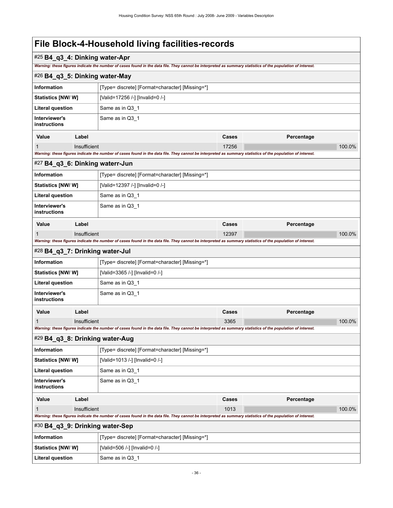## #25 **B4\_q3\_4: Dinking water-Apr**

*Warning: these figures indicate the number of cases found in the data file. They cannot be interpreted as summary statistics of the population of interest.*

|                                                                       |                                                             | Warning: these figures indicate the number of cases found in the data file. They cannot be interpreted as summary statistics of the population of interest. |       |            |        |  |
|-----------------------------------------------------------------------|-------------------------------------------------------------|-------------------------------------------------------------------------------------------------------------------------------------------------------------|-------|------------|--------|--|
| #26 B4_q3_5: Dinking water-May                                        |                                                             |                                                                                                                                                             |       |            |        |  |
| Information                                                           |                                                             | [Type= discrete] [Format=character] [Missing=*]                                                                                                             |       |            |        |  |
|                                                                       | <b>Statistics [NW/W]</b><br>[Valid=17256 /-] [Invalid=0 /-] |                                                                                                                                                             |       |            |        |  |
| <b>Literal question</b><br>Same as in Q3_1                            |                                                             |                                                                                                                                                             |       |            |        |  |
| Interviewer's<br><b>instructions</b>                                  |                                                             | Same as in Q3 1                                                                                                                                             |       |            |        |  |
| Value                                                                 | Label                                                       |                                                                                                                                                             | Cases | Percentage |        |  |
| 1                                                                     | Insufficient                                                |                                                                                                                                                             | 17256 |            | 100.0% |  |
|                                                                       |                                                             | Warning: these figures indicate the number of cases found in the data file. They cannot be interpreted as summary statistics of the population of interest. |       |            |        |  |
| #27 B4_q3_6: Dinking waterr-Jun                                       |                                                             |                                                                                                                                                             |       |            |        |  |
| <b>Information</b>                                                    |                                                             | [Type= discrete] [Format=character] [Missing=*]                                                                                                             |       |            |        |  |
| <b>Statistics [NW/ W]</b>                                             |                                                             | [Valid=12397 /-] [Invalid=0 /-]                                                                                                                             |       |            |        |  |
| <b>Literal question</b>                                               |                                                             | Same as in Q3_1                                                                                                                                             |       |            |        |  |
| Interviewer's<br><b>instructions</b>                                  |                                                             | Same as in Q3_1                                                                                                                                             |       |            |        |  |
| Value                                                                 | Label                                                       |                                                                                                                                                             | Cases | Percentage |        |  |
|                                                                       | Insufficient                                                |                                                                                                                                                             | 12397 |            | 100.0% |  |
|                                                                       |                                                             | Warning: these figures indicate the number of cases found in the data file. They cannot be interpreted as summary statistics of the population of interest. |       |            |        |  |
| #28 B4_q3_7: Drinking water-Jul                                       |                                                             |                                                                                                                                                             |       |            |        |  |
| <b>Information</b><br>[Type= discrete] [Format=character] [Missing=*] |                                                             |                                                                                                                                                             |       |            |        |  |
| <b>Statistics [NW/ W]</b>                                             |                                                             | [Valid=3365 /-] [Invalid=0 /-]                                                                                                                              |       |            |        |  |
| <b>Literal question</b>                                               |                                                             | Same as in Q3_1                                                                                                                                             |       |            |        |  |
| Interviewer's<br><b>instructions</b>                                  |                                                             | Same as in Q3_1                                                                                                                                             |       |            |        |  |
| Value                                                                 | Label                                                       |                                                                                                                                                             | Cases | Percentage |        |  |
| 1                                                                     | Insufficient                                                |                                                                                                                                                             | 3365  |            | 100.0% |  |
|                                                                       |                                                             | Warning: these figures indicate the number of cases found in the data file. They cannot be interpreted as summary statistics of the population of interest. |       |            |        |  |
| #29 B4_q3_8: Drinking water-Aug                                       |                                                             |                                                                                                                                                             |       |            |        |  |
| <b>Information</b>                                                    |                                                             | [Type= discrete] [Format=character] [Missing=*]                                                                                                             |       |            |        |  |
| Statistics [NW/ W]                                                    |                                                             | [Valid=1013 /-] [Invalid=0 /-]                                                                                                                              |       |            |        |  |
| <b>Literal question</b>                                               |                                                             | Same as in Q3 1                                                                                                                                             |       |            |        |  |
| Interviewer's<br>instructions                                         |                                                             | Same as in Q3_1                                                                                                                                             |       |            |        |  |
| Value                                                                 | Label                                                       |                                                                                                                                                             | Cases | Percentage |        |  |
| 1                                                                     | Insufficient<br>1013                                        |                                                                                                                                                             |       | 100.0%     |        |  |
|                                                                       |                                                             | Warning: these figures indicate the number of cases found in the data file. They cannot be interpreted as summary statistics of the population of interest. |       |            |        |  |
| #30 B4_q3_9: Drinking water-Sep                                       |                                                             |                                                                                                                                                             |       |            |        |  |
| Information                                                           |                                                             | [Type= discrete] [Format=character] [Missing=*]                                                                                                             |       |            |        |  |
| <b>Statistics [NW/W]</b>                                              |                                                             | [Valid=506 /-] [Invalid=0 /-]                                                                                                                               |       |            |        |  |
| <b>Literal question</b>                                               |                                                             | Same as in Q3_1                                                                                                                                             |       |            |        |  |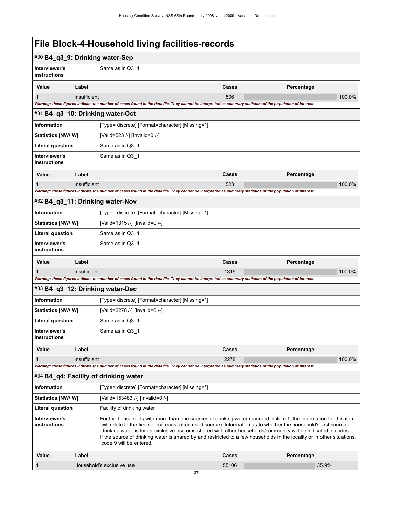|  | File Block-4-Household living facilities-records |
|--|--------------------------------------------------|
|--|--------------------------------------------------|

| #30 B4_q3_9: Drinking water-Sep                                                                                                                                                                      |                                                                                                                                                                                                                                                                                                                                                                                                                                                                                                                    |                                                                                                                                                             |       |            |        |  |
|------------------------------------------------------------------------------------------------------------------------------------------------------------------------------------------------------|--------------------------------------------------------------------------------------------------------------------------------------------------------------------------------------------------------------------------------------------------------------------------------------------------------------------------------------------------------------------------------------------------------------------------------------------------------------------------------------------------------------------|-------------------------------------------------------------------------------------------------------------------------------------------------------------|-------|------------|--------|--|
| Interviewer's<br>instructions                                                                                                                                                                        |                                                                                                                                                                                                                                                                                                                                                                                                                                                                                                                    | Same as in Q3_1                                                                                                                                             |       |            |        |  |
| Value                                                                                                                                                                                                | Label                                                                                                                                                                                                                                                                                                                                                                                                                                                                                                              |                                                                                                                                                             | Cases | Percentage |        |  |
| Insufficient<br>1                                                                                                                                                                                    |                                                                                                                                                                                                                                                                                                                                                                                                                                                                                                                    | 506                                                                                                                                                         |       | 100.0%     |        |  |
|                                                                                                                                                                                                      |                                                                                                                                                                                                                                                                                                                                                                                                                                                                                                                    | Warning: these figures indicate the number of cases found in the data file. They cannot be interpreted as summary statistics of the population of interest. |       |            |        |  |
| #31 B4_q3_10: Drinking water-Oct                                                                                                                                                                     |                                                                                                                                                                                                                                                                                                                                                                                                                                                                                                                    |                                                                                                                                                             |       |            |        |  |
| Information                                                                                                                                                                                          |                                                                                                                                                                                                                                                                                                                                                                                                                                                                                                                    | [Type= discrete] [Format=character] [Missing=*]                                                                                                             |       |            |        |  |
| <b>Statistics [NW/ W]</b>                                                                                                                                                                            |                                                                                                                                                                                                                                                                                                                                                                                                                                                                                                                    | [Valid=523 /-] [Invalid=0 /-]                                                                                                                               |       |            |        |  |
| <b>Literal question</b>                                                                                                                                                                              |                                                                                                                                                                                                                                                                                                                                                                                                                                                                                                                    | Same as in Q3_1                                                                                                                                             |       |            |        |  |
| Interviewer's<br>instructions                                                                                                                                                                        |                                                                                                                                                                                                                                                                                                                                                                                                                                                                                                                    | Same as in Q3_1                                                                                                                                             |       |            |        |  |
| Value                                                                                                                                                                                                | Label                                                                                                                                                                                                                                                                                                                                                                                                                                                                                                              |                                                                                                                                                             | Cases | Percentage |        |  |
| 1                                                                                                                                                                                                    | Insufficient                                                                                                                                                                                                                                                                                                                                                                                                                                                                                                       |                                                                                                                                                             | 523   |            | 100.0% |  |
|                                                                                                                                                                                                      |                                                                                                                                                                                                                                                                                                                                                                                                                                                                                                                    | Warning: these figures indicate the number of cases found in the data file. They cannot be interpreted as summary statistics of the population of interest. |       |            |        |  |
|                                                                                                                                                                                                      |                                                                                                                                                                                                                                                                                                                                                                                                                                                                                                                    | #32 B4_q3_11: Drinking water-Nov                                                                                                                            |       |            |        |  |
| <b>Information</b>                                                                                                                                                                                   |                                                                                                                                                                                                                                                                                                                                                                                                                                                                                                                    | [Type= discrete] [Format=character] [Missing=*]                                                                                                             |       |            |        |  |
| <b>Statistics [NW/ W]</b><br>[Valid=1315 /-] [Invalid=0 /-]                                                                                                                                          |                                                                                                                                                                                                                                                                                                                                                                                                                                                                                                                    |                                                                                                                                                             |       |            |        |  |
| <b>Literal question</b>                                                                                                                                                                              | Same as in Q3_1                                                                                                                                                                                                                                                                                                                                                                                                                                                                                                    |                                                                                                                                                             |       |            |        |  |
| Interviewer's<br>instructions                                                                                                                                                                        |                                                                                                                                                                                                                                                                                                                                                                                                                                                                                                                    | Same as in Q3_1                                                                                                                                             |       |            |        |  |
| Value                                                                                                                                                                                                | Label                                                                                                                                                                                                                                                                                                                                                                                                                                                                                                              |                                                                                                                                                             | Cases | Percentage |        |  |
|                                                                                                                                                                                                      | Insufficient                                                                                                                                                                                                                                                                                                                                                                                                                                                                                                       |                                                                                                                                                             | 1315  |            | 100.0% |  |
|                                                                                                                                                                                                      |                                                                                                                                                                                                                                                                                                                                                                                                                                                                                                                    | Warning: these figures indicate the number of cases found in the data file. They cannot be interpreted as summary statistics of the population of interest. |       |            |        |  |
|                                                                                                                                                                                                      |                                                                                                                                                                                                                                                                                                                                                                                                                                                                                                                    | #33 B4_q3_12: Drinking water-Dec                                                                                                                            |       |            |        |  |
| <b>Information</b>                                                                                                                                                                                   |                                                                                                                                                                                                                                                                                                                                                                                                                                                                                                                    | [Type= discrete] [Format=character] [Missing=*]                                                                                                             |       |            |        |  |
| Statistics [NW/ W]                                                                                                                                                                                   |                                                                                                                                                                                                                                                                                                                                                                                                                                                                                                                    | [Valid=2278 /-] [Invalid=0 /-]                                                                                                                              |       |            |        |  |
| Literal question                                                                                                                                                                                     |                                                                                                                                                                                                                                                                                                                                                                                                                                                                                                                    | Same as in Q3_1                                                                                                                                             |       |            |        |  |
| Interviewer's<br>instructions                                                                                                                                                                        |                                                                                                                                                                                                                                                                                                                                                                                                                                                                                                                    | Same as in Q3 1                                                                                                                                             |       |            |        |  |
| Value                                                                                                                                                                                                | Label                                                                                                                                                                                                                                                                                                                                                                                                                                                                                                              |                                                                                                                                                             | Cases | Percentage |        |  |
| 1                                                                                                                                                                                                    | Insufficient                                                                                                                                                                                                                                                                                                                                                                                                                                                                                                       |                                                                                                                                                             | 2278  |            | 100.0% |  |
| Warning: these figures indicate the number of cases found in the data file. They cannot be interpreted as summary statistics of the population of interest.<br>#34 B4_q4: Facility of drinking water |                                                                                                                                                                                                                                                                                                                                                                                                                                                                                                                    |                                                                                                                                                             |       |            |        |  |
| <b>Information</b>                                                                                                                                                                                   |                                                                                                                                                                                                                                                                                                                                                                                                                                                                                                                    | [Type= discrete] [Format=character] [Missing=*]                                                                                                             |       |            |        |  |
| Statistics [NW/W]                                                                                                                                                                                    |                                                                                                                                                                                                                                                                                                                                                                                                                                                                                                                    | [Valid=153483 /-] [Invalid=0 /-]                                                                                                                            |       |            |        |  |
| <b>Literal question</b>                                                                                                                                                                              |                                                                                                                                                                                                                                                                                                                                                                                                                                                                                                                    | Facility of drinking water                                                                                                                                  |       |            |        |  |
| Interviewer's<br>instructions                                                                                                                                                                        | For the households with more than one sources of drinking water recorded in item 1, the information for this item<br>will relate to the first source (most often used source). Information as to whether the household's first source of<br>drinking water is for its exclusive use or is shared with other households/community will be indicated in codes.<br>If the source of drinking water is shared by and restricted to a few households in the locality or in other situations,<br>code 9 will be entered. |                                                                                                                                                             |       |            |        |  |
| Value                                                                                                                                                                                                | Label<br>Percentage<br>Cases                                                                                                                                                                                                                                                                                                                                                                                                                                                                                       |                                                                                                                                                             |       |            |        |  |
| Household's exclusive use<br>1                                                                                                                                                                       |                                                                                                                                                                                                                                                                                                                                                                                                                                                                                                                    | 55106                                                                                                                                                       | 35.9% |            |        |  |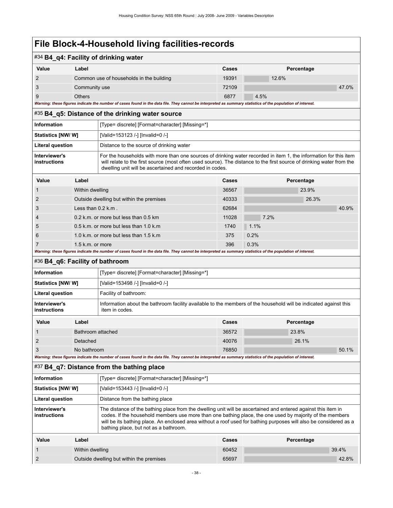### #34 **B4\_q4: Facility of drinking water**

| _ _   | . .                                      |              |            |       |
|-------|------------------------------------------|--------------|------------|-------|
| Value | Label                                    | <b>Cases</b> | Percentage |       |
|       | Common use of households in the building | 19391        | 12.6%      |       |
|       | Community use                            | 72109        |            | 47.0% |
|       | Others                                   | 6877         | 4.5%       |       |

*Warning: these figures indicate the number of cases found in the data file. They cannot be interpreted as summary statistics of the population of interest.*

#### #35 **B4\_q5: Distance of the drinking water source**

| Information                   | [Type= discrete] [Format=character] [Missing=*]                                                                                                                                                                                                                                                        |
|-------------------------------|--------------------------------------------------------------------------------------------------------------------------------------------------------------------------------------------------------------------------------------------------------------------------------------------------------|
| Statistics [NW/W]             | [Valid=153123 /-] [Invalid=0 /-]                                                                                                                                                                                                                                                                       |
| <b>Literal question</b>       | Distance to the source of drinking water                                                                                                                                                                                                                                                               |
| Interviewer's<br>instructions | For the households with more than one sources of drinking water recorded in item 1, the information for this item<br>will relate to the first source (most often used source). The distance to the first source of drinking water from the<br>dwelling unit will be ascertained and recorded in codes. |

| Value          | Label                                    | Cases | Percentage |
|----------------|------------------------------------------|-------|------------|
|                | Within dwelling                          | 36567 | 23.9%      |
| 2              | Outside dwelling but within the premises | 40333 | 26.3%      |
| 3              | Less than $0.2$ k.m.                     | 62684 | 40.9%      |
| $\overline{4}$ | 0.2 k.m. or more but less than 0.5 km    | 11028 | 7.2%       |
| 5              | 0.5 k.m. or more but less than 1.0 k.m.  | 1740  | 1.1%       |
| 6              | 1.0 k.m. or more but less than 1.5 k.m.  | 375   | 0.2%       |
|                | $1.5$ k.m. or more                       | 396   | 0.3%       |

*Warning: these figures indicate the number of cases found in the data file. They cannot be interpreted as summary statistics of the population of interest.*

| #36 B4_q6: Facility of bathroom |  |
|---------------------------------|--|
|---------------------------------|--|

| <b>Information</b>                   |       | [Type= discrete] [Format=character] [Missing=*]                                                                                    |       |            |  |
|--------------------------------------|-------|------------------------------------------------------------------------------------------------------------------------------------|-------|------------|--|
| <b>Statistics [NW/ W]</b>            |       | [Valid=153498 /-] [Invalid=0 /-]                                                                                                   |       |            |  |
| <b>Literal question</b>              |       | Facility of bathroom:                                                                                                              |       |            |  |
| Interviewer's<br><b>instructions</b> |       | Information about the bathroom facility available to the members of the household will be indicated against this<br>item in codes. |       |            |  |
| Value                                | Label |                                                                                                                                    |       | Percentage |  |
|                                      |       | Bathroom attached                                                                                                                  |       | 23.8%      |  |
| Detached                             |       | 40076                                                                                                                              | 26.1% |            |  |

3 No bathroom 76850 50.1%

*Warning: these figures indicate the number of cases found in the data file. They cannot be interpreted as summary statistics of the population of interest.*

#### #37 **B4\_q7: Distance from the bathing place**

| <b>Information</b>            |       | [Type= discrete] [Format=character] [Missing=*]                                                                                                                                                                                                                                                                                                                                         |       |            |
|-------------------------------|-------|-----------------------------------------------------------------------------------------------------------------------------------------------------------------------------------------------------------------------------------------------------------------------------------------------------------------------------------------------------------------------------------------|-------|------------|
| <b>Statistics [NW/W]</b>      |       | [Valid=153443 /-] [Invalid=0 /-]                                                                                                                                                                                                                                                                                                                                                        |       |            |
| Literal question              |       | Distance from the bathing place                                                                                                                                                                                                                                                                                                                                                         |       |            |
| Interviewer's<br>instructions |       | The distance of the bathing place from the dwelling unit will be ascertained and entered against this item in<br>codes. If the household members use more than one bathing place, the one used by majority of the members<br>will be its bathing place. An enclosed area without a roof used for bathing purposes will also be considered as a<br>bathing place, but not as a bathroom. |       |            |
| Value                         | Label |                                                                                                                                                                                                                                                                                                                                                                                         | Cases | Percentage |

| value | Lauel                                    | სძახა | <b>Percentage</b> |
|-------|------------------------------------------|-------|-------------------|
|       | Within dwelling                          | 60452 | 39.4%             |
|       | Outside dwelling but within the premises | 65697 | 42.8%             |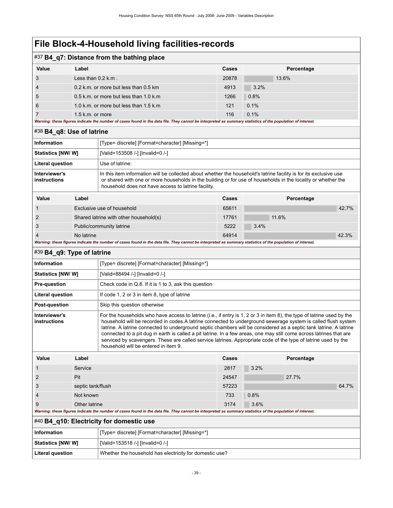## #37 **B4\_q7: Distance from the bathing place**

| Value          | Label                                                                                                                                                       | Cases | Percentage |
|----------------|-------------------------------------------------------------------------------------------------------------------------------------------------------------|-------|------------|
| 3              | Less than $0.2$ k.m.                                                                                                                                        | 20878 | 13.6%      |
| $\overline{4}$ | 0.2 k.m. or more but less than 0.5 km                                                                                                                       | 4913  | 3.2%       |
| 5              | 0.5 k.m. or more but less than 1.0 k.m.                                                                                                                     | 1266  | 0.8%       |
| 6              | 1.0 k.m. or more but less than 1.5 k.m.                                                                                                                     | 121   | 0.1%       |
|                | $1.5$ k.m. or more                                                                                                                                          | 116   | 0.1%       |
|                | Warning: these figures indicate the number of cases found in the data file. They cannot be interpreted as summary statistics of the population of interest. |       |            |

#### #38 **B4\_q8: Use of latrine**

| <b>Information</b>                                                              | [Type= discrete] [Format=character] [Missing=*]                                                                                                                                                                                                                                            |  |  |
|---------------------------------------------------------------------------------|--------------------------------------------------------------------------------------------------------------------------------------------------------------------------------------------------------------------------------------------------------------------------------------------|--|--|
| <b>Statistics [NW/ W]</b>                                                       | [Valid=153508 /-] [Invalid=0 /-]                                                                                                                                                                                                                                                           |  |  |
| <b>Literal question</b>                                                         | Use of latrine:                                                                                                                                                                                                                                                                            |  |  |
| Interviewer's<br>instructions                                                   | In this item information will be collected about whether the household's latrine facility is for its exclusive use<br>or shared with one or more households in the building or for use of households in the locality or whether the<br>household does not have access to latrine facility. |  |  |
| $\mathbf{v}$ $\mathbf{v}$ $\mathbf{v}$ $\mathbf{v}$ $\mathbf{v}$<br>$1 - 1 - 1$ | $\mathbf{A} - \mathbf{B} - \mathbf{A} - \mathbf{B}$<br><b>B 1</b>                                                                                                                                                                                                                          |  |  |

| Value | Label                                                                                                                                                      | <b>Cases</b> | Percentage |
|-------|------------------------------------------------------------------------------------------------------------------------------------------------------------|--------------|------------|
|       | Exclusive use of household                                                                                                                                 | 65611        | 42.7%      |
|       | Shared latrine with other household(s)                                                                                                                     | 17761        | 11.6%      |
|       | Public/community latrine                                                                                                                                   | 5222         | 3.4%       |
|       | No latrine                                                                                                                                                 | 64914        | 42.3%      |
|       | Warnings these figures indicate the number of coose found in the date file. Thou connot be interpreted as cummany otatiotics of the nonulation of interest |              |            |

#### *Warning: these figures indicate the number of cases found in the data file. They cannot be interpreted as summary statistics of the population of interest.*

| #39 B4_q9: Type of latrine    |                   |                                                                                                                                                                                                                                                                                                                                                                                                                                                                                                                                                                                                                                                  |       |      |            |       |
|-------------------------------|-------------------|--------------------------------------------------------------------------------------------------------------------------------------------------------------------------------------------------------------------------------------------------------------------------------------------------------------------------------------------------------------------------------------------------------------------------------------------------------------------------------------------------------------------------------------------------------------------------------------------------------------------------------------------------|-------|------|------------|-------|
| Information                   |                   | [Type= discrete] [Format=character] [Missing=*]                                                                                                                                                                                                                                                                                                                                                                                                                                                                                                                                                                                                  |       |      |            |       |
| Statistics [NW/W]             |                   | [Valid=88494 /-] [Invalid=0 /-]                                                                                                                                                                                                                                                                                                                                                                                                                                                                                                                                                                                                                  |       |      |            |       |
| <b>Pre-question</b>           |                   | Check code in Q.8. If it is 1 to 3, ask this question                                                                                                                                                                                                                                                                                                                                                                                                                                                                                                                                                                                            |       |      |            |       |
| Literal question              |                   | If code 1, 2 or 3 in item 8, type of latrine                                                                                                                                                                                                                                                                                                                                                                                                                                                                                                                                                                                                     |       |      |            |       |
| Post-question                 |                   | Skip this question otherwise                                                                                                                                                                                                                                                                                                                                                                                                                                                                                                                                                                                                                     |       |      |            |       |
| Interviewer's<br>instructions |                   | For the households who have access to latrine (i.e., if entry is 1, 2 or 3 in item 8), the type of latrine used by the<br>household will be recorded in codes. A latrine connected to underground sewerage system is called flush system<br>latrine. A latrine connected to underground septic chambers will be considered as a septic tank latrine. A latrine<br>connected to a pit dug in earth is called a pit latrine. In a few areas, one may still come across latrines that are<br>serviced by scavengers. These are called service latrines. Appropriate code of the type of latrine used by the<br>household will be entered in item 9. |       |      |            |       |
|                               |                   |                                                                                                                                                                                                                                                                                                                                                                                                                                                                                                                                                                                                                                                  |       |      |            |       |
| Value                         | Label             |                                                                                                                                                                                                                                                                                                                                                                                                                                                                                                                                                                                                                                                  | Cases |      | Percentage |       |
|                               | Service           |                                                                                                                                                                                                                                                                                                                                                                                                                                                                                                                                                                                                                                                  | 2817  | 3.2% |            |       |
| $\overline{2}$                | Pit               |                                                                                                                                                                                                                                                                                                                                                                                                                                                                                                                                                                                                                                                  | 24547 |      | 27.7%      |       |
| 3                             | septic tank/flush |                                                                                                                                                                                                                                                                                                                                                                                                                                                                                                                                                                                                                                                  | 57223 |      |            | 64.7% |
| 4                             | Not known         |                                                                                                                                                                                                                                                                                                                                                                                                                                                                                                                                                                                                                                                  | 733   | 0.8% |            |       |
| 9                             | Other latrine     |                                                                                                                                                                                                                                                                                                                                                                                                                                                                                                                                                                                                                                                  | 3174  | 3.6% |            |       |
|                               |                   | Warning: these figures indicate the number of cases found in the data file. They cannot be interpreted as summary statistics of the population of interest.                                                                                                                                                                                                                                                                                                                                                                                                                                                                                      |       |      |            |       |
|                               |                   | #40 B4_q10: Electricity for domestic use                                                                                                                                                                                                                                                                                                                                                                                                                                                                                                                                                                                                         |       |      |            |       |
| Information                   |                   | [Type= discrete] [Format=character] [Missing=*]                                                                                                                                                                                                                                                                                                                                                                                                                                                                                                                                                                                                  |       |      |            |       |
| <b>Statistics [NW/W]</b>      |                   | [Valid=153518 /-] [Invalid=0 /-]                                                                                                                                                                                                                                                                                                                                                                                                                                                                                                                                                                                                                 |       |      |            |       |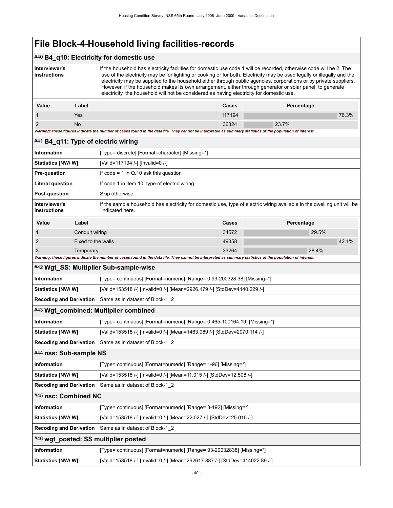### #40 **B4\_q10: Electricity for domestic use**

| Interviewer's<br>instructions |            | If the household has electricity facilities for domestic use code 1 will be recorded, otherwise code will be 2. The<br>use of the electricity may be for lighting or cooking or for both. Electricity may be used legally or illegally and the<br>electricity may be supplied to the household either through public agencies, corporations or by private suppliers.<br>However, if the household makes its own arrangement, either through generator or solar panel, to generate<br>electricity, the household will not be considered as having electricity for domestic use. |        |            |
|-------------------------------|------------|--------------------------------------------------------------------------------------------------------------------------------------------------------------------------------------------------------------------------------------------------------------------------------------------------------------------------------------------------------------------------------------------------------------------------------------------------------------------------------------------------------------------------------------------------------------------------------|--------|------------|
| Value                         | Label      |                                                                                                                                                                                                                                                                                                                                                                                                                                                                                                                                                                                | Cases  | Percentage |
|                               | <b>Yes</b> |                                                                                                                                                                                                                                                                                                                                                                                                                                                                                                                                                                                | 117194 | 76.3%      |
| $\mathcal{P}$                 | No.        |                                                                                                                                                                                                                                                                                                                                                                                                                                                                                                                                                                                | 36324  | 23.7%      |

*Warning: these figures indicate the number of cases found in the data file. They cannot be interpreted as summary statistics of the population of interest.*

#### #41 **B4\_q11: Type of electric wiring**

| <b>Information</b>                   |           | [Type= discrete] [Format=character] [Missing=*]                                                                                                         |              |            |
|--------------------------------------|-----------|---------------------------------------------------------------------------------------------------------------------------------------------------------|--------------|------------|
| <b>Statistics [NW/ W]</b>            |           | [Valid=117194 /-] [Invalid=0 /-]                                                                                                                        |              |            |
| <b>Pre-question</b>                  |           | If $code = 1$ in Q.10 ask this question                                                                                                                 |              |            |
| Literal question                     |           | If code 1 in item 10, type of electric wiring.                                                                                                          |              |            |
| Post-question                        |           | Skip otherwise                                                                                                                                          |              |            |
| Interviewer's<br><b>instructions</b> |           | If the sample household has electricity for domestic use, type of electric wiring available in the dwelling unit will be<br>indicated here.             |              |            |
| Value                                | Label     |                                                                                                                                                         | <b>Cases</b> | Percentage |
|                                      |           | Conduit wiring                                                                                                                                          |              | 29.5%      |
| 2                                    |           | Fixed to the walls                                                                                                                                      |              | 42.1%      |
| 3                                    | Temporary |                                                                                                                                                         | 33264        | 28.4%      |
|                                      |           | Washing these formed indicate the number of cases found in the data file. Their counst he intermeded as cummon statistics of the namulation of interest |              |            |

#### *Warning: these figures indicate the number of cases found in the data file. They cannot be interpreted as summary statistics of the population of interest.*

### #42 **Wgt\_SS: Multiplier Sub-sample-wise**

| <b>Information</b>                    | [Type= continuous] [Format=numeric] [Range= 0.93-200328.38] [Missing=*]  |
|---------------------------------------|--------------------------------------------------------------------------|
| <b>Statistics [NW/ W]</b>             | [Valid=153518 /-] [Invalid=0 /-] [Mean=2926.179 /-] [StdDev=4140.229 /-] |
|                                       | <b>Recoding and Derivation</b> Same as in dataset of Block-1 2           |
| #43 Wgt combined: Multiplier combined |                                                                          |

| <b>Information</b> | [Type= continuous] [Format=numeric] [Range= 0.465-100164.19] [Missing=*] |
|--------------------|--------------------------------------------------------------------------|
|                    |                                                                          |

**Statistics [NW/ W]** [Valid=153518 /-] [Invalid=0 /-] [Mean=1463.089 /-] [StdDev=2070.114 /-] **Recoding and Derivation** Same as in dataset of Block-1\_2 #44 **nss: Sub-sample NS**

| Information               | [Type= continuous] [Format=numeric] [Range= 1-96] [Missing=*]        |
|---------------------------|----------------------------------------------------------------------|
| <b>Statistics [NW/ W]</b> | [Valid=153518 /-] [Invalid=0 /-] [Mean=11.015 /-] [StdDev=12.508 /-] |
|                           | <b>Recoding and Derivation</b> Same as in dataset of Block-1 2       |
| #45 nsc: Combined NC      |                                                                      |

**Statistics [NW/ W]** [Valid=153518 /-] [Invalid=0 /-] [Mean=292617.887 /-] [StdDev=414022.89 /-]

## **Information information** [Type= continuous] [Format=numeric] [Range= 3-192] [Missing=\*] **Statistics [NW/ W]** [Valid=153518 /-] [Invalid=0 /-] [Mean=22.027 /-] [StdDev=25.015 /-]

|             | <b>Recoding and Derivation</b>   Same as in dataset of Block-1 2     |
|-------------|----------------------------------------------------------------------|
|             |                                                                      |
| Information | [Type= continuous] [Format=numeric] [Range= 93-20032838] [Missing=*] |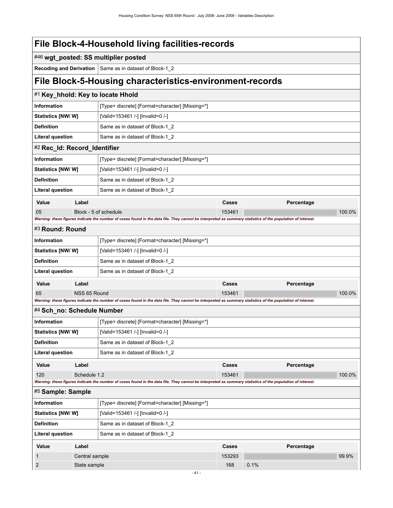|  | File Block-4-Household living facilities-records |  |  |
|--|--------------------------------------------------|--|--|
|--|--------------------------------------------------|--|--|

### #46 **wgt\_posted: SS multiplier posted**

**Recoding and Derivation** Same as in dataset of Block-1\_2

## **File Block-5-Housing characteristics-environment-records**

|                              |              | #1 Key_hhold: Key to locate Hhold                                                                                                                           |        |            |        |
|------------------------------|--------------|-------------------------------------------------------------------------------------------------------------------------------------------------------------|--------|------------|--------|
| <b>Information</b>           |              | [Type= discrete] [Format=character] [Missing=*]                                                                                                             |        |            |        |
| <b>Statistics [NW/ W]</b>    |              | [Valid=153461 /-] [Invalid=0 /-]                                                                                                                            |        |            |        |
| <b>Definition</b>            |              | Same as in dataset of Block-1_2                                                                                                                             |        |            |        |
| <b>Literal question</b>      |              | Same as in dataset of Block-1 2                                                                                                                             |        |            |        |
| #2 Rec_Id: Record_Identifier |              |                                                                                                                                                             |        |            |        |
| <b>Information</b>           |              | [Type= discrete] [Format=character] [Missing=*]                                                                                                             |        |            |        |
| Statistics [NW/W]            |              | [Valid=153461 /-] [Invalid=0 /-]                                                                                                                            |        |            |        |
| <b>Definition</b>            |              | Same as in dataset of Block-1 2                                                                                                                             |        |            |        |
| <b>Literal question</b>      |              | Same as in dataset of Block-1_2                                                                                                                             |        |            |        |
| Value                        | Label        |                                                                                                                                                             | Cases  | Percentage |        |
| 05                           |              | Block - 5 of schedule                                                                                                                                       | 153461 |            | 100.0% |
|                              |              | Warning: these figures indicate the number of cases found in the data file. They cannot be interpreted as summary statistics of the population of interest. |        |            |        |
| #3 Round: Round              |              |                                                                                                                                                             |        |            |        |
| <b>Information</b>           |              | [Type= discrete] [Format=character] [Missing=*]                                                                                                             |        |            |        |
| Statistics [NW/ W]           |              | [Valid=153461 /-] [Invalid=0 /-]                                                                                                                            |        |            |        |
| <b>Definition</b>            |              | Same as in dataset of Block-1 2                                                                                                                             |        |            |        |
| <b>Literal question</b>      |              | Same as in dataset of Block-1_2                                                                                                                             |        |            |        |
| Value                        | Label        |                                                                                                                                                             | Cases  | Percentage |        |
| 65                           | NSS 65 Round |                                                                                                                                                             | 153461 |            | 100.0% |
|                              |              | Warning: these figures indicate the number of cases found in the data file. They cannot be interpreted as summary statistics of the population of interest. |        |            |        |
| #4 Sch_no: Schedule Number   |              |                                                                                                                                                             |        |            |        |
| <b>Information</b>           |              | [Type= discrete] [Format=character] [Missing=*]                                                                                                             |        |            |        |
| Statistics [NW/W]            |              | [Valid=153461 /-] [Invalid=0 /-]                                                                                                                            |        |            |        |
| <b>Definition</b>            |              | Same as in dataset of Block-1 2                                                                                                                             |        |            |        |
| <b>Literal question</b>      |              | Same as in dataset of Block-1 2                                                                                                                             |        |            |        |

| Value | ∟abel                                                                                                                                                       | Cases  | Percentage |           |
|-------|-------------------------------------------------------------------------------------------------------------------------------------------------------------|--------|------------|-----------|
| 120   | Schedule 1.2                                                                                                                                                | 153461 |            | $100.0\%$ |
|       | Warning: these figures indicate the number of cases found in the data file. They cannot be interpreted as summary statistics of the population of interest. |        |            |           |

| #5 Sample: Sample        |                |                                                 |        |            |       |
|--------------------------|----------------|-------------------------------------------------|--------|------------|-------|
| <b>Information</b>       |                | [Type= discrete] [Format=character] [Missing=*] |        |            |       |
| <b>Statistics [NW/W]</b> |                | [Valid=153461 /-] [Invalid=0 /-]                |        |            |       |
| <b>Definition</b>        |                | Same as in dataset of Block-1 2                 |        |            |       |
| <b>Literal question</b>  |                | Same as in dataset of Block-1 2                 |        |            |       |
| Value                    | Label          |                                                 | Cases  | Percentage |       |
|                          | Central sample |                                                 | 153293 |            | 99.9% |
| 2                        | State sample   |                                                 | 168    | 0.1%       |       |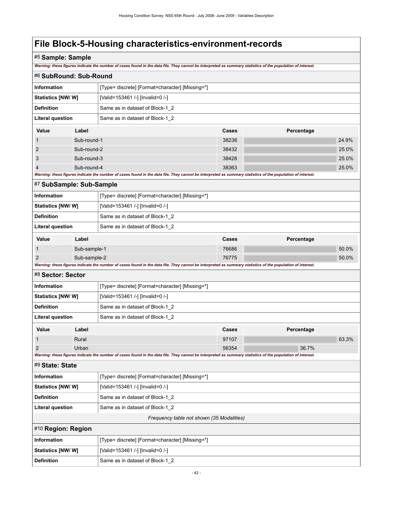## #5 **Sample: Sample**

*Warning: these figures indicate the number of cases found in the data file. They cannot be interpreted as summary statistics of the population of interest.*

| #6 SubRound: Sub-Round    |              |                                                                                                                                                             |                                           |            |       |
|---------------------------|--------------|-------------------------------------------------------------------------------------------------------------------------------------------------------------|-------------------------------------------|------------|-------|
| <b>Information</b>        |              | [Type= discrete] [Format=character] [Missing=*]                                                                                                             |                                           |            |       |
| <b>Statistics [NW/ W]</b> |              | [Valid=153461 /-] [Invalid=0 /-]                                                                                                                            |                                           |            |       |
| <b>Definition</b>         |              | Same as in dataset of Block-1_2                                                                                                                             |                                           |            |       |
| <b>Literal question</b>   |              | Same as in dataset of Block-1_2                                                                                                                             |                                           |            |       |
| Value                     | Label        |                                                                                                                                                             | Cases                                     | Percentage |       |
| $\mathbf{1}$              | Sub-round-1  |                                                                                                                                                             | 38238                                     |            | 24.9% |
| $\overline{2}$            | Sub-round-2  |                                                                                                                                                             | 38432                                     |            | 25.0% |
| 3                         | Sub-round-3  |                                                                                                                                                             | 38428                                     |            | 25.0% |
|                           | Sub-round-4  |                                                                                                                                                             | 38363                                     |            | 25.0% |
|                           |              | Warning: these figures indicate the number of cases found in the data file. They cannot be interpreted as summary statistics of the population of interest. |                                           |            |       |
| #7 SubSample: Sub-Sample  |              |                                                                                                                                                             |                                           |            |       |
| <b>Information</b>        |              | [Type= discrete] [Format=character] [Missing=*]                                                                                                             |                                           |            |       |
| Statistics [NW/W]         |              | [Valid=153461 /-] [Invalid=0 /-]                                                                                                                            |                                           |            |       |
| <b>Definition</b>         |              | Same as in dataset of Block-1_2                                                                                                                             |                                           |            |       |
| <b>Literal question</b>   |              | Same as in dataset of Block-1_2                                                                                                                             |                                           |            |       |
| Value                     | Label        |                                                                                                                                                             | Cases                                     | Percentage |       |
| $\mathbf{1}$              | Sub-sample-1 |                                                                                                                                                             | 76686                                     |            | 50.0% |
| $\overline{2}$            | Sub-sample-2 |                                                                                                                                                             | 76775                                     |            | 50.0% |
|                           |              | Warning: these figures indicate the number of cases found in the data file. They cannot be interpreted as summary statistics of the population of interest. |                                           |            |       |
| #8 Sector: Sector         |              |                                                                                                                                                             |                                           |            |       |
| Information               |              | [Type= discrete] [Format=character] [Missing=*]                                                                                                             |                                           |            |       |
| Statistics [NW/W]         |              | [Valid=153461 /-] [Invalid=0 /-]                                                                                                                            |                                           |            |       |
| <b>Definition</b>         |              | Same as in dataset of Block-1_2                                                                                                                             |                                           |            |       |
| <b>Literal question</b>   |              | Same as in dataset of Block-1 2                                                                                                                             |                                           |            |       |
| Value                     | Label        |                                                                                                                                                             | Cases                                     | Percentage |       |
| $\mathbf 1$               | Rural        |                                                                                                                                                             | 97107                                     |            | 63.3% |
| $\overline{2}$            | Urban        |                                                                                                                                                             | 56354                                     | 36.7%      |       |
|                           |              | Warning: these figures indicate the number of cases found in the data file. They cannot be interpreted as summary statistics of the population of interest. |                                           |            |       |
| #9 State: State           |              |                                                                                                                                                             |                                           |            |       |
| <b>Information</b>        |              | [Type= discrete] [Format=character] [Missing=*]                                                                                                             |                                           |            |       |
| Statistics [NW/ W]        |              | [Valid=153461 /-] [Invalid=0 /-]                                                                                                                            |                                           |            |       |
| <b>Definition</b>         |              | Same as in dataset of Block-1_2                                                                                                                             |                                           |            |       |
| <b>Literal question</b>   |              | Same as in dataset of Block-1 2                                                                                                                             |                                           |            |       |
|                           |              |                                                                                                                                                             | Frequency table not shown (35 Modalities) |            |       |
| #10 Region: Region        |              |                                                                                                                                                             |                                           |            |       |
| Information               |              | [Type= discrete] [Format=character] [Missing=*]                                                                                                             |                                           |            |       |
| <b>Statistics [NW/W]</b>  |              | [Valid=153461 /-] [Invalid=0 /-]                                                                                                                            |                                           |            |       |
| <b>Definition</b>         |              | Same as in dataset of Block-1_2                                                                                                                             |                                           |            |       |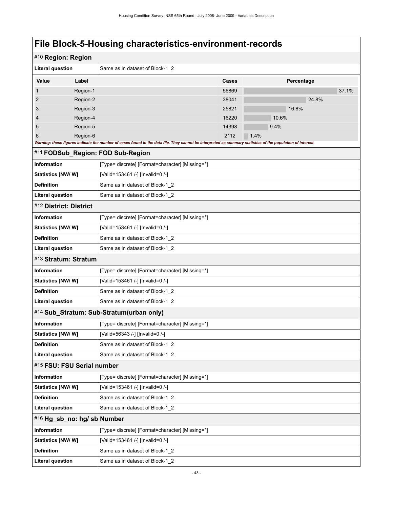| #10 Region: Region          |          |                                                                                                                                                             |       |            |       |
|-----------------------------|----------|-------------------------------------------------------------------------------------------------------------------------------------------------------------|-------|------------|-------|
| <b>Literal question</b>     |          | Same as in dataset of Block-1 2                                                                                                                             |       |            |       |
| Value                       | Label    |                                                                                                                                                             | Cases | Percentage |       |
| 1                           | Region-1 |                                                                                                                                                             | 56869 |            | 37.1% |
| $\overline{2}$              | Region-2 |                                                                                                                                                             | 38041 | 24.8%      |       |
| 3                           | Region-3 |                                                                                                                                                             | 25821 | 16.8%      |       |
| 4                           | Region-4 |                                                                                                                                                             | 16220 | 10.6%      |       |
| 5                           | Region-5 |                                                                                                                                                             | 14398 | 9.4%       |       |
| 6                           | Region-6 |                                                                                                                                                             | 2112  | 1.4%       |       |
|                             |          | Warning: these figures indicate the number of cases found in the data file. They cannot be interpreted as summary statistics of the population of interest. |       |            |       |
|                             |          | #11 FODSub_Region: FOD Sub-Region                                                                                                                           |       |            |       |
| Information                 |          | [Type= discrete] [Format=character] [Missing=*]                                                                                                             |       |            |       |
| <b>Statistics [NW/W]</b>    |          | [Valid=153461 /-] [Invalid=0 /-]                                                                                                                            |       |            |       |
| <b>Definition</b>           |          | Same as in dataset of Block-1_2                                                                                                                             |       |            |       |
| <b>Literal question</b>     |          | Same as in dataset of Block-1_2                                                                                                                             |       |            |       |
| #12 District: District      |          |                                                                                                                                                             |       |            |       |
| Information                 |          | [Type= discrete] [Format=character] [Missing=*]                                                                                                             |       |            |       |
| Statistics [NW/W]           |          | [Valid=153461 /-] [Invalid=0 /-]                                                                                                                            |       |            |       |
| <b>Definition</b>           |          | Same as in dataset of Block-1_2                                                                                                                             |       |            |       |
| <b>Literal question</b>     |          | Same as in dataset of Block-1_2                                                                                                                             |       |            |       |
| #13 Stratum: Stratum        |          |                                                                                                                                                             |       |            |       |
| Information                 |          | [Type= discrete] [Format=character] [Missing=*]                                                                                                             |       |            |       |
| <b>Statistics [NW/ W]</b>   |          | [Valid=153461 /-] [Invalid=0 /-]                                                                                                                            |       |            |       |
| <b>Definition</b>           |          | Same as in dataset of Block-1_2                                                                                                                             |       |            |       |
| <b>Literal question</b>     |          | Same as in dataset of Block-1_2                                                                                                                             |       |            |       |
|                             |          | #14 Sub_Stratum: Sub-Stratum(urban only)                                                                                                                    |       |            |       |
| Information                 |          | [Type= discrete] [Format=character] [Missing=*]                                                                                                             |       |            |       |
| <b>Statistics [NW/ W]</b>   |          | [Valid=56343 /-] [Invalid=0 /-]                                                                                                                             |       |            |       |
| <b>Definition</b>           |          | Same as in dataset of Block-1_2                                                                                                                             |       |            |       |
| <b>Literal question</b>     |          | Same as in dataset of Block-1 2                                                                                                                             |       |            |       |
| #15 FSU: FSU Serial number  |          |                                                                                                                                                             |       |            |       |
| Information                 |          | [Type= discrete] [Format=character] [Missing=*]                                                                                                             |       |            |       |
| Statistics [NW/W]           |          | [Valid=153461 /-] [Invalid=0 /-]                                                                                                                            |       |            |       |
| <b>Definition</b>           |          | Same as in dataset of Block-1 2                                                                                                                             |       |            |       |
| <b>Literal question</b>     |          | Same as in dataset of Block-1 2                                                                                                                             |       |            |       |
| #16 Hg_sb_no: hg/ sb Number |          |                                                                                                                                                             |       |            |       |
| Information                 |          | [Type= discrete] [Format=character] [Missing=*]                                                                                                             |       |            |       |
| Statistics [NW/W]           |          | [Valid=153461 /-] [Invalid=0 /-]                                                                                                                            |       |            |       |
| <b>Definition</b>           |          | Same as in dataset of Block-1_2                                                                                                                             |       |            |       |
| <b>Literal question</b>     |          | Same as in dataset of Block-1_2                                                                                                                             |       |            |       |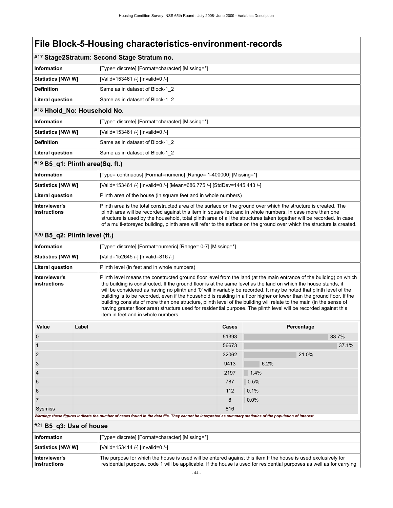|                                 |       | #17 Stage2Stratum: Second Stage Stratum no.                                                                                                                                                                                                                                                                                                                                                                                                                                    |              |                                                                                                                                                                                                                                                                                                                                                                                                                                                                                                                                                                                                                                                                                                                                      |
|---------------------------------|-------|--------------------------------------------------------------------------------------------------------------------------------------------------------------------------------------------------------------------------------------------------------------------------------------------------------------------------------------------------------------------------------------------------------------------------------------------------------------------------------|--------------|--------------------------------------------------------------------------------------------------------------------------------------------------------------------------------------------------------------------------------------------------------------------------------------------------------------------------------------------------------------------------------------------------------------------------------------------------------------------------------------------------------------------------------------------------------------------------------------------------------------------------------------------------------------------------------------------------------------------------------------|
| <b>Information</b>              |       | [Type= discrete] [Format=character] [Missing=*]                                                                                                                                                                                                                                                                                                                                                                                                                                |              |                                                                                                                                                                                                                                                                                                                                                                                                                                                                                                                                                                                                                                                                                                                                      |
| <b>Statistics [NW/ W]</b>       |       | [Valid=153461 /-] [Invalid=0 /-]                                                                                                                                                                                                                                                                                                                                                                                                                                               |              |                                                                                                                                                                                                                                                                                                                                                                                                                                                                                                                                                                                                                                                                                                                                      |
| <b>Definition</b>               |       | Same as in dataset of Block-1_2                                                                                                                                                                                                                                                                                                                                                                                                                                                |              |                                                                                                                                                                                                                                                                                                                                                                                                                                                                                                                                                                                                                                                                                                                                      |
| <b>Literal question</b>         |       | Same as in dataset of Block-1_2                                                                                                                                                                                                                                                                                                                                                                                                                                                |              |                                                                                                                                                                                                                                                                                                                                                                                                                                                                                                                                                                                                                                                                                                                                      |
| #18 Hhold_No: Household No.     |       |                                                                                                                                                                                                                                                                                                                                                                                                                                                                                |              |                                                                                                                                                                                                                                                                                                                                                                                                                                                                                                                                                                                                                                                                                                                                      |
| <b>Information</b>              |       | [Type= discrete] [Format=character] [Missing=*]                                                                                                                                                                                                                                                                                                                                                                                                                                |              |                                                                                                                                                                                                                                                                                                                                                                                                                                                                                                                                                                                                                                                                                                                                      |
| Statistics [NW/W]               |       | [Valid=153461 /-] [Invalid=0 /-]                                                                                                                                                                                                                                                                                                                                                                                                                                               |              |                                                                                                                                                                                                                                                                                                                                                                                                                                                                                                                                                                                                                                                                                                                                      |
| <b>Definition</b>               |       | Same as in dataset of Block-1_2                                                                                                                                                                                                                                                                                                                                                                                                                                                |              |                                                                                                                                                                                                                                                                                                                                                                                                                                                                                                                                                                                                                                                                                                                                      |
| Literal question                |       | Same as in dataset of Block-1_2                                                                                                                                                                                                                                                                                                                                                                                                                                                |              |                                                                                                                                                                                                                                                                                                                                                                                                                                                                                                                                                                                                                                                                                                                                      |
| #19 B5_q1: Plinth area(Sq. ft.) |       |                                                                                                                                                                                                                                                                                                                                                                                                                                                                                |              |                                                                                                                                                                                                                                                                                                                                                                                                                                                                                                                                                                                                                                                                                                                                      |
| <b>Information</b>              |       | [Type= continuous] [Format=numeric] [Range= 1-400000] [Missing=*]                                                                                                                                                                                                                                                                                                                                                                                                              |              |                                                                                                                                                                                                                                                                                                                                                                                                                                                                                                                                                                                                                                                                                                                                      |
| <b>Statistics [NW/W]</b>        |       | [Valid=153461 /-] [Invalid=0 /-] [Mean=686.775 /-] [StdDev=1445.443 /-]                                                                                                                                                                                                                                                                                                                                                                                                        |              |                                                                                                                                                                                                                                                                                                                                                                                                                                                                                                                                                                                                                                                                                                                                      |
| <b>Literal question</b>         |       | Plinth area of the house (in square feet and in whole numbers)                                                                                                                                                                                                                                                                                                                                                                                                                 |              |                                                                                                                                                                                                                                                                                                                                                                                                                                                                                                                                                                                                                                                                                                                                      |
| Interviewer's<br>instructions   |       | Plinth area is the total constructed area of the surface on the ground over which the structure is created. The<br>plinth area will be recorded against this item in square feet and in whole numbers. In case more than one<br>structure is used by the household, total plinth area of all the structures taken together will be recorded. In case<br>of a multi-storeyed building, plinth area will refer to the surface on the ground over which the structure is created. |              |                                                                                                                                                                                                                                                                                                                                                                                                                                                                                                                                                                                                                                                                                                                                      |
| #20 B5_q2: Plinth level (ft.)   |       |                                                                                                                                                                                                                                                                                                                                                                                                                                                                                |              |                                                                                                                                                                                                                                                                                                                                                                                                                                                                                                                                                                                                                                                                                                                                      |
| <b>Information</b>              |       | [Type= discrete] [Format=numeric] [Range= 0-7] [Missing=*]                                                                                                                                                                                                                                                                                                                                                                                                                     |              |                                                                                                                                                                                                                                                                                                                                                                                                                                                                                                                                                                                                                                                                                                                                      |
| <b>Statistics [NW/W]</b>        |       | [Valid=152645 /-] [Invalid=816 /-]                                                                                                                                                                                                                                                                                                                                                                                                                                             |              |                                                                                                                                                                                                                                                                                                                                                                                                                                                                                                                                                                                                                                                                                                                                      |
| <b>Literal question</b>         |       | Plinth level (in feet and in whole numbers)                                                                                                                                                                                                                                                                                                                                                                                                                                    |              |                                                                                                                                                                                                                                                                                                                                                                                                                                                                                                                                                                                                                                                                                                                                      |
| Interviewer's<br>instructions   |       | item in feet and in whole numbers.                                                                                                                                                                                                                                                                                                                                                                                                                                             |              | Plinth level means the constructed ground floor level from the land (at the main entrance of the building) on which<br>the building is constructed. If the ground floor is at the same level as the land on which the house stands, it<br>will be considered as having no plinth and '0' will invariably be recorded. It may be noted that plinth level of the<br>building is to be recorded, even if the household is residing in a floor higher or lower than the ground floor. If the<br>building consists of more than one structure, plinth level of the building will relate to the main (in the sense of<br>having greater floor area) structure used for residential purpose. The plinth level will be recorded against this |
| Value                           | Label |                                                                                                                                                                                                                                                                                                                                                                                                                                                                                | <b>Cases</b> | Percentage                                                                                                                                                                                                                                                                                                                                                                                                                                                                                                                                                                                                                                                                                                                           |
| $\mathbf 0$                     |       |                                                                                                                                                                                                                                                                                                                                                                                                                                                                                | 51393        | 33.7%                                                                                                                                                                                                                                                                                                                                                                                                                                                                                                                                                                                                                                                                                                                                |
| $\mathbf{1}$                    |       |                                                                                                                                                                                                                                                                                                                                                                                                                                                                                | 56673        | 37.1%                                                                                                                                                                                                                                                                                                                                                                                                                                                                                                                                                                                                                                                                                                                                |
| $\overline{2}$                  |       |                                                                                                                                                                                                                                                                                                                                                                                                                                                                                | 32062        | 21.0%                                                                                                                                                                                                                                                                                                                                                                                                                                                                                                                                                                                                                                                                                                                                |
| 3                               |       |                                                                                                                                                                                                                                                                                                                                                                                                                                                                                | 9413         | 6.2%                                                                                                                                                                                                                                                                                                                                                                                                                                                                                                                                                                                                                                                                                                                                 |
| 4                               |       |                                                                                                                                                                                                                                                                                                                                                                                                                                                                                | 2197         | 1.4%                                                                                                                                                                                                                                                                                                                                                                                                                                                                                                                                                                                                                                                                                                                                 |
| 5                               |       |                                                                                                                                                                                                                                                                                                                                                                                                                                                                                | 787          | 0.5%                                                                                                                                                                                                                                                                                                                                                                                                                                                                                                                                                                                                                                                                                                                                 |
| 6                               |       |                                                                                                                                                                                                                                                                                                                                                                                                                                                                                | 112          | 0.1%                                                                                                                                                                                                                                                                                                                                                                                                                                                                                                                                                                                                                                                                                                                                 |
| $\overline{7}$                  |       |                                                                                                                                                                                                                                                                                                                                                                                                                                                                                | 8            | 0.0%                                                                                                                                                                                                                                                                                                                                                                                                                                                                                                                                                                                                                                                                                                                                 |
| Sysmiss                         |       |                                                                                                                                                                                                                                                                                                                                                                                                                                                                                | 816          |                                                                                                                                                                                                                                                                                                                                                                                                                                                                                                                                                                                                                                                                                                                                      |
|                                 |       | Warning: these figures indicate the number of cases found in the data file. They cannot be interpreted as summary statistics of the population of interest.                                                                                                                                                                                                                                                                                                                    |              |                                                                                                                                                                                                                                                                                                                                                                                                                                                                                                                                                                                                                                                                                                                                      |
| $#21$ B5_q3: Use of house       |       |                                                                                                                                                                                                                                                                                                                                                                                                                                                                                |              |                                                                                                                                                                                                                                                                                                                                                                                                                                                                                                                                                                                                                                                                                                                                      |

| <b>Information</b>            | [Type= discrete] [Format=character] [Missing=*]                                                                                                                                                                                          |
|-------------------------------|------------------------------------------------------------------------------------------------------------------------------------------------------------------------------------------------------------------------------------------|
| Statistics [NW/W]             | [Valid=153414 /-] [Invalid=0 /-]                                                                                                                                                                                                         |
| Interviewer's<br>instructions | The purpose for which the house is used will be entered against this item. If the house is used exclusively for<br>residential purpose, code 1 will be applicable. If the house is used for residential purposes as well as for carrying |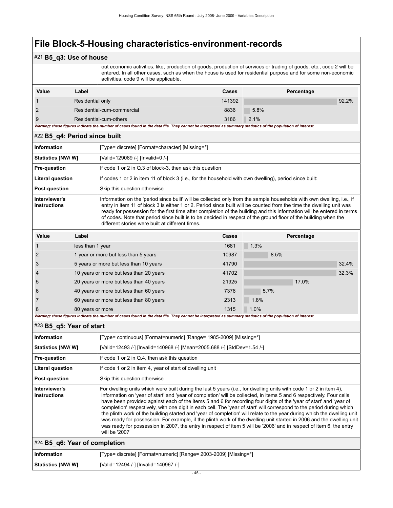### #21 **B5\_q3: Use of house**

 out economic activities, like, production of goods, production of services or trading of goods, etc., code 2 will be entered. In all other cases, such as when the house is used for residential purpose and for some non-economic activities, code 9 will be applicable.

| Value | Label                                                                                                                                                       | Cases  | Percentage |
|-------|-------------------------------------------------------------------------------------------------------------------------------------------------------------|--------|------------|
|       | Residential only                                                                                                                                            | 141392 | 92.2%      |
|       | Residential-cum-commercial                                                                                                                                  | 8836   | 5.8%       |
|       | Residential-cum-others                                                                                                                                      | 3186   | $2.1\%$    |
|       | Warning: these figures indicate the number of cases found in the data file. They cannot be interpreted as summary statistics of the population of interest. |        |            |

|                               | #22 B5_q4: Period since built |                                                                                                                                                                                                                                                                                                                                                                                                                                                                                                                                                |       |      |            |       |
|-------------------------------|-------------------------------|------------------------------------------------------------------------------------------------------------------------------------------------------------------------------------------------------------------------------------------------------------------------------------------------------------------------------------------------------------------------------------------------------------------------------------------------------------------------------------------------------------------------------------------------|-------|------|------------|-------|
| Information                   |                               | [Type= discrete] [Format=character] [Missing=*]                                                                                                                                                                                                                                                                                                                                                                                                                                                                                                |       |      |            |       |
| Statistics [NW/W]             |                               | [Valid=129089 /-] [Invalid=0 /-]                                                                                                                                                                                                                                                                                                                                                                                                                                                                                                               |       |      |            |       |
| <b>Pre-question</b>           |                               | If code 1 or 2 in Q.3 of block-3, then ask this question                                                                                                                                                                                                                                                                                                                                                                                                                                                                                       |       |      |            |       |
| <b>Literal question</b>       |                               | If codes 1 or 2 in item 11 of block 3 (i.e., for the household with own dwelling), period since built:                                                                                                                                                                                                                                                                                                                                                                                                                                         |       |      |            |       |
| Post-question                 |                               | Skip this question otherwise                                                                                                                                                                                                                                                                                                                                                                                                                                                                                                                   |       |      |            |       |
| Interviewer's<br>instructions |                               | Information on the 'period since built' will be collected only from the sample households with own dwelling, i.e., if<br>entry in item 11 of block 3 is either 1 or 2. Period since built will be counted from the time the dwelling unit was<br>ready for possession for the first time after completion of the building and this information will be entered in terms<br>of codes. Note that period since built is to be decided in respect of the ground floor of the building when the<br>different stories were built at different times. |       |      |            |       |
|                               |                               |                                                                                                                                                                                                                                                                                                                                                                                                                                                                                                                                                |       |      |            |       |
| Value                         | Label                         |                                                                                                                                                                                                                                                                                                                                                                                                                                                                                                                                                | Cases |      | Percentage |       |
|                               | less than 1 year              |                                                                                                                                                                                                                                                                                                                                                                                                                                                                                                                                                | 1681  | 1.3% |            |       |
| 2                             |                               | 1 year or more but less than 5 years                                                                                                                                                                                                                                                                                                                                                                                                                                                                                                           | 10987 | 8.5% |            |       |
| 3                             |                               | 5 years or more but less than 10 years                                                                                                                                                                                                                                                                                                                                                                                                                                                                                                         | 41790 |      |            | 32.4% |
| 4                             |                               | 10 years or more but less than 20 years                                                                                                                                                                                                                                                                                                                                                                                                                                                                                                        | 41702 |      |            | 32.3% |
| 5                             |                               | 20 years or more but less than 40 years                                                                                                                                                                                                                                                                                                                                                                                                                                                                                                        | 21925 |      | 17.0%      |       |
| 6                             |                               | 40 years or more but less than 60 years                                                                                                                                                                                                                                                                                                                                                                                                                                                                                                        | 7376  | 5.7% |            |       |

| $\parallel$ #24 B5 g6: Year of completion |                                                                  |  |  |
|-------------------------------------------|------------------------------------------------------------------|--|--|
| <b>Information</b>                        | [Type= discrete] [Format=numeric] [Range= 2003-2009] [Missing=*] |  |  |
| Statistics [NW/ W]                        | [Valid=12494 /-] [Invalid=140967 /-]                             |  |  |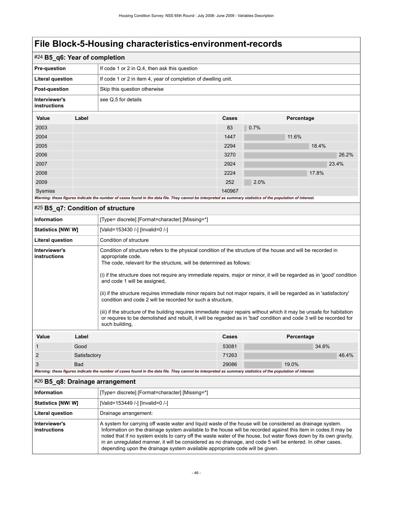| , ווט שטור ט ווטטופן טוו                                                                                                                                                                                                                                                                                                                                                                                                                                                                                                                                                                                                                                                                                                                                                                                                                                          |              | <b>PRIMERS</b>                                                                                                                                              |       |            |       |  |
|-------------------------------------------------------------------------------------------------------------------------------------------------------------------------------------------------------------------------------------------------------------------------------------------------------------------------------------------------------------------------------------------------------------------------------------------------------------------------------------------------------------------------------------------------------------------------------------------------------------------------------------------------------------------------------------------------------------------------------------------------------------------------------------------------------------------------------------------------------------------|--------------|-------------------------------------------------------------------------------------------------------------------------------------------------------------|-------|------------|-------|--|
| #24 B5_q6: Year of completion                                                                                                                                                                                                                                                                                                                                                                                                                                                                                                                                                                                                                                                                                                                                                                                                                                     |              |                                                                                                                                                             |       |            |       |  |
| <b>Pre-question</b>                                                                                                                                                                                                                                                                                                                                                                                                                                                                                                                                                                                                                                                                                                                                                                                                                                               |              | If code 1 or 2 in Q.4, then ask this question                                                                                                               |       |            |       |  |
| <b>Literal question</b>                                                                                                                                                                                                                                                                                                                                                                                                                                                                                                                                                                                                                                                                                                                                                                                                                                           |              | If code 1 or 2 in item 4, year of completion of dwelling unit.                                                                                              |       |            |       |  |
| <b>Post-question</b>                                                                                                                                                                                                                                                                                                                                                                                                                                                                                                                                                                                                                                                                                                                                                                                                                                              |              | Skip this question otherwise                                                                                                                                |       |            |       |  |
| Interviewer's<br>instructions                                                                                                                                                                                                                                                                                                                                                                                                                                                                                                                                                                                                                                                                                                                                                                                                                                     |              | see Q.5 for details                                                                                                                                         |       |            |       |  |
| Value                                                                                                                                                                                                                                                                                                                                                                                                                                                                                                                                                                                                                                                                                                                                                                                                                                                             | Label        |                                                                                                                                                             | Cases | Percentage |       |  |
| 2003                                                                                                                                                                                                                                                                                                                                                                                                                                                                                                                                                                                                                                                                                                                                                                                                                                                              |              |                                                                                                                                                             | 83    | 0.7%       |       |  |
| 2004                                                                                                                                                                                                                                                                                                                                                                                                                                                                                                                                                                                                                                                                                                                                                                                                                                                              |              |                                                                                                                                                             | 1447  | 11.6%      |       |  |
| 2005                                                                                                                                                                                                                                                                                                                                                                                                                                                                                                                                                                                                                                                                                                                                                                                                                                                              |              |                                                                                                                                                             | 2294  |            | 18.4% |  |
| 2006                                                                                                                                                                                                                                                                                                                                                                                                                                                                                                                                                                                                                                                                                                                                                                                                                                                              |              |                                                                                                                                                             | 3270  |            | 26.2% |  |
| 2007                                                                                                                                                                                                                                                                                                                                                                                                                                                                                                                                                                                                                                                                                                                                                                                                                                                              |              |                                                                                                                                                             | 2924  |            | 23.4% |  |
| 2008                                                                                                                                                                                                                                                                                                                                                                                                                                                                                                                                                                                                                                                                                                                                                                                                                                                              |              |                                                                                                                                                             | 2224  |            | 17.8% |  |
| 2009                                                                                                                                                                                                                                                                                                                                                                                                                                                                                                                                                                                                                                                                                                                                                                                                                                                              |              |                                                                                                                                                             | 252   | 2.0%       |       |  |
| Sysmiss<br>140967                                                                                                                                                                                                                                                                                                                                                                                                                                                                                                                                                                                                                                                                                                                                                                                                                                                 |              |                                                                                                                                                             |       |            |       |  |
|                                                                                                                                                                                                                                                                                                                                                                                                                                                                                                                                                                                                                                                                                                                                                                                                                                                                   |              | Warning: these figures indicate the number of cases found in the data file. They cannot be interpreted as summary statistics of the population of interest. |       |            |       |  |
| #25 B5_q7: Condition of structure                                                                                                                                                                                                                                                                                                                                                                                                                                                                                                                                                                                                                                                                                                                                                                                                                                 |              |                                                                                                                                                             |       |            |       |  |
| <b>Information</b>                                                                                                                                                                                                                                                                                                                                                                                                                                                                                                                                                                                                                                                                                                                                                                                                                                                |              | [Type= discrete] [Format=character] [Missing=*]                                                                                                             |       |            |       |  |
| Statistics [NW/W]                                                                                                                                                                                                                                                                                                                                                                                                                                                                                                                                                                                                                                                                                                                                                                                                                                                 |              | [Valid=153430 /-] [Invalid=0 /-]                                                                                                                            |       |            |       |  |
| <b>Literal question</b>                                                                                                                                                                                                                                                                                                                                                                                                                                                                                                                                                                                                                                                                                                                                                                                                                                           |              | Condition of structure                                                                                                                                      |       |            |       |  |
| Interviewer's<br>Condition of structure refers to the physical condition of the structure of the house and will be recorded in<br>instructions<br>appropriate code.<br>The code, relevant for the structure, will be determined as follows:<br>(i) if the structure does not require any immediate repairs, major or minor, it will be regarded as in 'good' condition<br>and code 1 will be assigned,<br>(ii) if the structure requires immediate minor repairs but not major repairs, it will be regarded as in 'satisfactory'<br>condition and code 2 will be recorded for such a structure.<br>(iii) if the structure of the building requires immediate major repairs without which it may be unsafe for habitation<br>or requires to be demolished and rebuilt, it will be regarded as in 'bad' condition and code 3 will be recorded for<br>such building, |              |                                                                                                                                                             |       |            |       |  |
| Value                                                                                                                                                                                                                                                                                                                                                                                                                                                                                                                                                                                                                                                                                                                                                                                                                                                             | Label        |                                                                                                                                                             | Cases | Percentage |       |  |
| $\mathbf{1}$                                                                                                                                                                                                                                                                                                                                                                                                                                                                                                                                                                                                                                                                                                                                                                                                                                                      | Good         |                                                                                                                                                             | 53081 |            | 34.6% |  |
| $\overline{2}$                                                                                                                                                                                                                                                                                                                                                                                                                                                                                                                                                                                                                                                                                                                                                                                                                                                    | Satisfactory |                                                                                                                                                             | 71263 |            | 46.4% |  |
| 3                                                                                                                                                                                                                                                                                                                                                                                                                                                                                                                                                                                                                                                                                                                                                                                                                                                                 | <b>Bad</b>   |                                                                                                                                                             | 29086 | 19.0%      |       |  |

*Warning: these figures indicate the number of cases found in the data file. They cannot be interpreted as summary statistics of the population of interest.*

#### #26 **B5\_q8: Drainage arrangement**

| Information                   | [Type= discrete] [Format=character] [Missing=*]                                                                                                                                                                                                                                                                                                                                                                                                                                                                                                     |
|-------------------------------|-----------------------------------------------------------------------------------------------------------------------------------------------------------------------------------------------------------------------------------------------------------------------------------------------------------------------------------------------------------------------------------------------------------------------------------------------------------------------------------------------------------------------------------------------------|
| <b>Statistics [NW/W]</b>      | [Valid=153449 /-] [Invalid=0 /-]                                                                                                                                                                                                                                                                                                                                                                                                                                                                                                                    |
| <b>Literal question</b>       | Drainage arrangement:                                                                                                                                                                                                                                                                                                                                                                                                                                                                                                                               |
| Interviewer's<br>instructions | A system for carrying off waste water and liquid waste of the house will be considered as drainage system.<br>Information on the drainage system available to the house will be recorded against this item in codes. It may be<br>noted that if no system exists to carry off the waste water of the house, but water flows down by its own gravity,<br>in an unregulated manner, it will be considered as no drainage, and code 5 will be entered. In other cases,<br>depending upon the drainage system available appropriate code will be given. |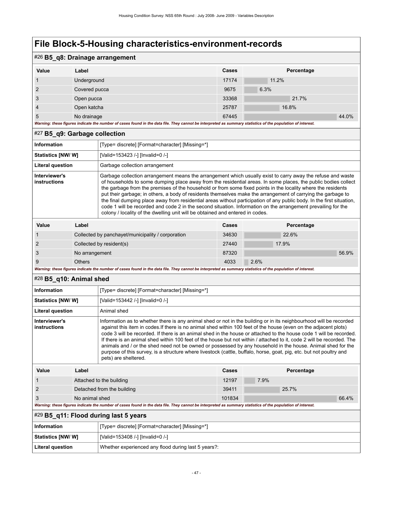### #26 **B5\_q8: Drainage arrangement**

| Value                                                                                                                                                       | Label         | Cases | Percentage |       |  |  |
|-------------------------------------------------------------------------------------------------------------------------------------------------------------|---------------|-------|------------|-------|--|--|
|                                                                                                                                                             | Underground   | 17174 | 11.2%      |       |  |  |
| 2                                                                                                                                                           | Covered pucca | 9675  | 6.3%       |       |  |  |
| 3                                                                                                                                                           | Open pucca    | 33368 | 21.7%      |       |  |  |
| $\overline{4}$                                                                                                                                              | Open katcha   | 25787 | 16.8%      |       |  |  |
| 5                                                                                                                                                           | No drainage   | 67445 |            | 44.0% |  |  |
| Warning: these figures indicate the number of cases found in the data file. They cannot be interpreted as summary statistics of the population of interest. |               |       |            |       |  |  |

#### #27 **B5\_q9: Garbage collection**

| Information                   |       | [Type= discrete] [Format=character] [Missing=*]                                                                                                                                                                                                                                                                                                                                                                                                                                                                                                                                                                                                                                                                                                                                          |       |            |  |  |
|-------------------------------|-------|------------------------------------------------------------------------------------------------------------------------------------------------------------------------------------------------------------------------------------------------------------------------------------------------------------------------------------------------------------------------------------------------------------------------------------------------------------------------------------------------------------------------------------------------------------------------------------------------------------------------------------------------------------------------------------------------------------------------------------------------------------------------------------------|-------|------------|--|--|
| Statistics [NW/ W]            |       | [Valid=153423 /-] [Invalid=0 /-]                                                                                                                                                                                                                                                                                                                                                                                                                                                                                                                                                                                                                                                                                                                                                         |       |            |  |  |
| <b>Literal question</b>       |       | Garbage collection arrangement                                                                                                                                                                                                                                                                                                                                                                                                                                                                                                                                                                                                                                                                                                                                                           |       |            |  |  |
| Interviewer's<br>instructions |       | Garbage collection arrangement means the arrangement which usually exist to carry away the refuse and waste<br>of households to some dumping place away from the residential areas. In some places, the public bodies collect<br>the garbage from the premises of the household or from some fixed points in the locality where the residents<br>put their garbage; in others, a body of residents themselves make the arrangement of carrying the garbage to<br>the final dumping place away from residential areas without participation of any public body. In the first situation,<br>code 1 will be recorded and code 2 in the second situation. Information on the arrangement prevailing for the<br>colony / locality of the dwelling unit will be obtained and entered in codes. |       |            |  |  |
| Value                         | Label |                                                                                                                                                                                                                                                                                                                                                                                                                                                                                                                                                                                                                                                                                                                                                                                          | Cases | Percentage |  |  |
|                               |       | Collected by panchavet/municipality / corporation                                                                                                                                                                                                                                                                                                                                                                                                                                                                                                                                                                                                                                                                                                                                        | 34630 | 226%       |  |  |

|                                                                                                                                                             | Collected by panchayet/municipality / corporation | 34630 | 22.6% |  |  |
|-------------------------------------------------------------------------------------------------------------------------------------------------------------|---------------------------------------------------|-------|-------|--|--|
|                                                                                                                                                             | Collected by resident(s)                          | 27440 | 17.9% |  |  |
|                                                                                                                                                             | No arrangement                                    | 87320 | 56.9% |  |  |
|                                                                                                                                                             | <b>Others</b>                                     | 4033  | 2.6%  |  |  |
| Warning: these figures indicate the number of cases found in the data file. They cannot be interpreted as summary statistics of the population of interest. |                                                   |       |       |  |  |

#### #28 **B5\_q10: Animal shed**

| <b>Information</b>            |                                                                                                                                                                                                                                                                                                                                                                                                                                                                                                                                                                                                                                                                                                                                                     | [Type= discrete] [Format=character] [Missing=*]                                                                                                             |        |      |            |       |
|-------------------------------|-----------------------------------------------------------------------------------------------------------------------------------------------------------------------------------------------------------------------------------------------------------------------------------------------------------------------------------------------------------------------------------------------------------------------------------------------------------------------------------------------------------------------------------------------------------------------------------------------------------------------------------------------------------------------------------------------------------------------------------------------------|-------------------------------------------------------------------------------------------------------------------------------------------------------------|--------|------|------------|-------|
| <b>Statistics [NW/W]</b>      |                                                                                                                                                                                                                                                                                                                                                                                                                                                                                                                                                                                                                                                                                                                                                     | [Valid=153442 /-] [Invalid=0 /-]                                                                                                                            |        |      |            |       |
| <b>Literal question</b>       |                                                                                                                                                                                                                                                                                                                                                                                                                                                                                                                                                                                                                                                                                                                                                     | Animal shed                                                                                                                                                 |        |      |            |       |
| Interviewer's<br>instructions | Information as to whether there is any animal shed or not in the building or in its neighbourhood will be recorded<br>against this item in codes. If there is no animal shed within 100 feet of the house (even on the adjacent plots)<br>code 3 will be recorded. If there is an animal shed in the house or attached to the house code 1 will be recorded.<br>If there is an animal shed within 100 feet of the house but not within / attached to it, code 2 will be recorded. The<br>animals and / or the shed need not be owned or possessed by any household in the house. Animal shed for the<br>purpose of this survey, is a structure where livestock (cattle, buffalo, horse, goat, pig, etc. but not poultry and<br>pets) are sheltered. |                                                                                                                                                             |        |      |            |       |
| Value                         | Label                                                                                                                                                                                                                                                                                                                                                                                                                                                                                                                                                                                                                                                                                                                                               |                                                                                                                                                             | Cases  |      | Percentage |       |
|                               |                                                                                                                                                                                                                                                                                                                                                                                                                                                                                                                                                                                                                                                                                                                                                     | Attached to the building                                                                                                                                    | 12197  | 7.9% |            |       |
| $\overline{2}$                |                                                                                                                                                                                                                                                                                                                                                                                                                                                                                                                                                                                                                                                                                                                                                     | Detached from the building                                                                                                                                  | 39411  |      | 25.7%      |       |
| 3                             | No animal shed                                                                                                                                                                                                                                                                                                                                                                                                                                                                                                                                                                                                                                                                                                                                      |                                                                                                                                                             | 101834 |      |            | 66.4% |
|                               |                                                                                                                                                                                                                                                                                                                                                                                                                                                                                                                                                                                                                                                                                                                                                     | Warning: these figures indicate the number of cases found in the data file. They cannot be interpreted as summary statistics of the population of interest. |        |      |            |       |
|                               | #29 B5_q11: Flood during last 5 years                                                                                                                                                                                                                                                                                                                                                                                                                                                                                                                                                                                                                                                                                                               |                                                                                                                                                             |        |      |            |       |
| <b>Information</b>            |                                                                                                                                                                                                                                                                                                                                                                                                                                                                                                                                                                                                                                                                                                                                                     | [Type= discrete] [Format=character] [Missing=*]                                                                                                             |        |      |            |       |

| Information              | Type= discrete] [Format=character] [Missing=*]      |
|--------------------------|-----------------------------------------------------|
| <b>Statistics [NW/W]</b> | [Valid=153408 /-] [Invalid=0 /-]                    |
| Literal question         | Whether experienced any flood during last 5 years?: |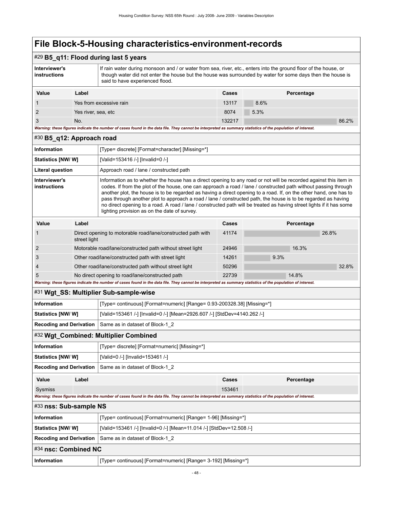### #29 **B5\_q11: Flood during last 5 years**

| Interviewer's<br>instructions | If rain water during monsoon and / or water from sea, river, etc., enters into the ground floor of the house, or<br>though water did not enter the house but the house was surrounded by water for some days then the house is<br>said to have experienced flood. |
|-------------------------------|-------------------------------------------------------------------------------------------------------------------------------------------------------------------------------------------------------------------------------------------------------------------|
|                               |                                                                                                                                                                                                                                                                   |

| Value                                                                                                                                                       | Label                   | <b>Cases</b> | Percentage |       |  |  |
|-------------------------------------------------------------------------------------------------------------------------------------------------------------|-------------------------|--------------|------------|-------|--|--|
|                                                                                                                                                             | Yes from excessive rain | 13117        | $8.6\%$    |       |  |  |
|                                                                                                                                                             | Yes river, sea, etc     | 8074         | 5.3%       |       |  |  |
|                                                                                                                                                             | No.                     | 132217       |            | 86.2% |  |  |
| Warning: these figures indicate the number of cases found in the data file. They cannot be interpreted as summary statistics of the population of interest. |                         |              |            |       |  |  |

#### #30 **B5\_q12: Approach road**

| <b>Information</b>            | [Type= discrete] [Format=character] [Missing=*]    |                                                                                                                                                                                                                                                                                                                                                                                                                                                                                                                                                                                                                                                    |       |      |            |       |
|-------------------------------|----------------------------------------------------|----------------------------------------------------------------------------------------------------------------------------------------------------------------------------------------------------------------------------------------------------------------------------------------------------------------------------------------------------------------------------------------------------------------------------------------------------------------------------------------------------------------------------------------------------------------------------------------------------------------------------------------------------|-------|------|------------|-------|
| Statistics [NW/W]             |                                                    | [Valid=153416 /-] [Invalid=0 /-]                                                                                                                                                                                                                                                                                                                                                                                                                                                                                                                                                                                                                   |       |      |            |       |
| Literal question              |                                                    | Approach road / lane / constructed path                                                                                                                                                                                                                                                                                                                                                                                                                                                                                                                                                                                                            |       |      |            |       |
| Interviewer's<br>instructions |                                                    | Information as to whether the house has a direct opening to any road or not will be recorded against this item in<br>codes. If from the plot of the house, one can approach a road / lane / constructed path without passing through<br>another plot, the house is to be regarded as having a direct opening to a road. If, on the other hand, one has to<br>pass through another plot to approach a road / lane / constructed path, the house is to be regarded as having<br>no direct opening to a road. A road / lane / constructed path will be treated as having street lights if it has some<br>lighting provision as on the date of survey. |       |      |            |       |
| Value                         | Label                                              |                                                                                                                                                                                                                                                                                                                                                                                                                                                                                                                                                                                                                                                    | Cases |      | Percentage |       |
|                               | street light                                       | Direct opening to motorable road/lane/constructed path with                                                                                                                                                                                                                                                                                                                                                                                                                                                                                                                                                                                        | 41174 |      | 26.8%      |       |
| 2                             |                                                    | Motorable road/lane/constructed path without street light                                                                                                                                                                                                                                                                                                                                                                                                                                                                                                                                                                                          | 24946 |      | 16.3%      |       |
| 3                             | Other road/lane/constructed path with street light |                                                                                                                                                                                                                                                                                                                                                                                                                                                                                                                                                                                                                                                    | 14261 | 9.3% |            |       |
|                               |                                                    | Other road/lane/constructed path without street light                                                                                                                                                                                                                                                                                                                                                                                                                                                                                                                                                                                              | 50296 |      |            | 32.8% |

*Warning: these figures indicate the number of cases found in the data file. They cannot be interpreted as summary statistics of the population of interest.*

5 No direct opening to road/lane/constructed path 22739 22739 14.8%

#### #31 **Wgt\_SS: Multiplier Sub-sample-wise**

| Information               | [Type= continuous] [Format=numeric] [Range= 0.93-200328.38] [Missing=*]  |
|---------------------------|--------------------------------------------------------------------------|
| <b>Statistics [NW/ W]</b> | [Valid=153461 /-] [Invalid=0 /-] [Mean=2926.607 /-] [StdDev=4140.262 /-] |
|                           | <b>Recoding and Derivation</b> Same as in dataset of Block-1 2           |

#### #32 **Wgt\_Combined: Multiplier Combined**

| <b>Information</b>       | [Type= discrete] [Format=numeric] [Missing=*]                    |
|--------------------------|------------------------------------------------------------------|
| <b>Statistics [NW/W]</b> | [Valid=0 /-] [Invalid=153461 /-]                                 |
|                          | <b>Recoding and Derivation</b>   Same as in dataset of Block-1 2 |
|                          |                                                                  |

| Value   | ∟abel                                                                                                                                                       | Cases  | Percentage |
|---------|-------------------------------------------------------------------------------------------------------------------------------------------------------------|--------|------------|
| Sysmiss |                                                                                                                                                             | 153461 |            |
|         | Warning: these figures indicate the number of cases found in the data file. They cannot be interpreted as summary statistics of the population of interest. |        |            |

## #33 **nss: Sub-sample NS Information** [Type= continuous] [Format=numeric] [Range= 1-96] [Missing=\*]

| <b>Statistics [NW/ W]</b> | [Valid=153461 /-] [Invalid=0 /-] [Mean=11.014 /-] [StdDev=12.508 /-] |  |
|---------------------------|----------------------------------------------------------------------|--|
|                           | <b>Recoding and Derivation</b> Same as in dataset of Block-1 2       |  |
| #34 nsc: Combined NC      |                                                                      |  |
| Information               | [Type= continuous] [Format=numeric] [Range= 3-192] [Missing=*]       |  |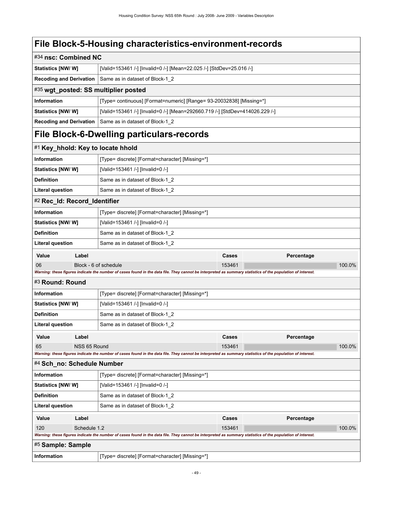| #34 nsc: Combined NC           |              |                                                                                                                                                             |                                  |            |        |  |  |
|--------------------------------|--------------|-------------------------------------------------------------------------------------------------------------------------------------------------------------|----------------------------------|------------|--------|--|--|
| <b>Statistics [NW/ W]</b>      |              | [Valid=153461 /-] [Invalid=0 /-] [Mean=22.025 /-] [StdDev=25.016 /-]                                                                                        |                                  |            |        |  |  |
| <b>Recoding and Derivation</b> |              | Same as in dataset of Block-1 2                                                                                                                             |                                  |            |        |  |  |
|                                |              | #35 wgt_posted: SS multiplier posted                                                                                                                        |                                  |            |        |  |  |
| <b>Information</b>             |              | [Type= continuous] [Format=numeric] [Range= 93-20032838] [Missing=*]                                                                                        |                                  |            |        |  |  |
| Statistics [NW/ W]             |              | [Valid=153461 /-] [Invalid=0 /-] [Mean=292660.719 /-] [StdDev=414026.229 /-]                                                                                |                                  |            |        |  |  |
| <b>Recoding and Derivation</b> |              | Same as in dataset of Block-1 2                                                                                                                             |                                  |            |        |  |  |
|                                |              | File Block-6-Dwelling particulars-records                                                                                                                   |                                  |            |        |  |  |
|                                |              | #1 Key_hhold: Key to locate hhold                                                                                                                           |                                  |            |        |  |  |
| Information                    |              | [Type= discrete] [Format=character] [Missing=*]                                                                                                             |                                  |            |        |  |  |
| <b>Statistics [NW/W]</b>       |              | [Valid=153461 /-] [Invalid=0 /-]                                                                                                                            |                                  |            |        |  |  |
| <b>Definition</b>              |              | Same as in dataset of Block-1_2                                                                                                                             |                                  |            |        |  |  |
| <b>Literal question</b>        |              | Same as in dataset of Block-1_2                                                                                                                             |                                  |            |        |  |  |
| #2 Rec_Id: Record_Identifier   |              |                                                                                                                                                             |                                  |            |        |  |  |
| <b>Information</b>             |              | [Type= discrete] [Format=character] [Missing=*]                                                                                                             |                                  |            |        |  |  |
| Statistics [NW/W]              |              | [Valid=153461 /-] [Invalid=0 /-]                                                                                                                            |                                  |            |        |  |  |
| <b>Definition</b>              |              | Same as in dataset of Block-1_2                                                                                                                             |                                  |            |        |  |  |
| <b>Literal question</b>        |              | Same as in dataset of Block-1_2                                                                                                                             |                                  |            |        |  |  |
| Value                          | Label        |                                                                                                                                                             | Cases                            | Percentage |        |  |  |
| 06                             |              | Block - 6 of schedule                                                                                                                                       | 153461                           |            | 100.0% |  |  |
|                                |              | Warning: these figures indicate the number of cases found in the data file. They cannot be interpreted as summary statistics of the population of interest. |                                  |            |        |  |  |
| #3 Round: Round                |              |                                                                                                                                                             |                                  |            |        |  |  |
| <b>Information</b>             |              | [Type= discrete] [Format=character] [Missing=*]                                                                                                             |                                  |            |        |  |  |
| Statistics [NW/ W]             |              |                                                                                                                                                             | [Valid=153461 /-] [Invalid=0 /-] |            |        |  |  |
| <b>Definition</b>              |              | Same as in dataset of Block-1 2                                                                                                                             |                                  |            |        |  |  |
| <b>Literal question</b>        |              | Same as in dataset of Block-1 2                                                                                                                             |                                  |            |        |  |  |
| Value                          | Label        |                                                                                                                                                             | Cases                            | Percentage |        |  |  |
| 65                             | NSS 65 Round | Warning: these figures indicate the number of cases found in the data file. They cannot be interpreted as summary statistics of the population of interest. | 153461                           |            | 100.0% |  |  |
| #4 Sch_no: Schedule Number     |              |                                                                                                                                                             |                                  |            |        |  |  |
| <b>Information</b>             |              | [Type= discrete] [Format=character] [Missing=*]                                                                                                             |                                  |            |        |  |  |
| <b>Statistics [NW/W]</b>       |              | [Valid=153461 /-] [Invalid=0 /-]                                                                                                                            |                                  |            |        |  |  |
| <b>Definition</b>              |              | Same as in dataset of Block-1_2                                                                                                                             |                                  |            |        |  |  |
| Literal question               |              | Same as in dataset of Block-1 2                                                                                                                             |                                  |            |        |  |  |
| Value                          | Label        |                                                                                                                                                             | Cases                            | Percentage |        |  |  |
| 120                            | Schedule 1.2 |                                                                                                                                                             | 153461                           |            | 100.0% |  |  |
|                                |              | Warning: these figures indicate the number of cases found in the data file. They cannot be interpreted as summary statistics of the population of interest. |                                  |            |        |  |  |
| #5 Sample: Sample              |              |                                                                                                                                                             |                                  |            |        |  |  |
| <b>Information</b>             |              | [Type= discrete] [Format=character] [Missing=*]                                                                                                             |                                  |            |        |  |  |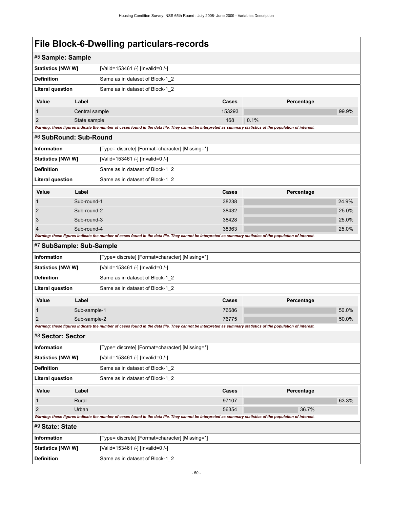|                                         | #5 Sample: Sample    |                                                                                                                                                             |                |            |       |
|-----------------------------------------|----------------------|-------------------------------------------------------------------------------------------------------------------------------------------------------------|----------------|------------|-------|
| <b>Statistics [NW/ W]</b>               |                      | [Valid=153461 /-] [Invalid=0 /-]                                                                                                                            |                |            |       |
| <b>Definition</b>                       |                      | Same as in dataset of Block-1_2                                                                                                                             |                |            |       |
| <b>Literal question</b>                 |                      | Same as in dataset of Block-1_2                                                                                                                             |                |            |       |
| Value                                   | Label                |                                                                                                                                                             | Cases          | Percentage |       |
| $\mathbf{1}$                            | Central sample       |                                                                                                                                                             | 153293         |            | 99.9% |
| $\overline{2}$                          | State sample         |                                                                                                                                                             | 168            | 0.1%       |       |
| #6 SubRound: Sub-Round                  |                      | Warning: these figures indicate the number of cases found in the data file. They cannot be interpreted as summary statistics of the population of interest. |                |            |       |
|                                         |                      |                                                                                                                                                             |                |            |       |
| <b>Information</b><br>Statistics [NW/W] |                      | [Type= discrete] [Format=character] [Missing=*]<br>[Valid=153461 /-] [Invalid=0 /-]                                                                         |                |            |       |
| <b>Definition</b>                       |                      | Same as in dataset of Block-1_2                                                                                                                             |                |            |       |
| <b>Literal question</b>                 |                      | Same as in dataset of Block-1_2                                                                                                                             |                |            |       |
|                                         |                      |                                                                                                                                                             |                |            |       |
| Value                                   | Label<br>Sub-round-1 |                                                                                                                                                             | Cases<br>38238 | Percentage | 24.9% |
| $\mathbf{1}$<br>$\overline{2}$          | Sub-round-2          |                                                                                                                                                             | 38432          |            | 25.0% |
| 3                                       | Sub-round-3          |                                                                                                                                                             | 38428          |            | 25.0% |
| 4                                       | Sub-round-4          |                                                                                                                                                             | 38363          |            | 25.0% |
|                                         |                      | Warning: these figures indicate the number of cases found in the data file. They cannot be interpreted as summary statistics of the population of interest. |                |            |       |
| #7 SubSample: Sub-Sample                |                      |                                                                                                                                                             |                |            |       |
| <b>Information</b>                      |                      | [Type= discrete] [Format=character] [Missing=*]                                                                                                             |                |            |       |
| <b>Statistics [NW/W]</b>                |                      | [Valid=153461 /-] [Invalid=0 /-]                                                                                                                            |                |            |       |
| <b>Definition</b>                       |                      | Same as in dataset of Block-1_2                                                                                                                             |                |            |       |
| <b>Literal question</b>                 |                      | Same as in dataset of Block-1_2                                                                                                                             |                |            |       |
| Value                                   | Label                |                                                                                                                                                             | Cases          | Percentage |       |
| 1                                       | Sub-sample-1         |                                                                                                                                                             | 76686          |            | 50.0% |
| $\overline{2}$                          | Sub-sample-2         | Warning: these figures indicate the number of cases found in the data file. They cannot be interpreted as summary statistics of the population of interest. | 76775          |            | 50.0% |
| #8 Sector: Sector                       |                      |                                                                                                                                                             |                |            |       |
| <b>Information</b>                      |                      | [Type= discrete] [Format=character] [Missing=*]                                                                                                             |                |            |       |
| Statistics [NW/W]                       |                      | [Valid=153461 /-] [Invalid=0 /-]                                                                                                                            |                |            |       |
| <b>Definition</b>                       |                      | Same as in dataset of Block-1_2                                                                                                                             |                |            |       |
| <b>Literal question</b>                 |                      | Same as in dataset of Block-1 2                                                                                                                             |                |            |       |
| Value                                   |                      |                                                                                                                                                             | Cases          | Percentage |       |
| $\mathbf{1}$                            | Label<br>Rural       |                                                                                                                                                             | 97107          |            | 63.3% |
| $\overline{2}$                          | Urban                |                                                                                                                                                             | 56354          | 36.7%      |       |
|                                         |                      | Warning: these figures indicate the number of cases found in the data file. They cannot be interpreted as summary statistics of the population of interest. |                |            |       |
| #9 State: State                         |                      |                                                                                                                                                             |                |            |       |
| Information                             |                      | [Type= discrete] [Format=character] [Missing=*]                                                                                                             |                |            |       |
| <b>Statistics [NW/W]</b>                |                      | [Valid=153461 /-] [Invalid=0 /-]                                                                                                                            |                |            |       |
| <b>Definition</b>                       |                      | Same as in dataset of Block-1_2                                                                                                                             |                |            |       |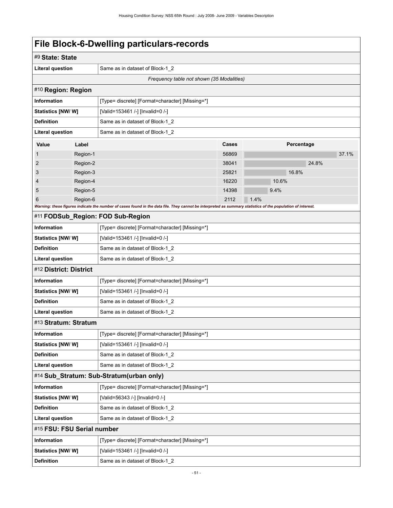| #9 State: State                                      |                                                 |                                                                                                                                                             |              |       |            |       |  |
|------------------------------------------------------|-------------------------------------------------|-------------------------------------------------------------------------------------------------------------------------------------------------------------|--------------|-------|------------|-------|--|
| <b>Literal question</b>                              | Same as in dataset of Block-1_2                 |                                                                                                                                                             |              |       |            |       |  |
| Frequency table not shown (35 Modalities)            |                                                 |                                                                                                                                                             |              |       |            |       |  |
| #10 Region: Region                                   |                                                 |                                                                                                                                                             |              |       |            |       |  |
| <b>Information</b>                                   | [Type= discrete] [Format=character] [Missing=*] |                                                                                                                                                             |              |       |            |       |  |
| Statistics [NW/ W]                                   |                                                 | [Valid=153461 /-] [Invalid=0 /-]                                                                                                                            |              |       |            |       |  |
| <b>Definition</b>                                    |                                                 | Same as in dataset of Block-1 2                                                                                                                             |              |       |            |       |  |
| <b>Literal question</b>                              |                                                 | Same as in dataset of Block-1_2                                                                                                                             |              |       |            |       |  |
| Value                                                | Label                                           |                                                                                                                                                             | <b>Cases</b> |       | Percentage |       |  |
| $\mathbf{1}$                                         | Region-1                                        |                                                                                                                                                             | 56869        |       |            | 37.1% |  |
| $\overline{2}$                                       | Region-2                                        |                                                                                                                                                             | 38041        |       | 24.8%      |       |  |
| 3                                                    | Region-3                                        |                                                                                                                                                             | 25821        |       | 16.8%      |       |  |
| 4                                                    | Region-4                                        |                                                                                                                                                             | 16220        | 10.6% |            |       |  |
| 5                                                    | Region-5                                        |                                                                                                                                                             | 14398        | 9.4%  |            |       |  |
| 6                                                    | Region-6                                        | Warning: these figures indicate the number of cases found in the data file. They cannot be interpreted as summary statistics of the population of interest. | 2112         | 1.4%  |            |       |  |
|                                                      |                                                 | #11 FODSub_Region: FOD Sub-Region                                                                                                                           |              |       |            |       |  |
| <b>Information</b>                                   |                                                 | [Type= discrete] [Format=character] [Missing=*]                                                                                                             |              |       |            |       |  |
| <b>Statistics [NW/ W]</b>                            |                                                 | [Valid=153461 /-] [Invalid=0 /-]                                                                                                                            |              |       |            |       |  |
| <b>Definition</b>                                    |                                                 | Same as in dataset of Block-1_2                                                                                                                             |              |       |            |       |  |
| <b>Literal question</b>                              |                                                 | Same as in dataset of Block-1_2                                                                                                                             |              |       |            |       |  |
| #12 District: District                               |                                                 |                                                                                                                                                             |              |       |            |       |  |
| <b>Information</b>                                   |                                                 | [Type= discrete] [Format=character] [Missing=*]                                                                                                             |              |       |            |       |  |
| Statistics [NW/W]                                    |                                                 | [Valid=153461 /-] [Invalid=0 /-]                                                                                                                            |              |       |            |       |  |
| <b>Definition</b>                                    |                                                 | Same as in dataset of Block-1_2                                                                                                                             |              |       |            |       |  |
| <b>Literal question</b>                              |                                                 | Same as in dataset of Block-1_2                                                                                                                             |              |       |            |       |  |
| #13 Stratum: Stratum                                 |                                                 |                                                                                                                                                             |              |       |            |       |  |
| <b>Information</b>                                   |                                                 | [Type= discrete] [Format=character] [Missing=*]                                                                                                             |              |       |            |       |  |
| Statistics [NW/ W]                                   |                                                 | [Valid=153461 /-] [Invalid=0 /-]                                                                                                                            |              |       |            |       |  |
| <b>Definition</b>                                    |                                                 | Same as in dataset of Block-1 2                                                                                                                             |              |       |            |       |  |
| <b>Literal question</b>                              |                                                 | Same as in dataset of Block-1_2                                                                                                                             |              |       |            |       |  |
|                                                      |                                                 | #14 Sub_Stratum: Sub-Stratum(urban only)                                                                                                                    |              |       |            |       |  |
| <b>Information</b>                                   |                                                 | [Type= discrete] [Format=character] [Missing=*]                                                                                                             |              |       |            |       |  |
| Statistics [NW/W]<br>[Valid=56343 /-] [Invalid=0 /-] |                                                 |                                                                                                                                                             |              |       |            |       |  |
| <b>Definition</b>                                    |                                                 | Same as in dataset of Block-1_2                                                                                                                             |              |       |            |       |  |
| <b>Literal question</b>                              |                                                 | Same as in dataset of Block-1_2                                                                                                                             |              |       |            |       |  |
| #15 FSU: FSU Serial number                           |                                                 |                                                                                                                                                             |              |       |            |       |  |
| Information                                          |                                                 | [Type= discrete] [Format=character] [Missing=*]                                                                                                             |              |       |            |       |  |
| Statistics [NW/W]                                    |                                                 | [Valid=153461 /-] [Invalid=0 /-]                                                                                                                            |              |       |            |       |  |
| <b>Definition</b>                                    |                                                 | Same as in dataset of Block-1_2                                                                                                                             |              |       |            |       |  |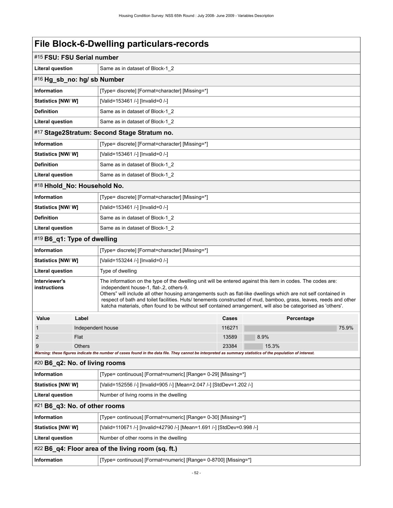| #15 FSU: FSU Serial number                                                                                                                                                                                                                                                                                                                                                                                                                                                                                                                       |                                 |                                                                                                                                                             |        |       |            |       |  |
|--------------------------------------------------------------------------------------------------------------------------------------------------------------------------------------------------------------------------------------------------------------------------------------------------------------------------------------------------------------------------------------------------------------------------------------------------------------------------------------------------------------------------------------------------|---------------------------------|-------------------------------------------------------------------------------------------------------------------------------------------------------------|--------|-------|------------|-------|--|
| <b>Literal question</b>                                                                                                                                                                                                                                                                                                                                                                                                                                                                                                                          | Same as in dataset of Block-1_2 |                                                                                                                                                             |        |       |            |       |  |
|                                                                                                                                                                                                                                                                                                                                                                                                                                                                                                                                                  | #16 Hg_sb_no: hg/ sb Number     |                                                                                                                                                             |        |       |            |       |  |
| <b>Information</b>                                                                                                                                                                                                                                                                                                                                                                                                                                                                                                                               |                                 | [Type= discrete] [Format=character] [Missing=*]                                                                                                             |        |       |            |       |  |
| <b>Statistics [NW/W]</b>                                                                                                                                                                                                                                                                                                                                                                                                                                                                                                                         |                                 | [Valid=153461 /-] [Invalid=0 /-]                                                                                                                            |        |       |            |       |  |
| <b>Definition</b>                                                                                                                                                                                                                                                                                                                                                                                                                                                                                                                                |                                 | Same as in dataset of Block-1_2                                                                                                                             |        |       |            |       |  |
| Literal question                                                                                                                                                                                                                                                                                                                                                                                                                                                                                                                                 |                                 | Same as in dataset of Block-1_2                                                                                                                             |        |       |            |       |  |
|                                                                                                                                                                                                                                                                                                                                                                                                                                                                                                                                                  |                                 | #17 Stage2Stratum: Second Stage Stratum no.                                                                                                                 |        |       |            |       |  |
| <b>Information</b>                                                                                                                                                                                                                                                                                                                                                                                                                                                                                                                               |                                 | [Type= discrete] [Format=character] [Missing=*]                                                                                                             |        |       |            |       |  |
| <b>Statistics [NW/W]</b>                                                                                                                                                                                                                                                                                                                                                                                                                                                                                                                         |                                 | [Valid=153461 /-] [Invalid=0 /-]                                                                                                                            |        |       |            |       |  |
| <b>Definition</b>                                                                                                                                                                                                                                                                                                                                                                                                                                                                                                                                |                                 | Same as in dataset of Block-1_2                                                                                                                             |        |       |            |       |  |
| Literal question                                                                                                                                                                                                                                                                                                                                                                                                                                                                                                                                 |                                 | Same as in dataset of Block-1 2                                                                                                                             |        |       |            |       |  |
| #18 Hhold No: Household No.                                                                                                                                                                                                                                                                                                                                                                                                                                                                                                                      |                                 |                                                                                                                                                             |        |       |            |       |  |
| <b>Information</b>                                                                                                                                                                                                                                                                                                                                                                                                                                                                                                                               |                                 | [Type= discrete] [Format=character] [Missing=*]                                                                                                             |        |       |            |       |  |
| Statistics [NW/W]                                                                                                                                                                                                                                                                                                                                                                                                                                                                                                                                |                                 | [Valid=153461 /-] [Invalid=0 /-]                                                                                                                            |        |       |            |       |  |
| <b>Definition</b>                                                                                                                                                                                                                                                                                                                                                                                                                                                                                                                                |                                 | Same as in dataset of Block-1_2                                                                                                                             |        |       |            |       |  |
| Literal question                                                                                                                                                                                                                                                                                                                                                                                                                                                                                                                                 |                                 | Same as in dataset of Block-1_2                                                                                                                             |        |       |            |       |  |
| #19 B6_q1: Type of dwelling                                                                                                                                                                                                                                                                                                                                                                                                                                                                                                                      |                                 |                                                                                                                                                             |        |       |            |       |  |
| <b>Information</b>                                                                                                                                                                                                                                                                                                                                                                                                                                                                                                                               |                                 | [Type= discrete] [Format=character] [Missing=*]                                                                                                             |        |       |            |       |  |
| <b>Statistics [NW/W]</b>                                                                                                                                                                                                                                                                                                                                                                                                                                                                                                                         |                                 | [Valid=153244 /-] [Invalid=0 /-]                                                                                                                            |        |       |            |       |  |
| <b>Literal question</b>                                                                                                                                                                                                                                                                                                                                                                                                                                                                                                                          |                                 | Type of dwelling                                                                                                                                            |        |       |            |       |  |
| Interviewer's<br>The information on the type of the dwelling unit will be entered against this item in codes. The codes are:<br>instructions<br>independent house-1, flat-.2, others-9.<br>Others" will include all other housing arrangements such as flat-like dwellings which are not self contained in<br>respect of bath and toilet facilities. Huts/ tenements constructed of mud, bamboo, grass, leaves, reeds and other<br>katcha materials, often found to be without self contained arrangement, will also be categorised as 'others'. |                                 |                                                                                                                                                             |        |       |            |       |  |
| Value                                                                                                                                                                                                                                                                                                                                                                                                                                                                                                                                            | Label                           |                                                                                                                                                             | Cases  |       | Percentage |       |  |
| 1                                                                                                                                                                                                                                                                                                                                                                                                                                                                                                                                                | Independent house               |                                                                                                                                                             | 116271 |       |            | 75.9% |  |
|                                                                                                                                                                                                                                                                                                                                                                                                                                                                                                                                                  | Flat                            |                                                                                                                                                             | 13589  | 8.9%  |            |       |  |
| 9                                                                                                                                                                                                                                                                                                                                                                                                                                                                                                                                                | <b>Others</b>                   | Warning: these figures indicate the number of cases found in the data file. They cannot be interpreted as summary statistics of the population of interest. | 23384  | 15.3% |            |       |  |
| #20 B6_q2: No. of living rooms                                                                                                                                                                                                                                                                                                                                                                                                                                                                                                                   |                                 |                                                                                                                                                             |        |       |            |       |  |
| <b>Information</b>                                                                                                                                                                                                                                                                                                                                                                                                                                                                                                                               |                                 | [Type= continuous] [Format=numeric] [Range= 0-29] [Missing=*]                                                                                               |        |       |            |       |  |
| Statistics [NW/W]                                                                                                                                                                                                                                                                                                                                                                                                                                                                                                                                |                                 | [Valid=152556 /-] [Invalid=905 /-] [Mean=2.047 /-] [StdDev=1.202 /-]                                                                                        |        |       |            |       |  |
| <b>Literal question</b>                                                                                                                                                                                                                                                                                                                                                                                                                                                                                                                          |                                 | Number of living rooms in the dwelling                                                                                                                      |        |       |            |       |  |
| $#21$ B6_q3: No. of other rooms                                                                                                                                                                                                                                                                                                                                                                                                                                                                                                                  |                                 |                                                                                                                                                             |        |       |            |       |  |
| Information                                                                                                                                                                                                                                                                                                                                                                                                                                                                                                                                      |                                 | [Type= continuous] [Format=numeric] [Range= 0-30] [Missing=*]                                                                                               |        |       |            |       |  |
| <b>Statistics [NW/W]</b>                                                                                                                                                                                                                                                                                                                                                                                                                                                                                                                         |                                 | [Valid=110671 /-] [Invalid=42790 /-] [Mean=1.691 /-] [StdDev=0.998 /-]                                                                                      |        |       |            |       |  |
| <b>Literal question</b>                                                                                                                                                                                                                                                                                                                                                                                                                                                                                                                          |                                 | Number of other rooms in the dwelling                                                                                                                       |        |       |            |       |  |
|                                                                                                                                                                                                                                                                                                                                                                                                                                                                                                                                                  |                                 | #22 B6_q4: Floor area of the living room (sq. ft.)                                                                                                          |        |       |            |       |  |
| Information                                                                                                                                                                                                                                                                                                                                                                                                                                                                                                                                      |                                 | [Type= continuous] [Format=numeric] [Range= 0-8700] [Missing=*]                                                                                             |        |       |            |       |  |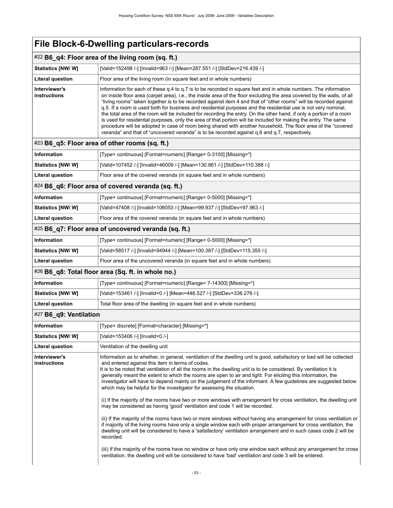### #22 **B6\_q4: Floor area of the living room (sq. ft.)**

| <b>Statistics [NW/W]</b>             | [Valid=152498 /-] [Invalid=963 /-] [Mean=287.551 /-] [StdDev=216.439 /-]                                                                                                                                                                                                                                                                                                                                                                                                                                                                                                                                                                                                                                                                                                                                                                                                                                                                     |
|--------------------------------------|----------------------------------------------------------------------------------------------------------------------------------------------------------------------------------------------------------------------------------------------------------------------------------------------------------------------------------------------------------------------------------------------------------------------------------------------------------------------------------------------------------------------------------------------------------------------------------------------------------------------------------------------------------------------------------------------------------------------------------------------------------------------------------------------------------------------------------------------------------------------------------------------------------------------------------------------|
| Literal question                     | Floor area of the living room (in square feet and in whole numbers)                                                                                                                                                                                                                                                                                                                                                                                                                                                                                                                                                                                                                                                                                                                                                                                                                                                                          |
| Interviewer's<br><b>instructions</b> | Information for each of these g.4 to g.7 is to be recorded in square feet and in whole numbers. The information<br>on inside floor area (carpet area), i.e., the inside area of the floor excluding the area covered by the walls, of all<br>"living rooms" taken together is to be recorded against item 4 and that of "other rooms" will be recorded against<br>q.5. If a room is used both for business and residential purposes and the residential use is not very nominal,<br>the total area of the room will be included for recording the entry. On the other hand, if only a portion of a room<br>is used for residential purposes, only the area of that portion will be included for making the entry. The same<br>procedure will be adopted in case of room being shared with another household. The floor area of the "covered<br>veranda" and that of "uncovered veranda" is to be recorded against q.6 and q.7, respectively. |

### #23 **B6\_q5: Floor area of other rooms (sq. ft.)**

| Information               | [Type= continuous] [Format=numeric] [Range= 0-3100] [Missing=*]            |
|---------------------------|----------------------------------------------------------------------------|
| <b>Statistics [NW/ W]</b> | [Valid=107452 /-] [Invalid=46009 /-] [Mean=130.861 /-] [StdDev=110.388 /-] |
| Literal question          | Floor area of the covered veranda (in square feet and in whole numbers)    |

#### #24 **B6\_q6: Floor area of covered veranda (sq. ft.)**

| <b>Information</b>       | [Type= continuous] [Format=numeric] [Range= 0-5000] [Missing=*]          |
|--------------------------|--------------------------------------------------------------------------|
| <b>Statistics [NW/W]</b> | [Valid=47408 /-] [Invalid=106053 /-] [Mean=99.937 /-] [StdDev=97.963 /-] |
| Literal question         | Floor area of the covered veranda (in square feet and in whole numbers)  |

#### #25 **B6\_q7: Floor area of uncovered veranda (sq. ft.)**

| Information              | [Type= continuous] [Format=numeric] [Range= 0-5000] [Missing=*]           |
|--------------------------|---------------------------------------------------------------------------|
| <b>Statistics [NW/W]</b> | [Valid=58517 /-] [Invalid=94944 /-] [Mean=100.387 /-] [StdDev=115.355 /-] |
| Literal question         | Floor area of the uncovered veranda (in square feet and in whole numbers) |

### #26 **B6\_q8: Total floor area (Sq. ft. in whole no.)**

| Information              | [Type= continuous] [Format=numeric] [Range= 7-14300] [Missing=*]       |
|--------------------------|------------------------------------------------------------------------|
| <b>Statistics [NW/W]</b> | [Valid=153461 /-] [Invalid=0 /-] [Mean=446.527 /-] [StdDev=336.276 /-] |
| Literal question         | Total floor area of the dwelling (in square feet and in whole numbers) |

### #27 **B6\_q9: Ventilation**

| <b>Information</b>                   | [Type= discrete] [Format=character] [Missing=*]                                                                                                                                                                                                                                                                                                                                                                                                                                                                                                                                                                                                                                                                                                                                                                                                                                                                                                                                                                                                                                                                                                                                                                                                                                                                                                                                                                                  |
|--------------------------------------|----------------------------------------------------------------------------------------------------------------------------------------------------------------------------------------------------------------------------------------------------------------------------------------------------------------------------------------------------------------------------------------------------------------------------------------------------------------------------------------------------------------------------------------------------------------------------------------------------------------------------------------------------------------------------------------------------------------------------------------------------------------------------------------------------------------------------------------------------------------------------------------------------------------------------------------------------------------------------------------------------------------------------------------------------------------------------------------------------------------------------------------------------------------------------------------------------------------------------------------------------------------------------------------------------------------------------------------------------------------------------------------------------------------------------------|
| Statistics [NW/ W]                   | [Valid=153406 /-] [Invalid=0 /-]                                                                                                                                                                                                                                                                                                                                                                                                                                                                                                                                                                                                                                                                                                                                                                                                                                                                                                                                                                                                                                                                                                                                                                                                                                                                                                                                                                                                 |
| <b>Literal question</b>              | Ventilation of the dwelling unit                                                                                                                                                                                                                                                                                                                                                                                                                                                                                                                                                                                                                                                                                                                                                                                                                                                                                                                                                                                                                                                                                                                                                                                                                                                                                                                                                                                                 |
| Interviewer's<br><b>instructions</b> | Information as to whether, in general, ventilation of the dwelling unit is good, satisfactory or bad will be collected<br>and entered against this item in terms of codes.<br>It is to be noted that ventilation of all the rooms in the dwelling unit is to be considered. By ventilation it is<br>generally meant the extent to which the rooms are open to air and light. For eliciting this information, the<br>investigator will have to depend mainly on the judgement of the informant. A few guidelines are suggested below<br>which may be helpful for the investigator for assessing the situation.<br>(i) If the majority of the rooms have two or more windows with arrangement for cross ventilation, the dwelling unit<br>may be considered as having 'good' ventilation and code 1 will be recorded.<br>(ii) If the majority of the rooms have two or more windows without having any arrangement for cross ventilation or<br>if majority of the living rooms have only a single window each with proper arrangement for cross ventilation, the<br>dwelling unit will be considered to have a 'satisfactory' ventilation arrangement and in such cases code 2 will be<br>recorded.<br>(iii) If the majority of the rooms have no window or have only one window each without any arrangement for cross<br>ventilation, the dwelling unit will be considered to have 'bad' ventilation and code 3 will be entered. |
|                                      |                                                                                                                                                                                                                                                                                                                                                                                                                                                                                                                                                                                                                                                                                                                                                                                                                                                                                                                                                                                                                                                                                                                                                                                                                                                                                                                                                                                                                                  |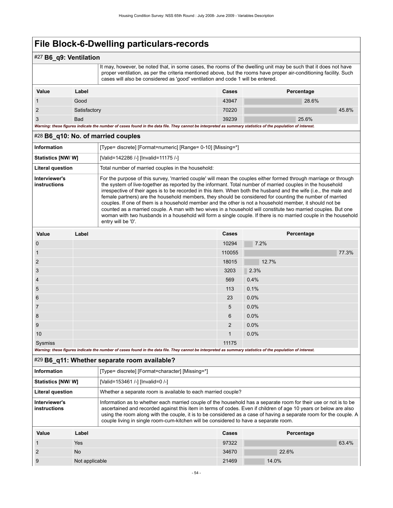## #27 **B6\_q9: Ventilation**

It may, however, be noted that, in some cases, the rooms of the dwelling unit may be such that it does not have proper ventilation, as per the criteria mentioned above, but the rooms have proper air-conditioning facility. Such cases will also be considered as 'good' ventilation and code 1 will be entered.

| Value                                                                                                                                                       | Label        | <b>Cases</b> | Percentage |
|-------------------------------------------------------------------------------------------------------------------------------------------------------------|--------------|--------------|------------|
|                                                                                                                                                             | Good         | 43947        | 28.6%      |
|                                                                                                                                                             | Satisfactory | 70220        | 45.8%      |
|                                                                                                                                                             | <b>Bad</b>   | 39239        | 25.6%      |
| Warning: these figures indicate the number of cases found in the data file. They cannot be interpreted as summary statistics of the population of interest. |              |              |            |

#### #28 **B6\_q10: No. of married couples**

| <b>Information</b>            | [Type= discrete] [Format=numeric] [Range= 0-10] [Missing=*]                                                                                                                                                                                                                                                                                                                                                                                                                                                                                                                                                                                                                                                                                                                                                                           |
|-------------------------------|---------------------------------------------------------------------------------------------------------------------------------------------------------------------------------------------------------------------------------------------------------------------------------------------------------------------------------------------------------------------------------------------------------------------------------------------------------------------------------------------------------------------------------------------------------------------------------------------------------------------------------------------------------------------------------------------------------------------------------------------------------------------------------------------------------------------------------------|
| <b>Statistics [NW/ W]</b>     | [Valid=142286 /-] [Invalid=11175 /-]                                                                                                                                                                                                                                                                                                                                                                                                                                                                                                                                                                                                                                                                                                                                                                                                  |
| Literal question              | Total number of married couples in the household:                                                                                                                                                                                                                                                                                                                                                                                                                                                                                                                                                                                                                                                                                                                                                                                     |
| Interviewer's<br>instructions | For the purpose of this survey, 'married couple' will mean the couples either formed through marriage or through<br>the system of live-together as reported by the informant. Total number of married couples in the household<br>irrespective of their ages is to be recorded in this item. When both the husband and the wife (i.e., the male and<br>female partners) are the household members, they should be considered for counting the number of married<br>couples. If one of them is a household member and the other is not a household member, it should not be<br>counted as a married couple. A man with two wives in a household will constitute two married couples. But one<br>woman with two husbands in a household will form a single couple. If there is no married couple in the household<br>entry will be '0'. |
|                               |                                                                                                                                                                                                                                                                                                                                                                                                                                                                                                                                                                                                                                                                                                                                                                                                                                       |

| Value          | Label                                                                                                                                                       | Cases          | Percentage |
|----------------|-------------------------------------------------------------------------------------------------------------------------------------------------------------|----------------|------------|
| $\mathbf 0$    |                                                                                                                                                             | 10294          | 7.2%       |
| $\mathbf{1}$   |                                                                                                                                                             | 110055         | 77.3%      |
| $\overline{2}$ |                                                                                                                                                             | 18015          | 12.7%      |
| 3              |                                                                                                                                                             | 3203           | 2.3%       |
| $\overline{4}$ |                                                                                                                                                             | 569            | 0.4%       |
| 5              |                                                                                                                                                             | 113            | 0.1%       |
| 6              |                                                                                                                                                             | 23             | 0.0%       |
| $\overline{7}$ |                                                                                                                                                             | 5              | 0.0%       |
| 8              |                                                                                                                                                             | 6              | $0.0\%$    |
| 9              |                                                                                                                                                             | $\overline{2}$ | 0.0%       |
| 10             |                                                                                                                                                             | $\mathbf{1}$   | 0.0%       |
| Sysmiss        |                                                                                                                                                             | 11175          |            |
|                | Warning: these figures indicate the number of cases found in the data file. They cannot be interpreted as summary statistics of the population of interest. |                |            |

### #29 **B6\_q11: Whether separate room available?**

| Information                   | [Type= discrete] [Format=character] [Missing=*]                                                                                                                                                                                                                                                                                                                                                                                                    |
|-------------------------------|----------------------------------------------------------------------------------------------------------------------------------------------------------------------------------------------------------------------------------------------------------------------------------------------------------------------------------------------------------------------------------------------------------------------------------------------------|
| <b>Statistics [NW/W]</b>      | [Valid=153461 /-] [Invalid=0 /-]                                                                                                                                                                                                                                                                                                                                                                                                                   |
| <b>Literal question</b>       | Whether a separate room is available to each married couple?                                                                                                                                                                                                                                                                                                                                                                                       |
| Interviewer's<br>instructions | Information as to whether each married couple of the household has a separate room for their use or not is to be<br>ascertained and recorded against this item in terms of codes. Even if children of age 10 years or below are also<br>using the room along with the couple, it is to be considered as a case of having a separate room for the couple. A<br>couple living in single room-cum-kitchen will be considered to have a separate room. |

| Value | Label          | <b>Cases</b> | Percentage |  |
|-------|----------------|--------------|------------|--|
|       | Yes            | 97322        | 63.4%      |  |
|       | N <sub>o</sub> | 34670        | 22.6%      |  |
| -9    | Not applicable | 21469        | 14.0%      |  |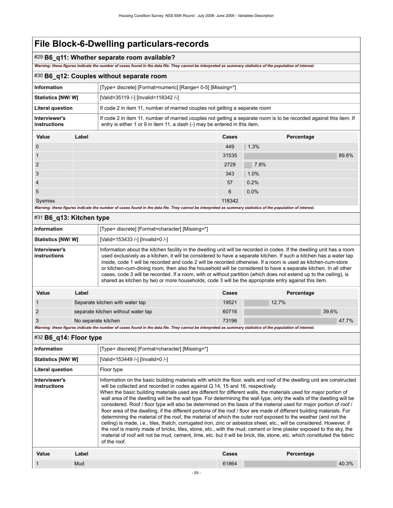### #29 **B6\_q11: Whether separate room available?**

*Warning: these figures indicate the number of cases found in the data file. They cannot be interpreted as summary statistics of the population of interest.*

### #30 **B6\_q12: Couples without separate room**

| <b>Information</b>            |       | [Type= discrete] [Format=numeric] [Range= 0-5] [Missing=*]                                                                                                                                        |        |            |       |
|-------------------------------|-------|---------------------------------------------------------------------------------------------------------------------------------------------------------------------------------------------------|--------|------------|-------|
| Statistics [NW/W]             |       | [Valid=35119 /-] [Invalid=118342 /-]                                                                                                                                                              |        |            |       |
| <b>Literal question</b>       |       | If code 2 in item 11, number of married couples not getting a separate room                                                                                                                       |        |            |       |
| Interviewer's<br>instructions |       | If code 2 in item 11, number of married couples not getting a separate room is to be recorded against this item. If<br>entry is either 1 or 9 in item 11, a dash (-) may be entered in this item. |        |            |       |
| Value                         | Label |                                                                                                                                                                                                   | Cases  | Percentage |       |
| $\mathbf 0$                   |       |                                                                                                                                                                                                   | 449    | 1.3%       |       |
| -1                            |       |                                                                                                                                                                                                   | 31535  |            | 89.8% |
| 2                             |       |                                                                                                                                                                                                   | 2729   | 7.8%       |       |
| 3                             |       |                                                                                                                                                                                                   | 343    | 1.0%       |       |
| $\overline{4}$                |       |                                                                                                                                                                                                   | 57     | 0.2%       |       |
| 5                             |       |                                                                                                                                                                                                   | 6      | 0.0%       |       |
| Sysmiss                       |       |                                                                                                                                                                                                   | 118342 |            |       |

*Warning: these figures indicate the number of cases found in the data file. They cannot be interpreted as summary statistics of the population of interest.*

| $#31$ B6 q13: Kitchen type    |                                                                                                                                                                                                                                                                                                                                                                                                                                                                                                                                                                                                                                                                                                                |                                                 |       |            |
|-------------------------------|----------------------------------------------------------------------------------------------------------------------------------------------------------------------------------------------------------------------------------------------------------------------------------------------------------------------------------------------------------------------------------------------------------------------------------------------------------------------------------------------------------------------------------------------------------------------------------------------------------------------------------------------------------------------------------------------------------------|-------------------------------------------------|-------|------------|
| Information                   |                                                                                                                                                                                                                                                                                                                                                                                                                                                                                                                                                                                                                                                                                                                | [Type= discrete] [Format=character] [Missing=*] |       |            |
| <b>Statistics [NW/ W]</b>     |                                                                                                                                                                                                                                                                                                                                                                                                                                                                                                                                                                                                                                                                                                                | [Valid=153433 /-] [Invalid=0 /-]                |       |            |
| Interviewer's<br>instructions | Information about the kitchen facility in the dwelling unit will be recorded in codes. If the dwelling unit has a room<br>used exclusively as a kitchen, it will be considered to have a separate kitchen. If such a kitchen has a water tap<br>inside, code 1 will be recorded and code 2 will be recorded otherwise. If a room is used as kitchen-cum-store<br>or kitchen-cum-dining room, then also the household will be considered to have a separate kitchen. In all other<br>cases, code 3 will be recorded. If a room, with or without partition (which does not extend up to the ceiling), is<br>shared as kitchen by two or more households, code 3 will be the appropriate entry against this item. |                                                 |       |            |
| Value                         | Label                                                                                                                                                                                                                                                                                                                                                                                                                                                                                                                                                                                                                                                                                                          |                                                 | Cases | Percentage |
|                               |                                                                                                                                                                                                                                                                                                                                                                                                                                                                                                                                                                                                                                                                                                                | Separate kitchen with water tap                 | 19521 | 12.7%      |
| 2                             |                                                                                                                                                                                                                                                                                                                                                                                                                                                                                                                                                                                                                                                                                                                | separate kitchen without water tap              | 60716 | 39.6%      |

3 No separate kitchen 73196 47.7%

*Warning: these figures indicate the number of cases found in the data file. They cannot be interpreted as summary statistics of the population of interest.*

## #32 **B6\_q14: Floor type**

| <b>Information</b>            |       | [Type= discrete] [Format=character] [Missing=*]                                                                                                                                                                                                                                                                                                                                                                                                                                                                                                                                                                                                                                                                                                                                                                                                                                                                                                                                                                                                                                                                                                                                                                         |       |            |
|-------------------------------|-------|-------------------------------------------------------------------------------------------------------------------------------------------------------------------------------------------------------------------------------------------------------------------------------------------------------------------------------------------------------------------------------------------------------------------------------------------------------------------------------------------------------------------------------------------------------------------------------------------------------------------------------------------------------------------------------------------------------------------------------------------------------------------------------------------------------------------------------------------------------------------------------------------------------------------------------------------------------------------------------------------------------------------------------------------------------------------------------------------------------------------------------------------------------------------------------------------------------------------------|-------|------------|
| <b>Statistics [NW/W]</b>      |       | [Valid=153449 /-] [Invalid=0 /-]                                                                                                                                                                                                                                                                                                                                                                                                                                                                                                                                                                                                                                                                                                                                                                                                                                                                                                                                                                                                                                                                                                                                                                                        |       |            |
| Literal question              |       | Floor type                                                                                                                                                                                                                                                                                                                                                                                                                                                                                                                                                                                                                                                                                                                                                                                                                                                                                                                                                                                                                                                                                                                                                                                                              |       |            |
| Interviewer's<br>instructions |       | Information on the basic building materials with which the floor, walls and roof of the dwelling unit are constructed<br>will be collected and recorded in codes against Q.14, 15 and 16, respectively.<br>When the basic building materials used are different for different walls, the materials used for major portion of<br>wall area of the dwelling will be the wall type. For determining the wall type, only the walls of the dwelling will be<br>considered. Roof / floor type will also be determined on the basis of the material used for major portion of roof /<br>floor area of the dwelling, if the different portions of the roof / floor are made of different building materials. For<br>determining the material of the roof, the material of which the outer roof exposed to the weather (and not the<br>ceiling) is made, i.e., tiles, thatch, corrugated iron, zinc or asbestos sheet, etc., will be considered. However, if<br>the roof is mainly made of bricks, tiles, stone, etc., with the mud, cement or lime plaster exposed to the sky, the<br>material of roof will not be mud, cement, lime, etc. but it will be brick, tile, stone, etc. which constituted the fabric<br>of the roof. |       |            |
| Value                         | Label |                                                                                                                                                                                                                                                                                                                                                                                                                                                                                                                                                                                                                                                                                                                                                                                                                                                                                                                                                                                                                                                                                                                                                                                                                         | Cases | Percentage |
|                               | Mud   |                                                                                                                                                                                                                                                                                                                                                                                                                                                                                                                                                                                                                                                                                                                                                                                                                                                                                                                                                                                                                                                                                                                                                                                                                         | 61864 | 40.3%      |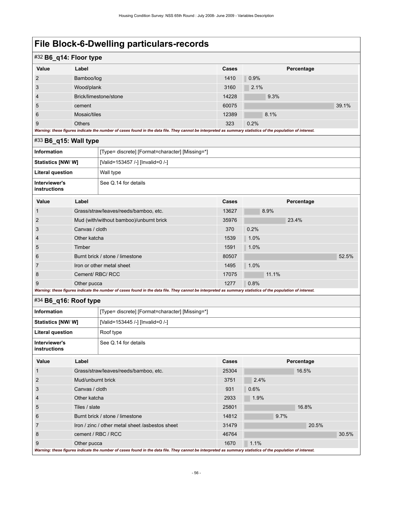## #32 **B6\_q14: Floor type**

|                | - -                                                                                                                                                         |       |            |  |
|----------------|-------------------------------------------------------------------------------------------------------------------------------------------------------------|-------|------------|--|
| Value          | Label                                                                                                                                                       | Cases | Percentage |  |
| 2              | Bamboo/log                                                                                                                                                  | 1410  | 0.9%       |  |
| 3              | Wood/plank                                                                                                                                                  | 3160  | 2.1%       |  |
| $\overline{4}$ | Brick/limestone/stone                                                                                                                                       | 14228 | 9.3%       |  |
| 5              | cement                                                                                                                                                      | 60075 | 39.1%      |  |
| 6              | Mosaic/tiles                                                                                                                                                | 12389 | 8.1%       |  |
| 9              | <b>Others</b>                                                                                                                                               | 323   | 0.2%       |  |
|                | Warning: these figures indicate the number of cases found in the data file. They cannot be interpreted as summary statistics of the population of interest. |       |            |  |

### #33 **B6\_q15: Wall type**

| Information                   | [Type= discrete] [Format=character] [Missing=*] |
|-------------------------------|-------------------------------------------------|
| <b>Statistics [NW/W]</b>      | [Valid=153457 /-] [Invalid=0 /-]                |
| Literal question              | Wall type                                       |
| Interviewer's<br>instructions | See Q.14 for details                            |

| Value                                                                                                                                                       | Label                                   | Cases | Percentage |       |  |
|-------------------------------------------------------------------------------------------------------------------------------------------------------------|-----------------------------------------|-------|------------|-------|--|
|                                                                                                                                                             | Grass/straw/leaves/reeds/bamboo, etc.   | 13627 | 8.9%       |       |  |
| $\overline{2}$                                                                                                                                              | Mud (with/without bamboo)/unburnt brick | 35976 | 23.4%      |       |  |
| 3                                                                                                                                                           | Canvas / cloth                          | 370   | 0.2%       |       |  |
| 4                                                                                                                                                           | Other katcha                            | 1539  | 1.0%       |       |  |
| 5                                                                                                                                                           | Timber                                  | 1591  | 1.0%       |       |  |
| 6                                                                                                                                                           | Burnt brick / stone / limestone         | 80507 |            | 52.5% |  |
|                                                                                                                                                             | Iron or other metal sheet               | 1495  | 1.0%       |       |  |
| 8                                                                                                                                                           | Cement/RBC/RCC                          | 17075 | 11.1%      |       |  |
| 9                                                                                                                                                           | Other pucca                             | 1277  | 0.8%       |       |  |
| Warning: these figures indicate the number of cases found in the data file. They cannot be interpreted as summary statistics of the population of interest. |                                         |       |            |       |  |

### #34 **B6\_q16: Roof type**

| Value                                                                                                                                                       | Label                                           | Cases | Percentage |  |
|-------------------------------------------------------------------------------------------------------------------------------------------------------------|-------------------------------------------------|-------|------------|--|
|                                                                                                                                                             | Grass/straw/leaves/reeds/bamboo, etc.           | 25304 | 16.5%      |  |
| 2                                                                                                                                                           | Mud/unburnt brick                               | 3751  | 2.4%       |  |
| 3                                                                                                                                                           | Canvas / cloth                                  | 931   | 0.6%       |  |
| 4                                                                                                                                                           | Other katcha                                    | 2933  | 1.9%       |  |
| 5                                                                                                                                                           | Tiles / slate                                   | 25801 | 16.8%      |  |
| 6                                                                                                                                                           | Burnt brick / stone / limestone                 | 14812 | 9.7%       |  |
|                                                                                                                                                             | Iron / zinc / other metal sheet /asbestos sheet | 31479 | 20.5%      |  |
| 8                                                                                                                                                           | cement / RBC / RCC                              | 46764 | 30.5%      |  |
| 9                                                                                                                                                           | Other pucca                                     | 1670  | 1.1%       |  |
| Warning: these figures indicate the number of cases found in the data file. They cannot be interpreted as summary statistics of the population of interest. |                                                 |       |            |  |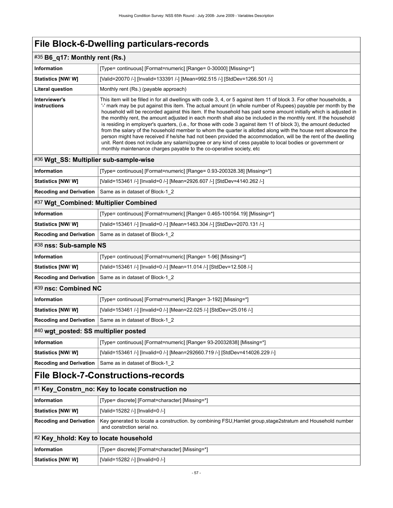| #35 B6_q17: Monthly rent (Rs.)                                    |                                                                                                                                                                                                                                                                                                                                                                                                                                                                                                                                                                                                                                                                                                                                                                                                                                                                                                                                                                                                                                   |  |  |  |
|-------------------------------------------------------------------|-----------------------------------------------------------------------------------------------------------------------------------------------------------------------------------------------------------------------------------------------------------------------------------------------------------------------------------------------------------------------------------------------------------------------------------------------------------------------------------------------------------------------------------------------------------------------------------------------------------------------------------------------------------------------------------------------------------------------------------------------------------------------------------------------------------------------------------------------------------------------------------------------------------------------------------------------------------------------------------------------------------------------------------|--|--|--|
| Information                                                       | [Type= continuous] [Format=numeric] [Range= 0-30000] [Missing=*]                                                                                                                                                                                                                                                                                                                                                                                                                                                                                                                                                                                                                                                                                                                                                                                                                                                                                                                                                                  |  |  |  |
| Statistics [NW/W]                                                 | [Valid=20070 /-] [Invalid=133391 /-] [Mean=992.515 /-] [StdDev=1266.501 /-]                                                                                                                                                                                                                                                                                                                                                                                                                                                                                                                                                                                                                                                                                                                                                                                                                                                                                                                                                       |  |  |  |
| <b>Literal question</b>                                           | Monthly rent (Rs.) (payable approach)                                                                                                                                                                                                                                                                                                                                                                                                                                                                                                                                                                                                                                                                                                                                                                                                                                                                                                                                                                                             |  |  |  |
| Interviewer's<br>instructions                                     | This item will be filled in for all dwellings with code 3, 4, or 5 against item 11 of block 3. For other households, a<br>'-' mark may be put against this item. The actual amount (in whole number of Rupees) payable per month by the<br>household will be recorded against this item. If the household has paid some amount initially which is adjusted in<br>the monthly rent, the amount adjusted in each month shall also be included in the monthly rent. If the household<br>is residing in employer's quarters, (i.e., for those with code 3 against item 11 of block 3), the amount deducted<br>from the salary of the household member to whom the quarter is allotted along with the house rent allowance the<br>person might have received if he/she had not been provided the accommodation, will be the rent of the dwelling<br>unit. Rent does not include any salami/pugree or any kind of cess payable to local bodies or government or<br>monthly maintenance charges payable to the co-operative society, etc |  |  |  |
| #36 Wgt_SS: Multiplier sub-sample-wise                            |                                                                                                                                                                                                                                                                                                                                                                                                                                                                                                                                                                                                                                                                                                                                                                                                                                                                                                                                                                                                                                   |  |  |  |
| <b>Information</b>                                                | [Type= continuous] [Format=numeric] [Range= 0.93-200328.38] [Missing=*]                                                                                                                                                                                                                                                                                                                                                                                                                                                                                                                                                                                                                                                                                                                                                                                                                                                                                                                                                           |  |  |  |
| Statistics [NW/W]                                                 | [Valid=153461 /-] [Invalid=0 /-] [Mean=2926.607 /-] [StdDev=4140.262 /-]                                                                                                                                                                                                                                                                                                                                                                                                                                                                                                                                                                                                                                                                                                                                                                                                                                                                                                                                                          |  |  |  |
| <b>Recoding and Derivation</b>                                    | Same as in dataset of Block-1_2                                                                                                                                                                                                                                                                                                                                                                                                                                                                                                                                                                                                                                                                                                                                                                                                                                                                                                                                                                                                   |  |  |  |
| #37 Wgt_Combined: Multiplier Combined                             |                                                                                                                                                                                                                                                                                                                                                                                                                                                                                                                                                                                                                                                                                                                                                                                                                                                                                                                                                                                                                                   |  |  |  |
| Information                                                       | [Type= continuous] [Format=numeric] [Range= 0.465-100164.19] [Missing=*]                                                                                                                                                                                                                                                                                                                                                                                                                                                                                                                                                                                                                                                                                                                                                                                                                                                                                                                                                          |  |  |  |
| Statistics [NW/ W]                                                | [Valid=153461 /-] [Invalid=0 /-] [Mean=1463.304 /-] [StdDev=2070.131 /-]                                                                                                                                                                                                                                                                                                                                                                                                                                                                                                                                                                                                                                                                                                                                                                                                                                                                                                                                                          |  |  |  |
| <b>Recoding and Derivation</b><br>Same as in dataset of Block-1 2 |                                                                                                                                                                                                                                                                                                                                                                                                                                                                                                                                                                                                                                                                                                                                                                                                                                                                                                                                                                                                                                   |  |  |  |
| #38 nss: Sub-sample NS                                            |                                                                                                                                                                                                                                                                                                                                                                                                                                                                                                                                                                                                                                                                                                                                                                                                                                                                                                                                                                                                                                   |  |  |  |
| Information                                                       | [Type= continuous] [Format=numeric] [Range= 1-96] [Missing=*]                                                                                                                                                                                                                                                                                                                                                                                                                                                                                                                                                                                                                                                                                                                                                                                                                                                                                                                                                                     |  |  |  |
| Statistics [NW/W]                                                 | [Valid=153461 /-] [Invalid=0 /-] [Mean=11.014 /-] [StdDev=12.508 /-]                                                                                                                                                                                                                                                                                                                                                                                                                                                                                                                                                                                                                                                                                                                                                                                                                                                                                                                                                              |  |  |  |
| <b>Recoding and Derivation</b>                                    | Same as in dataset of Block-1_2                                                                                                                                                                                                                                                                                                                                                                                                                                                                                                                                                                                                                                                                                                                                                                                                                                                                                                                                                                                                   |  |  |  |
| #39 nsc: Combined NC                                              |                                                                                                                                                                                                                                                                                                                                                                                                                                                                                                                                                                                                                                                                                                                                                                                                                                                                                                                                                                                                                                   |  |  |  |
| Information                                                       | [Type= continuous] [Format=numeric] [Range= 3-192] [Missing=*]                                                                                                                                                                                                                                                                                                                                                                                                                                                                                                                                                                                                                                                                                                                                                                                                                                                                                                                                                                    |  |  |  |
| Statistics [NW/W]                                                 | [Valid=153461 /-] [Invalid=0 /-] [Mean=22.025 /-] [StdDev=25.016 /-]                                                                                                                                                                                                                                                                                                                                                                                                                                                                                                                                                                                                                                                                                                                                                                                                                                                                                                                                                              |  |  |  |
| Recoding and Derivation                                           | Same as in dataset of Block-1 2                                                                                                                                                                                                                                                                                                                                                                                                                                                                                                                                                                                                                                                                                                                                                                                                                                                                                                                                                                                                   |  |  |  |
| #40 wgt_posted: SS multiplier posted                              |                                                                                                                                                                                                                                                                                                                                                                                                                                                                                                                                                                                                                                                                                                                                                                                                                                                                                                                                                                                                                                   |  |  |  |
| Information                                                       | [Type= continuous] [Format=numeric] [Range= 93-20032838] [Missing=*]                                                                                                                                                                                                                                                                                                                                                                                                                                                                                                                                                                                                                                                                                                                                                                                                                                                                                                                                                              |  |  |  |
| Statistics [NW/W]                                                 | [Valid=153461 /-] [Invalid=0 /-] [Mean=292660.719 /-] [StdDev=414026.229 /-]                                                                                                                                                                                                                                                                                                                                                                                                                                                                                                                                                                                                                                                                                                                                                                                                                                                                                                                                                      |  |  |  |
| <b>Recoding and Derivation</b>                                    | Same as in dataset of Block-1 2                                                                                                                                                                                                                                                                                                                                                                                                                                                                                                                                                                                                                                                                                                                                                                                                                                                                                                                                                                                                   |  |  |  |
| <b>File Block-7-Constructions-records</b>                         |                                                                                                                                                                                                                                                                                                                                                                                                                                                                                                                                                                                                                                                                                                                                                                                                                                                                                                                                                                                                                                   |  |  |  |
| #1 Key_Constrn_no: Key to locate construction no                  |                                                                                                                                                                                                                                                                                                                                                                                                                                                                                                                                                                                                                                                                                                                                                                                                                                                                                                                                                                                                                                   |  |  |  |
| <b>Information</b>                                                | [Type= discrete] [Format=character] [Missing=*]                                                                                                                                                                                                                                                                                                                                                                                                                                                                                                                                                                                                                                                                                                                                                                                                                                                                                                                                                                                   |  |  |  |
| <b>Statistics [NW/W]</b>                                          | [Valid=15282 /-] [Invalid=0 /-]                                                                                                                                                                                                                                                                                                                                                                                                                                                                                                                                                                                                                                                                                                                                                                                                                                                                                                                                                                                                   |  |  |  |
| <b>Recoding and Derivation</b>                                    | Key generated to locate a construction. by combining FSU, Hamlet group, stage 2stratum and Household number<br>and constrction serial no.                                                                                                                                                                                                                                                                                                                                                                                                                                                                                                                                                                                                                                                                                                                                                                                                                                                                                         |  |  |  |
| #2 Key_hhold: Key to locate household                             |                                                                                                                                                                                                                                                                                                                                                                                                                                                                                                                                                                                                                                                                                                                                                                                                                                                                                                                                                                                                                                   |  |  |  |
| Information                                                       | [Type= discrete] [Format=character] [Missing=*]                                                                                                                                                                                                                                                                                                                                                                                                                                                                                                                                                                                                                                                                                                                                                                                                                                                                                                                                                                                   |  |  |  |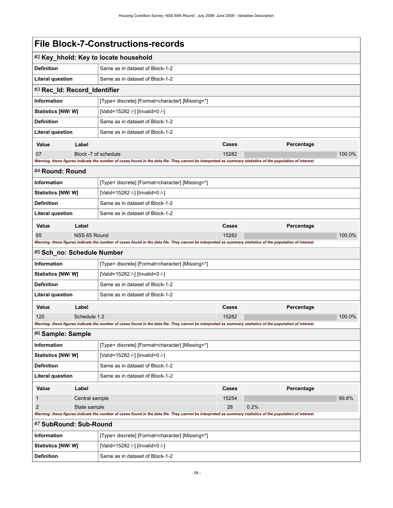|                                                                                                                                                             |                              | #2 Key_hhold: Key to locate household                                                                                                                       |                     |            |        |
|-------------------------------------------------------------------------------------------------------------------------------------------------------------|------------------------------|-------------------------------------------------------------------------------------------------------------------------------------------------------------|---------------------|------------|--------|
| <b>Definition</b>                                                                                                                                           |                              | Same as in dataset of Block-1-2                                                                                                                             |                     |            |        |
| <b>Literal question</b>                                                                                                                                     |                              | Same as in dataset of Block-1-2                                                                                                                             |                     |            |        |
| #3 Rec_Id: Record_Identifier                                                                                                                                |                              |                                                                                                                                                             |                     |            |        |
| <b>Information</b>                                                                                                                                          |                              | [Type= discrete] [Format=character] [Missing=*]                                                                                                             |                     |            |        |
| Statistics [NW/W]                                                                                                                                           |                              | [Valid=15282 /-] [Invalid=0 /-]                                                                                                                             |                     |            |        |
| <b>Definition</b>                                                                                                                                           |                              | Same as in dataset of Block-1-2                                                                                                                             |                     |            |        |
| Literal question                                                                                                                                            |                              | Same as in dataset of Block-1-2                                                                                                                             |                     |            |        |
| Value                                                                                                                                                       | Label                        |                                                                                                                                                             | Percentage<br>Cases |            |        |
| 07                                                                                                                                                          | Block -7 of schedule         |                                                                                                                                                             | 15282               |            | 100.0% |
|                                                                                                                                                             |                              | Warning: these figures indicate the number of cases found in the data file. They cannot be interpreted as summary statistics of the population of interest. |                     |            |        |
| #4 Round: Round                                                                                                                                             |                              |                                                                                                                                                             |                     |            |        |
| <b>Information</b>                                                                                                                                          |                              | [Type= discrete] [Format=character] [Missing=*]                                                                                                             |                     |            |        |
| Statistics [NW/W]                                                                                                                                           |                              | [Valid=15282 /-] [Invalid=0 /-]                                                                                                                             |                     |            |        |
| <b>Definition</b>                                                                                                                                           |                              | Same as in dataset of Block-1-2                                                                                                                             |                     |            |        |
| <b>Literal question</b>                                                                                                                                     |                              | Same as in dataset of Block-1-2                                                                                                                             |                     |            |        |
| Value                                                                                                                                                       | Label                        |                                                                                                                                                             | Cases               | Percentage |        |
| 65                                                                                                                                                          | NSS 65 Round                 |                                                                                                                                                             | 15282               |            | 100.0% |
|                                                                                                                                                             |                              | Warning: these figures indicate the number of cases found in the data file. They cannot be interpreted as summary statistics of the population of interest. |                     |            |        |
| #5 Sch_no: Schedule Number                                                                                                                                  |                              |                                                                                                                                                             |                     |            |        |
| <b>Information</b>                                                                                                                                          |                              | [Type= discrete] [Format=character] [Missing=*]                                                                                                             |                     |            |        |
| <b>Statistics [NW/W]</b>                                                                                                                                    |                              | [Valid=15282 /-] [Invalid=0 /-]                                                                                                                             |                     |            |        |
| <b>Definition</b>                                                                                                                                           |                              | Same as in dataset of Block-1-2                                                                                                                             |                     |            |        |
| <b>Literal question</b>                                                                                                                                     |                              | Same as in dataset of Block-1-2                                                                                                                             |                     |            |        |
| Value                                                                                                                                                       | Label                        |                                                                                                                                                             | Cases               | Percentage |        |
| 120                                                                                                                                                         | Schedule 1.2                 |                                                                                                                                                             | 15282               |            | 100.0% |
|                                                                                                                                                             |                              | Warning: these figures indicate the number of cases found in the data file. They cannot be interpreted as summary statistics of the population of interest. |                     |            |        |
| #6 Sample: Sample                                                                                                                                           |                              |                                                                                                                                                             |                     |            |        |
| <b>Information</b>                                                                                                                                          |                              | [Type= discrete] [Format=character] [Missing=*]                                                                                                             |                     |            |        |
| Statistics [NW/W]                                                                                                                                           |                              | [Valid=15282 /-] [Invalid=0 /-]                                                                                                                             |                     |            |        |
| <b>Definition</b>                                                                                                                                           |                              | Same as in dataset of Block-1-2                                                                                                                             |                     |            |        |
| <b>Literal question</b>                                                                                                                                     |                              | Same as in dataset of Block-1-2                                                                                                                             |                     |            |        |
| Value                                                                                                                                                       | Label<br>Percentage<br>Cases |                                                                                                                                                             |                     |            |        |
| $\mathbf{1}$<br>Central sample                                                                                                                              |                              |                                                                                                                                                             | 15254               |            | 99.8%  |
| $\overline{2}$<br>State sample                                                                                                                              |                              |                                                                                                                                                             | 28                  | 0.2%       |        |
| Warning: these figures indicate the number of cases found in the data file. They cannot be interpreted as summary statistics of the population of interest. |                              |                                                                                                                                                             |                     |            |        |
| #7 SubRound: Sub-Round                                                                                                                                      |                              |                                                                                                                                                             |                     |            |        |
| <b>Information</b>                                                                                                                                          |                              | [Type= discrete] [Format=character] [Missing=*]                                                                                                             |                     |            |        |
| <b>Statistics [NW/W]</b>                                                                                                                                    |                              | [Valid=15282 /-] [Invalid=0 /-]                                                                                                                             |                     |            |        |
| <b>Definition</b>                                                                                                                                           |                              | Same as in dataset of Block-1-2                                                                                                                             |                     |            |        |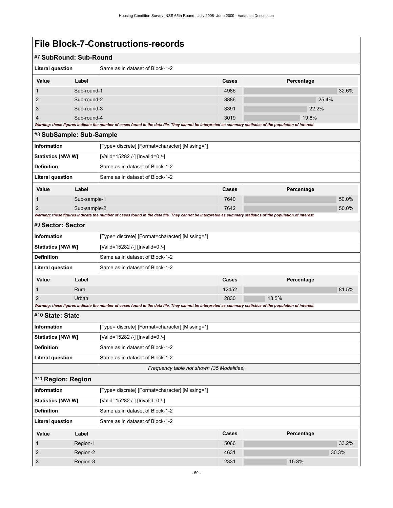| #7 SubRound: Sub-Round                                                                                                                                      |                            |                                                                                                                                                             |              |                |       |
|-------------------------------------------------------------------------------------------------------------------------------------------------------------|----------------------------|-------------------------------------------------------------------------------------------------------------------------------------------------------------|--------------|----------------|-------|
| <b>Literal question</b><br>Same as in dataset of Block-1-2                                                                                                  |                            |                                                                                                                                                             |              |                |       |
|                                                                                                                                                             |                            |                                                                                                                                                             |              |                |       |
| Value                                                                                                                                                       | Label                      |                                                                                                                                                             | Cases        | Percentage     |       |
| 1                                                                                                                                                           | Sub-round-1                |                                                                                                                                                             | 4986         |                | 32.6% |
| $\overline{2}$<br>3                                                                                                                                         | Sub-round-2<br>Sub-round-3 |                                                                                                                                                             | 3886<br>3391 | 25.4%<br>22.2% |       |
| 4                                                                                                                                                           | Sub-round-4                |                                                                                                                                                             | 3019         | 19.8%          |       |
| Warning: these figures indicate the number of cases found in the data file. They cannot be interpreted as summary statistics of the population of interest. |                            |                                                                                                                                                             |              |                |       |
| #8 SubSample: Sub-Sample                                                                                                                                    |                            |                                                                                                                                                             |              |                |       |
| Information                                                                                                                                                 |                            | [Type= discrete] [Format=character] [Missing=*]                                                                                                             |              |                |       |
| <b>Statistics [NW/ W]</b>                                                                                                                                   |                            | [Valid=15282 /-] [Invalid=0 /-]                                                                                                                             |              |                |       |
| <b>Definition</b>                                                                                                                                           |                            | Same as in dataset of Block-1-2                                                                                                                             |              |                |       |
| <b>Literal question</b>                                                                                                                                     |                            | Same as in dataset of Block-1-2                                                                                                                             |              |                |       |
| Value                                                                                                                                                       | Label                      |                                                                                                                                                             | Cases        | Percentage     |       |
| 1                                                                                                                                                           | Sub-sample-1               |                                                                                                                                                             | 7640         |                | 50.0% |
| $\overline{2}$                                                                                                                                              | Sub-sample-2               |                                                                                                                                                             | 7642         |                | 50.0% |
|                                                                                                                                                             |                            | Warning: these figures indicate the number of cases found in the data file. They cannot be interpreted as summary statistics of the population of interest. |              |                |       |
| #9 Sector: Sector                                                                                                                                           |                            |                                                                                                                                                             |              |                |       |
| Information                                                                                                                                                 |                            | [Type= discrete] [Format=character] [Missing=*]                                                                                                             |              |                |       |
| Statistics [NW/ W]                                                                                                                                          |                            | [Valid=15282 /-] [Invalid=0 /-]                                                                                                                             |              |                |       |
| <b>Definition</b>                                                                                                                                           |                            | Same as in dataset of Block-1-2                                                                                                                             |              |                |       |
| <b>Literal question</b><br>Same as in dataset of Block-1-2                                                                                                  |                            |                                                                                                                                                             |              |                |       |
| Value                                                                                                                                                       | Label                      |                                                                                                                                                             | Cases        | Percentage     |       |
| 1                                                                                                                                                           | Rural                      |                                                                                                                                                             | 12452        |                | 81.5% |
| 2                                                                                                                                                           | Urban                      |                                                                                                                                                             | 2830         | 18.5%          |       |
| #10 State: State                                                                                                                                            |                            | Warning: these figures indicate the number of cases found in the data file. They cannot be interpreted as summary statistics of the population of interest. |              |                |       |
|                                                                                                                                                             |                            |                                                                                                                                                             |              |                |       |
| Information                                                                                                                                                 |                            | [Type= discrete] [Format=character] [Missing=*]                                                                                                             |              |                |       |
| <b>Statistics [NW/ W]</b><br><b>Definition</b>                                                                                                              |                            | [Valid=15282 /-] [Invalid=0 /-]<br>Same as in dataset of Block-1-2                                                                                          |              |                |       |
| <b>Literal question</b>                                                                                                                                     |                            | Same as in dataset of Block-1-2                                                                                                                             |              |                |       |
|                                                                                                                                                             |                            | Frequency table not shown (35 Modalities)                                                                                                                   |              |                |       |
| #11 Region: Region                                                                                                                                          |                            |                                                                                                                                                             |              |                |       |
| <b>Information</b>                                                                                                                                          |                            | [Type= discrete] [Format=character] [Missing=*]                                                                                                             |              |                |       |
| Statistics [NW/W]                                                                                                                                           |                            | [Valid=15282 /-] [Invalid=0 /-]                                                                                                                             |              |                |       |
| <b>Definition</b>                                                                                                                                           |                            | Same as in dataset of Block-1-2                                                                                                                             |              |                |       |
| <b>Literal question</b><br>Same as in dataset of Block-1-2                                                                                                  |                            |                                                                                                                                                             |              |                |       |
| Value                                                                                                                                                       | Label                      |                                                                                                                                                             | Cases        | Percentage     |       |
| 1                                                                                                                                                           | Region-1                   |                                                                                                                                                             | 5066         |                | 33.2% |
| $\overline{2}$                                                                                                                                              | Region-2                   |                                                                                                                                                             | 4631         |                | 30.3% |
| 3                                                                                                                                                           | Region-3                   |                                                                                                                                                             | 2331         | 15.3%          |       |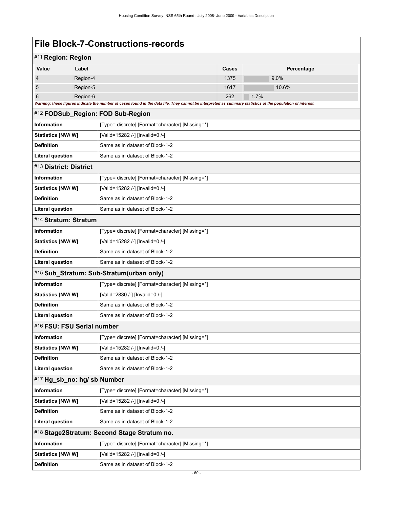| #11 Region: Region                                         |          |                                                                                                                                                             |       |            |
|------------------------------------------------------------|----------|-------------------------------------------------------------------------------------------------------------------------------------------------------------|-------|------------|
| Value                                                      | Label    |                                                                                                                                                             | Cases | Percentage |
| 4                                                          | Region-4 |                                                                                                                                                             | 1375  | 9.0%       |
| 5                                                          | Region-5 |                                                                                                                                                             | 1617  | 10.6%      |
| 6                                                          | Region-6 |                                                                                                                                                             | 262   | 1.7%       |
|                                                            |          | Warning: these figures indicate the number of cases found in the data file. They cannot be interpreted as summary statistics of the population of interest. |       |            |
|                                                            |          | #12 FODSub_Region: FOD Sub-Region                                                                                                                           |       |            |
| Information                                                |          | [Type= discrete] [Format=character] [Missing=*]                                                                                                             |       |            |
| Statistics [NW/W]                                          |          | [Valid=15282 /-] [Invalid=0 /-]                                                                                                                             |       |            |
| <b>Definition</b>                                          |          | Same as in dataset of Block-1-2                                                                                                                             |       |            |
| <b>Literal question</b>                                    |          | Same as in dataset of Block-1-2                                                                                                                             |       |            |
| #13 District: District                                     |          |                                                                                                                                                             |       |            |
| Information                                                |          | [Type= discrete] [Format=character] [Missing=*]                                                                                                             |       |            |
| Statistics [NW/W]                                          |          | [Valid=15282 /-] [Invalid=0 /-]                                                                                                                             |       |            |
| <b>Definition</b>                                          |          | Same as in dataset of Block-1-2                                                                                                                             |       |            |
| <b>Literal question</b>                                    |          | Same as in dataset of Block-1-2                                                                                                                             |       |            |
| #14 Stratum: Stratum                                       |          |                                                                                                                                                             |       |            |
| <b>Information</b>                                         |          | [Type= discrete] [Format=character] [Missing=*]                                                                                                             |       |            |
| Statistics [NW/ W]                                         |          | [Valid=15282 /-] [Invalid=0 /-]                                                                                                                             |       |            |
| <b>Definition</b>                                          |          | Same as in dataset of Block-1-2                                                                                                                             |       |            |
| <b>Literal question</b><br>Same as in dataset of Block-1-2 |          |                                                                                                                                                             |       |            |
| #15 Sub_Stratum: Sub-Stratum(urban only)                   |          |                                                                                                                                                             |       |            |
| <b>Information</b>                                         |          | [Type= discrete] [Format=character] [Missing=*]                                                                                                             |       |            |
| Statistics [NW/ W]                                         |          | [Valid=2830 /-] [Invalid=0 /-]                                                                                                                              |       |            |
| <b>Definition</b>                                          |          | Same as in dataset of Block-1-2                                                                                                                             |       |            |
| <b>Literal question</b>                                    |          | Same as in dataset of Block-1-2                                                                                                                             |       |            |
| #16 FSU: FSU Serial number                                 |          |                                                                                                                                                             |       |            |
| Information                                                |          | [Type= discrete] [Format=character] [Missing=*]                                                                                                             |       |            |
| <b>Statistics [NW/ W]</b>                                  |          | [Valid=15282 /-] [Invalid=0 /-]                                                                                                                             |       |            |
| <b>Definition</b>                                          |          | Same as in dataset of Block-1-2                                                                                                                             |       |            |
| <b>Literal question</b>                                    |          | Same as in dataset of Block-1-2                                                                                                                             |       |            |
| #17 Hg_sb_no: hg/ sb Number                                |          |                                                                                                                                                             |       |            |
| <b>Information</b>                                         |          | [Type= discrete] [Format=character] [Missing=*]                                                                                                             |       |            |
| <b>Statistics [NW/ W]</b>                                  |          | [Valid=15282 /-] [Invalid=0 /-]                                                                                                                             |       |            |
| <b>Definition</b>                                          |          | Same as in dataset of Block-1-2                                                                                                                             |       |            |
| <b>Literal question</b>                                    |          | Same as in dataset of Block-1-2                                                                                                                             |       |            |
|                                                            |          | #18 Stage2Stratum: Second Stage Stratum no.                                                                                                                 |       |            |
| <b>Information</b>                                         |          | [Type= discrete] [Format=character] [Missing=*]                                                                                                             |       |            |
| Statistics [NW/W]                                          |          | [Valid=15282 /-] [Invalid=0 /-]                                                                                                                             |       |            |
| <b>Definition</b>                                          |          | Same as in dataset of Block-1-2                                                                                                                             |       |            |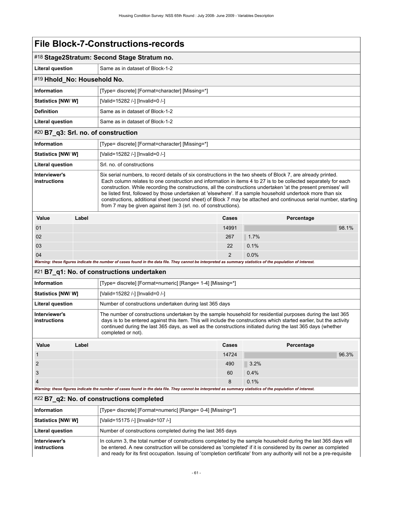| #18 Stage2Stratum: Second Stage Stratum no.                                                                                                                                                                                                                                                                                                                                                                                                                                                                                                                                                                                                                                                        |                                                                                                                                                                                                                                                                                                                                                                                            |                                                                                                                                                                                                                                  |                |                             |                     |  |  |
|----------------------------------------------------------------------------------------------------------------------------------------------------------------------------------------------------------------------------------------------------------------------------------------------------------------------------------------------------------------------------------------------------------------------------------------------------------------------------------------------------------------------------------------------------------------------------------------------------------------------------------------------------------------------------------------------------|--------------------------------------------------------------------------------------------------------------------------------------------------------------------------------------------------------------------------------------------------------------------------------------------------------------------------------------------------------------------------------------------|----------------------------------------------------------------------------------------------------------------------------------------------------------------------------------------------------------------------------------|----------------|-----------------------------|---------------------|--|--|
| <b>Literal question</b>                                                                                                                                                                                                                                                                                                                                                                                                                                                                                                                                                                                                                                                                            | Same as in dataset of Block-1-2                                                                                                                                                                                                                                                                                                                                                            |                                                                                                                                                                                                                                  |                |                             |                     |  |  |
| #19 Hhold_No: Household No.                                                                                                                                                                                                                                                                                                                                                                                                                                                                                                                                                                                                                                                                        |                                                                                                                                                                                                                                                                                                                                                                                            |                                                                                                                                                                                                                                  |                |                             |                     |  |  |
| <b>Information</b>                                                                                                                                                                                                                                                                                                                                                                                                                                                                                                                                                                                                                                                                                 |                                                                                                                                                                                                                                                                                                                                                                                            | [Type= discrete] [Format=character] [Missing=*]                                                                                                                                                                                  |                |                             |                     |  |  |
| <b>Statistics [NW/ W]</b>                                                                                                                                                                                                                                                                                                                                                                                                                                                                                                                                                                                                                                                                          |                                                                                                                                                                                                                                                                                                                                                                                            | [Valid=15282 /-] [Invalid=0 /-]                                                                                                                                                                                                  |                |                             |                     |  |  |
| <b>Definition</b>                                                                                                                                                                                                                                                                                                                                                                                                                                                                                                                                                                                                                                                                                  |                                                                                                                                                                                                                                                                                                                                                                                            | Same as in dataset of Block-1-2                                                                                                                                                                                                  |                | Percentage<br>98.1%<br>1.7% |                     |  |  |
| <b>Literal question</b>                                                                                                                                                                                                                                                                                                                                                                                                                                                                                                                                                                                                                                                                            |                                                                                                                                                                                                                                                                                                                                                                                            | Same as in dataset of Block-1-2                                                                                                                                                                                                  |                |                             |                     |  |  |
| #20 B7_q3: Srl. no. of construction                                                                                                                                                                                                                                                                                                                                                                                                                                                                                                                                                                                                                                                                |                                                                                                                                                                                                                                                                                                                                                                                            |                                                                                                                                                                                                                                  |                |                             |                     |  |  |
| <b>Information</b>                                                                                                                                                                                                                                                                                                                                                                                                                                                                                                                                                                                                                                                                                 |                                                                                                                                                                                                                                                                                                                                                                                            | [Type= discrete] [Format=character] [Missing=*]                                                                                                                                                                                  |                |                             |                     |  |  |
| <b>Statistics [NW/ W]</b>                                                                                                                                                                                                                                                                                                                                                                                                                                                                                                                                                                                                                                                                          |                                                                                                                                                                                                                                                                                                                                                                                            | [Valid=15282 /-] [Invalid=0 /-]                                                                                                                                                                                                  |                |                             | Percentage<br>96.3% |  |  |
| <b>Literal question</b>                                                                                                                                                                                                                                                                                                                                                                                                                                                                                                                                                                                                                                                                            |                                                                                                                                                                                                                                                                                                                                                                                            | Srl. no. of constructions                                                                                                                                                                                                        |                |                             |                     |  |  |
| Interviewer's<br>Six serial numbers, to record details of six constructions in the two sheets of Block 7, are already printed.<br><b>instructions</b><br>Each column relates to one construction and information in items 4 to 27 is to be collected separately for each<br>construction. While recording the constructions, all the constructions undertaken 'at the present premises' will<br>be listed first, followed by those undertaken at 'elsewhere'. If a sample household undertook more than six<br>constructions, additional sheet (second sheet) of Block 7 may be attached and continuous serial number, starting<br>from 7 may be given against item 3 (srl. no. of constructions). |                                                                                                                                                                                                                                                                                                                                                                                            |                                                                                                                                                                                                                                  |                |                             |                     |  |  |
| Value                                                                                                                                                                                                                                                                                                                                                                                                                                                                                                                                                                                                                                                                                              | Label                                                                                                                                                                                                                                                                                                                                                                                      |                                                                                                                                                                                                                                  | Cases          |                             |                     |  |  |
| 01                                                                                                                                                                                                                                                                                                                                                                                                                                                                                                                                                                                                                                                                                                 |                                                                                                                                                                                                                                                                                                                                                                                            |                                                                                                                                                                                                                                  | 14991          |                             |                     |  |  |
| 02                                                                                                                                                                                                                                                                                                                                                                                                                                                                                                                                                                                                                                                                                                 |                                                                                                                                                                                                                                                                                                                                                                                            |                                                                                                                                                                                                                                  | 267            |                             |                     |  |  |
| 03                                                                                                                                                                                                                                                                                                                                                                                                                                                                                                                                                                                                                                                                                                 |                                                                                                                                                                                                                                                                                                                                                                                            |                                                                                                                                                                                                                                  | 22             | 0.1%                        |                     |  |  |
| 04                                                                                                                                                                                                                                                                                                                                                                                                                                                                                                                                                                                                                                                                                                 |                                                                                                                                                                                                                                                                                                                                                                                            |                                                                                                                                                                                                                                  | $\overline{2}$ | 0.0%                        |                     |  |  |
|                                                                                                                                                                                                                                                                                                                                                                                                                                                                                                                                                                                                                                                                                                    |                                                                                                                                                                                                                                                                                                                                                                                            | Warning: these figures indicate the number of cases found in the data file. They cannot be interpreted as summary statistics of the population of interest.                                                                      |                |                             |                     |  |  |
|                                                                                                                                                                                                                                                                                                                                                                                                                                                                                                                                                                                                                                                                                                    |                                                                                                                                                                                                                                                                                                                                                                                            | #21 B7_q1: No. of constructions undertaken                                                                                                                                                                                       |                |                             |                     |  |  |
| <b>Information</b>                                                                                                                                                                                                                                                                                                                                                                                                                                                                                                                                                                                                                                                                                 |                                                                                                                                                                                                                                                                                                                                                                                            | [Type= discrete] [Format=numeric] [Range= 1-4] [Missing=*]                                                                                                                                                                       |                |                             |                     |  |  |
| <b>Statistics [NW/ W]</b>                                                                                                                                                                                                                                                                                                                                                                                                                                                                                                                                                                                                                                                                          |                                                                                                                                                                                                                                                                                                                                                                                            | [Valid=15282 /-] [Invalid=0 /-]                                                                                                                                                                                                  |                |                             |                     |  |  |
| <b>Literal question</b>                                                                                                                                                                                                                                                                                                                                                                                                                                                                                                                                                                                                                                                                            |                                                                                                                                                                                                                                                                                                                                                                                            | Number of constructions undertaken during last 365 days                                                                                                                                                                          |                |                             |                     |  |  |
| <b>instructions</b>                                                                                                                                                                                                                                                                                                                                                                                                                                                                                                                                                                                                                                                                                | Interviewer's<br>The number of constructions undertaken by the sample household for residential purposes during the last 365<br>days is to be entered against this item. This will include the constructions which started earlier, but the activity<br>continued during the last 365 days, as well as the constructions initiated during the last 365 days (whether<br>completed or not). |                                                                                                                                                                                                                                  |                |                             |                     |  |  |
| Value                                                                                                                                                                                                                                                                                                                                                                                                                                                                                                                                                                                                                                                                                              | Label                                                                                                                                                                                                                                                                                                                                                                                      |                                                                                                                                                                                                                                  | <b>Cases</b>   |                             |                     |  |  |
| $\mathbf{1}$                                                                                                                                                                                                                                                                                                                                                                                                                                                                                                                                                                                                                                                                                       |                                                                                                                                                                                                                                                                                                                                                                                            |                                                                                                                                                                                                                                  | 14724          |                             |                     |  |  |
| $\overline{2}$                                                                                                                                                                                                                                                                                                                                                                                                                                                                                                                                                                                                                                                                                     |                                                                                                                                                                                                                                                                                                                                                                                            |                                                                                                                                                                                                                                  | 490            | 3.2%                        |                     |  |  |
| 3                                                                                                                                                                                                                                                                                                                                                                                                                                                                                                                                                                                                                                                                                                  |                                                                                                                                                                                                                                                                                                                                                                                            |                                                                                                                                                                                                                                  | 60             | 0.4%                        |                     |  |  |
| $\overline{4}$                                                                                                                                                                                                                                                                                                                                                                                                                                                                                                                                                                                                                                                                                     |                                                                                                                                                                                                                                                                                                                                                                                            |                                                                                                                                                                                                                                  | 8              | 0.1%                        |                     |  |  |
|                                                                                                                                                                                                                                                                                                                                                                                                                                                                                                                                                                                                                                                                                                    |                                                                                                                                                                                                                                                                                                                                                                                            | Warning: these figures indicate the number of cases found in the data file. They cannot be interpreted as summary statistics of the population of interest.                                                                      |                |                             |                     |  |  |
| #22 B7_q2: No. of constructions completed                                                                                                                                                                                                                                                                                                                                                                                                                                                                                                                                                                                                                                                          |                                                                                                                                                                                                                                                                                                                                                                                            |                                                                                                                                                                                                                                  |                |                             |                     |  |  |
| <b>Information</b>                                                                                                                                                                                                                                                                                                                                                                                                                                                                                                                                                                                                                                                                                 |                                                                                                                                                                                                                                                                                                                                                                                            | [Type= discrete] [Format=numeric] [Range= 0-4] [Missing=*]                                                                                                                                                                       |                |                             |                     |  |  |
| <b>Statistics [NW/ W]</b>                                                                                                                                                                                                                                                                                                                                                                                                                                                                                                                                                                                                                                                                          |                                                                                                                                                                                                                                                                                                                                                                                            | [Valid=15175 /-] [Invalid=107 /-]                                                                                                                                                                                                |                |                             |                     |  |  |
| <b>Literal question</b>                                                                                                                                                                                                                                                                                                                                                                                                                                                                                                                                                                                                                                                                            |                                                                                                                                                                                                                                                                                                                                                                                            | Number of constructions completed during the last 365 days                                                                                                                                                                       |                |                             |                     |  |  |
| Interviewer's<br>instructions                                                                                                                                                                                                                                                                                                                                                                                                                                                                                                                                                                                                                                                                      |                                                                                                                                                                                                                                                                                                                                                                                            | In column 3, the total number of constructions completed by the sample household during the last 365 days will<br>be entered. A new construction will be considered as 'completed' if it is considered by its owner as completed |                |                             |                     |  |  |

and ready for its first occupation. Issuing of 'completion certificate' from any authority will not be a pre-requisite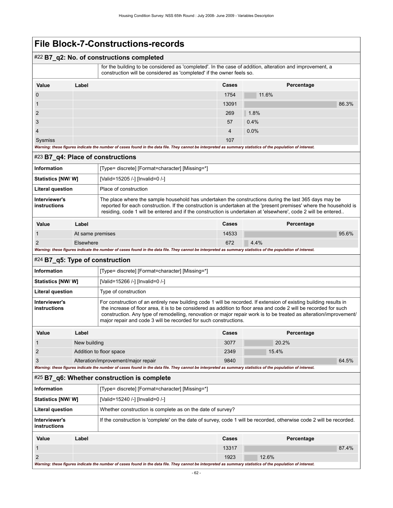### #22 **B7\_q2: No. of constructions completed**

 for the building to be considered as 'completed'. In the case of addition, alteration and improvement, a construction will be considered as 'completed' if the owner feels so.

| Value          | Label                                                                                                                                                                                                                          | Cases | Percentage |
|----------------|--------------------------------------------------------------------------------------------------------------------------------------------------------------------------------------------------------------------------------|-------|------------|
| $\overline{0}$ |                                                                                                                                                                                                                                | 1754  | 11.6%      |
|                |                                                                                                                                                                                                                                | 13091 | 86.3%      |
| $\overline{2}$ |                                                                                                                                                                                                                                | 269   | 1.8%       |
| 3              |                                                                                                                                                                                                                                | 57    | 0.4%       |
| $\overline{4}$ |                                                                                                                                                                                                                                | 4     | 0.0%       |
| Sysmiss        | 144-metrin 46-cal Minimum Andrews Absolute the College Absolute Absolute Absolute Absolute Absolute and the computer of the property of Absolute Absolute Absolute Absolute Absolute Absolute Absolute Absolute Absolute Absol | 107   |            |

*Warning: these figures indicate the number of cases found in the data file. They cannot be interpreted as summary statistics of the population of interest.*

#### #23 **B7\_q4: Place of constructions**

| Information                   |       | [Type= discrete] [Format=character] [Missing=*]                                                                                                                                                                                                                                                                                              |       |            |       |
|-------------------------------|-------|----------------------------------------------------------------------------------------------------------------------------------------------------------------------------------------------------------------------------------------------------------------------------------------------------------------------------------------------|-------|------------|-------|
| Statistics [NW/ W]            |       | [Valid=15205 /-] [Invalid=0 /-]                                                                                                                                                                                                                                                                                                              |       |            |       |
| <b>Literal question</b>       |       | Place of construction                                                                                                                                                                                                                                                                                                                        |       |            |       |
| Interviewer's<br>instructions |       | The place where the sample household has undertaken the constructions during the last 365 days may be<br>reported for each construction. If the construction is undertaken at the 'present premises' where the household is<br>residing, code 1 will be entered and if the construction is undertaken at 'elsewhere', code 2 will be entered |       |            |       |
| Value                         | Label |                                                                                                                                                                                                                                                                                                                                              | Cases | Percentage |       |
| At same premises              |       |                                                                                                                                                                                                                                                                                                                                              | 14533 |            | 95.6% |

| $\sqrt{2}$ | $\sim$  |
|------------|---------|
| Elsewhere  | $4.4\%$ |
| L          | 0/2     |

*Warning: these figures indicate the number of cases found in the data file. They cannot be interpreted as summary statistics of the population of interest.*

#### #24 **B7\_q5: Type of construction**

| Information                   |              | [Type= discrete] [Format=character] [Missing=*]                                                                                                                                                                                                                                                                                                                                                                                   |       |            |
|-------------------------------|--------------|-----------------------------------------------------------------------------------------------------------------------------------------------------------------------------------------------------------------------------------------------------------------------------------------------------------------------------------------------------------------------------------------------------------------------------------|-------|------------|
| Statistics [NW/ W]            |              | [Valid=15266 /-] [Invalid=0 /-]                                                                                                                                                                                                                                                                                                                                                                                                   |       |            |
| <b>Literal question</b>       |              | Type of construction                                                                                                                                                                                                                                                                                                                                                                                                              |       |            |
| Interviewer's<br>instructions |              | For construction of an entirely new building code 1 will be recorded. If extension of existing building results in<br>the increase of floor area, it is to be considered as addition to floor area and code 2 will be recorded for such<br>construction. Any type of remodelling, renovation or major repair work is to be treated as alteration/improvement/<br>major repair and code 3 will be recorded for such constructions. |       |            |
| Value                         | Label        |                                                                                                                                                                                                                                                                                                                                                                                                                                   | Cases | Percentage |
|                               | Now building |                                                                                                                                                                                                                                                                                                                                                                                                                                   | 3077  | 20.2%      |

| New building                        | 3077 | 20.2%    |       |
|-------------------------------------|------|----------|-------|
| Addition to floor space             | 2349 | $15.4\%$ |       |
| Alteration/improvement/major repair | 9840 |          | 64.5% |

*Warning: these figures indicate the number of cases found in the data file. They cannot be interpreted as summary statistics of the population of interest.*

#### #25 **B7\_q6: Whether construction is complete**

| <b>Information</b>            | [Type= discrete] [Format=character] [Missing=*]                                                                      |
|-------------------------------|----------------------------------------------------------------------------------------------------------------------|
| <b>Statistics [NW/ W]</b>     | [Valid=15240 /-] [Invalid=0 /-]                                                                                      |
| Literal question              | Whether construction is complete as on the date of survey?                                                           |
| Interviewer's<br>instructions | If the construction is 'complete' on the date of survey, code 1 will be recorded, otherwise code 2 will be recorded. |

| Value                                                                                                                                                       | Label | Cases | Percentage |       |
|-------------------------------------------------------------------------------------------------------------------------------------------------------------|-------|-------|------------|-------|
|                                                                                                                                                             |       | 13317 |            | 87.4% |
|                                                                                                                                                             |       | 1923  | 12.6%      |       |
| Warning: these figures indicate the number of cases found in the data file. They cannot be interpreted as summary statistics of the population of interest. |       |       |            |       |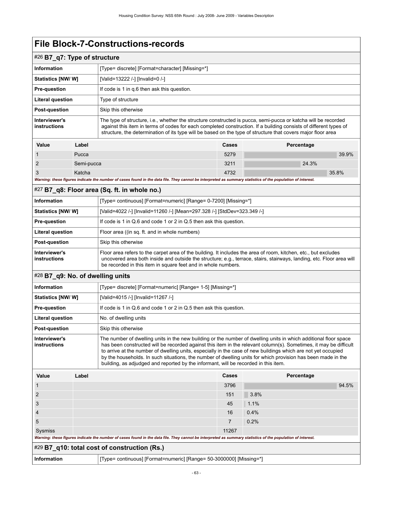|                               | #26 B7_q7: Type of structure |                                                                                                                                                                                                                                                                                                                                                     |       |            |  |
|-------------------------------|------------------------------|-----------------------------------------------------------------------------------------------------------------------------------------------------------------------------------------------------------------------------------------------------------------------------------------------------------------------------------------------------|-------|------------|--|
| <b>Information</b>            |                              | [Type= discrete] [Format=character] [Missing=*]                                                                                                                                                                                                                                                                                                     |       |            |  |
| <b>Statistics [NW/W]</b>      |                              | [Valid=13222 /-] [Invalid=0 /-]                                                                                                                                                                                                                                                                                                                     |       |            |  |
| <b>Pre-question</b>           |                              | If code is 1 in q.6 then ask this question.                                                                                                                                                                                                                                                                                                         |       |            |  |
| <b>Literal question</b>       |                              | Type of structure                                                                                                                                                                                                                                                                                                                                   |       |            |  |
| <b>Post-question</b>          |                              | Skip this otherwise                                                                                                                                                                                                                                                                                                                                 |       |            |  |
| Interviewer's<br>instructions |                              | The type of structure, i.e., whether the structure constructed is pucca, semi-pucca or katcha will be recorded<br>against this item in terms of codes for each completed construction. If a building consists of different types of<br>structure, the determination of its type will be based on the type of structure that covers major floor area |       |            |  |
| Value                         | Label                        |                                                                                                                                                                                                                                                                                                                                                     | Cases | Percentage |  |
| $\mathbf{1}$                  | Pucca                        |                                                                                                                                                                                                                                                                                                                                                     | 5279  | 39.9%      |  |
| 2                             | Semi-pucca                   |                                                                                                                                                                                                                                                                                                                                                     | 3211  | 24.3%      |  |
| 3                             | Katcha                       |                                                                                                                                                                                                                                                                                                                                                     | 4732  | 35.8%      |  |

*Warning: these figures indicate the number of cases found in the data file. They cannot be interpreted as summary statistics of the population of interest.*

| $\#27$ B7_q8: Floor area (Sq. ft. in whole no.) |                                                                                                                                                                                                                                                                                                           |  |
|-------------------------------------------------|-----------------------------------------------------------------------------------------------------------------------------------------------------------------------------------------------------------------------------------------------------------------------------------------------------------|--|
| Information                                     | [Type= continuous] [Format=numeric] [Range= 0-7200] [Missing=*]                                                                                                                                                                                                                                           |  |
| Statistics [NW/W]                               | [Valid=4022 /-] [Invalid=11260 /-] [Mean=297.328 /-] [StdDev=323.349 /-]                                                                                                                                                                                                                                  |  |
| <b>Pre-question</b>                             | If code is 1 in Q.6 and code 1 or 2 in Q.5 then ask this question.                                                                                                                                                                                                                                        |  |
| <b>Literal question</b>                         | Floor area ((in sq. ft. and in whole numbers)                                                                                                                                                                                                                                                             |  |
| <b>Post-question</b>                            | Skip this otherwise                                                                                                                                                                                                                                                                                       |  |
| Interviewer's<br>instructions                   | Floor area refers to the carpet area of the building. It includes the area of room, kitchen, etc., but excludes<br>uncovered area both inside and outside the structure; e.g., terrace, stairs, stairways, landing, etc. Floor area will<br>be recorded in this item in square feet and in whole numbers. |  |

#### #28 **B7\_q9: No. of dwelling units**

| <b>Information</b>            | [Type= discrete] [Format=numeric] [Range= 1-5] [Missing=*]                                                                                                                                                                                                                                                                                                                                                                                                                                                                                                    |
|-------------------------------|---------------------------------------------------------------------------------------------------------------------------------------------------------------------------------------------------------------------------------------------------------------------------------------------------------------------------------------------------------------------------------------------------------------------------------------------------------------------------------------------------------------------------------------------------------------|
| <b>Statistics [NW/W]</b>      | [Valid=4015 /-] [Invalid=11267 /-]                                                                                                                                                                                                                                                                                                                                                                                                                                                                                                                            |
| <b>Pre-question</b>           | If code is 1 in Q.6 and code 1 or 2 in Q.5 then ask this question.                                                                                                                                                                                                                                                                                                                                                                                                                                                                                            |
| <b>Literal question</b>       | No. of dwelling units                                                                                                                                                                                                                                                                                                                                                                                                                                                                                                                                         |
| <b>Post-question</b>          | Skip this otherwise                                                                                                                                                                                                                                                                                                                                                                                                                                                                                                                                           |
| Interviewer's<br>instructions | The number of dwelling units in the new building or the number of dwelling units in which additional floor space<br>has been constructed will be recorded against this item in the relevant column(s). Sometimes, it may be difficult<br>to arrive at the number of dwelling units, especially in the case of new buildings which are not yet occupied<br>by the households. In such situations, the number of dwelling units for which provision has been made in the<br>building, as adjudged and reported by the informant, will be recorded in this item. |

| Value                                                                                                                                                       | Label | <b>Cases</b> | Percentage |
|-------------------------------------------------------------------------------------------------------------------------------------------------------------|-------|--------------|------------|
|                                                                                                                                                             |       | 3796         | 94.5%      |
| 2                                                                                                                                                           |       | 151          | 3.8%       |
| 3                                                                                                                                                           |       | 45           | 1.1%       |
| $\overline{4}$                                                                                                                                              |       | 16           | 0.4%       |
| 5                                                                                                                                                           |       | 7            | 0.2%       |
| Sysmiss                                                                                                                                                     |       | 11267        |            |
| Warning: these figures indicate the number of cases found in the data file. They cannot be interpreted as summary statistics of the population of interest. |       |              |            |

## #29 **B7\_q10: total cost of construction (Rs.)**

### **Information information** [Type= continuous] [Format=numeric] [Range= 50-3000000] [Missing=\*]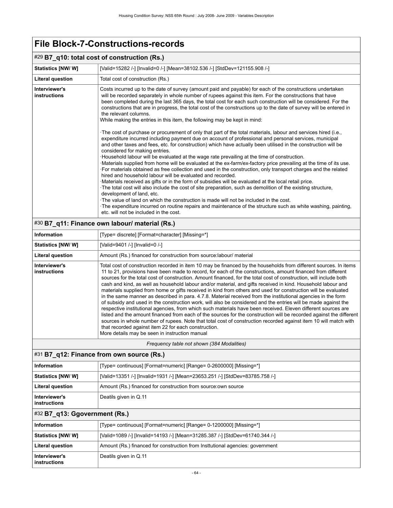| #29 B7_q10: total cost of construction (Rs.) |                                                                                                                                                                                                                                                                                                                                                                                                                                                                                                                                                                                                                                                                                                                                                                                                                                                                                                                                                                                                                                                                                                                                                                                                                                                                                                                                                                                                                                                                                                                                                                                                                                                                                                                                                                                                                                                                      |  |
|----------------------------------------------|----------------------------------------------------------------------------------------------------------------------------------------------------------------------------------------------------------------------------------------------------------------------------------------------------------------------------------------------------------------------------------------------------------------------------------------------------------------------------------------------------------------------------------------------------------------------------------------------------------------------------------------------------------------------------------------------------------------------------------------------------------------------------------------------------------------------------------------------------------------------------------------------------------------------------------------------------------------------------------------------------------------------------------------------------------------------------------------------------------------------------------------------------------------------------------------------------------------------------------------------------------------------------------------------------------------------------------------------------------------------------------------------------------------------------------------------------------------------------------------------------------------------------------------------------------------------------------------------------------------------------------------------------------------------------------------------------------------------------------------------------------------------------------------------------------------------------------------------------------------------|--|
| <b>Statistics [NW/W]</b>                     | [Valid=15282 /-] [Invalid=0 /-] [Mean=38102.536 /-] [StdDev=121155.908 /-]                                                                                                                                                                                                                                                                                                                                                                                                                                                                                                                                                                                                                                                                                                                                                                                                                                                                                                                                                                                                                                                                                                                                                                                                                                                                                                                                                                                                                                                                                                                                                                                                                                                                                                                                                                                           |  |
| <b>Literal question</b>                      | Total cost of construction (Rs.)                                                                                                                                                                                                                                                                                                                                                                                                                                                                                                                                                                                                                                                                                                                                                                                                                                                                                                                                                                                                                                                                                                                                                                                                                                                                                                                                                                                                                                                                                                                                                                                                                                                                                                                                                                                                                                     |  |
| Interviewer's<br>instructions                | Costs incurred up to the date of survey (amount paid and payable) for each of the constructions undertaken<br>will be recorded separately in whole number of rupees against this item. For the constructions that have<br>been completed during the last 365 days, the total cost for each such construction will be considered. For the<br>constructions that are in progress, the total cost of the constructions up to the date of survey will be entered in<br>the relevant columns.<br>While making the entries in this item, the following may be kept in mind:<br>The cost of purchase or procurement of only that part of the total materials, labour and services hired (i.e.,<br>expenditure incurred including payment due on account of professional and personal services, municipal<br>and other taxes and fees, etc. for construction) which have actually been utilised in the construction will be<br>considered for making entries.<br>Household labour will be evaluated at the wage rate prevailing at the time of construction.<br>Materials supplied from home will be evaluated at the ex-farm/ex-factory price prevailing at the time of its use.<br>For materials obtained as free collection and used in the construction, only transport charges and the related<br>hired and household labour will be evaluated and recorded.<br>Materials received as gifts or in the form of subsidies will be evaluated at the local retail price.<br>The total cost will also include the cost of site preparation, such as demolition of the existing structure,<br>development of land, etc.<br>. The value of land on which the construction is made will not be included in the cost.<br>The expenditure incurred on routine repairs and maintenance of the structure such as white washing, painting,<br>etc, will not be included in the cost. |  |

## #30 **B7\_q11: Finance own labour/ material (Rs.)**

| Information                   | [Type= discrete] [Format=character] [Missing=*]                                                                                                                                                                                                                                                                                                                                                                                                                                                                                                                                                                                                                                                                                                                                                                                                                                                                                                                                                                                                                                                                                                                                                                                                                                                    |
|-------------------------------|----------------------------------------------------------------------------------------------------------------------------------------------------------------------------------------------------------------------------------------------------------------------------------------------------------------------------------------------------------------------------------------------------------------------------------------------------------------------------------------------------------------------------------------------------------------------------------------------------------------------------------------------------------------------------------------------------------------------------------------------------------------------------------------------------------------------------------------------------------------------------------------------------------------------------------------------------------------------------------------------------------------------------------------------------------------------------------------------------------------------------------------------------------------------------------------------------------------------------------------------------------------------------------------------------|
| <b>Statistics [NW/W]</b>      | [Valid=9401 /-] [Invalid=0 /-]                                                                                                                                                                                                                                                                                                                                                                                                                                                                                                                                                                                                                                                                                                                                                                                                                                                                                                                                                                                                                                                                                                                                                                                                                                                                     |
| <b>Literal question</b>       | Amount (Rs.) financed for construction from source: labour/ material                                                                                                                                                                                                                                                                                                                                                                                                                                                                                                                                                                                                                                                                                                                                                                                                                                                                                                                                                                                                                                                                                                                                                                                                                               |
| Interviewer's<br>instructions | Total cost of construction recorded in item 10 may be financed by the households from different sources. In items<br>11 to 21, provisions have been made to record, for each of the constructions, amount financed from different<br>sources for the total cost of construction. Amount financed, for the total cost of construction, will include both<br>cash and kind, as well as household labour and/or material, and gifts received in kind. Household labour and<br>materials supplied from home or gifts received in kind from others and used for construction will be evaluated<br>in the same manner as described in para, 4.7.8. Material received from the institutional agencies in the form<br>of subsidy and used in the construction work, will also be considered and the entries will be made against the<br>respective institutional agencies, from which such materials have been received. Eleven different sources are<br>listed and the amount financed from each of the sources for the construction will be recorded against the different<br>sources in whole number of rupees. Note that total cost of construction recorded against item 10 will match with<br>that recorded against item 22 for each construction.<br>More details may be seen in instruction manual |

#### *Frequency table not shown (384 Modalities)*

### #31 **B7\_q12: Finance from own source (Rs.)**

| Information                   | [Type= continuous] [Format=numeric] [Range= 0-2600000] [Missing=*]           |
|-------------------------------|------------------------------------------------------------------------------|
| <b>Statistics [NW/W]</b>      | [Valid=13351 /-] [Invalid=1931 /-] [Mean=23653.251 /-] [StdDev=83785.758 /-] |
| Literal question              | Amount (Rs.) financed for construction from source: own source               |
| Interviewer's<br>instructions | Deatils given in Q.11                                                        |

## #32 **B7\_q13: Ggovernment (Rs.)**

| Information                   | [Type= continuous] [Format=numeric] [Range= 0-1200000] [Missing=*]             |
|-------------------------------|--------------------------------------------------------------------------------|
| Statistics [NW/ W]            | [Valid=1089 /-] [Invalid=14193 /-] [Mean=31285.387 /-] [StdDev=61740.344 /-]   |
| <b>Literal question</b>       | Amount (Rs.) financed for construction from Institutional agencies: government |
| Interviewer's<br>instructions | Deatils given in Q.11                                                          |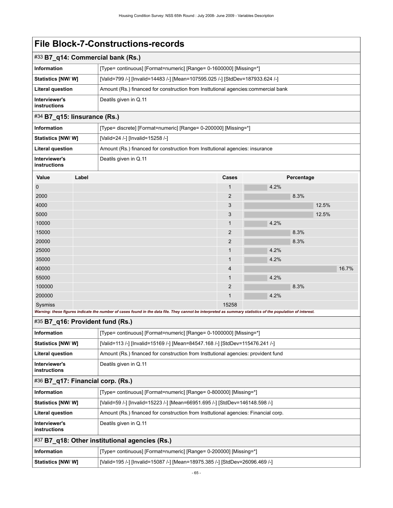| #33 B7_q14: Commercial bank (Rs.) |                                                                                     |
|-----------------------------------|-------------------------------------------------------------------------------------|
| Information                       | [Type= continuous] [Format=numeric] [Range= 0-1600000] [Missing=*]                  |
| <b>Statistics [NW/ W]</b>         | [Valid=799 /-] [Invalid=14483 /-] [Mean=107595.025 /-] [StdDev=187933.624 /-]       |
| <b>Literal question</b>           | Amount (Rs.) financed for construction from Institutional agencies: commercial bank |
| Interviewer's<br>instructions     | Deatils given in Q.11                                                               |

### #34 **B7\_q15: Iinsurance (Rs.)**

| Information                   | [Type= discrete] [Format=numeric] [Range= 0-200000] [Missing=*]               |
|-------------------------------|-------------------------------------------------------------------------------|
| <b>Statistics [NW/ W]</b>     | [Valid=24 /-] [Invalid=15258 /-]                                              |
| Literal question              | Amount (Rs.) financed for construction from Institutional agencies: insurance |
| Interviewer's<br>instructions | Deatils given in Q.11                                                         |

| Value       | Label | Cases          | Percentage |
|-------------|-------|----------------|------------|
| $\mathbf 0$ |       | $\mathbf{1}$   | 4.2%       |
| 2000        |       | $\overline{2}$ | 8.3%       |
| 4000        |       | 3              | 12.5%      |
| 5000        |       | 3              | 12.5%      |
| 10000       |       | $\mathbf{1}$   | 4.2%       |
| 15000       |       | $\overline{2}$ | 8.3%       |
| 20000       |       | $\overline{2}$ | 8.3%       |
| 25000       |       | $\mathbf{1}$   | 4.2%       |
| 35000       |       | $\mathbf{1}$   | 4.2%       |
| 40000       |       | 4              | 16.7%      |
| 55000       |       | $\mathbf{1}$   | 4.2%       |
| 100000      |       | $\overline{2}$ | 8.3%       |
| 200000      |       | $\mathbf{1}$   | 4.2%       |
| Sysmiss     |       | 15258          |            |

*Warning: these figures indicate the number of cases found in the data file. They cannot be interpreted as summary statistics of the population of interest.*

### #35 **B7\_q16: Provident fund (Rs.)**

| <b>Information</b>                             | [Type= continuous] [Format=numeric] [Range= 0-1000000] [Missing=*]                  |
|------------------------------------------------|-------------------------------------------------------------------------------------|
| Statistics [NW/W]                              | [Valid=113 /-] [Invalid=15169 /-] [Mean=84547.168 /-] [StdDev=115476.241 /-]        |
| <b>Literal question</b>                        | Amount (Rs.) financed for construction from Institutional agencies: provident fund  |
| Interviewer's<br><b>instructions</b>           | Deatils given in Q.11                                                               |
| $#36$ B7_q17: Financial corp. (Rs.)            |                                                                                     |
| <b>Information</b>                             | [Type= continuous] [Format=numeric] [Range= 0-800000] [Missing=*]                   |
| Statistics [NW/W]                              | [Valid=59 /-] [Invalid=15223 /-] [Mean=66951.695 /-] [StdDev=146148.598 /-]         |
| <b>Literal question</b>                        | Amount (Rs.) financed for construction from Institutional agencies: Financial corp. |
| Interviewer's<br><b>instructions</b>           | Deatils given in Q.11                                                               |
| #37 B7_q18: Other institutional agencies (Rs.) |                                                                                     |
| <b>Information</b>                             | [Type= continuous] [Format=numeric] [Range= 0-200000] [Missing=*]                   |

**Statistics [NW/ W]** [Valid=195 /-] [Invalid=15087 /-] [Mean=18975.385 /-] [StdDev=26096.469 /-]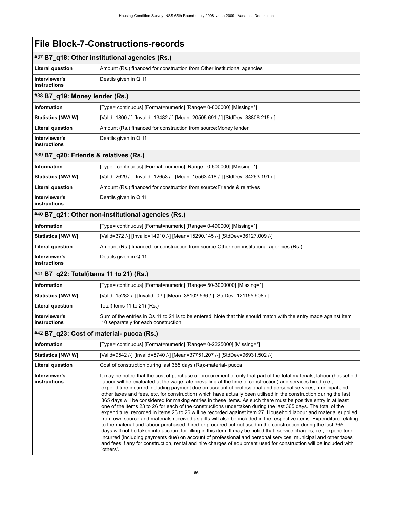'others'.

| #37 B7_q18: Other institutional agencies (Rs.) |                                                                                                                                                                                                                                                                                                                                                                                                                                                                                                                                                                                                                                                                                                                                                                                                                                                                                                                                                                                                                                                                                                                                                                                                                                                                                                                                                                                                                                         |  |
|------------------------------------------------|-----------------------------------------------------------------------------------------------------------------------------------------------------------------------------------------------------------------------------------------------------------------------------------------------------------------------------------------------------------------------------------------------------------------------------------------------------------------------------------------------------------------------------------------------------------------------------------------------------------------------------------------------------------------------------------------------------------------------------------------------------------------------------------------------------------------------------------------------------------------------------------------------------------------------------------------------------------------------------------------------------------------------------------------------------------------------------------------------------------------------------------------------------------------------------------------------------------------------------------------------------------------------------------------------------------------------------------------------------------------------------------------------------------------------------------------|--|
| <b>Literal question</b>                        | Amount (Rs.) financed for construction from Other institutional agencies                                                                                                                                                                                                                                                                                                                                                                                                                                                                                                                                                                                                                                                                                                                                                                                                                                                                                                                                                                                                                                                                                                                                                                                                                                                                                                                                                                |  |
| Interviewer's<br>instructions                  | Deatils given in Q.11                                                                                                                                                                                                                                                                                                                                                                                                                                                                                                                                                                                                                                                                                                                                                                                                                                                                                                                                                                                                                                                                                                                                                                                                                                                                                                                                                                                                                   |  |
| #38 B7_q19: Money lender (Rs.)                 |                                                                                                                                                                                                                                                                                                                                                                                                                                                                                                                                                                                                                                                                                                                                                                                                                                                                                                                                                                                                                                                                                                                                                                                                                                                                                                                                                                                                                                         |  |
| Information                                    | [Type= continuous] [Format=numeric] [Range= 0-800000] [Missing=*]                                                                                                                                                                                                                                                                                                                                                                                                                                                                                                                                                                                                                                                                                                                                                                                                                                                                                                                                                                                                                                                                                                                                                                                                                                                                                                                                                                       |  |
| Statistics [NW/ W]                             | [Valid=1800 /-] [Invalid=13482 /-] [Mean=20505.691 /-] [StdDev=38806.215 /-]                                                                                                                                                                                                                                                                                                                                                                                                                                                                                                                                                                                                                                                                                                                                                                                                                                                                                                                                                                                                                                                                                                                                                                                                                                                                                                                                                            |  |
| <b>Literal question</b>                        | Amount (Rs.) financed for construction from source: Money lender                                                                                                                                                                                                                                                                                                                                                                                                                                                                                                                                                                                                                                                                                                                                                                                                                                                                                                                                                                                                                                                                                                                                                                                                                                                                                                                                                                        |  |
| Interviewer's<br>instructions                  | Deatils given in Q.11                                                                                                                                                                                                                                                                                                                                                                                                                                                                                                                                                                                                                                                                                                                                                                                                                                                                                                                                                                                                                                                                                                                                                                                                                                                                                                                                                                                                                   |  |
| #39 B7_q20: Friends & relatives (Rs.)          |                                                                                                                                                                                                                                                                                                                                                                                                                                                                                                                                                                                                                                                                                                                                                                                                                                                                                                                                                                                                                                                                                                                                                                                                                                                                                                                                                                                                                                         |  |
| Information                                    | [Type= continuous] [Format=numeric] [Range= 0-600000] [Missing=*]                                                                                                                                                                                                                                                                                                                                                                                                                                                                                                                                                                                                                                                                                                                                                                                                                                                                                                                                                                                                                                                                                                                                                                                                                                                                                                                                                                       |  |
| Statistics [NW/W]                              | [Valid=2629 /-] [Invalid=12653 /-] [Mean=15563.418 /-] [StdDev=34263.191 /-]                                                                                                                                                                                                                                                                                                                                                                                                                                                                                                                                                                                                                                                                                                                                                                                                                                                                                                                                                                                                                                                                                                                                                                                                                                                                                                                                                            |  |
| <b>Literal question</b>                        | Amount (Rs.) financed for construction from source: Friends & relatives                                                                                                                                                                                                                                                                                                                                                                                                                                                                                                                                                                                                                                                                                                                                                                                                                                                                                                                                                                                                                                                                                                                                                                                                                                                                                                                                                                 |  |
| Interviewer's<br>instructions                  | Deatils given in Q.11                                                                                                                                                                                                                                                                                                                                                                                                                                                                                                                                                                                                                                                                                                                                                                                                                                                                                                                                                                                                                                                                                                                                                                                                                                                                                                                                                                                                                   |  |
|                                                | #40 B7_q21: Other non-institutional agencies (Rs.)                                                                                                                                                                                                                                                                                                                                                                                                                                                                                                                                                                                                                                                                                                                                                                                                                                                                                                                                                                                                                                                                                                                                                                                                                                                                                                                                                                                      |  |
| Information                                    | [Type= continuous] [Format=numeric] [Range= 0-490000] [Missing=*]                                                                                                                                                                                                                                                                                                                                                                                                                                                                                                                                                                                                                                                                                                                                                                                                                                                                                                                                                                                                                                                                                                                                                                                                                                                                                                                                                                       |  |
| <b>Statistics [NW/ W]</b>                      | [Valid=372 /-] [Invalid=14910 /-] [Mean=15290.145 /-] [StdDev=36127.009 /-]                                                                                                                                                                                                                                                                                                                                                                                                                                                                                                                                                                                                                                                                                                                                                                                                                                                                                                                                                                                                                                                                                                                                                                                                                                                                                                                                                             |  |
| <b>Literal question</b>                        | Amount (Rs.) financed for construction from source: Other non-institutional agencies (Rs.)                                                                                                                                                                                                                                                                                                                                                                                                                                                                                                                                                                                                                                                                                                                                                                                                                                                                                                                                                                                                                                                                                                                                                                                                                                                                                                                                              |  |
| Interviewer's<br>instructions                  | Deatils given in Q.11                                                                                                                                                                                                                                                                                                                                                                                                                                                                                                                                                                                                                                                                                                                                                                                                                                                                                                                                                                                                                                                                                                                                                                                                                                                                                                                                                                                                                   |  |
| #41 B7_q22: Total(items 11 to 21) (Rs.)        |                                                                                                                                                                                                                                                                                                                                                                                                                                                                                                                                                                                                                                                                                                                                                                                                                                                                                                                                                                                                                                                                                                                                                                                                                                                                                                                                                                                                                                         |  |
| Information                                    | [Type= continuous] [Format=numeric] [Range= 50-3000000] [Missing=*]                                                                                                                                                                                                                                                                                                                                                                                                                                                                                                                                                                                                                                                                                                                                                                                                                                                                                                                                                                                                                                                                                                                                                                                                                                                                                                                                                                     |  |
| <b>Statistics [NW/ W]</b>                      | [Valid=15282 /-] [Invalid=0 /-] [Mean=38102.536 /-] [StdDev=121155.908 /-]                                                                                                                                                                                                                                                                                                                                                                                                                                                                                                                                                                                                                                                                                                                                                                                                                                                                                                                                                                                                                                                                                                                                                                                                                                                                                                                                                              |  |
| <b>Literal question</b>                        | Total(items 11 to 21) (Rs.)                                                                                                                                                                                                                                                                                                                                                                                                                                                                                                                                                                                                                                                                                                                                                                                                                                                                                                                                                                                                                                                                                                                                                                                                                                                                                                                                                                                                             |  |
| Interviewer's<br><b>instructions</b>           | Sum of the entries in Qs.11 to 21 is to be entered. Note that this should match with the entry made against item<br>10 separately for each construction.                                                                                                                                                                                                                                                                                                                                                                                                                                                                                                                                                                                                                                                                                                                                                                                                                                                                                                                                                                                                                                                                                                                                                                                                                                                                                |  |
| #42 B7_q23: Cost of material- pucca (Rs.)      |                                                                                                                                                                                                                                                                                                                                                                                                                                                                                                                                                                                                                                                                                                                                                                                                                                                                                                                                                                                                                                                                                                                                                                                                                                                                                                                                                                                                                                         |  |
| Information                                    | [Type= continuous] [Format=numeric] [Range= 0-2225000] [Missing=*]                                                                                                                                                                                                                                                                                                                                                                                                                                                                                                                                                                                                                                                                                                                                                                                                                                                                                                                                                                                                                                                                                                                                                                                                                                                                                                                                                                      |  |
| <b>Statistics [NW/W]</b>                       | [Valid=9542 /-] [Invalid=5740 /-] [Mean=37751.207 /-] [StdDev=96931.502 /-]                                                                                                                                                                                                                                                                                                                                                                                                                                                                                                                                                                                                                                                                                                                                                                                                                                                                                                                                                                                                                                                                                                                                                                                                                                                                                                                                                             |  |
| Literal question                               | Cost of construction during last 365 days (Rs):-material- pucca                                                                                                                                                                                                                                                                                                                                                                                                                                                                                                                                                                                                                                                                                                                                                                                                                                                                                                                                                                                                                                                                                                                                                                                                                                                                                                                                                                         |  |
| Interviewer's<br><b>instructions</b>           | It may be noted that the cost of purchase or procurement of only that part of the total materials, labour (household<br>labour will be evaluated at the wage rate prevailing at the time of construction) and services hired (i.e.,<br>expenditure incurred including payment due on account of professional and personal services, municipal and<br>other taxes and fees, etc. for construction) which have actually been utilised in the construction during the last<br>365 days will be considered for making entries in these items. As such there must be positive entry in at least<br>one of the items 23 to 26 for each of the constructions undertaken during the last 365 days. The total of the<br>expenditure, recorded in items 23 to 26 will be recorded against item 27. Household labour and material supplied<br>from own source and materials received as gifts will also be included in the respective items. Expenditure relating<br>to the material and labour purchased, hired or procured but not used in the construction during the last 365<br>days will not be taken into account for filling in this item. It may be noted that, service charges, i.e., expenditure<br>incurred (including payments due) on account of professional and personal services, municipal and other taxes<br>and fees if any for construction, rental and hire charges of equipment used for construction will be included with |  |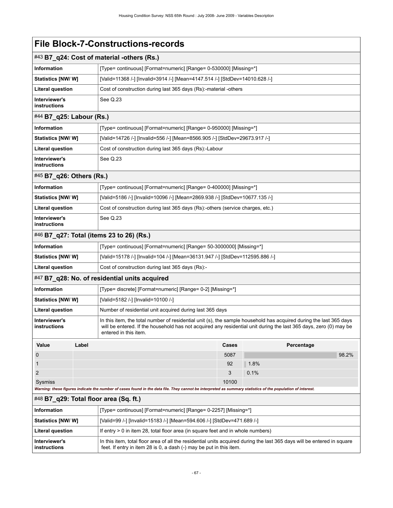| <b>File Block-7-Constructions-records</b> |
|-------------------------------------------|
|                                           |

| #43 B7_q24: Cost of material -others (Rs.)                                |                                                                                                                                                                                                                                                                  |       |            |
|---------------------------------------------------------------------------|------------------------------------------------------------------------------------------------------------------------------------------------------------------------------------------------------------------------------------------------------------------|-------|------------|
| <b>Information</b>                                                        | [Type= continuous] [Format=numeric] [Range= 0-530000] [Missing=*]                                                                                                                                                                                                |       |            |
| Statistics [NW/W]                                                         | [Valid=11368 /-] [Invalid=3914 /-] [Mean=4147.514 /-] [StdDev=14010.628 /-]                                                                                                                                                                                      |       |            |
| <b>Literal question</b>                                                   | Cost of construction during last 365 days (Rs):-material -others                                                                                                                                                                                                 |       |            |
| Interviewer's<br><b>instructions</b>                                      | See Q.23                                                                                                                                                                                                                                                         |       |            |
| #44 B7_q25: Labour (Rs.)                                                  |                                                                                                                                                                                                                                                                  |       |            |
| <b>Information</b>                                                        | [Type= continuous] [Format=numeric] [Range= 0-950000] [Missing=*]                                                                                                                                                                                                |       |            |
| Statistics [NW/W]                                                         | [Valid=14726 /-] [Invalid=556 /-] [Mean=8566.905 /-] [StdDev=29673.917 /-]                                                                                                                                                                                       |       |            |
| <b>Literal question</b>                                                   | Cost of construction during last 365 days (Rs):-Labour                                                                                                                                                                                                           |       |            |
| Interviewer's<br>instructions                                             | See Q.23                                                                                                                                                                                                                                                         |       |            |
| #45 B7_q26: Others (Rs.)                                                  |                                                                                                                                                                                                                                                                  |       |            |
| <b>Information</b>                                                        | [Type= continuous] [Format=numeric] [Range= 0-400000] [Missing=*]                                                                                                                                                                                                |       |            |
| Statistics [NW/W]                                                         | [Valid=5186 /-] [Invalid=10096 /-] [Mean=2869.938 /-] [StdDev=10677.135 /-]                                                                                                                                                                                      |       |            |
| <b>Literal question</b>                                                   | Cost of construction during last 365 days (Rs):-others (service charges, etc.)                                                                                                                                                                                   |       |            |
| Interviewer's<br>instructions                                             | See Q.23                                                                                                                                                                                                                                                         |       |            |
| #46 B7_q27: Total (items 23 to 26) (Rs.)                                  |                                                                                                                                                                                                                                                                  |       |            |
| <b>Information</b>                                                        | [Type= continuous] [Format=numeric] [Range= 50-3000000] [Missing=*]                                                                                                                                                                                              |       |            |
| Statistics [NW/W]                                                         | [Valid=15178 /-] [Invalid=104 /-] [Mean=36131.947 /-] [StdDev=112595.886 /-]                                                                                                                                                                                     |       |            |
| <b>Literal question</b>                                                   | Cost of construction during last 365 days (Rs):-                                                                                                                                                                                                                 |       |            |
|                                                                           | #47 B7_q28: No. of residential units acquired                                                                                                                                                                                                                    |       |            |
| Information<br>[Type= discrete] [Format=numeric] [Range= 0-2] [Missing=*] |                                                                                                                                                                                                                                                                  |       |            |
| Statistics [NW/W]                                                         | [Valid=5182 /-] [Invalid=10100 /-]                                                                                                                                                                                                                               |       |            |
| <b>Literal question</b>                                                   | Number of residential unit acquired during last 365 days                                                                                                                                                                                                         |       |            |
| Interviewer's<br>instructions                                             | In this item, the total number of residential unit (s), the sample household has acquired during the last 365 days<br>will be entered. If the household has not acquired any residential unit during the last 365 days, zero (0) may be<br>entered in this item. |       |            |
| Value<br>Label                                                            |                                                                                                                                                                                                                                                                  | Cases | Percentage |
| 0                                                                         |                                                                                                                                                                                                                                                                  | 5087  | 98.2%      |
| 1                                                                         |                                                                                                                                                                                                                                                                  | 92    | 1.8%       |
| 2                                                                         |                                                                                                                                                                                                                                                                  | 3     | 0.1%       |
| Sysmiss                                                                   | Warning: these figures indicate the number of cases found in the data file. They cannot be interpreted as summary statistics of the population of interest.                                                                                                      | 10100 |            |
| #48 B7_q29: Total floor area (Sq. ft.)                                    |                                                                                                                                                                                                                                                                  |       |            |
| <b>Information</b>                                                        | [Type= continuous] [Format=numeric] [Range= 0-2257] [Missing=*]                                                                                                                                                                                                  |       |            |
| Statistics [NW/W]                                                         | [Valid=99 /-] [Invalid=15183 /-] [Mean=594.606 /-] [StdDev=471.689 /-]                                                                                                                                                                                           |       |            |
| <b>Literal question</b>                                                   | If entry $> 0$ in item 28, total floor area (in square feet and in whole numbers)                                                                                                                                                                                |       |            |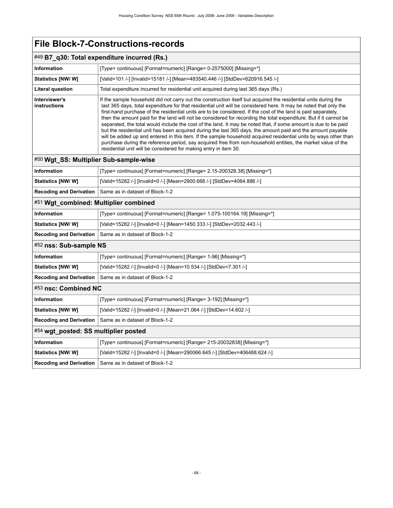| #49 B7_q30: Total expenditure incurred (Rs.) |                                                                                                                                                                                                                                                                                                                                                                                                                                                                                                                                                                                                                                                                                                                                                                                                                                                                                                                                                                                                                       |  |
|----------------------------------------------|-----------------------------------------------------------------------------------------------------------------------------------------------------------------------------------------------------------------------------------------------------------------------------------------------------------------------------------------------------------------------------------------------------------------------------------------------------------------------------------------------------------------------------------------------------------------------------------------------------------------------------------------------------------------------------------------------------------------------------------------------------------------------------------------------------------------------------------------------------------------------------------------------------------------------------------------------------------------------------------------------------------------------|--|
| <b>Information</b>                           | [Type= continuous] [Format=numeric] [Range= 0-2575000] [Missing=*]                                                                                                                                                                                                                                                                                                                                                                                                                                                                                                                                                                                                                                                                                                                                                                                                                                                                                                                                                    |  |
| Statistics [NW/ W]                           | [Valid=101 /-] [Invalid=15181 /-] [Mean=483540.446 /-] [StdDev=620916.545 /-]                                                                                                                                                                                                                                                                                                                                                                                                                                                                                                                                                                                                                                                                                                                                                                                                                                                                                                                                         |  |
| Literal question                             | Total expenditure incurred for residential unit acquired during last 365 days (Rs.)                                                                                                                                                                                                                                                                                                                                                                                                                                                                                                                                                                                                                                                                                                                                                                                                                                                                                                                                   |  |
| Interviewer's<br>instructions                | If the sample household did not carry out the construction itself but acquired the residential units during the<br>last 365 days, total expenditure for that residential unit will be considered here. It may be noted that only the<br>first-hand purchase of the residential units are to be considered. If the cost of the land is paid separately,<br>then the amount paid for the land will not be considered for recording the total expenditure. But if it cannot be<br>separated, the total would include the cost of the land. It may be noted that, if some amount is due to be paid<br>but the residential unit has been acquired during the last 365 days, the amount paid and the amount payable<br>will be added up and entered in this item. If the sample household acquired residential units by ways other than<br>purchase during the reference period, say acquired free from non-household entities, the market value of the<br>residential unit will be considered for making entry in item 30. |  |
| #50 Wgt_SS: Multiplier Sub-sample-wise       |                                                                                                                                                                                                                                                                                                                                                                                                                                                                                                                                                                                                                                                                                                                                                                                                                                                                                                                                                                                                                       |  |
| <b>Information</b>                           | [Type= continuous] [Format=numeric] [Range= 2.15-200328.38] [Missing=*]                                                                                                                                                                                                                                                                                                                                                                                                                                                                                                                                                                                                                                                                                                                                                                                                                                                                                                                                               |  |
| Statistics [NW/W]                            | [Valid=15282 /-] [Invalid=0 /-] [Mean=2900.666 /-] [StdDev=4064.886 /-]                                                                                                                                                                                                                                                                                                                                                                                                                                                                                                                                                                                                                                                                                                                                                                                                                                                                                                                                               |  |
| <b>Recoding and Derivation</b>               | Same as in dataset of Block-1-2                                                                                                                                                                                                                                                                                                                                                                                                                                                                                                                                                                                                                                                                                                                                                                                                                                                                                                                                                                                       |  |
| #51 Wgt_combined: Multiplier combined        |                                                                                                                                                                                                                                                                                                                                                                                                                                                                                                                                                                                                                                                                                                                                                                                                                                                                                                                                                                                                                       |  |
| <b>Information</b>                           | [Type= continuous] [Format=numeric] [Range= 1.075-100164.19] [Missing=*]                                                                                                                                                                                                                                                                                                                                                                                                                                                                                                                                                                                                                                                                                                                                                                                                                                                                                                                                              |  |
| Statistics [NW/ W]                           | [Valid=15282 /-] [Invalid=0 /-] [Mean=1450.333 /-] [StdDev=2032.443 /-]                                                                                                                                                                                                                                                                                                                                                                                                                                                                                                                                                                                                                                                                                                                                                                                                                                                                                                                                               |  |
| <b>Recoding and Derivation</b>               | Same as in dataset of Block-1-2                                                                                                                                                                                                                                                                                                                                                                                                                                                                                                                                                                                                                                                                                                                                                                                                                                                                                                                                                                                       |  |
| #52 nss: Sub-sample NS                       |                                                                                                                                                                                                                                                                                                                                                                                                                                                                                                                                                                                                                                                                                                                                                                                                                                                                                                                                                                                                                       |  |
| <b>Information</b>                           | [Type= continuous] [Format=numeric] [Range= 1-96] [Missing=*]                                                                                                                                                                                                                                                                                                                                                                                                                                                                                                                                                                                                                                                                                                                                                                                                                                                                                                                                                         |  |
| Statistics [NW/W]                            | [Valid=15282 /-] [Invalid=0 /-] [Mean=10.534 /-] [StdDev=7.301 /-]                                                                                                                                                                                                                                                                                                                                                                                                                                                                                                                                                                                                                                                                                                                                                                                                                                                                                                                                                    |  |
| <b>Recoding and Derivation</b>               | Same as in dataset of Block-1-2                                                                                                                                                                                                                                                                                                                                                                                                                                                                                                                                                                                                                                                                                                                                                                                                                                                                                                                                                                                       |  |
| #53 nsc: Combined NC                         |                                                                                                                                                                                                                                                                                                                                                                                                                                                                                                                                                                                                                                                                                                                                                                                                                                                                                                                                                                                                                       |  |
| <b>Information</b>                           | [Type= continuous] [Format=numeric] [Range= 3-192] [Missing=*]                                                                                                                                                                                                                                                                                                                                                                                                                                                                                                                                                                                                                                                                                                                                                                                                                                                                                                                                                        |  |
| Statistics [NW/W]                            | [Valid=15282 /-] [Invalid=0 /-] [Mean=21.064 /-] [StdDev=14.602 /-]                                                                                                                                                                                                                                                                                                                                                                                                                                                                                                                                                                                                                                                                                                                                                                                                                                                                                                                                                   |  |
| <b>Recoding and Derivation</b>               | Same as in dataset of Block-1-2                                                                                                                                                                                                                                                                                                                                                                                                                                                                                                                                                                                                                                                                                                                                                                                                                                                                                                                                                                                       |  |
| #54 wgt_posted: SS multiplier posted         |                                                                                                                                                                                                                                                                                                                                                                                                                                                                                                                                                                                                                                                                                                                                                                                                                                                                                                                                                                                                                       |  |
| <b>Information</b>                           | [Type= continuous] [Format=numeric] [Range= 215-20032838] [Missing=*]                                                                                                                                                                                                                                                                                                                                                                                                                                                                                                                                                                                                                                                                                                                                                                                                                                                                                                                                                 |  |
| Statistics [NW/W]                            | [Valid=15282 /-] [Invalid=0 /-] [Mean=290066.645 /-] [StdDev=406488.624 /-]                                                                                                                                                                                                                                                                                                                                                                                                                                                                                                                                                                                                                                                                                                                                                                                                                                                                                                                                           |  |
| <b>Recoding and Derivation</b>               | Same as in dataset of Block-1-2                                                                                                                                                                                                                                                                                                                                                                                                                                                                                                                                                                                                                                                                                                                                                                                                                                                                                                                                                                                       |  |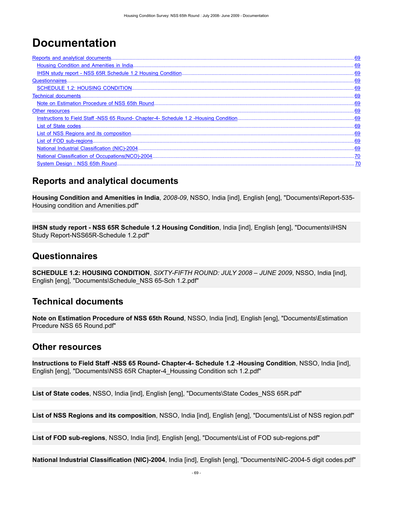# **Documentation**

| .69 |
|-----|
|     |
|     |
|     |
|     |
|     |
|     |
|     |
|     |
|     |

## <span id="page-72-0"></span>**Reports and analytical documents**

<span id="page-72-1"></span>**Housing Condition and Amenities in India**, *2008-09*, NSSO, India [ind], English [eng], "Documents\Report-535- Housing condition and Amenities.pdf"

<span id="page-72-2"></span>**IHSN study report - NSS 65R Schedule 1.2 Housing Condition**, India [ind], English [eng], "Documents\IHSN Study Report-NSS65R-Schedule 1.2.pdf"

#### <span id="page-72-3"></span>**Questionnaires**

<span id="page-72-4"></span>**SCHEDULE 1.2: HOUSING CONDITION**, *SIXTY-FIFTH ROUND: JULY 2008 – JUNE 2009*, NSSO, India [ind], English [eng], "Documents\Schedule\_NSS 65-Sch 1.2.pdf"

### <span id="page-72-5"></span>**Technical documents**

<span id="page-72-6"></span>**Note on Estimation Procedure of NSS 65th Round**, NSSO, India [ind], English [eng], "Documents\Estimation Prcedure NSS 65 Round.pdf"

#### <span id="page-72-7"></span>**Other resources**

<span id="page-72-8"></span>**Instructions to Field Staff -NSS 65 Round- Chapter-4- Schedule 1.2 -Housing Condition**, NSSO, India [ind], English [eng], "Documents\NSS 65R Chapter-4\_Houssing Condition sch 1.2.pdf"

<span id="page-72-9"></span>**List of State codes**, NSSO, India [ind], English [eng], "Documents\State Codes\_NSS 65R.pdf"

<span id="page-72-10"></span>**List of NSS Regions and its composition**, NSSO, India [ind], English [eng], "Documents\List of NSS region.pdf"

<span id="page-72-11"></span>**List of FOD sub-regions**, NSSO, India [ind], English [eng], "Documents\List of FOD sub-regions.pdf"

<span id="page-72-12"></span>**National Industrial Classification (NIC)-2004**, India [ind], English [eng], "Documents\NIC-2004-5 digit codes.pdf"